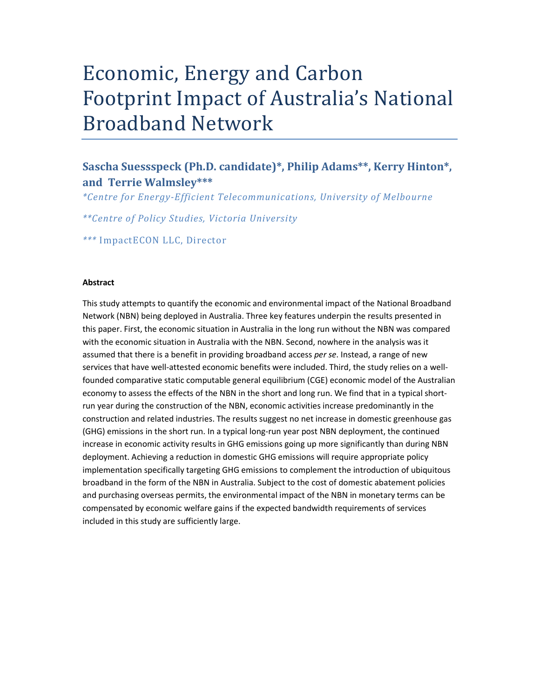# Economic, Energy and Carbon Footprint Impact of Australia's National Broadband Network

# Sascha Suessspeck (Ph.D. candidate)\*, Philip Adams\*\*, Kerry Hinton\*, and Terrie Walmsley\*\*\*

\*Centre for Energy-Efficient Telecommunications, University of Melbourne

\*\*Centre of Policy Studies, Victoria University

\*\*\* ImpactECON LLC, Director

#### Abstract

This study attempts to quantify the economic and environmental impact of the National Broadband Network (NBN) being deployed in Australia. Three key features underpin the results presented in this paper. First, the economic situation in Australia in the long run without the NBN was compared with the economic situation in Australia with the NBN. Second, nowhere in the analysis was it assumed that there is a benefit in providing broadband access per se. Instead, a range of new services that have well-attested economic benefits were included. Third, the study relies on a wellfounded comparative static computable general equilibrium (CGE) economic model of the Australian economy to assess the effects of the NBN in the short and long run. We find that in a typical shortrun year during the construction of the NBN, economic activities increase predominantly in the construction and related industries. The results suggest no net increase in domestic greenhouse gas (GHG) emissions in the short run. In a typical long-run year post NBN deployment, the continued increase in economic activity results in GHG emissions going up more significantly than during NBN deployment. Achieving a reduction in domestic GHG emissions will require appropriate policy implementation specifically targeting GHG emissions to complement the introduction of ubiquitous broadband in the form of the NBN in Australia. Subject to the cost of domestic abatement policies and purchasing overseas permits, the environmental impact of the NBN in monetary terms can be compensated by economic welfare gains if the expected bandwidth requirements of services included in this study are sufficiently large.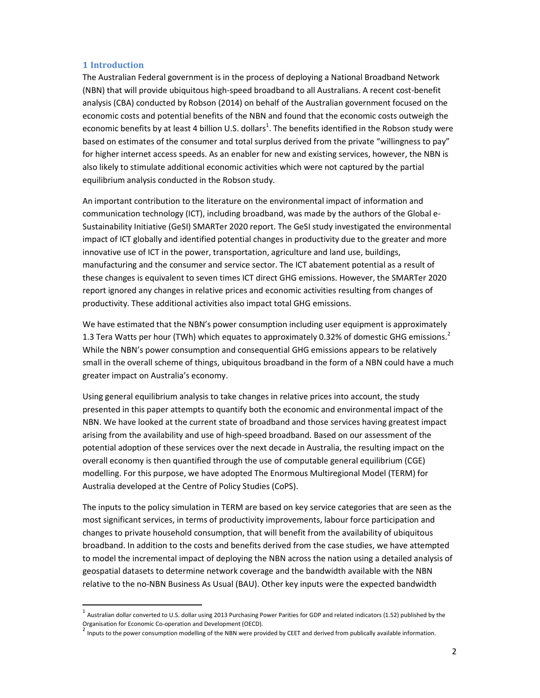#### 1 Introduction

1

The Australian Federal government is in the process of deploying a National Broadband Network (NBN) that will provide ubiquitous high-speed broadband to all Australians. A recent cost-benefit analysis (CBA) conducted by Robson (2014) on behalf of the Australian government focused on the economic costs and potential benefits of the NBN and found that the economic costs outweigh the economic benefits by at least 4 billion U.S. dollars<sup>1</sup>. The benefits identified in the Robson study were based on estimates of the consumer and total surplus derived from the private "willingness to pay" for higher internet access speeds. As an enabler for new and existing services, however, the NBN is also likely to stimulate additional economic activities which were not captured by the partial equilibrium analysis conducted in the Robson study.

An important contribution to the literature on the environmental impact of information and communication technology (ICT), including broadband, was made by the authors of the Global e-Sustainability Initiative (GeSI) SMARTer 2020 report. The GeSI study investigated the environmental impact of ICT globally and identified potential changes in productivity due to the greater and more innovative use of ICT in the power, transportation, agriculture and land use, buildings, manufacturing and the consumer and service sector. The ICT abatement potential as a result of these changes is equivalent to seven times ICT direct GHG emissions. However, the SMARTer 2020 report ignored any changes in relative prices and economic activities resulting from changes of productivity. These additional activities also impact total GHG emissions.

We have estimated that the NBN's power consumption including user equipment is approximately 1.3 Tera Watts per hour (TWh) which equates to approximately 0.32% of domestic GHG emissions.<sup>2</sup> While the NBN's power consumption and consequential GHG emissions appears to be relatively small in the overall scheme of things, ubiquitous broadband in the form of a NBN could have a much greater impact on Australia's economy.

Using general equilibrium analysis to take changes in relative prices into account, the study presented in this paper attempts to quantify both the economic and environmental impact of the NBN. We have looked at the current state of broadband and those services having greatest impact arising from the availability and use of high-speed broadband. Based on our assessment of the potential adoption of these services over the next decade in Australia, the resulting impact on the overall economy is then quantified through the use of computable general equilibrium (CGE) modelling. For this purpose, we have adopted The Enormous Multiregional Model (TERM) for Australia developed at the Centre of Policy Studies (CoPS).

The inputs to the policy simulation in TERM are based on key service categories that are seen as the most significant services, in terms of productivity improvements, labour force participation and changes to private household consumption, that will benefit from the availability of ubiquitous broadband. In addition to the costs and benefits derived from the case studies, we have attempted to model the incremental impact of deploying the NBN across the nation using a detailed analysis of geospatial datasets to determine network coverage and the bandwidth available with the NBN relative to the no-NBN Business As Usual (BAU). Other key inputs were the expected bandwidth

 $^{\rm 1}$  Australian dollar converted to U.S. dollar using 2013 Purchasing Power Parities for GDP and related indicators (1.52) published by the Organisation for Economic Co-operation and Development (OECD).

<sup>&</sup>lt;sup>2</sup> Inputs to the power consumption modelling of the NBN were provided by CEET and derived from publically available information.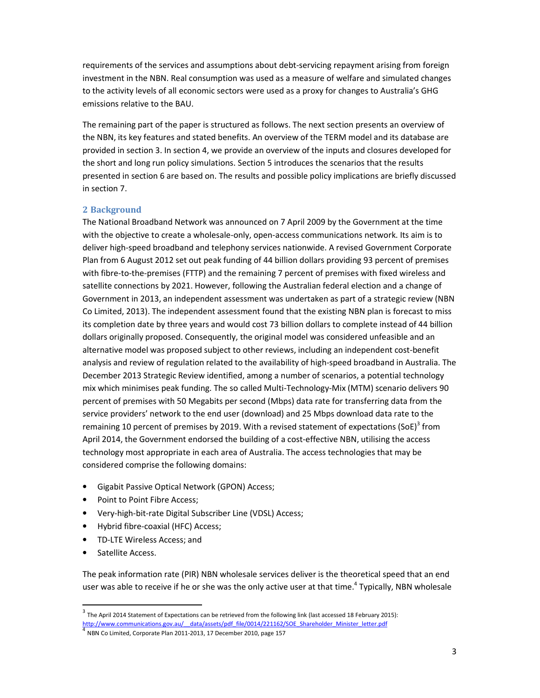requirements of the services and assumptions about debt-servicing repayment arising from foreign investment in the NBN. Real consumption was used as a measure of welfare and simulated changes to the activity levels of all economic sectors were used as a proxy for changes to Australia's GHG emissions relative to the BAU.

The remaining part of the paper is structured as follows. The next section presents an overview of the NBN, its key features and stated benefits. An overview of the TERM model and its database are provided in section 3. In section 4, we provide an overview of the inputs and closures developed for the short and long run policy simulations. Section 5 introduces the scenarios that the results presented in section 6 are based on. The results and possible policy implications are briefly discussed in section 7.

#### 2 Background

The National Broadband Network was announced on 7 April 2009 by the Government at the time with the objective to create a wholesale-only, open-access communications network. Its aim is to deliver high-speed broadband and telephony services nationwide. A revised Government Corporate Plan from 6 August 2012 set out peak funding of 44 billion dollars providing 93 percent of premises with fibre-to-the-premises (FTTP) and the remaining 7 percent of premises with fixed wireless and satellite connections by 2021. However, following the Australian federal election and a change of Government in 2013, an independent assessment was undertaken as part of a strategic review (NBN Co Limited, 2013). The independent assessment found that the existing NBN plan is forecast to miss its completion date by three years and would cost 73 billion dollars to complete instead of 44 billion dollars originally proposed. Consequently, the original model was considered unfeasible and an alternative model was proposed subject to other reviews, including an independent cost-benefit analysis and review of regulation related to the availability of high-speed broadband in Australia. The December 2013 Strategic Review identified, among a number of scenarios, a potential technology mix which minimises peak funding. The so called Multi-Technology-Mix (MTM) scenario delivers 90 percent of premises with 50 Megabits per second (Mbps) data rate for transferring data from the service providers' network to the end user (download) and 25 Mbps download data rate to the remaining 10 percent of premises by 2019. With a revised statement of expectations (SoE)<sup>3</sup> from April 2014, the Government endorsed the building of a cost-effective NBN, utilising the access technology most appropriate in each area of Australia. The access technologies that may be considered comprise the following domains:

- Gigabit Passive Optical Network (GPON) Access;
- Point to Point Fibre Access;
- Very-high-bit-rate Digital Subscriber Line (VDSL) Access;
- Hybrid fibre-coaxial (HFC) Access;
- TD-LTE Wireless Access; and
- Satellite Access.

1

The peak information rate (PIR) NBN wholesale services deliver is the theoretical speed that an end user was able to receive if he or she was the only active user at that time.<sup>4</sup> Typically, NBN wholesale

 $^3$  The April 2014 Statement of Expectations can be retrieved from the following link (last accessed 18 February 2015):

http://www.communications.gov.au/ data/assets/pdf file/0014/221162/SOE Shareholder Minister letter.pdf

<sup>4</sup> NBN Co Limited, Corporate Plan 2011-2013, 17 December 2010, page 157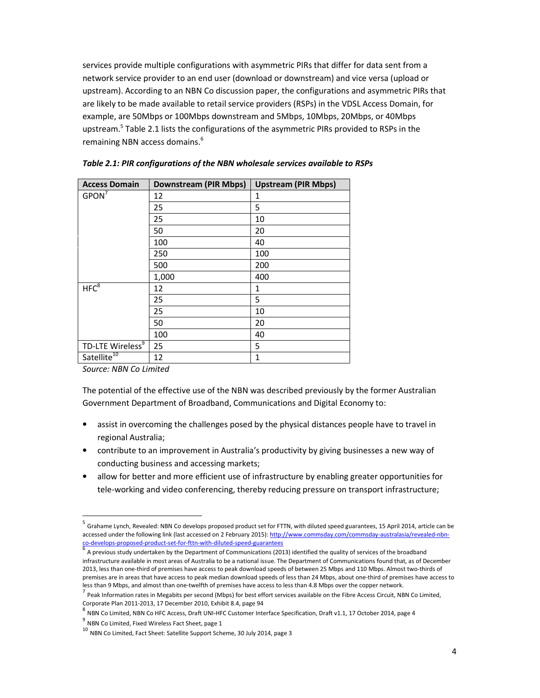services provide multiple configurations with asymmetric PIRs that differ for data sent from a network service provider to an end user (download or downstream) and vice versa (upload or upstream). According to an NBN Co discussion paper, the configurations and asymmetric PIRs that are likely to be made available to retail service providers (RSPs) in the VDSL Access Domain, for example, are 50Mbps or 100Mbps downstream and 5Mbps, 10Mbps, 20Mbps, or 40Mbps upstream.<sup>5</sup> Table 2.1 lists the configurations of the asymmetric PIRs provided to RSPs in the remaining NBN access domains.<sup>6</sup>

| <b>Access Domain</b>         | <b>Downstream (PIR Mbps)</b> | <b>Upstream (PIR Mbps)</b> |
|------------------------------|------------------------------|----------------------------|
| $GPON^7$                     | 12                           | 1                          |
|                              | 25                           | 5                          |
|                              | 25                           | 10                         |
|                              | 50                           | 20                         |
|                              | 100                          | 40                         |
|                              | 250                          | 100                        |
|                              | 500                          | 200                        |
|                              | 1,000                        | 400                        |
| HFC <sup>8</sup>             | 12                           | 1                          |
|                              | 25                           | 5                          |
|                              | 25                           | 10                         |
|                              | 50                           | 20                         |
|                              | 100                          | 40                         |
| TD-LTE Wireless <sup>9</sup> | 25                           | 5                          |
| Satellite <sup>10</sup>      | 12                           | 1                          |

Table 2.1: PIR configurations of the NBN wholesale services available to RSPs

Source: NBN Co Limited

l,

The potential of the effective use of the NBN was described previously by the former Australian Government Department of Broadband, Communications and Digital Economy to:

- assist in overcoming the challenges posed by the physical distances people have to travel in regional Australia;
- contribute to an improvement in Australia's productivity by giving businesses a new way of conducting business and accessing markets;
- allow for better and more efficient use of infrastructure by enabling greater opportunities for tele-working and video conferencing, thereby reducing pressure on transport infrastructure;

<sup>&</sup>lt;sup>5</sup> Grahame Lynch, Revealed: NBN Co develops proposed product set for FTTN, with diluted speed guarantees, 15 April 2014, article can be accessed under the following link (last accessed on 2 February 2015): http://www.commsday.com/commsday-australasia/revealed-nbnco-develops-proposed-product-set-for-fttn-with-diluted-speed-guarantees

 $^6$  A previous study undertaken by the Department of Communications (2013) identified the quality of services of the broadband infrastructure available in most areas of Australia to be a national issue. The Department of Communications found that, as of December 2013, less than one-third of premises have access to peak download speeds of between 25 Mbps and 110 Mbps. Almost two-thirds of premises are in areas that have access to peak median download speeds of less than 24 Mbps, about one-third of premises have access to less than 9 Mbps, and almost than one-twelfth of premises have access to less than 4.8 Mbps over the copper network.

<sup>7</sup> Peak Information rates in Megabits per second (Mbps) for best effort services available on the Fibre Access Circuit, NBN Co Limited, Corporate Plan 2011-2013, 17 December 2010, Exhibit 8.4, page 94

<sup>&</sup>lt;sup>8</sup> NBN Co Limited, NBN Co HFC Access, Draft UNI-HFC Customer Interface Specification, Draft v1.1, 17 October 2014, page 4

<sup>&</sup>lt;sup>9</sup> NBN Co Limited, Fixed Wireless Fact Sheet, page 1

 $^{10}$  NBN Co Limited, Fact Sheet: Satellite Support Scheme, 30 July 2014, page 3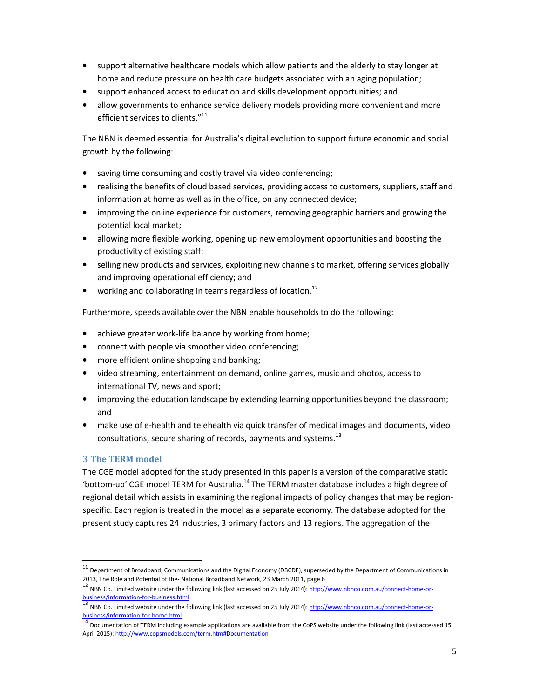- support alternative healthcare models which allow patients and the elderly to stay longer at home and reduce pressure on health care budgets associated with an aging population;
- support enhanced access to education and skills development opportunities; and
- allow governments to enhance service delivery models providing more convenient and more efficient services to clients."<sup>11</sup>

The NBN is deemed essential for Australia's digital evolution to support future economic and social growth by the following:

- saving time consuming and costly travel via video conferencing;
- realising the benefits of cloud based services, providing access to customers, suppliers, staff and information at home as well as in the office, on any connected device;
- improving the online experience for customers, removing geographic barriers and growing the potential local market;
- allowing more flexible working, opening up new employment opportunities and boosting the productivity of existing staff;
- selling new products and services, exploiting new channels to market, offering services globally and improving operational efficiency; and
- working and collaborating in teams regardless of location.<sup>12</sup>

Furthermore, speeds available over the NBN enable households to do the following:

- achieve greater work-life balance by working from home;
- connect with people via smoother video conferencing;
- more efficient online shopping and banking;
- video streaming, entertainment on demand, online games, music and photos, access to international TV, news and sport;
- improving the education landscape by extending learning opportunities beyond the classroom; and
- make use of e-health and telehealth via quick transfer of medical images and documents, video consultations, secure sharing of records, payments and systems. $^{13}$

# 3 The TERM model

l,

The CGE model adopted for the study presented in this paper is a version of the comparative static 'bottom-up' CGE model TERM for Australia.<sup>14</sup> The TERM master database includes a high degree of regional detail which assists in examining the regional impacts of policy changes that may be regionspecific. Each region is treated in the model as a separate economy. The database adopted for the present study captures 24 industries, 3 primary factors and 13 regions. The aggregation of the

<sup>11</sup> Department of Broadband, Communications and the Digital Economy (DBCDE), superseded by the Department of Communications in 2013, The Role and Potential of the- National Broadband Network, 23 March 2011, page 6

<sup>&</sup>lt;sup>12</sup> NBN Co. Limited website under the following link (last accessed on 25 July 2014): http://www.nbnco.com.au/connect-home-orbusiness/information-for-business.html

<sup>&</sup>lt;sup>13</sup> NBN Co. Limited website under the following link (last accessed on 25 July 2014): http://www.nbnco.com.au/connect-home-orbusiness/information-for-home.html

DISSINESS/INDITIRENDET INTENTION TRESPARKENT IN THE READ TO THE READ TO DETERMINE THE SERVICE SERVICE THE SOLO<br><sup>14</sup> Documentation of TERM including example applications are available from the CoPS website under the followi April 2015): http://www.copsmodels.com/term.htm#Documentation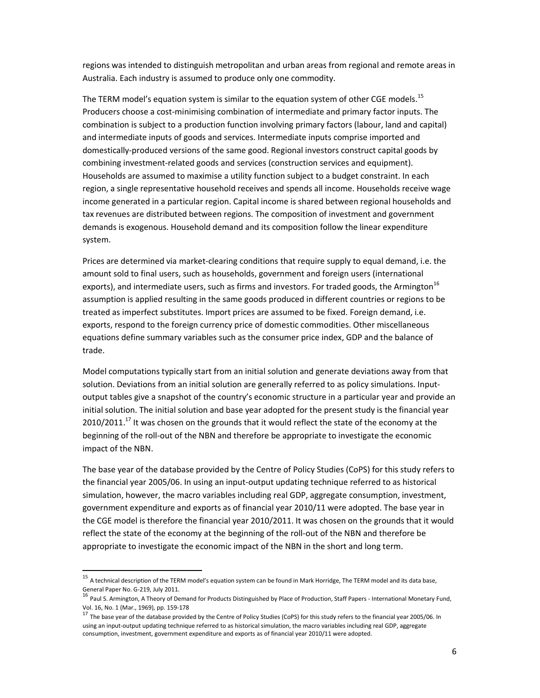regions was intended to distinguish metropolitan and urban areas from regional and remote areas in Australia. Each industry is assumed to produce only one commodity.

The TERM model's equation system is similar to the equation system of other CGE models.<sup>15</sup> Producers choose a cost-minimising combination of intermediate and primary factor inputs. The combination is subject to a production function involving primary factors (labour, land and capital) and intermediate inputs of goods and services. Intermediate inputs comprise imported and domestically-produced versions of the same good. Regional investors construct capital goods by combining investment-related goods and services (construction services and equipment). Households are assumed to maximise a utility function subject to a budget constraint. In each region, a single representative household receives and spends all income. Households receive wage income generated in a particular region. Capital income is shared between regional households and tax revenues are distributed between regions. The composition of investment and government demands is exogenous. Household demand and its composition follow the linear expenditure system.

Prices are determined via market-clearing conditions that require supply to equal demand, i.e. the amount sold to final users, such as households, government and foreign users (international exports), and intermediate users, such as firms and investors. For traded goods, the Armington<sup>16</sup> assumption is applied resulting in the same goods produced in different countries or regions to be treated as imperfect substitutes. Import prices are assumed to be fixed. Foreign demand, i.e. exports, respond to the foreign currency price of domestic commodities. Other miscellaneous equations define summary variables such as the consumer price index, GDP and the balance of trade.

Model computations typically start from an initial solution and generate deviations away from that solution. Deviations from an initial solution are generally referred to as policy simulations. Inputoutput tables give a snapshot of the country's economic structure in a particular year and provide an initial solution. The initial solution and base year adopted for the present study is the financial year  $2010/2011$ .<sup>17</sup> It was chosen on the grounds that it would reflect the state of the economy at the beginning of the roll-out of the NBN and therefore be appropriate to investigate the economic impact of the NBN.

The base year of the database provided by the Centre of Policy Studies (CoPS) for this study refers to the financial year 2005/06. In using an input-output updating technique referred to as historical simulation, however, the macro variables including real GDP, aggregate consumption, investment, government expenditure and exports as of financial year 2010/11 were adopted. The base year in the CGE model is therefore the financial year 2010/2011. It was chosen on the grounds that it would reflect the state of the economy at the beginning of the roll-out of the NBN and therefore be appropriate to investigate the economic impact of the NBN in the short and long term.

1

<sup>15</sup> A technical description of the TERM model's equation system can be found in Mark Horridge, The TERM model and its data base, General Paper No. G-219, July 2011.

<sup>&</sup>lt;sup>16</sup> Paul S. Armington, A Theory of Demand for Products Distinguished by Place of Production, Staff Papers - International Monetary Fund, Vol. 16, No. 1 (Mar., 1969), pp. 159-178

 $^{17}$  The base year of the database provided by the Centre of Policy Studies (CoPS) for this study refers to the financial year 2005/06. In using an input-output updating technique referred to as historical simulation, the macro variables including real GDP, aggregate consumption, investment, government expenditure and exports as of financial year 2010/11 were adopted.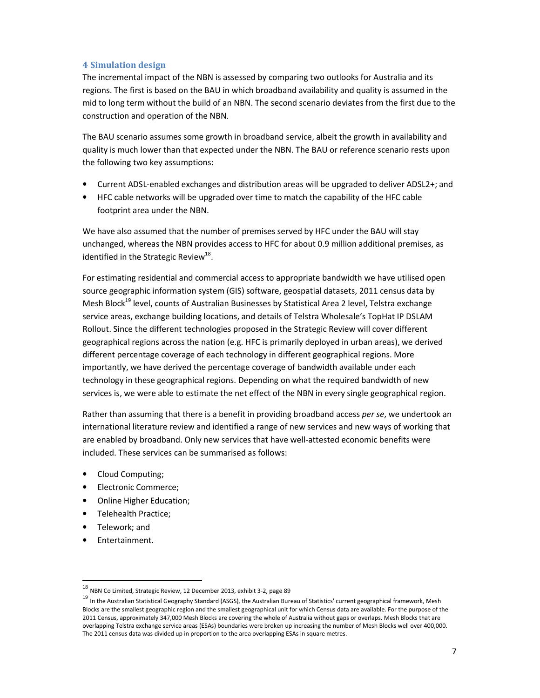# 4 Simulation design

The incremental impact of the NBN is assessed by comparing two outlooks for Australia and its regions. The first is based on the BAU in which broadband availability and quality is assumed in the mid to long term without the build of an NBN. The second scenario deviates from the first due to the construction and operation of the NBN.

The BAU scenario assumes some growth in broadband service, albeit the growth in availability and quality is much lower than that expected under the NBN. The BAU or reference scenario rests upon the following two key assumptions:

- Current ADSL-enabled exchanges and distribution areas will be upgraded to deliver ADSL2+; and
- HFC cable networks will be upgraded over time to match the capability of the HFC cable footprint area under the NBN.

We have also assumed that the number of premises served by HFC under the BAU will stay unchanged, whereas the NBN provides access to HFC for about 0.9 million additional premises, as identified in the Strategic Review<sup>18</sup>.

For estimating residential and commercial access to appropriate bandwidth we have utilised open source geographic information system (GIS) software, geospatial datasets, 2011 census data by Mesh Block<sup>19</sup> level, counts of Australian Businesses by Statistical Area 2 level, Telstra exchange service areas, exchange building locations, and details of Telstra Wholesale's TopHat IP DSLAM Rollout. Since the different technologies proposed in the Strategic Review will cover different geographical regions across the nation (e.g. HFC is primarily deployed in urban areas), we derived different percentage coverage of each technology in different geographical regions. More importantly, we have derived the percentage coverage of bandwidth available under each technology in these geographical regions. Depending on what the required bandwidth of new services is, we were able to estimate the net effect of the NBN in every single geographical region.

Rather than assuming that there is a benefit in providing broadband access per se, we undertook an international literature review and identified a range of new services and new ways of working that are enabled by broadband. Only new services that have well-attested economic benefits were included. These services can be summarised as follows:

- Cloud Computing;
- Electronic Commerce;
- Online Higher Education;
- Telehealth Practice;
- Telework; and
- Entertainment.

l,

<sup>18</sup> NBN Co Limited, Strategic Review, 12 December 2013, exhibit 3-2, page 89

<sup>&</sup>lt;sup>19</sup> In the Australian Statistical Geography Standard (ASGS), the Australian Bureau of Statistics' current geographical framework, Mesh Blocks are the smallest geographic region and the smallest geographical unit for which Census data are available. For the purpose of the 2011 Census, approximately 347,000 Mesh Blocks are covering the whole of Australia without gaps or overlaps. Mesh Blocks that are overlapping Telstra exchange service areas (ESAs) boundaries were broken up increasing the number of Mesh Blocks well over 400,000. The 2011 census data was divided up in proportion to the area overlapping ESAs in square metres.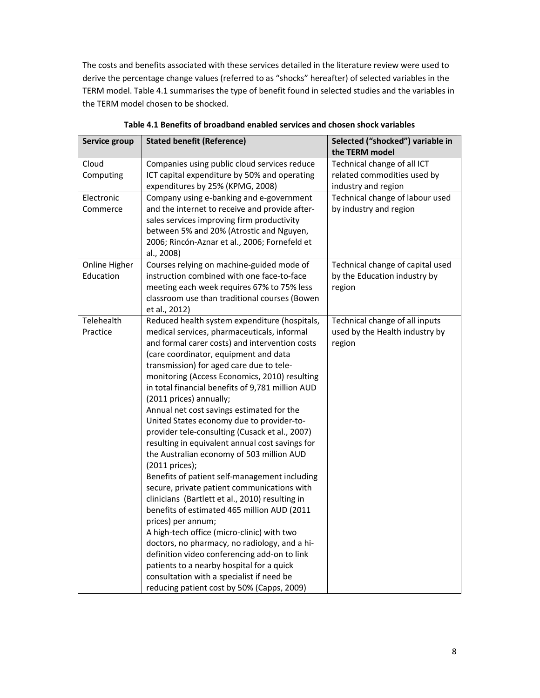The costs and benefits associated with these services detailed in the literature review were used to derive the percentage change values (referred to as "shocks" hereafter) of selected variables in the TERM model. Table 4.1 summarises the type of benefit found in selected studies and the variables in the TERM model chosen to be shocked.

| Service group | <b>Stated benefit (Reference)</b>                | Selected ("shocked") variable in<br>the TERM model |
|---------------|--------------------------------------------------|----------------------------------------------------|
| Cloud         | Companies using public cloud services reduce     | Technical change of all ICT                        |
| Computing     | ICT capital expenditure by 50% and operating     | related commodities used by                        |
|               | expenditures by 25% (KPMG, 2008)                 | industry and region                                |
| Electronic    | Company using e-banking and e-government         | Technical change of labour used                    |
| Commerce      | and the internet to receive and provide after-   | by industry and region                             |
|               | sales services improving firm productivity       |                                                    |
|               | between 5% and 20% (Atrostic and Nguyen,         |                                                    |
|               | 2006; Rincón-Aznar et al., 2006; Fornefeld et    |                                                    |
|               | al., 2008)                                       |                                                    |
| Online Higher | Courses relying on machine-guided mode of        | Technical change of capital used                   |
| Education     | instruction combined with one face-to-face       | by the Education industry by                       |
|               | meeting each week requires 67% to 75% less       | region                                             |
|               | classroom use than traditional courses (Bowen    |                                                    |
|               | et al., 2012)                                    |                                                    |
| Telehealth    | Reduced health system expenditure (hospitals,    | Technical change of all inputs                     |
| Practice      | medical services, pharmaceuticals, informal      | used by the Health industry by                     |
|               | and formal carer costs) and intervention costs   | region                                             |
|               | (care coordinator, equipment and data            |                                                    |
|               | transmission) for aged care due to tele-         |                                                    |
|               | monitoring (Access Economics, 2010) resulting    |                                                    |
|               | in total financial benefits of 9,781 million AUD |                                                    |
|               | (2011 prices) annually;                          |                                                    |
|               | Annual net cost savings estimated for the        |                                                    |
|               | United States economy due to provider-to-        |                                                    |
|               | provider tele-consulting (Cusack et al., 2007)   |                                                    |
|               | resulting in equivalent annual cost savings for  |                                                    |
|               | the Australian economy of 503 million AUD        |                                                    |
|               | (2011 prices);                                   |                                                    |
|               | Benefits of patient self-management including    |                                                    |
|               | secure, private patient communications with      |                                                    |
|               | clinicians (Bartlett et al., 2010) resulting in  |                                                    |
|               | benefits of estimated 465 million AUD (2011      |                                                    |
|               | prices) per annum;                               |                                                    |
|               | A high-tech office (micro-clinic) with two       |                                                    |
|               | doctors, no pharmacy, no radiology, and a hi-    |                                                    |
|               | definition video conferencing add-on to link     |                                                    |
|               | patients to a nearby hospital for a quick        |                                                    |
|               | consultation with a specialist if need be        |                                                    |
|               | reducing patient cost by 50% (Capps, 2009)       |                                                    |

| Table 4.1 Benefits of broadband enabled services and chosen shock variables |  |  |
|-----------------------------------------------------------------------------|--|--|
|-----------------------------------------------------------------------------|--|--|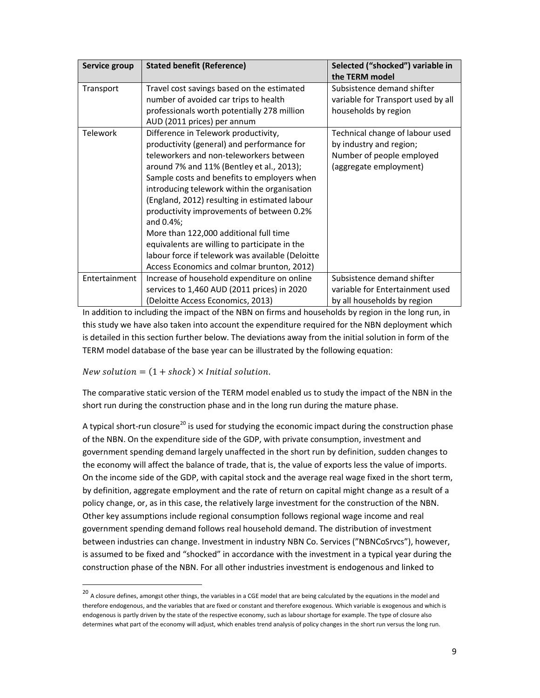| Service group   | <b>Stated benefit (Reference)</b>                | Selected ("shocked") variable in<br>the TERM model |
|-----------------|--------------------------------------------------|----------------------------------------------------|
| Transport       | Travel cost savings based on the estimated       | Subsistence demand shifter                         |
|                 | number of avoided car trips to health            | variable for Transport used by all                 |
|                 | professionals worth potentially 278 million      | households by region                               |
|                 | AUD (2011 prices) per annum                      |                                                    |
| <b>Telework</b> | Difference in Telework productivity,             | Technical change of labour used                    |
|                 | productivity (general) and performance for       | by industry and region;                            |
|                 | teleworkers and non-teleworkers between          | Number of people employed                          |
|                 | around 7% and 11% (Bentley et al., 2013);        | (aggregate employment)                             |
|                 | Sample costs and benefits to employers when      |                                                    |
|                 | introducing telework within the organisation     |                                                    |
|                 | (England, 2012) resulting in estimated labour    |                                                    |
|                 | productivity improvements of between 0.2%        |                                                    |
|                 | and 0.4%;                                        |                                                    |
|                 | More than 122,000 additional full time           |                                                    |
|                 | equivalents are willing to participate in the    |                                                    |
|                 | labour force if telework was available (Deloitte |                                                    |
|                 | Access Economics and colmar brunton, 2012)       |                                                    |
| Entertainment   | Increase of household expenditure on online      | Subsistence demand shifter                         |
|                 | services to 1,460 AUD (2011 prices) in 2020      | variable for Entertainment used                    |
|                 | (Deloitte Access Economics, 2013)                | by all households by region                        |

In addition to including the impact of the NBN on firms and households by region in the long run, in this study we have also taken into account the expenditure required for the NBN deployment which is detailed in this section further below. The deviations away from the initial solution in form of the TERM model database of the base year can be illustrated by the following equation:

# New solution  $= (1 + shock) \times Initial$  solution.

1

The comparative static version of the TERM model enabled us to study the impact of the NBN in the short run during the construction phase and in the long run during the mature phase.

A typical short-run closure<sup>20</sup> is used for studying the economic impact during the construction phase of the NBN. On the expenditure side of the GDP, with private consumption, investment and government spending demand largely unaffected in the short run by definition, sudden changes to the economy will affect the balance of trade, that is, the value of exports less the value of imports. On the income side of the GDP, with capital stock and the average real wage fixed in the short term, by definition, aggregate employment and the rate of return on capital might change as a result of a policy change, or, as in this case, the relatively large investment for the construction of the NBN. Other key assumptions include regional consumption follows regional wage income and real government spending demand follows real household demand. The distribution of investment between industries can change. Investment in industry NBN Co. Services ("NBNCoSrvcs"), however, is assumed to be fixed and "shocked" in accordance with the investment in a typical year during the construction phase of the NBN. For all other industries investment is endogenous and linked to

<sup>&</sup>lt;sup>20</sup> A closure defines, amongst other things, the variables in a CGE model that are being calculated by the equations in the model and therefore endogenous, and the variables that are fixed or constant and therefore exogenous. Which variable is exogenous and which is endogenous is partly driven by the state of the respective economy, such as labour shortage for example. The type of closure also determines what part of the economy will adjust, which enables trend analysis of policy changes in the short run versus the long run.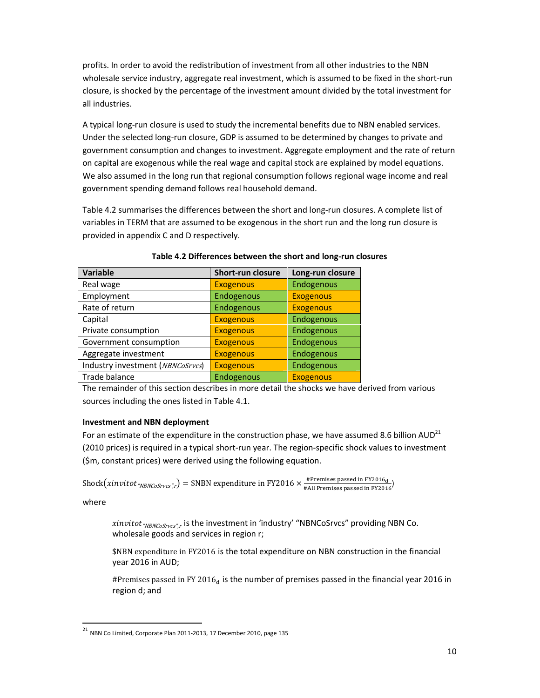profits. In order to avoid the redistribution of investment from all other industries to the NBN wholesale service industry, aggregate real investment, which is assumed to be fixed in the short-run closure, is shocked by the percentage of the investment amount divided by the total investment for all industries.

A typical long-run closure is used to study the incremental benefits due to NBN enabled services. Under the selected long-run closure, GDP is assumed to be determined by changes to private and government consumption and changes to investment. Aggregate employment and the rate of return on capital are exogenous while the real wage and capital stock are explained by model equations. We also assumed in the long run that regional consumption follows regional wage income and real government spending demand follows real household demand.

Table 4.2 summarises the differences between the short and long-run closures. A complete list of variables in TERM that are assumed to be exogenous in the short run and the long run closure is provided in appendix C and D respectively.

| <b>Variable</b>                  | <b>Short-run closure</b> | Long-run closure |
|----------------------------------|--------------------------|------------------|
| Real wage                        | <b>Exogenous</b>         | Endogenous       |
| Employment                       | Endogenous               | <b>Exogenous</b> |
| Rate of return                   | Endogenous               | <b>Exogenous</b> |
| Capital                          | <b>Exogenous</b>         | Endogenous       |
| Private consumption              | <b>Exogenous</b>         | Endogenous       |
| Government consumption           | <b>Exogenous</b>         | Endogenous       |
| Aggregate investment             | <b>Exogenous</b>         | Endogenous       |
| Industry investment (NBNCoSrvcs) | <b>Exogenous</b>         | Endogenous       |
| Trade balance                    | Endogenous               | <b>Exogenous</b> |

Table 4.2 Differences between the short and long-run closures

The remainder of this section describes in more detail the shocks we have derived from various sources including the ones listed in Table 4.1.

# Investment and NBN deployment

For an estimate of the expenditure in the construction phase, we have assumed 8.6 billion AUD<sup>21</sup> (2010 prices) is required in a typical short-run year. The region-specific shock values to investment (\$m, constant prices) were derived using the following equation.

 $\text{Shock}(xinvitot_{\textit{''NBNCoSrvcs'',r}}) = \text{\$NBN expenditure in FY2016} \times \text{\#Premises passed in FY2016}_{\text{\#All Premises passed in FY2016}}$ 

where

 $\overline{a}$ 

xinvitot <sub>"NBNCoSrvcs",r</sub> is the investment in 'industry' "NBNCoSrvcs" providing NBN Co. wholesale goods and services in region r;

\$NBN expenditure in FY2016 is the total expenditure on NBN construction in the financial year 2016 in AUD;

#Premises passed in FY 2016 $_d$  is the number of premises passed in the financial year 2016 in region d; and

 $^{21}$  NBN Co Limited, Corporate Plan 2011-2013, 17 December 2010, page 135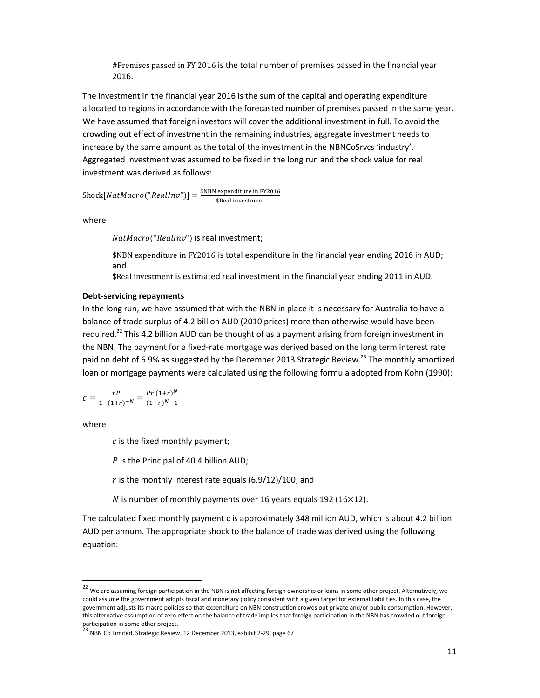#Premises passed in FY 2016 is the total number of premises passed in the financial year 2016.

The investment in the financial year 2016 is the sum of the capital and operating expenditure allocated to regions in accordance with the forecasted number of premises passed in the same year. We have assumed that foreign investors will cover the additional investment in full. To avoid the crowding out effect of investment in the remaining industries, aggregate investment needs to increase by the same amount as the total of the investment in the NBNCoSrvcs 'industry'. Aggregated investment was assumed to be fixed in the long run and the shock value for real investment was derived as follows:

 $\text{Shock}[NatMacro("RealInv"))] = \frac{\text{SNBN expenditure in FY2016}}{\text{SReal investment}}$ 

where

NatMacro("RealInv") is real investment;

\$NBN expenditure in FY2016 is total expenditure in the financial year ending 2016 in AUD; and

\$Real investment is estimated real investment in the financial year ending 2011 in AUD.

#### Debt-servicing repayments

In the long run, we have assumed that with the NBN in place it is necessary for Australia to have a balance of trade surplus of 4.2 billion AUD (2010 prices) more than otherwise would have been required.<sup>22</sup> This 4.2 billion AUD can be thought of as a payment arising from foreign investment in the NBN. The payment for a fixed-rate mortgage was derived based on the long term interest rate paid on debt of 6.9% as suggested by the December 2013 Strategic Review.<sup>23</sup> The monthly amortized loan or mortgage payments were calculated using the following formula adopted from Kohn (1990):

$$
c = \frac{rP}{1 - (1+r)^{-N}} = \frac{Pr(1+r)^{N}}{(1+r)^{N}-1}
$$

where

l,

 $c$  is the fixed monthly payment;

 $P$  is the Principal of 40.4 billion AUD;

 $r$  is the monthly interest rate equals (6.9/12)/100; and

 $N$  is number of monthly payments over 16 years equals 192 (16 $\times$ 12).

The calculated fixed monthly payment c is approximately 348 million AUD, which is about 4.2 billion AUD per annum. The appropriate shock to the balance of trade was derived using the following equation:

 $22$  We are assuming foreign participation in the NBN is not affecting foreign ownership or loans in some other project. Alternatively, we could assume the government adopts fiscal and monetary policy consistent with a given target for external liabilities. In this case, the government adjusts its macro policies so that expenditure on NBN construction crowds out private and/or public consumption. However, this alternative assumption of zero effect on the balance of trade implies that foreign participation in the NBN has crowded out foreign

participation in some other project.<br><sup>23</sup> NBN Co Limited, Strategic Review, 12 December 2013, exhibit 2-29, page 67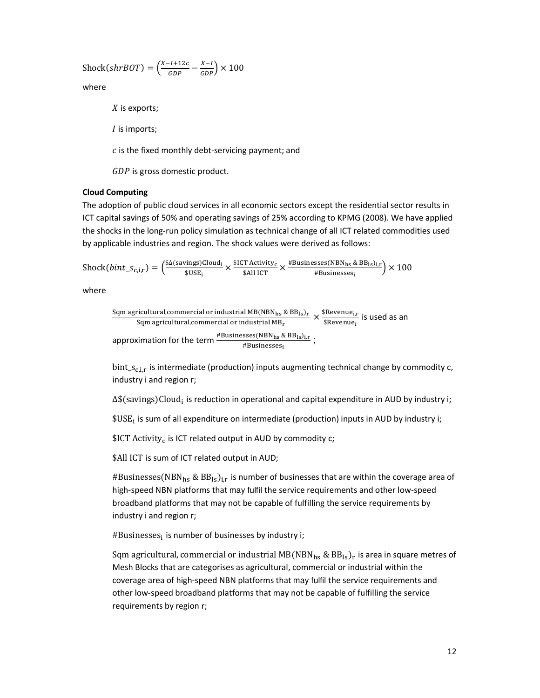$$
}(Shock(shrBOT) = \left(\frac{X-I+12c}{GDP} - \frac{X-I}{GDP}\right) \times 100
$$

where

 $X$  is exports;

 $I$  is imports;

 $c$  is the fixed monthly debt-servicing payment; and

 $GDP$  is gross domestic product.

#### Cloud Computing

The adoption of public cloud services in all economic sectors except the residential sector results in ICT capital savings of 50% and operating savings of 25% according to KPMG (2008). We have applied the shocks in the long-run policy simulation as technical change of all ICT related commodities used by applicable industries and region. The shock values were derived as follows:

 $\text{Shock}(bint\_s_{c,i,r}) = \left(\frac{\$ \Delta(savings) Cloud_i}{\$ IISE_i}\right)$  $\frac{\text{sings)Cloud}_i}{\text{SUSE}_i} \times \frac{\text{SICT Activity}_c}{\text{SAll ICT}} \times \frac{\text{#Businesses(NBN}_{hs} \& \text{BB}_{ls})_{i,r}}{\text{#Businesses}_i}$  $\frac{\text{sses(robings & b \cdot b \cdot s \cdot t, r)} }{ \text{#Businesses}_i} \times 100$ 

where

| Sqm agricultural, commercial or industrial MB(NBN <sub>hs</sub> & BB <sub>ls</sub> ) <sub>r</sub> | \$Revenue <sub>i,r</sub> is used as an<br>Sqm agricultural, commercial or industrial MB <sub>r</sub> | \$Revenue <sub>i</sub> is used as an<br>approximation for the term |
|---------------------------------------------------------------------------------------------------|------------------------------------------------------------------------------------------------------|--------------------------------------------------------------------|
| $\frac{\#Businesses(NBNhs & BBls)_{i,r}}{\#Businesses_i}$                                         | ;                                                                                                    |                                                                    |

bint\_ $s_{c,i,r}$  is intermediate (production) inputs augmenting technical change by commodity c, industry i and region r;

∆\$(savings)Cloud<sub>i</sub> is reduction in operational and capital expenditure in AUD by industry i;

 $\texttt{\$USE}_\text{i}$  is sum of all expenditure on intermediate (production) inputs in AUD by industry i;

 $$ICT Activity_c$  is ICT related output in AUD by commodity  $c;$ 

\$All ICT is sum of ICT related output in AUD;

#Businesses(NBN<sub>hs</sub> & BB<sub>Is</sub>)<sub>ir</sub> is number of businesses that are within the coverage area of high-speed NBN platforms that may fulfil the service requirements and other low-speed broadband platforms that may not be capable of fulfilling the service requirements by industry i and region r;

#Businesses; is number of businesses by industry i;

Sqm agricultural, commercial or industrial MB(NBN $_{\rm hs}$  & BB $_{\rm ls}$ )<sub>r</sub> is area in square metres of Mesh Blocks that are categorises as agricultural, commercial or industrial within the coverage area of high-speed NBN platforms that may fulfil the service requirements and other low-speed broadband platforms that may not be capable of fulfilling the service requirements by region r;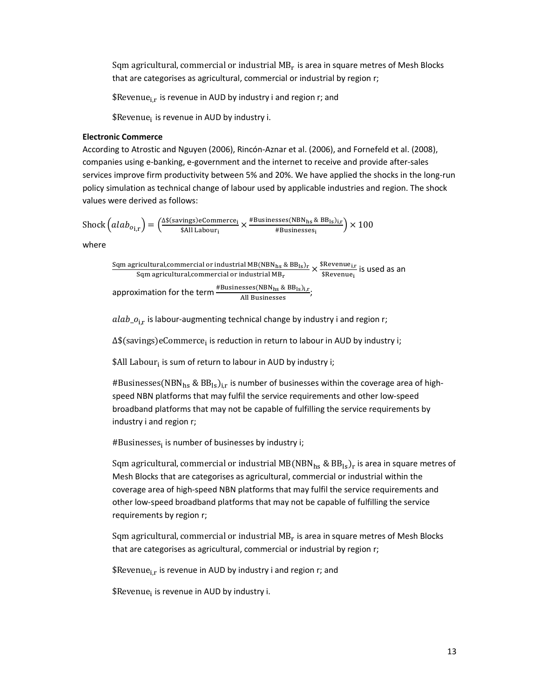Sqm agricultural, commercial or industrial  $MB_{\rm r}$  is area in square metres of Mesh Blocks that are categorises as agricultural, commercial or industrial by region r;

\$Revenue<sub>ir</sub> is revenue in AUD by industry i and region r; and

\$Revenue; is revenue in AUD by industry i.

#### Electronic Commerce

According to Atrostic and Nguyen (2006), Rincón-Aznar et al. (2006), and Fornefeld et al. (2008), companies using e-banking, e-government and the internet to receive and provide after-sales services improve firm productivity between 5% and 20%. We have applied the shocks in the long-run policy simulation as technical change of labour used by applicable industries and region. The shock values were derived as follows:

 $\text{Shock}\left( alab_{o_{i,r}}\right) = \left( \frac{\Delta \S(\text{savings})\text{eCommerce}_i}{\S{All Laboratory}_i} \times \frac{\# \text{Businesses(NBN}_{hs} \& \text{BB}_{ls})_{i,r}}{\# \text{Businesses}_i} \right)$  $\frac{\text{sses(mb)hs}}{\text{4B} \text{usinesses}_i}$   $\times$  100

where

Sqm agricultural,commercial or industrial MB(NBN $_{\rm hs}$  & BB $_{\rm ls}$ )<sub>r</sub> y: >t8;rVIUV8>I,rv::98r;>I v8 ;@?V<U8;>I S \$W9X9@V9w,  $\frac{\text{revenue}_{i,r}}{\text{skevenue}_i}$  is used as an approximation for the term  $\frac{\text{\#Businesses}(\text{NBN}_{\text{hs}} \& \text{BB}_{\text{ls}})_{i,r}}{\text{All Businesses}}$ ;

 $alab_{-}o_{i,r}$  is labour-augmenting technical change by industry i and region r;

∆\$(savings)eCommerce<sub>i</sub> is reduction in return to labour in AUD by industry i;

\$All Labour; is sum of return to labour in AUD by industry i;

#Businesses(NBN<sub>hs</sub> & BB<sub>ls</sub>)<sub>i.r</sub> is number of businesses within the coverage area of highspeed NBN platforms that may fulfil the service requirements and other low-speed broadband platforms that may not be capable of fulfilling the service requirements by industry i and region r;

#Businesses; is number of businesses by industry i;

Sqm agricultural, commercial or industrial MB(NBN $_{\rm hs}$  & BB $_{\rm ls}$ ) $_{\rm r}$  is area in square metres of Mesh Blocks that are categorises as agricultural, commercial or industrial within the coverage area of high-speed NBN platforms that may fulfil the service requirements and other low-speed broadband platforms that may not be capable of fulfilling the service requirements by region r;

Sqm agricultural, commercial or industrial  $MB_r$  is area in square metres of Mesh Blocks that are categorises as agricultural, commercial or industrial by region r;

\$Revenue<sub>i.r</sub> is revenue in AUD by industry i and region r; and

\$Revenue; is revenue in AUD by industry i.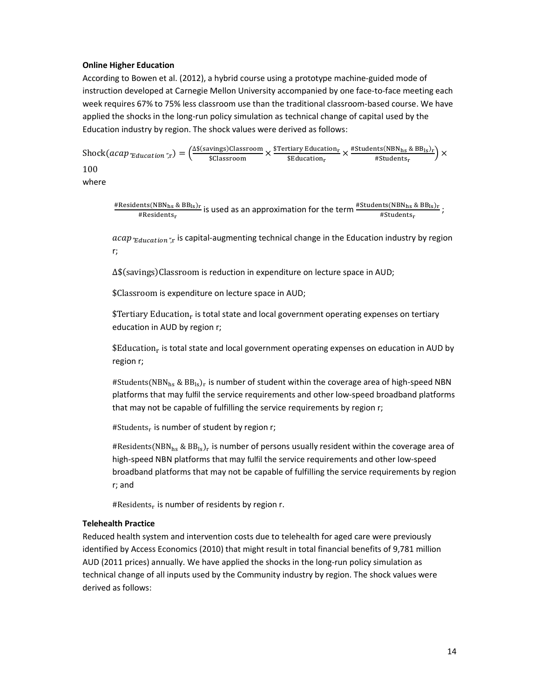## Online Higher Education

According to Bowen et al. (2012), a hybrid course using a prototype machine-guided mode of instruction developed at Carnegie Mellon University accompanied by one face-to-face meeting each week requires 67% to 75% less classroom use than the traditional classroom-based course. We have applied the shocks in the long-run policy simulation as technical change of capital used by the Education industry by region. The shock values were derived as follows:

 $\text{Shock}(acap_{\textit{T}eduction\textit{T},r}) = \Big(\frac{\Delta \$(savings) \text{Classroom}}{\$Classroom} \times \frac{\$Tertiary Education_r}{\$Eductation_r}$ tiary Education<sub>r</sub> × #Students(NBN<sub>hs</sub> & BB<sub>ls</sub>)<sub>r</sub><br>\$Education<sub>r</sub> #Students<sub>r</sub>  $\frac{100(12.1 \text{ m/s} \cdot 2.2 \text{ m/s})}{15}$   $\times$ 100

where

#Residents(NBN<sub>hs</sub> & BB<sub>ls)r</sub>  $\frac{mts(NBN_{hs} \& BB_{ls})_r}{\#Residents_r}$  is used as an approximation for the term  $\frac{\#Students(NBN_{hs} \& BB_{ls})_r}{\#Students_r}$ ;

 $acap_{\text{``Education''}:r}$  is capital-augmenting technical change in the Education industry by region r;

∆\$(savings)Classroom is reduction in expenditure on lecture space in AUD;

\$Classroom is expenditure on lecture space in AUD;

 $$Tertiary Education<sub>r</sub>$  is total state and local government operating expenses on tertiary education in AUD by region r;

 $$Eduction<sub>r</sub>$  is total state and local government operating expenses on education in AUD by region r;

#Students(NBN<sub>hs</sub> & BB<sub>ls</sub>)<sub>r</sub> is number of student within the coverage area of high-speed NBN platforms that may fulfil the service requirements and other low-speed broadband platforms that may not be capable of fulfilling the service requirements by region r;

#Students $_{\rm r}$  is number of student by region r;

#Residents(NBN<sub>hs</sub> & BB<sub>ls</sub>)<sub>r</sub> is number of persons usually resident within the coverage area of high-speed NBN platforms that may fulfil the service requirements and other low-speed broadband platforms that may not be capable of fulfilling the service requirements by region r; and

#Residents<sub>r</sub> is number of residents by region r.

## Telehealth Practice

Reduced health system and intervention costs due to telehealth for aged care were previously identified by Access Economics (2010) that might result in total financial benefits of 9,781 million AUD (2011 prices) annually. We have applied the shocks in the long-run policy simulation as technical change of all inputs used by the Community industry by region. The shock values were derived as follows: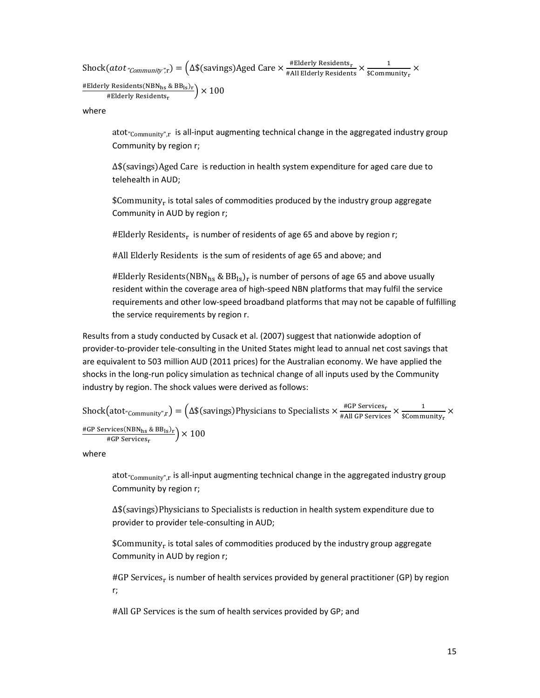$\text{Shock}(atot \textit{"community"}_{\text{r}}) = \Big(\Delta \$(savings) \text{Aged Care} \times \frac{\textit{\#Elderly Residents}}{\textit{\#All Elderly Residents}} \times \frac{1}{\$ \text{Comm}}$  $\frac{1}{\text{SCommuty}_r}$   $\times$ 

#Elderly Residents(NBN<sub>hs</sub> & BB<sub>ls</sub>)<sub>r</sub>  $*$ Elderly Residents<sub>r</sub>  $\left(\frac{18.98 \text{ m/s}}{100}\right)$   $\times$  100

where

atot<sub>"Community",r</sub> is all-input augmenting technical change in the aggregated industry group Community by region r;

∆\$
savingsAged Care is reduction in health system expenditure for aged care due to telehealth in AUD;

 $$Commu nity<sub>r</sub>$  is total sales of commodities produced by the industry group aggregate Community in AUD by region r;

#Elderly Residents<sub>r</sub> is number of residents of age 65 and above by region r;

#All Elderly Residents is the sum of residents of age 65 and above; and

#Elderly Residents(NBN<sub>hs</sub> & BB<sub>ls</sub>)<sub>r</sub> is number of persons of age 65 and above usually resident within the coverage area of high-speed NBN platforms that may fulfil the service requirements and other low-speed broadband platforms that may not be capable of fulfilling the service requirements by region r.

Results from a study conducted by Cusack et al. (2007) suggest that nationwide adoption of provider-to-provider tele-consulting in the United States might lead to annual net cost savings that are equivalent to 503 million AUD (2011 prices) for the Australian economy. We have applied the shocks in the long-run policy simulation as technical change of all inputs used by the Community industry by region. The shock values were derived as follows:

 $\text{Shock}(\text{atot}_{\text{"Community"}}, \text{r}) = \left(\Delta \$(savings) \text{Physics} \times \text{Specialists} \times \frac{\#\text{GP Services}_{\text{r}}}{\#\text{All GP Services}} \times \frac{1}{\$ \text{Comm}} \right)$  $\frac{1}{\text{\$Commuty}_r}$   $\times$ #GP Services(NBN<sub>hs</sub> & BB<sub>ls</sub>)<sub>r</sub>  $\frac{\text{wess}(\text{mFigs} \& \text{BD}_{\text{IS/F}})}{\text{#GP Services}_{\text{r}}}$   $\times$  100

where

atot<sub>"Community",r</sub> is all-input augmenting technical change in the aggregated industry group Community by region r;

∆\$(savings)Physicians to Specialists is reduction in health system expenditure due to provider to provider tele-consulting in AUD;

 $${\sf Community}_{\rm r}$  is total sales of commodities produced by the industry group aggregate Community in AUD by region r;

#GP Services<sub>r</sub> is number of health services provided by general practitioner (GP) by region r;

#All GP Services is the sum of health services provided by GP; and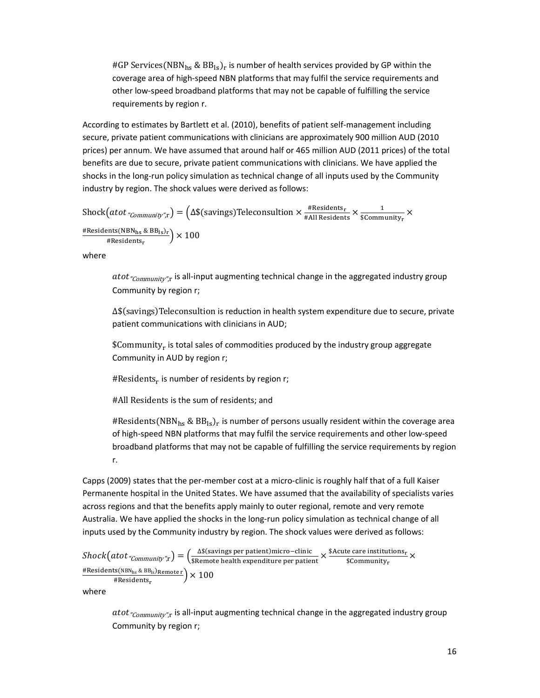#GP Services(NBN<sub>hs</sub> & BB<sub>ls</sub>)<sub>r</sub> is number of health services provided by GP within the coverage area of high-speed NBN platforms that may fulfil the service requirements and other low-speed broadband platforms that may not be capable of fulfilling the service requirements by region r.

According to estimates by Bartlett et al. (2010), benefits of patient self-management including secure, private patient communications with clinicians are approximately 900 million AUD (2010 prices) per annum. We have assumed that around half or 465 million AUD (2011 prices) of the total benefits are due to secure, private patient communications with clinicians. We have applied the shocks in the long-run policy simulation as technical change of all inputs used by the Community industry by region. The shock values were derived as follows:

$$
Stock(atot "community"_{r}) = (\Delta \$(savings) Teleconsumation \times \frac{\#Residents_{r}}{\#All Residents} \times \frac{1}{\$Community_{r}} \times \frac{\#Residents(NBN_{hs} \& BB_{ls})_{r}}{\#Residents_{r}})
$$

where

atot  $_{\text{\textdegree{Commu}}$  is all-input augmenting technical change in the aggregated industry group Community by region r;

∆\$(savings)Teleconsultion is reduction in health system expenditure due to secure, private patient communications with clinicians in AUD;

 $$Commanity<sub>r</sub>$  is total sales of commodities produced by the industry group aggregate Community in AUD by region r;

#Residents<sub>r</sub> is number of residents by region r;

#All Residents is the sum of residents; and

#Residents(NBN<sub>hs</sub> & BB<sub>Is</sub>)<sub>r</sub> is number of persons usually resident within the coverage area of high-speed NBN platforms that may fulfil the service requirements and other low-speed broadband platforms that may not be capable of fulfilling the service requirements by region r.

Capps (2009) states that the per-member cost at a micro-clinic is roughly half that of a full Kaiser Permanente hospital in the United States. We have assumed that the availability of specialists varies across regions and that the benefits apply mainly to outer regional, remote and very remote Australia. We have applied the shocks in the long-run policy simulation as technical change of all inputs used by the Community industry by region. The shock values were derived as follows:

$$
Shock\big(atot"Community";r\big) = \left(\frac{\Delta \S \text{(savings per patient)}micro-clinic}{\S \text{Remote health expenditure per patient}} \times \frac{\S \text{Acute care institutions}}{\S \text{Community}} \times \frac{\S \text{Acute care institutions}}{\S \text{Community}} \times \frac{\text{Residents(NBN}_{hs} \& BB_{ls})\text{Remote}}{\S \text{Residents}} \right)
$$

where

atot  $_{\text{\textdegree{Comannity}}$ ", is all-input augmenting technical change in the aggregated industry group Community by region r;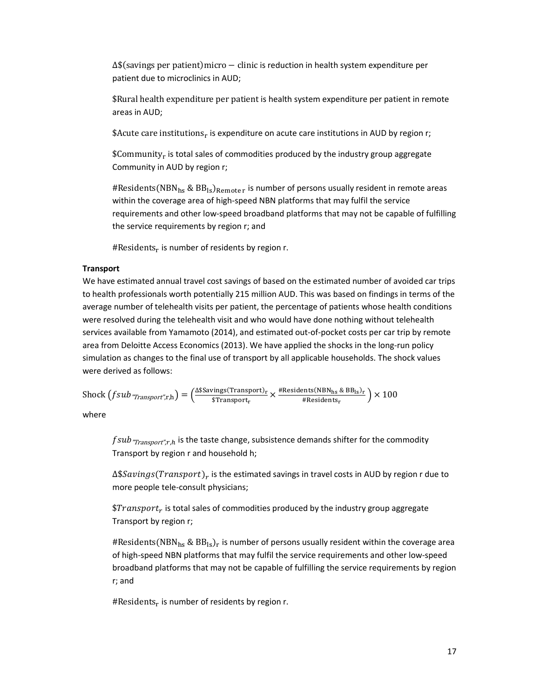$\Delta$ \$ (savings per patient) micro – clinic is reduction in health system expenditure per patient due to microclinics in AUD;

\$Rural health expenditure per patient is health system expenditure per patient in remote areas in AUD;

\$Acute care institutions<sub>r</sub> is expenditure on acute care institutions in AUD by region r;

 $$Commanity<sub>r</sub>$  is total sales of commodities produced by the industry group aggregate Community in AUD by region r;

#Residents(NBN<sub>hs</sub> & BB<sub>Is</sub>)<sub>Remoter</sub> is number of persons usually resident in remote areas within the coverage area of high-speed NBN platforms that may fulfil the service requirements and other low-speed broadband platforms that may not be capable of fulfilling the service requirements by region r; and

#Residents $_{\rm r}$  is number of residents by region r.

## **Transport**

We have estimated annual travel cost savings of based on the estimated number of avoided car trips to health professionals worth potentially 215 million AUD. This was based on findings in terms of the average number of telehealth visits per patient, the percentage of patients whose health conditions were resolved during the telehealth visit and who would have done nothing without telehealth services available from Yamamoto (2014), and estimated out-of-pocket costs per car trip by remote area from Deloitte Access Economics (2013). We have applied the shocks in the long-run policy simulation as changes to the final use of transport by all applicable households. The shock values were derived as follows:

Shock  $(fsub$ <sup>*"Transport"*,r,h) =  $\frac{\Delta$ \$Savings(Transport)<sub>r</sub></sup>  $\frac{\text{rings(Transport)}_r}{\text{sransport}} \times \frac{\text{#Residents(NBN_{hs} \& BB_{ls})_r}}{\text{#Residents}_r}$  $\frac{100(160.18 \times 10^{18}) \times 100}{100}$ 

where

 $fsub$ <sup></sup> $r_{Transport",r,h}$  is the taste change, subsistence demands shifter for the commodity Transport by region r and household h;

 $\Delta \$Savings (Transport)_r$  is the estimated savings in travel costs in AUD by region r due to more people tele-consult physicians;

 $$Transport_r$  is total sales of commodities produced by the industry group aggregate Transport by region r;

#Residents(NBN<sub>hs</sub> & BB<sub>ls</sub>)<sub>r</sub> is number of persons usually resident within the coverage area of high-speed NBN platforms that may fulfil the service requirements and other low-speed broadband platforms that may not be capable of fulfilling the service requirements by region r; and

#Residents $_{\rm r}$  is number of residents by region r.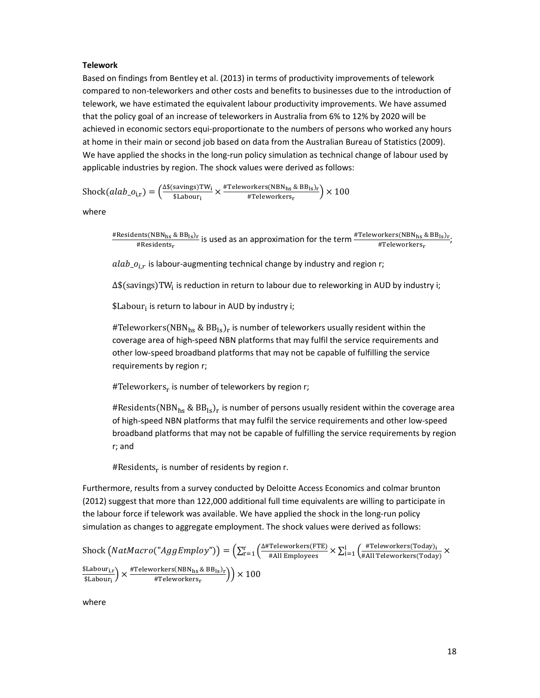#### **Telework**

Based on findings from Bentley et al. (2013) in terms of productivity improvements of telework compared to non-teleworkers and other costs and benefits to businesses due to the introduction of telework, we have estimated the equivalent labour productivity improvements. We have assumed that the policy goal of an increase of teleworkers in Australia from 6% to 12% by 2020 will be achieved in economic sectors equi-proportionate to the numbers of persons who worked any hours at home in their main or second job based on data from the Australian Bureau of Statistics (2009). We have applied the shocks in the long-run policy simulation as technical change of labour used by applicable industries by region. The shock values were derived as follows:

Shock(alab<sub>-O<sub>i,r</sub>) =  $\left(\frac{\Delta s \text{(savings)TW}_i}{s \text{Labour}}\right)$ </sub> savings)TW<sub>i</sub> × #Teleworkers(NBN<sub>hs</sub> & BB<sub>ls</sub>)<sub>r</sub><br>\$Labour<sub>i</sub> #Teleworkers<sub>r</sub>  $\frac{\text{SINED}(\text{NED} \cdot \text{RIS S} \cdot \text{SIS}) \cdot \text{F}}{\text{HP} \cdot \text{H} \cdot \text{F} \cdot \text{H} \cdot \text{F} \cdot \text{F}}$   $\times 100$ 

where

#Residents(NBN<sub>hs</sub> & BB<sub>ls)r</sub>  $\frac{\text{snts(NBN}_{\text{hs}} \& \text{BB}_{\text{ls}})_{\text{r}}}{\text{HResidents}_{\text{r}}};$ <br>#Residents<sub>r</sub>

 $alab_{o_{i,r}}$  is labour-augmenting technical change by industry and region r;

∆\$(savings)TW<sub>i</sub> is reduction in return to labour due to releworking in AUD by industry i;

\$Labour; is return to labour in AUD by industry i;

#Teleworkers(NBN<sub>hs</sub> & BB<sub>Is</sub>)<sub>r</sub> is number of teleworkers usually resident within the coverage area of high-speed NBN platforms that may fulfil the service requirements and other low-speed broadband platforms that may not be capable of fulfilling the service requirements by region r;

#Teleworkers<sub>r</sub> is number of teleworkers by region r;

#Residents(NBN<sub>hs</sub> & BB<sub>Is</sub>)<sub>r</sub> is number of persons usually resident within the coverage area of high-speed NBN platforms that may fulfil the service requirements and other low-speed broadband platforms that may not be capable of fulfilling the service requirements by region r; and

#Residents $_{\rm r}$  is number of residents by region r.

Furthermore, results from a survey conducted by Deloitte Access Economics and colmar brunton (2012) suggest that more than 122,000 additional full time equivalents are willing to participate in the labour force if telework was available. We have applied the shock in the long-run policy simulation as changes to aggregate employment. The shock values were derived as follows:

 $\text{Shock}\left(NatMacro("AggEmploy")\right) = \left(\sum_{r=1}^r \left(\frac{\Delta\# \text{Teleworkers}(\text{FTE})}{\# \text{All Employes}} \times \sum_{i=1}^i \left(\frac{\# \text{Teleworkers}(\text{Today})}{\# \text{All Teleworkers}(\text{Today})}\times \right)\right)\right)$ \$Labour<sub>i,r</sub>  $\frac{\text{SLabour}_{i,r}}{\text{SLabour}_{i}} \times \frac{\# \text{Teleworkers(NBN}_{hs} \& \text{BB}_{ls})_{r}}{\# \text{Teleworkers}_{r}}$  $\frac{m_{\text{RIS}}\times D_{\text{BIS}}r}{\text{HTeleworkers}_{\text{r}}}$   $\left(\frac{m_{\text{SIS}}r}{\text{HIS}}\right)$   $\times$  100

where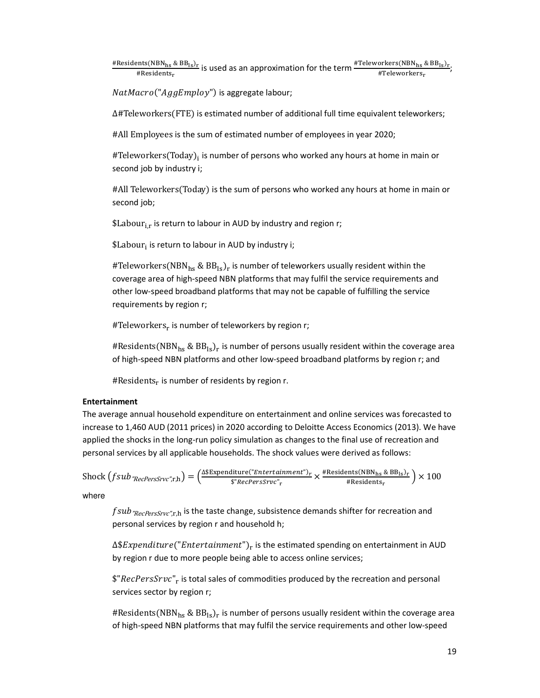#Residents(NBN<sub>hs</sub> & BB<sub>ls)r</sub>  $\frac{\text{pits(NBN}_{\text{hs}} \& \text{BB}_{\text{ls}})_{\text{r}}}{\text{HResidents}_{\text{r}}};$  is used as an approximation for the term  $\frac{\text{#Teleworks}}{\text{#Teleworks}_{\text{rs}}};$ 

NatMacro("AggEmploy") is aggregate labour;

∆#Teleworkers
FTE is estimated number of additional full time equivalent teleworkers;

#All Employees is the sum of estimated number of employees in year 2020;

#Teleworkers(Today)<sub>i</sub> is number of persons who worked any hours at home in main or second job by industry i;

#All Teleworkers
Today is the sum of persons who worked any hours at home in main or second job;

\$Labour $_{i,r}$  is return to labour in AUD by industry and region r;

\$Labour; is return to labour in AUD by industry i;

#Teleworkers(NBN $_{\text{hs}}$  & BB<sub>Is</sub>)<sub>r</sub> is number of teleworkers usually resident within the coverage area of high-speed NBN platforms that may fulfil the service requirements and other low-speed broadband platforms that may not be capable of fulfilling the service requirements by region r;

#Teleworkers<sub>r</sub> is number of teleworkers by region r;

#Residents(NBN<sub>hs</sub> & BB<sub>Is</sub>)<sub>r</sub> is number of persons usually resident within the coverage area of high-speed NBN platforms and other low-speed broadband platforms by region r; and

#Residents $_{\rm r}$  is number of residents by region r.

## Entertainment

The average annual household expenditure on entertainment and online services was forecasted to increase to 1,460 AUD (2011 prices) in 2020 according to Deloitte Access Economics (2013). We have applied the shocks in the long-run policy simulation as changes to the final use of recreation and personal services by all applicable households. The shock values were derived as follows:

 $\text{Shock}\left(fsub_{\textit{TRecPersSTVC}\text{''},\text{r},\text{h}}\right)=\left(\frac{\Delta\text{\$Expenditure("Entertaimment")_r}{\$^{\text{``RecPerSSrvc\text{''}}_*}}\right)$ liture("*Entertainment")<sub>r</sub>* × #Residents(NBN<sub>hs</sub> & BB<sub>ls</sub>)<sub>r</sub><br>\$"RecPersSrvc"<sub>r</sub> #Residents<sub>r</sub>  $\frac{100(16.16) \times 100}{100}$   $\times 100$ 

where

 $fsub$ <sub>"RecPersSrvc"r.h</sub> is the taste change, subsistence demands shifter for recreation and personal services by region r and household h;

 $\Delta \$ Expand iture("Entertainment")$ <sub>r</sub> is the estimated spending on entertainment in AUD by region r due to more people being able to access online services;

 $\frac{2}{3}$ " $RecPersSrvc"$ <sub>r</sub> is total sales of commodities produced by the recreation and personal services sector by region r;

#Residents(NBN<sub>hs</sub> & BB<sub>ls</sub>)<sub>r</sub> is number of persons usually resident within the coverage area of high-speed NBN platforms that may fulfil the service requirements and other low-speed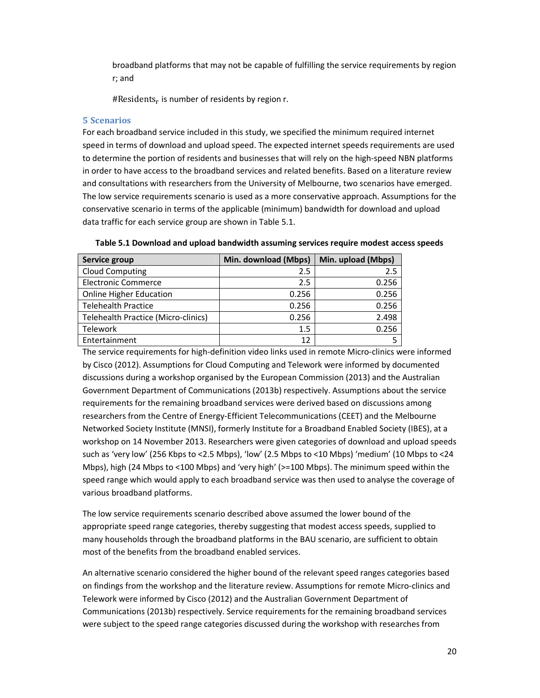broadband platforms that may not be capable of fulfilling the service requirements by region r; and

#Residents $_{\rm r}$  is number of residents by region r.

#### 5 Scenarios

For each broadband service included in this study, we specified the minimum required internet speed in terms of download and upload speed. The expected internet speeds requirements are used to determine the portion of residents and businesses that will rely on the high-speed NBN platforms in order to have access to the broadband services and related benefits. Based on a literature review and consultations with researchers from the University of Melbourne, two scenarios have emerged. The low service requirements scenario is used as a more conservative approach. Assumptions for the conservative scenario in terms of the applicable (minimum) bandwidth for download and upload data traffic for each service group are shown in Table 5.1.

| Service group                       | Min. download (Mbps) | Min. upload (Mbps) |
|-------------------------------------|----------------------|--------------------|
| <b>Cloud Computing</b>              | 2.5                  | 2.5                |
| <b>Electronic Commerce</b>          | 2.5                  | 0.256              |
| <b>Online Higher Education</b>      | 0.256                | 0.256              |
| <b>Telehealth Practice</b>          | 0.256                | 0.256              |
| Telehealth Practice (Micro-clinics) | 0.256                | 2.498              |
| <b>Telework</b>                     | 1.5                  | 0.256              |
| Entertainment                       | 12                   |                    |

Table 5.1 Download and upload bandwidth assuming services require modest access speeds

The service requirements for high-definition video links used in remote Micro-clinics were informed by Cisco (2012). Assumptions for Cloud Computing and Telework were informed by documented discussions during a workshop organised by the European Commission (2013) and the Australian Government Department of Communications (2013b) respectively. Assumptions about the service requirements for the remaining broadband services were derived based on discussions among researchers from the Centre of Energy-Efficient Telecommunications (CEET) and the Melbourne Networked Society Institute (MNSI), formerly Institute for a Broadband Enabled Society (IBES), at a workshop on 14 November 2013. Researchers were given categories of download and upload speeds such as 'very low' (256 Kbps to <2.5 Mbps), 'low' (2.5 Mbps to <10 Mbps) 'medium' (10 Mbps to <24 Mbps), high (24 Mbps to <100 Mbps) and 'very high' (>=100 Mbps). The minimum speed within the speed range which would apply to each broadband service was then used to analyse the coverage of various broadband platforms.

The low service requirements scenario described above assumed the lower bound of the appropriate speed range categories, thereby suggesting that modest access speeds, supplied to many households through the broadband platforms in the BAU scenario, are sufficient to obtain most of the benefits from the broadband enabled services.

An alternative scenario considered the higher bound of the relevant speed ranges categories based on findings from the workshop and the literature review. Assumptions for remote Micro-clinics and Telework were informed by Cisco (2012) and the Australian Government Department of Communications (2013b) respectively. Service requirements for the remaining broadband services were subject to the speed range categories discussed during the workshop with researches from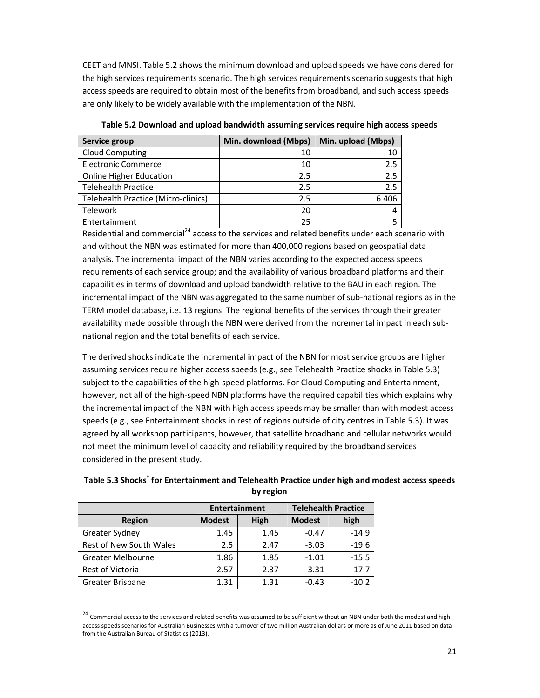CEET and MNSI. Table 5.2 shows the minimum download and upload speeds we have considered for the high services requirements scenario. The high services requirements scenario suggests that high access speeds are required to obtain most of the benefits from broadband, and such access speeds are only likely to be widely available with the implementation of the NBN.

| Service group                       | Min. download (Mbps) | Min. upload (Mbps) |
|-------------------------------------|----------------------|--------------------|
| <b>Cloud Computing</b>              | 10                   | 10                 |
| <b>Electronic Commerce</b>          | 10                   | 2.5                |
| <b>Online Higher Education</b>      | 2.5                  | 2.5                |
| <b>Telehealth Practice</b>          | 2.5                  | 2.5                |
| Telehealth Practice (Micro-clinics) | 2.5                  | 6.406              |
| <b>Telework</b>                     | 20                   | 4                  |
| Entertainment                       | 25                   |                    |

Table 5.2 Download and upload bandwidth assuming services require high access speeds

Residential and commercial<sup>24</sup> access to the services and related benefits under each scenario with and without the NBN was estimated for more than 400,000 regions based on geospatial data analysis. The incremental impact of the NBN varies according to the expected access speeds requirements of each service group; and the availability of various broadband platforms and their capabilities in terms of download and upload bandwidth relative to the BAU in each region. The incremental impact of the NBN was aggregated to the same number of sub-national regions as in the TERM model database, i.e. 13 regions. The regional benefits of the services through their greater availability made possible through the NBN were derived from the incremental impact in each subnational region and the total benefits of each service.

The derived shocks indicate the incremental impact of the NBN for most service groups are higher assuming services require higher access speeds (e.g., see Telehealth Practice shocks in Table 5.3) subject to the capabilities of the high-speed platforms. For Cloud Computing and Entertainment, however, not all of the high-speed NBN platforms have the required capabilities which explains why the incremental impact of the NBN with high access speeds may be smaller than with modest access speeds (e.g., see Entertainment shocks in rest of regions outside of city centres in Table 5.3). It was agreed by all workshop participants, however, that satellite broadband and cellular networks would not meet the minimum level of capacity and reliability required by the broadband services considered in the present study.

|                          | <b>Entertainment</b> |      | <b>Telehealth Practice</b> |         |
|--------------------------|----------------------|------|----------------------------|---------|
| <b>Region</b>            | <b>Modest</b>        | High | <b>Modest</b>              | high    |
| Greater Sydney           | 1.45                 | 1.45 | $-0.47$                    | $-14.9$ |
| Rest of New South Wales  | 2.5                  | 2.47 | $-3.03$                    | $-19.6$ |
| <b>Greater Melbourne</b> | 1.86                 | 1.85 | $-1.01$                    | $-15.5$ |
| Rest of Victoria         | 2.57                 | 2.37 | $-3.31$                    | $-17.7$ |
| Greater Brisbane         | 1.31                 | 1.31 | $-0.43$                    | $-10.2$ |

 $\overline{a}$ 

# Table 5.3 Shocks<sup>†</sup> for Entertainment and Telehealth Practice under high and modest access speeds by region

<sup>&</sup>lt;sup>24</sup> Commercial access to the services and related benefits was assumed to be sufficient without an NBN under both the modest and high access speeds scenarios for Australian Businesses with a turnover of two million Australian dollars or more as of June 2011 based on data from the Australian Bureau of Statistics (2013).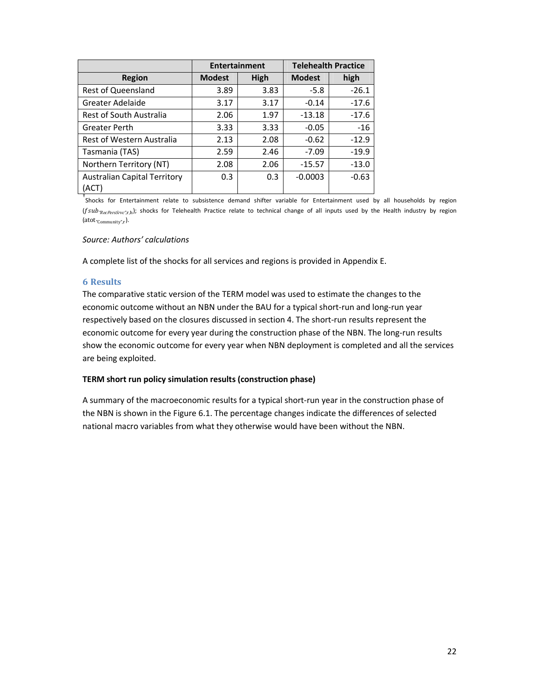|                                              | <b>Entertainment</b> |      | <b>Telehealth Practice</b> |         |
|----------------------------------------------|----------------------|------|----------------------------|---------|
| <b>Region</b>                                | <b>Modest</b>        | High | <b>Modest</b>              | high    |
| <b>Rest of Queensland</b>                    | 3.89                 | 3.83 | $-5.8$                     | $-26.1$ |
| Greater Adelaide                             | 3.17                 | 3.17 | $-0.14$                    | $-17.6$ |
| <b>Rest of South Australia</b>               | 2.06                 | 1.97 | $-13.18$                   | $-17.6$ |
| Greater Perth                                | 3.33                 | 3.33 | $-0.05$                    | $-16$   |
| Rest of Western Australia                    | 2.13                 | 2.08 | $-0.62$                    | $-12.9$ |
| Tasmania (TAS)                               | 2.59                 | 2.46 | $-7.09$                    | $-19.9$ |
| Northern Territory (NT)                      | 2.08                 | 2.06 | $-15.57$                   | $-13.0$ |
| <b>Australian Capital Territory</b><br>(ACT) | 0.3                  | 0.3  | $-0.0003$                  | $-0.63$ |

† Shocks for Entertainment relate to subsistence demand shifter variable for Entertainment used by all households by region (fsub-RecPersSrvc",t,h); shocks for Telehealth Practice relate to technical change of all inputs used by the Health industry by region  $(\text{atot}_{\text{"Community",r}}).$ 

#### Source: Authors' calculations

A complete list of the shocks for all services and regions is provided in Appendix E.

#### 6 Results

The comparative static version of the TERM model was used to estimate the changes to the economic outcome without an NBN under the BAU for a typical short-run and long-run year respectively based on the closures discussed in section 4. The short-run results represent the economic outcome for every year during the construction phase of the NBN. The long-run results show the economic outcome for every year when NBN deployment is completed and all the services are being exploited.

#### TERM short run policy simulation results (construction phase)

A summary of the macroeconomic results for a typical short-run year in the construction phase of the NBN is shown in the Figure 6.1. The percentage changes indicate the differences of selected national macro variables from what they otherwise would have been without the NBN.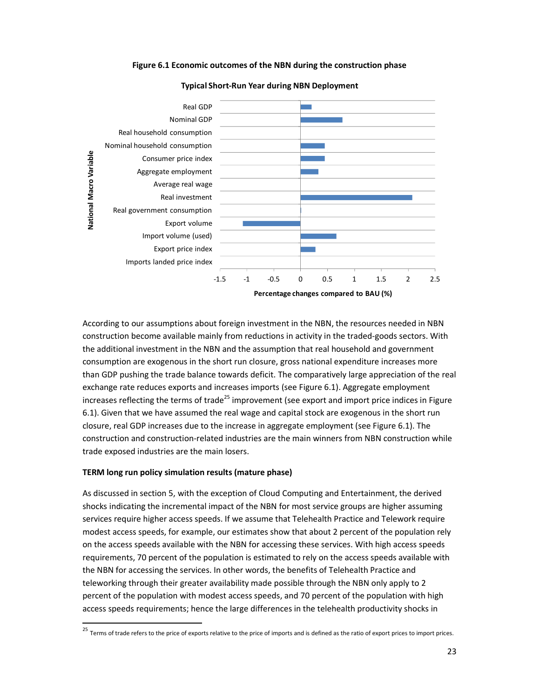#### Figure 6.1 Economic outcomes of the NBN during the construction phase



#### Typical Short-Run Year during NBN Deployment

According to our assumptions about foreign investment in the NBN, the resources needed in NBN construction become available mainly from reductions in activity in the traded-goods sectors. With the additional investment in the NBN and the assumption that real household and government consumption are exogenous in the short run closure, gross national expenditure increases more than GDP pushing the trade balance towards deficit. The comparatively large appreciation of the real exchange rate reduces exports and increases imports (see Figure 6.1). Aggregate employment increases reflecting the terms of trade<sup>25</sup> improvement (see export and import price indices in Figure 6.1). Given that we have assumed the real wage and capital stock are exogenous in the short run closure, real GDP increases due to the increase in aggregate employment (see Figure 6.1). The construction and construction-related industries are the main winners from NBN construction while trade exposed industries are the main losers.

#### TERM long run policy simulation results (mature phase)

 $\overline{a}$ 

As discussed in section 5, with the exception of Cloud Computing and Entertainment, the derived shocks indicating the incremental impact of the NBN for most service groups are higher assuming services require higher access speeds. If we assume that Telehealth Practice and Telework require modest access speeds, for example, our estimates show that about 2 percent of the population rely on the access speeds available with the NBN for accessing these services. With high access speeds requirements, 70 percent of the population is estimated to rely on the access speeds available with the NBN for accessing the services. In other words, the benefits of Telehealth Practice and teleworking through their greater availability made possible through the NBN only apply to 2 percent of the population with modest access speeds, and 70 percent of the population with high access speeds requirements; hence the large differences in the telehealth productivity shocks in

<sup>&</sup>lt;sup>25</sup> Terms of trade refers to the price of exports relative to the price of imports and is defined as the ratio of export prices to import prices.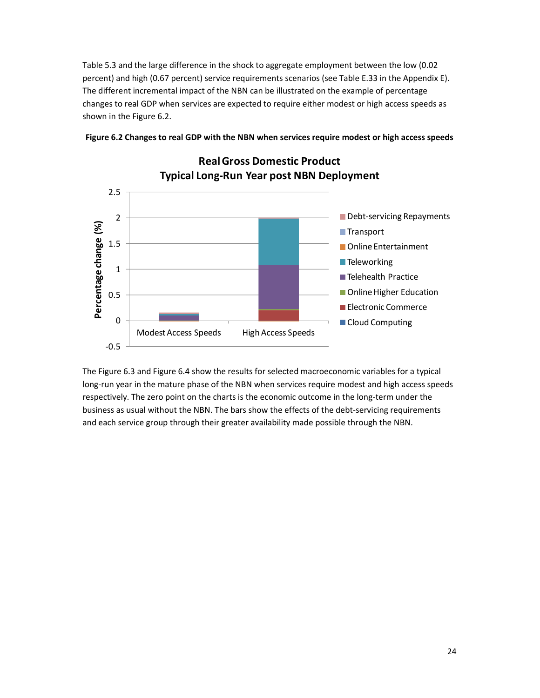Table 5.3 and the large difference in the shock to aggregate employment between the low (0.02 percent) and high (0.67 percent) service requirements scenarios (see Table E.33 in the Appendix E). The different incremental impact of the NBN can be illustrated on the example of percentage changes to real GDP when services are expected to require either modest or high access speeds as shown in the Figure 6.2.



# Figure 6.2 Changes to real GDP with the NBN when services require modest or high access speeds

The Figure 6.3 and Figure 6.4 show the results for selected macroeconomic variables for a typical long-run year in the mature phase of the NBN when services require modest and high access speeds respectively. The zero point on the charts is the economic outcome in the long-term under the business as usual without the NBN. The bars show the effects of the debt-servicing requirements and each service group through their greater availability made possible through the NBN.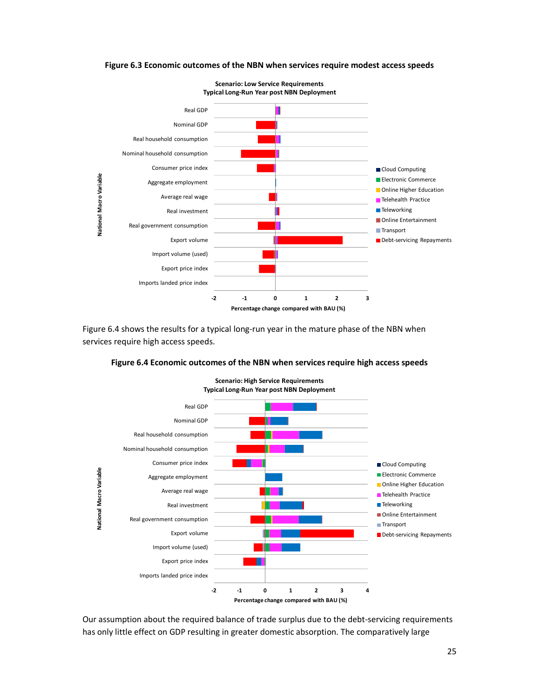

#### Figure 6.3 Economic outcomes of the NBN when services require modest access speeds

Figure 6.4 shows the results for a typical long-run year in the mature phase of the NBN when services require high access speeds.



Figure 6.4 Economic outcomes of the NBN when services require high access speeds

Our assumption about the required balance of trade surplus due to the debt-servicing requirements has only little effect on GDP resulting in greater domestic absorption. The comparatively large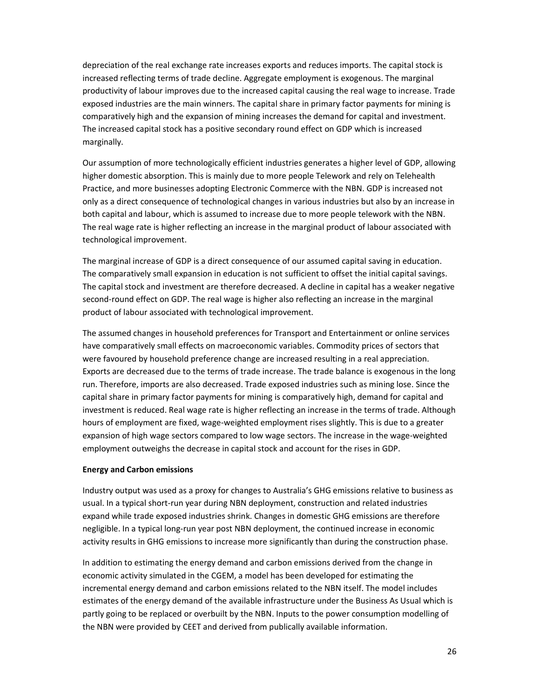depreciation of the real exchange rate increases exports and reduces imports. The capital stock is increased reflecting terms of trade decline. Aggregate employment is exogenous. The marginal productivity of labour improves due to the increased capital causing the real wage to increase. Trade exposed industries are the main winners. The capital share in primary factor payments for mining is comparatively high and the expansion of mining increases the demand for capital and investment. The increased capital stock has a positive secondary round effect on GDP which is increased marginally.

Our assumption of more technologically efficient industries generates a higher level of GDP, allowing higher domestic absorption. This is mainly due to more people Telework and rely on Telehealth Practice, and more businesses adopting Electronic Commerce with the NBN. GDP is increased not only as a direct consequence of technological changes in various industries but also by an increase in both capital and labour, which is assumed to increase due to more people telework with the NBN. The real wage rate is higher reflecting an increase in the marginal product of labour associated with technological improvement.

The marginal increase of GDP is a direct consequence of our assumed capital saving in education. The comparatively small expansion in education is not sufficient to offset the initial capital savings. The capital stock and investment are therefore decreased. A decline in capital has a weaker negative second-round effect on GDP. The real wage is higher also reflecting an increase in the marginal product of labour associated with technological improvement.

The assumed changes in household preferences for Transport and Entertainment or online services have comparatively small effects on macroeconomic variables. Commodity prices of sectors that were favoured by household preference change are increased resulting in a real appreciation. Exports are decreased due to the terms of trade increase. The trade balance is exogenous in the long run. Therefore, imports are also decreased. Trade exposed industries such as mining lose. Since the capital share in primary factor payments for mining is comparatively high, demand for capital and investment is reduced. Real wage rate is higher reflecting an increase in the terms of trade. Although hours of employment are fixed, wage-weighted employment rises slightly. This is due to a greater expansion of high wage sectors compared to low wage sectors. The increase in the wage-weighted employment outweighs the decrease in capital stock and account for the rises in GDP.

#### Energy and Carbon emissions

Industry output was used as a proxy for changes to Australia's GHG emissions relative to business as usual. In a typical short-run year during NBN deployment, construction and related industries expand while trade exposed industries shrink. Changes in domestic GHG emissions are therefore negligible. In a typical long-run year post NBN deployment, the continued increase in economic activity results in GHG emissions to increase more significantly than during the construction phase.

In addition to estimating the energy demand and carbon emissions derived from the change in economic activity simulated in the CGEM, a model has been developed for estimating the incremental energy demand and carbon emissions related to the NBN itself. The model includes estimates of the energy demand of the available infrastructure under the Business As Usual which is partly going to be replaced or overbuilt by the NBN. Inputs to the power consumption modelling of the NBN were provided by CEET and derived from publically available information.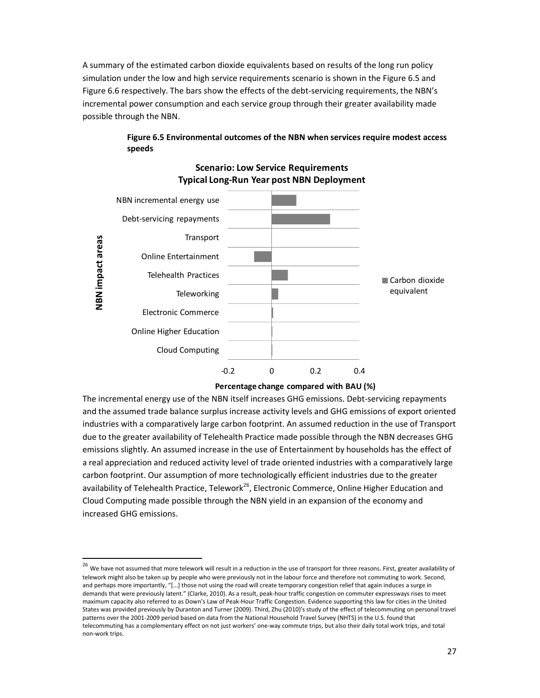A summary of the estimated carbon dioxide equivalents based on results of the long run policy simulation under the low and high service requirements scenario is shown in the Figure 6.5 and Figure 6.6 respectively. The bars show the effects of the debt-servicing requirements, the NBN's incremental power consumption and each service group through their greater availability made possible through the NBN.

# Figure 6.5 Environmental outcomes of the NBN when services require modest access speeds



# Scenario: Low Service Requirements Typical Long-Run Year post NBN Deployment

Percentage change compared with BAU (%)

The incremental energy use of the NBN itself increases GHG emissions. Debt-servicing repayments and the assumed trade balance surplus increase activity levels and GHG emissions of export oriented industries with a comparatively large carbon footprint. An assumed reduction in the use of Transport due to the greater availability of Telehealth Practice made possible through the NBN decreases GHG emissions slightly. An assumed increase in the use of Entertainment by households has the effect of a real appreciation and reduced activity level of trade oriented industries with a comparatively large carbon footprint. Our assumption of more technologically efficient industries due to the greater availability of Telehealth Practice, Telework<sup>26</sup>, Electronic Commerce, Online Higher Education and Cloud Computing made possible through the NBN yield in an expansion of the economy and increased GHG emissions.

l,

<sup>&</sup>lt;sup>26</sup> We have not assumed that more telework will result in a reduction in the use of transport for three reasons. First, greater availability of telework might also be taken up by people who were previously not in the labour force and therefore not commuting to work. Second, and perhaps more importantly, "[...] those not using the road will create temporary congestion relief that again induces a surge in demands that were previously latent." (Clarke, 2010). As a result, peak-hour traffic congestion on commuter expressways rises to meet maximum capacity also referred to as Down's Law of Peak-Hour Traffic Congestion. Evidence supporting this law for cities in the United States was provided previously by Duranton and Turner (2009). Third, Zhu (2010)'s study of the effect of telecommuting on personal travel patterns over the 2001-2009 period based on data from the National Household Travel Survey (NHTS) in the U.S. found that telecommuting has a complementary effect on not just workers' one-way commute trips, but also their daily total work trips, and total non-work trips.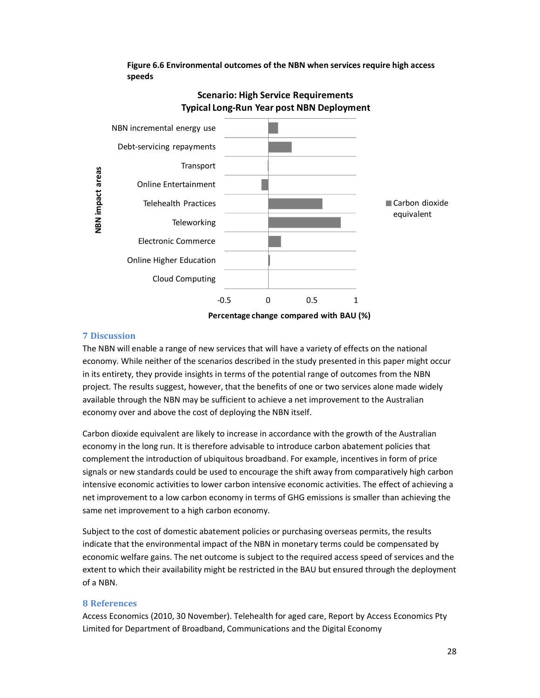

# Scenario: High Service Requirements

Figure 6.6 Environmental outcomes of the NBN when services require high access

# 7 Discussion

speeds

The NBN will enable a range of new services that will have a variety of effects on the national economy. While neither of the scenarios described in the study presented in this paper might occur in its entirety, they provide insights in terms of the potential range of outcomes from the NBN project. The results suggest, however, that the benefits of one or two services alone made widely available through the NBN may be sufficient to achieve a net improvement to the Australian economy over and above the cost of deploying the NBN itself.

Carbon dioxide equivalent are likely to increase in accordance with the growth of the Australian economy in the long run. It is therefore advisable to introduce carbon abatement policies that complement the introduction of ubiquitous broadband. For example, incentives in form of price signals or new standards could be used to encourage the shift away from comparatively high carbon intensive economic activities to lower carbon intensive economic activities. The effect of achieving a net improvement to a low carbon economy in terms of GHG emissions is smaller than achieving the same net improvement to a high carbon economy.

Subject to the cost of domestic abatement policies or purchasing overseas permits, the results indicate that the environmental impact of the NBN in monetary terms could be compensated by economic welfare gains. The net outcome is subject to the required access speed of services and the extent to which their availability might be restricted in the BAU but ensured through the deployment of a NBN.

## 8 References

Access Economics (2010, 30 November). Telehealth for aged care, Report by Access Economics Pty Limited for Department of Broadband, Communications and the Digital Economy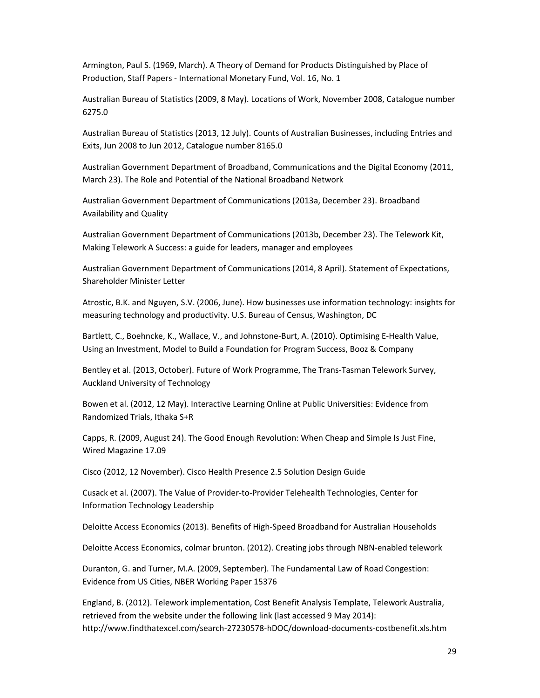Armington, Paul S. (1969, March). A Theory of Demand for Products Distinguished by Place of Production, Staff Papers - International Monetary Fund, Vol. 16, No. 1

Australian Bureau of Statistics (2009, 8 May). Locations of Work, November 2008, Catalogue number 6275.0

Australian Bureau of Statistics (2013, 12 July). Counts of Australian Businesses, including Entries and Exits, Jun 2008 to Jun 2012, Catalogue number 8165.0

Australian Government Department of Broadband, Communications and the Digital Economy (2011, March 23). The Role and Potential of the National Broadband Network

Australian Government Department of Communications (2013a, December 23). Broadband Availability and Quality

Australian Government Department of Communications (2013b, December 23). The Telework Kit, Making Telework A Success: a guide for leaders, manager and employees

Australian Government Department of Communications (2014, 8 April). Statement of Expectations, Shareholder Minister Letter

Atrostic, B.K. and Nguyen, S.V. (2006, June). How businesses use information technology: insights for measuring technology and productivity. U.S. Bureau of Census, Washington, DC

Bartlett, C., Boehncke, K., Wallace, V., and Johnstone-Burt, A. (2010). Optimising E-Health Value, Using an Investment, Model to Build a Foundation for Program Success, Booz & Company

Bentley et al. (2013, October). Future of Work Programme, The Trans-Tasman Telework Survey, Auckland University of Technology

Bowen et al. (2012, 12 May). Interactive Learning Online at Public Universities: Evidence from Randomized Trials, Ithaka S+R

Capps, R. (2009, August 24). The Good Enough Revolution: When Cheap and Simple Is Just Fine, Wired Magazine 17.09

Cisco (2012, 12 November). Cisco Health Presence 2.5 Solution Design Guide

Cusack et al. (2007). The Value of Provider-to-Provider Telehealth Technologies, Center for Information Technology Leadership

Deloitte Access Economics (2013). Benefits of High-Speed Broadband for Australian Households

Deloitte Access Economics, colmar brunton. (2012). Creating jobs through NBN-enabled telework

Duranton, G. and Turner, M.A. (2009, September). The Fundamental Law of Road Congestion: Evidence from US Cities, NBER Working Paper 15376

England, B. (2012). Telework implementation, Cost Benefit Analysis Template, Telework Australia, retrieved from the website under the following link (last accessed 9 May 2014): http://www.findthatexcel.com/search-27230578-hDOC/download-documents-costbenefit.xls.htm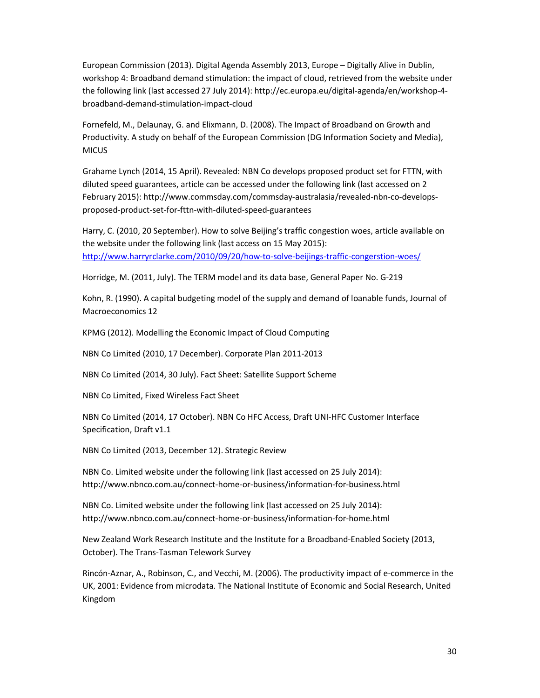European Commission (2013). Digital Agenda Assembly 2013, Europe – Digitally Alive in Dublin, workshop 4: Broadband demand stimulation: the impact of cloud, retrieved from the website under the following link (last accessed 27 July 2014): http://ec.europa.eu/digital-agenda/en/workshop-4 broadband-demand-stimulation-impact-cloud

Fornefeld, M., Delaunay, G. and Elixmann, D. (2008). The Impact of Broadband on Growth and Productivity. A study on behalf of the European Commission (DG Information Society and Media), MICUS

Grahame Lynch (2014, 15 April). Revealed: NBN Co develops proposed product set for FTTN, with diluted speed guarantees, article can be accessed under the following link (last accessed on 2 February 2015): http://www.commsday.com/commsday-australasia/revealed-nbn-co-developsproposed-product-set-for-fttn-with-diluted-speed-guarantees

Harry, C. (2010, 20 September). How to solve Beijing's traffic congestion woes, article available on the website under the following link (last access on 15 May 2015): http://www.harryrclarke.com/2010/09/20/how-to-solve-beijings-traffic-congerstion-woes/

Horridge, M. (2011, July). The TERM model and its data base, General Paper No. G-219

Kohn, R. (1990). A capital budgeting model of the supply and demand of loanable funds, Journal of Macroeconomics 12

KPMG (2012). Modelling the Economic Impact of Cloud Computing

NBN Co Limited (2010, 17 December). Corporate Plan 2011-2013

NBN Co Limited (2014, 30 July). Fact Sheet: Satellite Support Scheme

NBN Co Limited, Fixed Wireless Fact Sheet

NBN Co Limited (2014, 17 October). NBN Co HFC Access, Draft UNI-HFC Customer Interface Specification, Draft v1.1

NBN Co Limited (2013, December 12). Strategic Review

NBN Co. Limited website under the following link (last accessed on 25 July 2014): http://www.nbnco.com.au/connect-home-or-business/information-for-business.html

NBN Co. Limited website under the following link (last accessed on 25 July 2014): http://www.nbnco.com.au/connect-home-or-business/information-for-home.html

New Zealand Work Research Institute and the Institute for a Broadband-Enabled Society (2013, October). The Trans-Tasman Telework Survey

Rincón-Aznar, A., Robinson, C., and Vecchi, M. (2006). The productivity impact of e-commerce in the UK, 2001: Evidence from microdata. The National Institute of Economic and Social Research, United Kingdom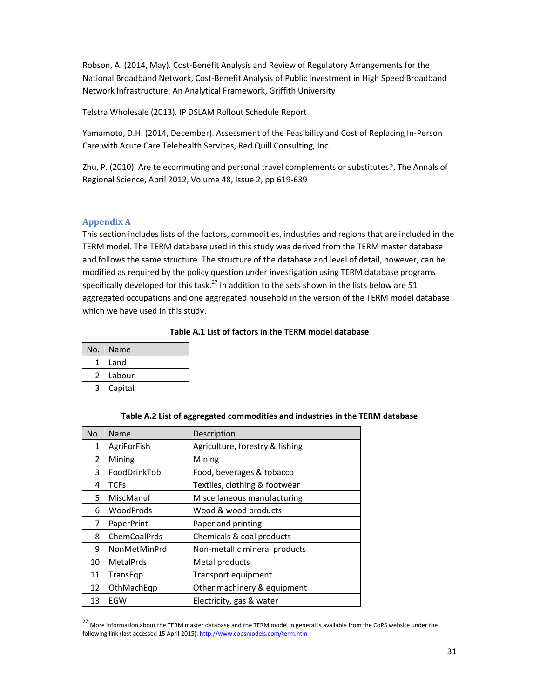Robson, A. (2014, May). Cost-Benefit Analysis and Review of Regulatory Arrangements for the National Broadband Network, Cost-Benefit Analysis of Public Investment in High Speed Broadband Network Infrastructure: An Analytical Framework, Griffith University

Telstra Wholesale (2013). IP DSLAM Rollout Schedule Report

Yamamoto, D.H. (2014, December). Assessment of the Feasibility and Cost of Replacing In-Person Care with Acute Care Telehealth Services, Red Quill Consulting, Inc.

Zhu, P. (2010). Are telecommuting and personal travel complements or substitutes?, The Annals of Regional Science, April 2012, Volume 48, Issue 2, pp 619-639

## Appendix A

1

This section includes lists of the factors, commodities, industries and regions that are included in the TERM model. The TERM database used in this study was derived from the TERM master database and follows the same structure. The structure of the database and level of detail, however, can be modified as required by the policy question under investigation using TERM database programs specifically developed for this task.<sup>27</sup> In addition to the sets shown in the lists below are 51 aggregated occupations and one aggregated household in the version of the TERM model database which we have used in this study.

## Table A.1 List of factors in the TERM model database

| No. | Name    |
|-----|---------|
| 1   | Land    |
| 2   | Labour  |
| 3   | Capital |

| No. | Name         | Description                     |
|-----|--------------|---------------------------------|
| 1   | AgriForFish  | Agriculture, forestry & fishing |
| 2   | Mining       | Mining                          |
| 3   | FoodDrinkTob | Food, beverages & tobacco       |
| 4   | TCFs         | Textiles, clothing & footwear   |
| 5   | MiscManuf    | Miscellaneous manufacturing     |
| 6   | WoodProds    | Wood & wood products            |
| 7   | PaperPrint   | Paper and printing              |
| 8   | ChemCoalPrds | Chemicals & coal products       |
| 9   | NonMetMinPrd | Non-metallic mineral products   |
| 10  | MetalPrds    | Metal products                  |
| 11  | TransEqp     | Transport equipment             |
| 12  | OthMachEqp   | Other machinery & equipment     |
| 13  | EGW          | Electricity, gas & water        |

# Table A.2 List of aggregated commodities and industries in the TERM database

<sup>&</sup>lt;sup>27</sup> More information about the TERM master database and the TERM model in general is available from the CoPS website under the following link (last accessed 15 April 2015): http://www.copsmodels.com/term.htm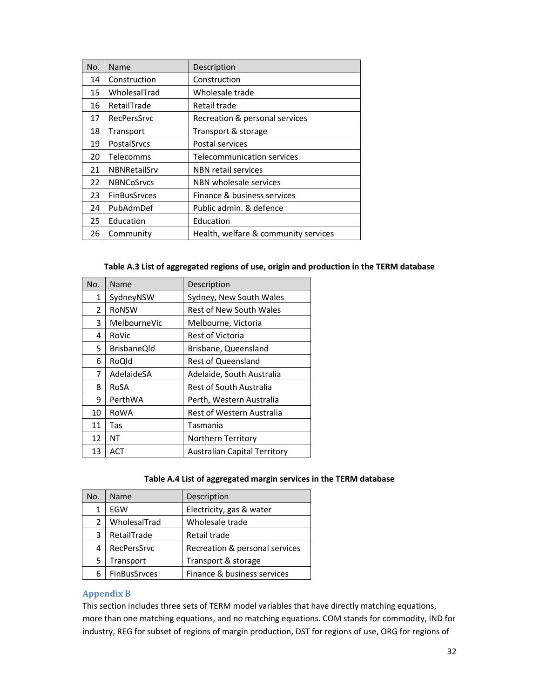| No. | Name                | Description                          |
|-----|---------------------|--------------------------------------|
| 14  | Construction        | Construction                         |
| 15  | WholesalTrad        | Wholesale trade                      |
| 16  | RetailTrade         | Retail trade                         |
| 17  | RecPersSrvc         | Recreation & personal services       |
| 18  | Transport           | Transport & storage                  |
| 19  | PostalSrvcs         | Postal services                      |
| 20  | Telecomms           | <b>Telecommunication services</b>    |
| 21  | <b>NBNRetailSrv</b> | NBN retail services                  |
| 22  | <b>NBNCoSrvcs</b>   | NBN wholesale services               |
| 23  | <b>FinBusSrvces</b> | Finance & business services          |
| 24  | PubAdmDef           | Public admin. & defence              |
| 25  | Education           | Education                            |
| 26  | Community           | Health, welfare & community services |

# Table A.3 List of aggregated regions of use, origin and production in the TERM database

| No. | Name               | Description                         |
|-----|--------------------|-------------------------------------|
| 1   | SydneyNSW          | Sydney, New South Wales             |
| 2   | <b>RONSW</b>       | Rest of New South Wales             |
| 3   | MelbourneVic       | Melbourne, Victoria                 |
| 4   | RoVic              | Rest of Victoria                    |
| 5   | <b>BrisbaneQld</b> | Brisbane, Queensland                |
| 6   | RoQld              | <b>Rest of Queensland</b>           |
| 7   | AdelaideSA         | Adelaide, South Australia           |
| 8   | RoSA               | Rest of South Australia             |
| 9   | PerthWA            | Perth, Western Australia            |
| 10  | RoWA               | Rest of Western Australia           |
| 11  | Tas                | Tasmania                            |
| 12  | NΤ                 | Northern Territory                  |
| 13  | ACT                | <b>Australian Capital Territory</b> |

## Table A.4 List of aggregated margin services in the TERM database

| No.            | Name                | Description                    |
|----------------|---------------------|--------------------------------|
|                | EGW                 | Electricity, gas & water       |
| $\overline{2}$ | WholesalTrad        | Wholesale trade                |
| 3              | RetailTrade         | Retail trade                   |
| 4              | RecPersSrvc         | Recreation & personal services |
| 5              | Transport           | Transport & storage            |
| հ              | <b>FinBusSrvces</b> | Finance & business services    |

# Appendix B

This section includes three sets of TERM model variables that have directly matching equations, more than one matching equations, and no matching equations. COM stands for commodity, IND for industry, REG for subset of regions of margin production, DST for regions of use, ORG for regions of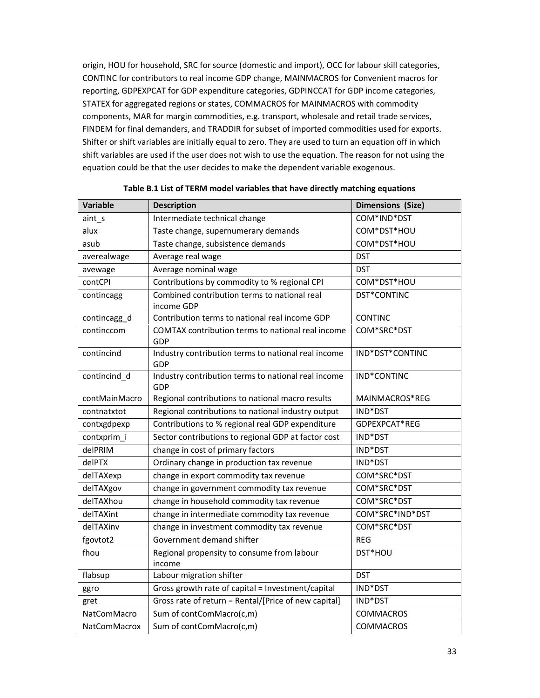origin, HOU for household, SRC for source (domestic and import), OCC for labour skill categories, CONTINC for contributors to real income GDP change, MAINMACROS for Convenient macros for reporting, GDPEXPCAT for GDP expenditure categories, GDPINCCAT for GDP income categories, STATEX for aggregated regions or states, COMMACROS for MAINMACROS with commodity components, MAR for margin commodities, e.g. transport, wholesale and retail trade services, FINDEM for final demanders, and TRADDIR for subset of imported commodities used for exports. Shifter or shift variables are initially equal to zero. They are used to turn an equation off in which shift variables are used if the user does not wish to use the equation. The reason for not using the equation could be that the user decides to make the dependent variable exogenous.

| <b>Variable</b>     | <b>Description</b>                                         | <b>Dimensions (Size)</b> |
|---------------------|------------------------------------------------------------|--------------------------|
| aint_s              | Intermediate technical change                              | COM*IND*DST              |
| alux                | Taste change, supernumerary demands                        | COM*DST*HOU              |
| asub                | Taste change, subsistence demands                          | COM*DST*HOU              |
| averealwage         | Average real wage                                          | <b>DST</b>               |
| avewage             | Average nominal wage                                       | <b>DST</b>               |
| contCPI             | Contributions by commodity to % regional CPI               | COM*DST*HOU              |
| contincagg          | Combined contribution terms to national real<br>income GDP | DST*CONTINC              |
| contincagg_d        | Contribution terms to national real income GDP             | <b>CONTINC</b>           |
| continccom          | COMTAX contribution terms to national real income<br>GDP   | COM*SRC*DST              |
| contincind          | Industry contribution terms to national real income<br>GDP | IND*DST*CONTINC          |
| contincind_d        | Industry contribution terms to national real income<br>GDP | IND*CONTINC              |
| contMainMacro       | Regional contributions to national macro results           | MAINMACROS*REG           |
| contnatxtot         | Regional contributions to national industry output         | IND*DST                  |
| contxgdpexp         | Contributions to % regional real GDP expenditure           | GDPEXPCAT*REG            |
| contxprim_i         | Sector contributions to regional GDP at factor cost        | IND*DST                  |
| delPRIM             | change in cost of primary factors                          | IND*DST                  |
| delPTX              | Ordinary change in production tax revenue                  | IND*DST                  |
| delTAXexp           | change in export commodity tax revenue                     | COM*SRC*DST              |
| delTAXgov           | change in government commodity tax revenue                 | COM*SRC*DST              |
| delTAXhou           | change in household commodity tax revenue                  | COM*SRC*DST              |
| delTAXint           | change in intermediate commodity tax revenue               | COM*SRC*IND*DST          |
| delTAXinv           | change in investment commodity tax revenue                 | COM*SRC*DST              |
| fgovtot2            | Government demand shifter                                  | <b>REG</b>               |
| fhou                | Regional propensity to consume from labour<br>income       | DST*HOU                  |
| flabsup             | Labour migration shifter                                   | <b>DST</b>               |
| ggro                | Gross growth rate of capital = Investment/capital          | IND*DST                  |
| gret                | Gross rate of return = Rental/[Price of new capital]       | IND*DST                  |
| <b>NatComMacro</b>  | Sum of contComMacro(c,m)                                   | <b>COMMACROS</b>         |
| <b>NatComMacrox</b> | Sum of contComMacro(c,m)                                   | <b>COMMACROS</b>         |

| Table B.1 List of TERM model variables that have directly matching equations |  |  |
|------------------------------------------------------------------------------|--|--|
|------------------------------------------------------------------------------|--|--|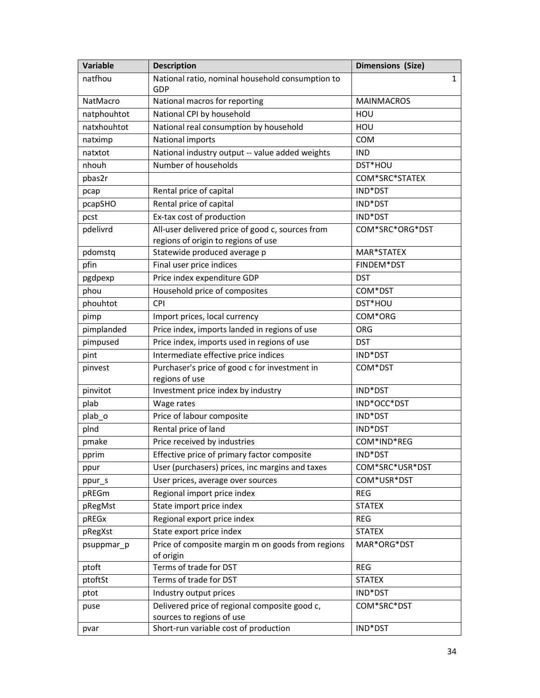| Variable    | <b>Description</b>                                                                      | <b>Dimensions (Size)</b> |
|-------------|-----------------------------------------------------------------------------------------|--------------------------|
| natfhou     | National ratio, nominal household consumption to<br>GDP                                 | 1                        |
| NatMacro    | National macros for reporting                                                           | <b>MAINMACROS</b>        |
| natphouhtot | National CPI by household                                                               | HOU                      |
| natxhouhtot | National real consumption by household                                                  | HOU                      |
| natximp     | National imports                                                                        | <b>COM</b>               |
| natxtot     | National industry output -- value added weights                                         | <b>IND</b>               |
| nhouh       | Number of households                                                                    | DST*HOU                  |
| pbas2r      |                                                                                         | COM*SRC*STATEX           |
| pcap        | Rental price of capital                                                                 | IND*DST                  |
| pcapSHO     | Rental price of capital                                                                 | IND*DST                  |
| pcst        | Ex-tax cost of production                                                               | IND*DST                  |
| pdelivrd    | All-user delivered price of good c, sources from<br>regions of origin to regions of use | COM*SRC*ORG*DST          |
| pdomstq     | Statewide produced average p                                                            | MAR*STATEX               |
| pfin        | Final user price indices                                                                | FINDEM*DST               |
| pgdpexp     | Price index expenditure GDP                                                             | <b>DST</b>               |
| phou        | Household price of composites                                                           | COM*DST                  |
| phouhtot    | <b>CPI</b>                                                                              | DST*HOU                  |
| pimp        | Import prices, local currency                                                           | COM*ORG                  |
| pimplanded  | Price index, imports landed in regions of use                                           | <b>ORG</b>               |
| pimpused    | Price index, imports used in regions of use                                             | <b>DST</b>               |
| pint        | Intermediate effective price indices                                                    | IND*DST                  |
| pinvest     | Purchaser's price of good c for investment in<br>regions of use                         | COM*DST                  |
| pinvitot    | Investment price index by industry                                                      | IND*DST                  |
| plab        | Wage rates                                                                              | IND*OCC*DST              |
| plab_o      | Price of labour composite                                                               | IND*DST                  |
| plnd        | Rental price of land                                                                    | IND*DST                  |
| pmake       | Price received by industries                                                            | COM*IND*REG              |
| pprim       | Effective price of primary factor composite                                             | IND*DST                  |
| ppur        | User (purchasers) prices, inc margins and taxes                                         | COM*SRC*USR*DST          |
| ppur_s      | User prices, average over sources                                                       | COM*USR*DST              |
| pREGm       | Regional import price index                                                             | <b>REG</b>               |
| pRegMst     | State import price index                                                                | <b>STATEX</b>            |
| pREGx       | Regional export price index                                                             | <b>REG</b>               |
| pRegXst     | State export price index                                                                | <b>STATEX</b>            |
| psuppmar_p  | Price of composite margin m on goods from regions<br>of origin                          | MAR*ORG*DST              |
| ptoft       | Terms of trade for DST                                                                  | <b>REG</b>               |
| ptoftSt     | Terms of trade for DST                                                                  | <b>STATEX</b>            |
| ptot        | Industry output prices                                                                  | IND*DST                  |
| puse        | Delivered price of regional composite good c,                                           | COM*SRC*DST              |
|             | sources to regions of use                                                               |                          |
| pvar        | Short-run variable cost of production                                                   | IND*DST                  |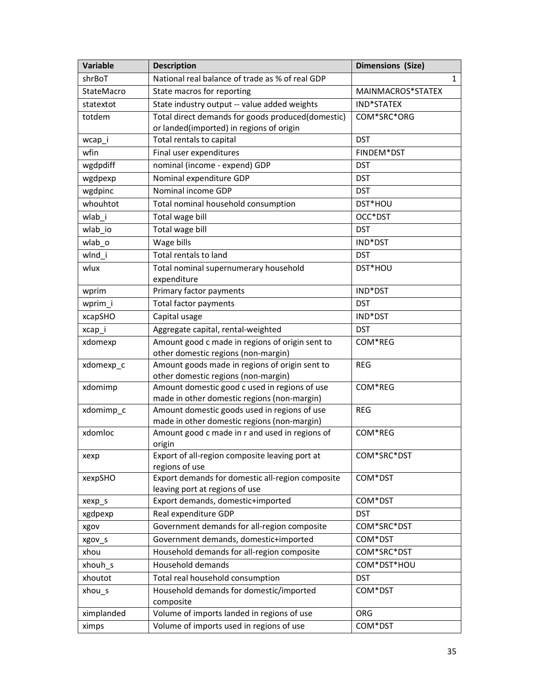| <b>Variable</b> | <b>Description</b>                                                                           | <b>Dimensions (Size)</b> |
|-----------------|----------------------------------------------------------------------------------------------|--------------------------|
| shrBoT          | National real balance of trade as % of real GDP                                              | $\mathbf{1}$             |
| StateMacro      | State macros for reporting                                                                   | MAINMACROS*STATEX        |
| statextot       | State industry output -- value added weights                                                 | IND*STATEX               |
| totdem          | Total direct demands for goods produced(domestic)                                            | COM*SRC*ORG              |
|                 | or landed(imported) in regions of origin                                                     |                          |
| wcap_i          | Total rentals to capital                                                                     | <b>DST</b>               |
| wfin            | Final user expenditures                                                                      | FINDEM*DST               |
| wgdpdiff        | nominal (income - expend) GDP                                                                | <b>DST</b>               |
| wgdpexp         | Nominal expenditure GDP                                                                      | <b>DST</b>               |
| wgdpinc         | Nominal income GDP                                                                           | <b>DST</b>               |
| whouhtot        | Total nominal household consumption                                                          | DST*HOU                  |
| wlab_i          | Total wage bill                                                                              | OCC*DST                  |
| wlab_io         | Total wage bill                                                                              | <b>DST</b>               |
| wlab_o          | Wage bills                                                                                   | IND*DST                  |
| wlnd i          | Total rentals to land                                                                        | <b>DST</b>               |
| wlux            | Total nominal supernumerary household                                                        | DST*HOU                  |
|                 | expenditure                                                                                  |                          |
| wprim           | Primary factor payments                                                                      | IND*DST                  |
| wprim_i         | Total factor payments                                                                        | <b>DST</b>               |
| xcapSHO         | Capital usage                                                                                | IND*DST                  |
| xcap_i          | Aggregate capital, rental-weighted                                                           | <b>DST</b>               |
| xdomexp         | Amount good c made in regions of origin sent to                                              | COM*REG                  |
|                 | other domestic regions (non-margin)                                                          |                          |
| xdomexp_c       | Amount goods made in regions of origin sent to                                               | <b>REG</b>               |
|                 | other domestic regions (non-margin)                                                          |                          |
| xdomimp         | Amount domestic good c used in regions of use<br>made in other domestic regions (non-margin) | COM*REG                  |
| xdomimp_c       | Amount domestic goods used in regions of use                                                 | <b>REG</b>               |
|                 | made in other domestic regions (non-margin)                                                  |                          |
| xdomloc         | Amount good c made in r and used in regions of                                               | COM*REG                  |
|                 | origin                                                                                       |                          |
| xexp            | Export of all-region composite leaving port at                                               | COM*SRC*DST              |
|                 | regions of use                                                                               |                          |
| xexpSHO         | Export demands for domestic all-region composite                                             | COM*DST                  |
|                 | leaving port at regions of use                                                               |                          |
| xexp_s          | Export demands, domestic+imported                                                            | COM*DST                  |
| xgdpexp         | Real expenditure GDP                                                                         | <b>DST</b>               |
| xgov            | Government demands for all-region composite                                                  | COM*SRC*DST              |
| xgov_s          | Government demands, domestic+imported                                                        | COM*DST                  |
| xhou            | Household demands for all-region composite                                                   | COM*SRC*DST              |
| xhouh_s         | Household demands                                                                            | COM*DST*HOU              |
| xhoutot         | Total real household consumption                                                             | <b>DST</b>               |
| $xhou_s$        | Household demands for domestic/imported                                                      | COM*DST                  |
|                 | composite                                                                                    |                          |
| ximplanded      | Volume of imports landed in regions of use                                                   | ORG                      |
| ximps           | Volume of imports used in regions of use                                                     | COM*DST                  |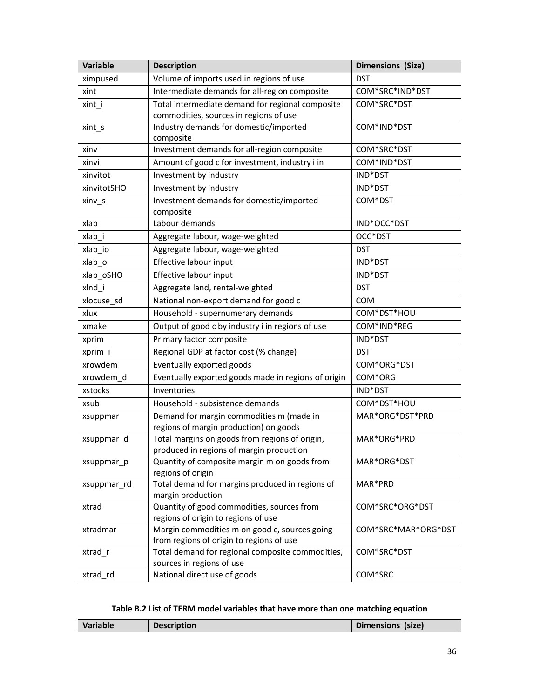| Variable    | <b>Description</b>                                                   | <b>Dimensions (Size)</b> |
|-------------|----------------------------------------------------------------------|--------------------------|
| ximpused    | Volume of imports used in regions of use                             | <b>DST</b>               |
| xint        | Intermediate demands for all-region composite                        | COM*SRC*IND*DST          |
| xint_i      | Total intermediate demand for regional composite                     | COM*SRC*DST              |
|             | commodities, sources in regions of use                               |                          |
| xint_s      | Industry demands for domestic/imported                               | COM*IND*DST              |
|             | composite                                                            |                          |
| xinv        | Investment demands for all-region composite                          | COM*SRC*DST              |
| xinvi       | Amount of good c for investment, industry i in                       | COM*IND*DST              |
| xinvitot    | Investment by industry                                               | IND*DST                  |
| xinvitotSHO | Investment by industry                                               | IND*DST                  |
| xinv_s      | Investment demands for domestic/imported<br>composite                | COM*DST                  |
| xlab        | Labour demands                                                       | IND*OCC*DST              |
| xlab i      | Aggregate labour, wage-weighted                                      | OCC*DST                  |
| xlab_io     | Aggregate labour, wage-weighted                                      | <b>DST</b>               |
| xlab_o      | Effective labour input                                               | IND*DST                  |
| xlab_oSHO   | Effective labour input                                               | IND*DST                  |
| xlnd_i      | Aggregate land, rental-weighted                                      | <b>DST</b>               |
| xlocuse_sd  | National non-export demand for good c                                | <b>COM</b>               |
| xlux        | Household - supernumerary demands                                    | COM*DST*HOU              |
| xmake       | Output of good c by industry i in regions of use                     | COM*IND*REG              |
| xprim       | Primary factor composite                                             | IND*DST                  |
| xprim_i     | Regional GDP at factor cost (% change)                               | <b>DST</b>               |
| xrowdem     | Eventually exported goods                                            | COM*ORG*DST              |
| xrowdem_d   | Eventually exported goods made in regions of origin                  | COM*ORG                  |
| xstocks     | Inventories                                                          | IND*DST                  |
| xsub        | Household - subsistence demands                                      | COM*DST*HOU              |
| xsuppmar    | Demand for margin commodities m (made in                             | MAR*ORG*DST*PRD          |
|             | regions of margin production) on goods                               |                          |
| xsuppmar_d  | Total margins on goods from regions of origin,                       | MAR*ORG*PRD              |
|             | produced in regions of margin production                             |                          |
| xsuppmar_p  | Quantity of composite margin m on goods from                         | MAR*ORG*DST              |
|             | regions of origin<br>Total demand for margins produced in regions of |                          |
| xsuppmar_rd | margin production                                                    | MAR*PRD                  |
| xtrad       | Quantity of good commodities, sources from                           | COM*SRC*ORG*DST          |
|             | regions of origin to regions of use                                  |                          |
| xtradmar    | Margin commodities m on good c, sources going                        | COM*SRC*MAR*ORG*DST      |
|             | from regions of origin to regions of use                             |                          |
| xtrad_r     | Total demand for regional composite commodities,                     | COM*SRC*DST              |
|             | sources in regions of use                                            |                          |
| xtrad_rd    | National direct use of goods                                         | COM*SRC                  |

# Table B.2 List of TERM model variables that have more than one matching equation

| Variable<br>Dimensions (size)<br><b>Description</b> |  |  |
|-----------------------------------------------------|--|--|
|                                                     |  |  |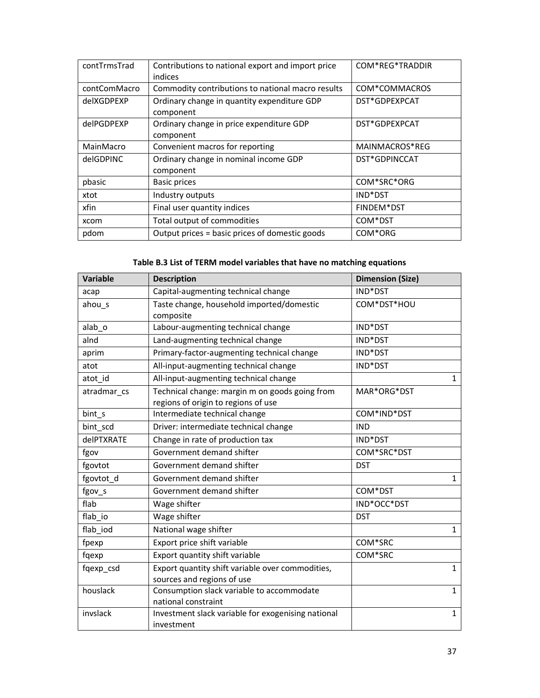| contTrmsTrad | Contributions to national export and import price<br>indices | COM*REG*TRADDIR |
|--------------|--------------------------------------------------------------|-----------------|
| contComMacro | Commodity contributions to national macro results            | COM*COMMACROS   |
| delXGDPEXP   | Ordinary change in quantity expenditure GDP<br>component     | DST*GDPEXPCAT   |
| delPGDPEXP   | Ordinary change in price expenditure GDP<br>component        | DST*GDPEXPCAT   |
| MainMacro    | Convenient macros for reporting                              | MAINMACROS*REG  |
| delGDPINC    | Ordinary change in nominal income GDP<br>component           | DST*GDPINCCAT   |
| pbasic       | Basic prices                                                 | COM*SRC*ORG     |
| xtot         | Industry outputs                                             | IND*DST         |
| xfin         | Final user quantity indices                                  | FINDEM*DST      |
| xcom         | Total output of commodities                                  | COM*DST         |
| pdom         | Output prices = basic prices of domestic goods               | COM*ORG         |

# Table B.3 List of TERM model variables that have no matching equations

| <b>Variable</b>   | <b>Description</b>                                                                    | <b>Dimension (Size)</b> |
|-------------------|---------------------------------------------------------------------------------------|-------------------------|
| acap              | Capital-augmenting technical change                                                   | IND*DST                 |
| ahou_s            | Taste change, household imported/domestic<br>composite                                | COM*DST*HOU             |
| alab_o            | Labour-augmenting technical change                                                    | IND*DST                 |
| alnd              | Land-augmenting technical change                                                      | IND*DST                 |
| aprim             | Primary-factor-augmenting technical change                                            | IND*DST                 |
| atot              | All-input-augmenting technical change                                                 | IND*DST                 |
| atot id           | All-input-augmenting technical change                                                 | $\mathbf{1}$            |
| atradmar cs       | Technical change: margin m on goods going from<br>regions of origin to regions of use | MAR*ORG*DST             |
| bint_s            | Intermediate technical change                                                         | COM*IND*DST             |
| bint scd          | Driver: intermediate technical change                                                 | <b>IND</b>              |
| <b>delPTXRATE</b> | Change in rate of production tax                                                      | IND*DST                 |
| fgov              | Government demand shifter                                                             | COM*SRC*DST             |
| fgovtot           | Government demand shifter                                                             | <b>DST</b>              |
| fgovtot_d         | Government demand shifter                                                             | $\mathbf{1}$            |
| fgov_s            | Government demand shifter                                                             | COM*DST                 |
| flab              | Wage shifter                                                                          | IND*OCC*DST             |
| flab io           | Wage shifter                                                                          | <b>DST</b>              |
| flab iod          | National wage shifter                                                                 | $\mathbf{1}$            |
| fpexp             | Export price shift variable                                                           | COM*SRC                 |
| fqexp             | Export quantity shift variable                                                        | COM*SRC                 |
| fqexp_csd         | Export quantity shift variable over commodities,                                      | $\mathbf{1}$            |
|                   | sources and regions of use                                                            |                         |
| houslack          | Consumption slack variable to accommodate                                             | $\mathbf{1}$            |
|                   | national constraint                                                                   |                         |
| invslack          | Investment slack variable for exogenising national                                    | $\mathbf{1}$            |
|                   | investment                                                                            |                         |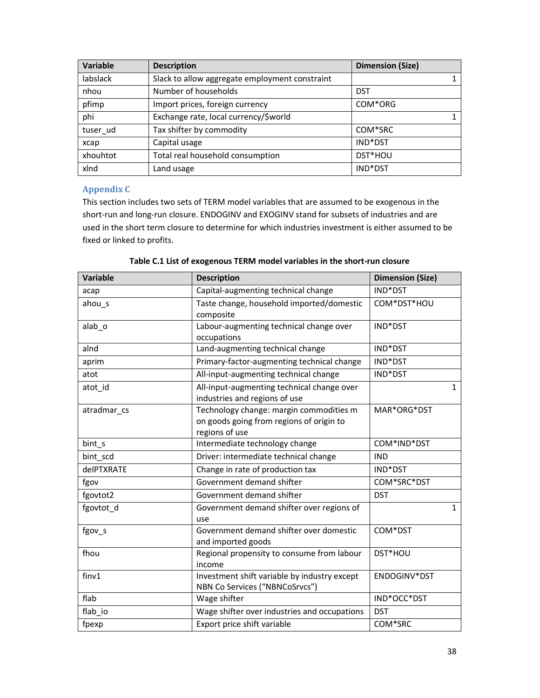| Variable | <b>Description</b>                             | <b>Dimension (Size)</b> |
|----------|------------------------------------------------|-------------------------|
| labslack | Slack to allow aggregate employment constraint |                         |
| nhou     | Number of households                           | <b>DST</b>              |
| pfimp    | Import prices, foreign currency                | COM*ORG                 |
| phi      | Exchange rate, local currency/\$world          |                         |
| tuser_ud | Tax shifter by commodity                       | COM*SRC                 |
| xcap     | Capital usage                                  | IND*DST                 |
| xhouhtot | Total real household consumption               | DST*HOU                 |
| xlnd     | Land usage                                     | IND*DST                 |

# Appendix C

This section includes two sets of TERM model variables that are assumed to be exogenous in the short-run and long-run closure. ENDOGINV and EXOGINV stand for subsets of industries and are used in the short term closure to determine for which industries investment is either assumed to be fixed or linked to profits.

| <b>Variable</b>   | <b>Description</b>                                                                                    | <b>Dimension (Size)</b> |
|-------------------|-------------------------------------------------------------------------------------------------------|-------------------------|
| acap              | Capital-augmenting technical change                                                                   | IND*DST                 |
| ahou s            | Taste change, household imported/domestic<br>composite                                                | COM*DST*HOU             |
| alab o            | Labour-augmenting technical change over<br>occupations                                                | IND*DST                 |
| alnd              | Land-augmenting technical change                                                                      | IND*DST                 |
| aprim             | Primary-factor-augmenting technical change                                                            | IND*DST                 |
| atot              | All-input-augmenting technical change                                                                 | IND*DST                 |
| atot_id           | All-input-augmenting technical change over<br>industries and regions of use                           | $\mathbf{1}$            |
| atradmar_cs       | Technology change: margin commodities m<br>on goods going from regions of origin to<br>regions of use | MAR*ORG*DST             |
| bint_s            | Intermediate technology change                                                                        | COM*IND*DST             |
| bint_scd          | Driver: intermediate technical change                                                                 | <b>IND</b>              |
| <b>delPTXRATE</b> | Change in rate of production tax                                                                      | IND*DST                 |
| fgov              | Government demand shifter                                                                             | COM*SRC*DST             |
| fgovtot2          | Government demand shifter                                                                             | <b>DST</b>              |
| fgovtot d         | Government demand shifter over regions of<br>use                                                      | $\mathbf{1}$            |
| fgov_s            | Government demand shifter over domestic<br>and imported goods                                         | COM*DST                 |
| fhou              | Regional propensity to consume from labour<br>income                                                  | DST*HOU                 |
| finv1             | Investment shift variable by industry except<br>NBN Co Services ("NBNCoSrvcs")                        | ENDOGINV*DST            |
| flab              | Wage shifter                                                                                          | IND*OCC*DST             |
| flab io           | Wage shifter over industries and occupations                                                          | <b>DST</b>              |
| fpexp             | Export price shift variable                                                                           | COM*SRC                 |

Table C.1 List of exogenous TERM model variables in the short-run closure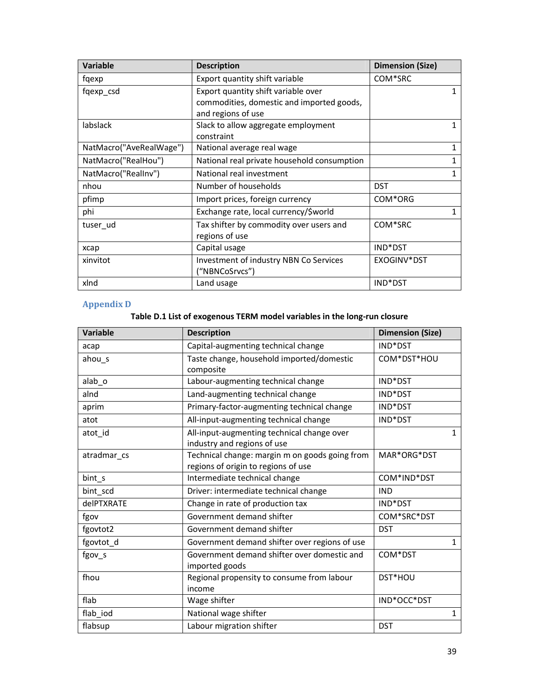| Variable                | <b>Description</b>                          | <b>Dimension (Size)</b> |
|-------------------------|---------------------------------------------|-------------------------|
| fqexp                   | Export quantity shift variable              | COM*SRC                 |
| fqexp_csd               | Export quantity shift variable over         |                         |
|                         | commodities, domestic and imported goods,   |                         |
|                         | and regions of use                          |                         |
| labslack                | Slack to allow aggregate employment         |                         |
|                         | constraint                                  |                         |
| NatMacro("AveRealWage") | National average real wage                  | 1                       |
| NatMacro("RealHou")     | National real private household consumption |                         |
| NatMacro("RealInv")     | National real investment                    |                         |
| nhou                    | Number of households                        | <b>DST</b>              |
| pfimp                   | Import prices, foreign currency             | COM*ORG                 |
| phi                     | Exchange rate, local currency/\$world       | 1                       |
| tuser ud                | Tax shifter by commodity over users and     | COM*SRC                 |
|                         | regions of use                              |                         |
| xcap                    | Capital usage                               | IND*DST                 |
| xinvitot                | Investment of industry NBN Co Services      | EXOGINV*DST             |
|                         | ("NBNCoSrvcs")                              |                         |
| xlnd                    | Land usage                                  | IND*DST                 |

# Appendix D

# Table D.1 List of exogenous TERM model variables in the long-run closure

| <b>Variable</b> | <b>Description</b>                             | <b>Dimension (Size)</b> |
|-----------------|------------------------------------------------|-------------------------|
| acap            | Capital-augmenting technical change            | IND*DST                 |
| ahou_s          | Taste change, household imported/domestic      | COM*DST*HOU             |
|                 | composite                                      |                         |
| alab_o          | Labour-augmenting technical change             | IND*DST                 |
| alnd            | Land-augmenting technical change               | IND*DST                 |
| aprim           | Primary-factor-augmenting technical change     | IND*DST                 |
| atot            | All-input-augmenting technical change          | IND*DST                 |
| atot id         | All-input-augmenting technical change over     | $\mathbf{1}$            |
|                 | industry and regions of use                    |                         |
| atradmar cs     | Technical change: margin m on goods going from | MAR*ORG*DST             |
|                 | regions of origin to regions of use            |                         |
| bint s          | Intermediate technical change                  | COM*IND*DST             |
| bint scd        | Driver: intermediate technical change          | <b>IND</b>              |
| delPTXRATE      | Change in rate of production tax               | IND*DST                 |
| fgov            | Government demand shifter                      | COM*SRC*DST             |
| fgovtot2        | Government demand shifter                      | <b>DST</b>              |
| fgovtot_d       | Government demand shifter over regions of use  | $\mathbf{1}$            |
| fgov_s          | Government demand shifter over domestic and    | COM*DST                 |
|                 | imported goods                                 |                         |
| fhou            | Regional propensity to consume from labour     | DST*HOU                 |
|                 | income                                         |                         |
| flab            | Wage shifter                                   | IND*OCC*DST             |
| flab_iod        | National wage shifter                          | $\mathbf{1}$            |
| flabsup         | Labour migration shifter                       | <b>DST</b>              |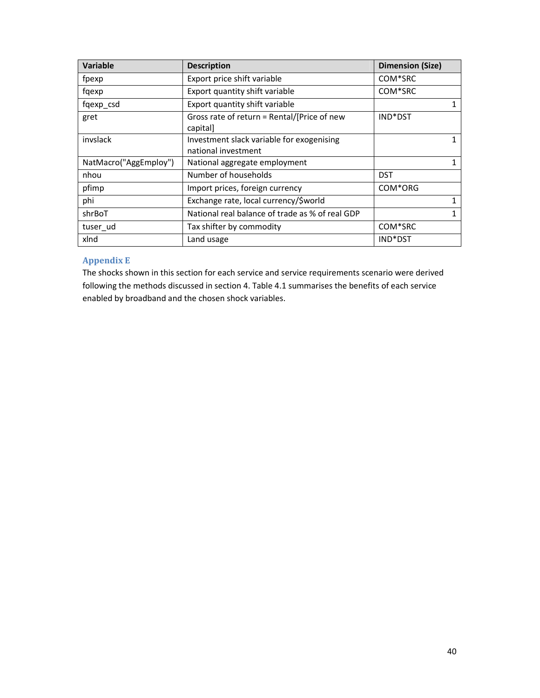| Variable              | <b>Description</b>                                               | <b>Dimension (Size)</b> |
|-----------------------|------------------------------------------------------------------|-------------------------|
| fpexp                 | Export price shift variable                                      | COM*SRC                 |
| fqexp                 | Export quantity shift variable                                   | COM*SRC                 |
| fqexp_csd             | Export quantity shift variable                                   |                         |
| gret                  | Gross rate of return = Rental/[Price of new<br>capital]          | IND*DST                 |
| invslack              | Investment slack variable for exogenising<br>national investment |                         |
| NatMacro("AggEmploy") | National aggregate employment                                    |                         |
| nhou                  | Number of households                                             | <b>DST</b>              |
| pfimp                 | Import prices, foreign currency                                  | COM*ORG                 |
| phi                   | Exchange rate, local currency/\$world                            |                         |
| shrBoT                | National real balance of trade as % of real GDP                  |                         |
| tuser_ud              | Tax shifter by commodity                                         | COM*SRC                 |
| xlnd                  | Land usage                                                       | IND*DST                 |

# Appendix E

The shocks shown in this section for each service and service requirements scenario were derived following the methods discussed in section 4. Table 4.1 summarises the benefits of each service enabled by broadband and the chosen shock variables.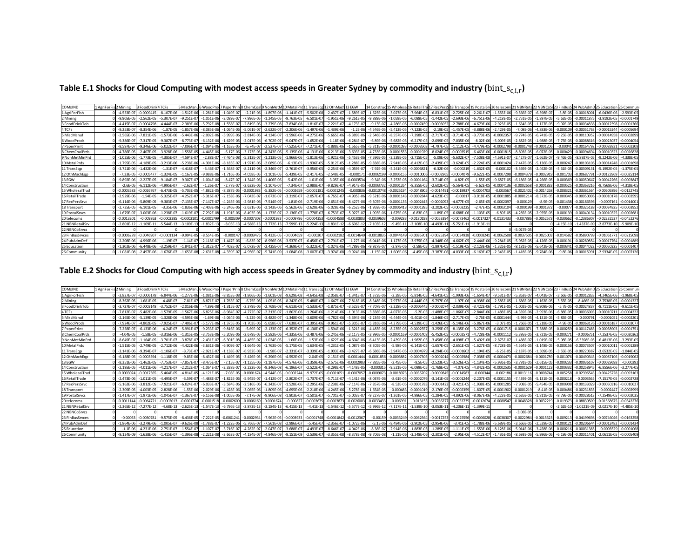Table E.1 Shocks for Cloud Computing with modest access speeds in Greater Sydney by commodity and industry ( $bin\_s_{c,i,r}$ )

| <b>COMxIND</b>  | 1 AgriForFis 2 Mining |                | 3 FoodDrin     | nk4TCFs        | 5 MiscManu    |                |                | u6 WoodProd7 PaperPrin 8 ChemCoal 9 NonMetM 10 MetalPrd 11 TransEgg 12 OthMach 13 EGW |                |                |                |                |                |                |                |                |                |                |                 |                |                | 14 Construct 15 Wholesal 16 RetailTral 17 RecPers9 18 Transport 19 Postal Srv 20 telecoms 21 NBNReta 22 NBNCoSr 23 FinBusS 24 PubAdmD 25 Education |              |                 |                 | 26 Commun      |
|-----------------|-----------------------|----------------|----------------|----------------|---------------|----------------|----------------|---------------------------------------------------------------------------------------|----------------|----------------|----------------|----------------|----------------|----------------|----------------|----------------|----------------|----------------|-----------------|----------------|----------------|----------------------------------------------------------------------------------------------------------------------------------------------------|--------------|-----------------|-----------------|----------------|
| 1 AgriForFish   |                       | $-4.533F - 07$ | $-0.000941$    | $-8.107E - 06$ | $-1.512E-0$   | $-1.281E-06$   | $-1.049E - 07$ | $-2.21E-06$                                                                           | $-1.897E-08$   | $-1.141E-0$    | $-5.502E-08$   | $-2.437E-0$    | $-1.589E-07$   | $-1.625E - 06$ | $-3.027E - 05$ | $-7.964E - 05$ | $-6.831E-05$   | $-2.725E-06$   | $-2.261E-0$     | $-1.555E-06$   | $-9.566F - 07$ | $-6.598F - 07$                                                                                                                                     | $-5.8F - 0$  | $-0.00018001$   | $-6.0436F - 06$ | $-2.593E-05$   |
| 2 Mining        |                       | $-9.905F - 05$ | $-2.562F - 0$  | $-5.307F - 0$  | $-9.251F$     | $-1.051F - 06$ | $-2.089F - 07$ | $-7.996F - 0$                                                                         | $-1.245F - 05$ | $-9.763F - 05$ | $-6.501F$      | $-1.951F - 06$ | $-9.261F - 05$ | $-9.889E -$    | $-1.059E - 05$ | $-6.088F - 0$  | $-1.442F - 05$ | $-2.693F - 06$ | $-6.751F - 06$  | $-4.218F - 05$ | $-2.751F - 05$ | $-1.897F - 05$                                                                                                                                     | $-5.62F - 0$ | $-0.0001187$    | $-3.9192F - 05$ | $-0.000174$    |
| 3 FoodDrinkTob  |                       | $-4.415E-07$   | $-0.00047$     | $-4.444F$      | $-2.389E - C$ | $-5.792E-08$   | $-1.558E - 07$ | $-2.819E - 06$                                                                        |                | $-7.834E-08$   | $-1.816E-0$    | $-2.221E-0$    | $-4.173E-07$   | $-9.13E - 0$   | $-4.286E - 05$ | $-0.0007459$   | $-0.00030$     | $-2.788E - 06$ | $-4.679E-0$     | $-2.923E-05$   | $-1.634E-05$   |                                                                                                                                                    | $-9.02E - 0$ | $-0.00034838$   | $-0.00012398$   | $-0.000126$    |
| 4 TCFs          |                       | $-9.253E - 07$ | $-8.354E - 0$  | $-1.87E-05$    | $-1.857E - C$ | $-8.085E - 06$ | $-1.064E - 06$ | $-5.061E - 0$                                                                         | $-2.622E-07$   | $-2.206E-06$   | 1.497E-06      | $-1.439E - 06$ | $-1.2E - 06$   | $-4.546E - 0$  | $-5.413E - 05$ | $-7.123E - 05$ | $-2.19E-0$     | $-1.457E - 05$ | $-3.888E - 0$   | $-2.429E - 05$ | $-7.08E - 06$  | $-4.883E - 06$                                                                                                                                     | $-0.0001$    | $-0.00051763$   | $-0.0001524$    | $-0.000569$    |
| 5 MiscManuf     |                       | $-2.565F - 06$ | $-7.831E - 05$ | $-1.573E-06$   | $-5.443E - 0$ | $-2.002E - 06$ | $-5.999E - 06$ | $-3.814E - 06$                                                                        | $-4.124E-07$   | $-1.596E-06$   | $-4.275E-06$   | $-5.665E - 06$ | $-6.389E - 06$ | $-2.646E -$    | $-8.557E-05$   | $-7.398E - 05$ | $-2.717E-05$   | $-3.714E-05$   | $-3.773E-05$    | $-0.0002357$   | $-9.774E - 05$ | $-6.741F - 05$                                                                                                                                     | $-9.25E - 0$ | $-0.00110952$   | $-0.00014958$   | $-0.0002899$   |
| 6 WoodProds     |                       | $-9.386E - 07$ | $-7.317E - 0$  | $-9.387E-07$   | $-8.773E-0$   | $-6.132E-06$   | $-1.629E - 05$ | $-2.017E-06$                                                                          | $-6.702E-07$   | $-9.047E - 07$ | $-1.652E - 06$ | $-1.18E - 06$  | $-6.284E - 07$ | $-6.89E - 06$  | $-5.682E - 05$ | $-6.217E-0$    | $-2.099E-05$   | $-7.035E - 06$ | $-8.02E - 06$   | $-5.009E - 05$ | $-2.882E - 05$ | $-1.988E - 05$                                                                                                                                     | $-7.75E - 0$ | $-0.0008861$    | $-0.0002303$    | $-0.000405$    |
| 7 PaperPrint    |                       | $-8.597F - 0$  | $-9.346F - 06$ | $-5.022E - 0$  | $-7.096E - 0$ | $-1.094E-06$   | $-1.163E - 05$ | $-6.74E-0$                                                                            | $-2.527E-07$   | $-7.525E - 07$ | $-7.271E-0$    | $-1.888E - 06$ | $-1.565E - 06$ | $-5.311E - 06$ | $-0.000109$    | $-0.000350$    | $-4.797F - 05$ | $-1.112E-05$   | $-4.479F - 0^e$ | $-0.0002798$   | $-0.0001748$   | $-0.0001206$                                                                                                                                       | $-0.000$     | $-0.00164792$   | $-0.0008383$    | $-0.000230$    |
| 8 ChemCoalPrds  |                       | $-4.786F - 05$ | $-2.407F - 0$  | $-3.928F - 06$ | $-1.558E -$   | $-4.445F - 06$ | $-6.17E-06$    | $-3.173E - 05$                                                                        | $-4.243E - 06$ | $-5.135E-06$   | $-4.131E-06$   | $-6.213E - 06$ | $-3.693E - 05$ | $-4.733E -$    | $-0.000155$    | $-0.0001929$   | $-8.024E - 05$ | $-0.0003515$   | $-6.463F - 06$  | $-0.0001815$   | $-8.803E-05$   | $-6.072F - 05$                                                                                                                                     | $-0.0004$    | $-0.00094694$   | $-0.0001032$    | $-0.0026828$   |
| 9 NonMetMinPrd  |                       | $-1.025F - 06$ | $-1.773F - 0$  | $-4.385F - 07$ | $-4.594E - C$ | $-2.88F - 07$  | $-7.464F - 08$ | $-5.313F - 0.7$                                                                       | $-1.213F - 05$ | $-1.966F - 0f$ | $-1.813E-06$   | $-1.921F - 06$ | $-5.453F - 06$ | $-7.596E - 0$  | $-3.239E - 05$ | $-2.715F - 0$  | $-5.09E - 06$  | $-5.602E - 07$ | $-7.508F - 08$  | $-4.691F-07$   | $-2.427F - 07$ | $-1.662F - 07$                                                                                                                                     | $-9.46F - 0$ | $-8.8927F - 05$ | $-9.2242F - 06$ | $-4.338F - 05$ |
| 10 MetalPrds    |                       | $-1.795F - 0$  | $-4.189E - 0$  | $-3.213E-06$   | $-5.238E - C$ | $-4.301E - 06$ | $-8.185E - 07$ | $-1.971E$                                                                             | $-2.089E - 0$  | $-6.13E-05$    | $-1.936E$      | $-5.012E - 05$ | $-1.288E - 05$ | $-9.838E -$    | $-7.941E - 0$  | $-8.412E-0$    | $-2.439E-05$   | $-3.624E - 05$ | $-2.224E-0$     | $-0.000142$    | $-7.447E - 05$ | $-5.136F - 0$                                                                                                                                      | $-0.0002$    | $-0.0010310$    | 0.00014248      | $-0.000169$    |
| 11 TransEgp     |                       | $-3.721F - 06$ | $-1.432F - 0f$ | $-1.31E-07$    | $-4.418E - 0$ | $-3.46E-07$    | $-1.348E - 07$ | $-8.211E-08$                                                                          | $-2.346E - 07$ | $-2.761E-07$   | $-3.956E - 05$ | $-2.254E - 06$ | $-4.059F - 07$ | $-7.92E - 06$  | $-5.241E-05$   | $-0.000682$    | $-6.32E-06$    | $-0.000219$    | $-1.632E - 05$  | $-0.00010$     | $-3.569E - 05$ | $-2.462F - 05$                                                                                                                                     | $-5.61E-0$   | $-0.00309131$   | $-5.1992E - 05$ | $-1.375E - 05$ |
| 12 OthMachEgo   |                       | $-7.33E - 05$  | $-0.00054$     | $-1.324E-05$   | $-1.167E-0$   | $-9.988F - 06$ | $-1.716E - 05$ | $-4.058E - 05$                                                                        | $-1.101E-05$   | $-5.439E-05$   | $-2.417E-05$   | $-2.548E - 05$ | $-0.00017$     | $-0.00021$     | $-0.0005155$   | $-0.0010006$   | $-0.000296$    | $-0.000407$    | $-9.622E - 05$  | $-0.0007298$   | $-0.000437$    | $-0.000291$                                                                                                                                        | $-0.0017$    | $-0.00687791$   | $-0.00123969$   | $-0.002511$    |
| 13 EGW          |                       | $-9.892F - 00$ |                | $-9.184F$      | $-9.307E -$   | $-1.004F - 06$ | $-8.47F-07$    | 1.344F-06                                                                             | $-1.406F - 0$  | $-5.42F - 0f$  | $-1.61E-06$    | $-3.05E - 00$  | $-0.000353$    | $-9.34E - 0$   | $-3.253E - 05$ | $-0.000116$    | $-3.714F - 05$ | $-4.82E - 05$  | $-1.55F - 0$    | $-9.687$       | $-6.186F - 05$ | $-4.266F - 05$                                                                                                                                     | $-0.0007$    | $-0.0005064$    | 0.00042266      | $-0.00038$     |
| 14 Construction |                       | $-2.6F - 05$   | $-6.112F - 06$ | $-4.995F - 0$  | $-2.62E - C$  | $-1.26E-07$    | $-2.77F-07$    | $-2.632E - 06$                                                                        | $107F-0$       | $-7.34E - 0$   | $-2.988F - 0$  | $-9.829E - 07$ | $-4.914F - 05$ | 0.00037        | $-0.000126$    | $-8.355E-0$    | $-2.602E-05$   | $-5.564E-05$   | $-6.62E - 05$   | $-0.0004136$   | $-0.0002651$   | $-0.000183$                                                                                                                                        | $-0.0005$    | $-0.00363216$   | $-9.7568F - 06$ | $-4.318E - 05$ |
| 15 WholesalTrac |                       | $-0.0003583$   | $-0.00267$     | $-6.473F - 05$ | $-5.703E-$    | $-4.882E - 05$ | $-8.387E - 05$ | $-0.000198$                                                                           | $-5.382E-05$   | $-0.0002659$   | 0.00011        | $-0.000124$    | $-0.000836$    | 0.00107        | $-0.002519$    | $-0.0048905$   | $-0.001449$    | 0.001993       | $-0.000470$     | $-0.00356$     | 0.0021402      | $-0.0014268$                                                                                                                                       | $-0.0083$    | $-0.03361564$   | 0.00605896      | $-0.012274$    |
| 16 RetailTrade  |                       | $-2.929F - 00$ | $-1.54F - 0$   | $-5.325E - 0$  | $-4.252E - C$ | $-5.316E - 07$ | $-2.158E - 06$ | $-7.043F - C$                                                                         | $-1.673E-0$    | $-3.319E-0$    | $-2.057E-0$    | $-6.765E-0$    | $-4.905F - 06$ | $-9.521E -$    | $-0.00011$     | $-0.000284$    | $-4.623E - 05$ | $-0.000$       | $-3.018E - 0$   | $-0.000188$    | 0.000121       | $-8.372F - 05$                                                                                                                                     | $-0.0003$    | -0.0005000      | 0.0001017       | $-0.000359$    |
| 17 RecPersSrvc  |                       | $-6.114F - 06$ | $-5.809F - 0$  | $-9.383E - 0$  | $-7.135E - 0$ | $-7.147E-07$   | $-4.245E - 06$ | $-2.981E - 06$                                                                        | $-7.514E - 07$ | $-1.81E-06$    | $-2.719F - 06$ | $-2.651E - 06$ | $-8.427E - 06$ | $-9.307E - 06$ | $-0.000113$    | $-0.0002443$   | $-0.000209$    | $-4.677E-05$   | $-2.65E-05$     | $-0.000209$    | 0.000129       | $-8.9F - 05$                                                                                                                                       | $-0.00143$   | $-0.00186596$   | $-0.000716$     | $-0.001400$    |
| 18 Transport    |                       | $-2.735E - 05$ | $-6.101F - 05$ | $-3.35F - 06$  | $-1.836E - 0$ | $-2.403F - 06$ | $-5.246E - 06$ | $-3.631E - 06$                                                                        | $-2.143E-06$   | $-5.562E-06$   | $-2.628E - 06$ | $-5.028E - 06$ | $-6.252E - 06$ | $-1.959E -$    | $-0.000641$    | $-0.0001395$   | $-3.202E - 05$ | $-0.000322$    | $-2.47E-05$     | $-0.000310$    | $-0.000199$    | $-0.000137$                                                                                                                                        | $-0.000$     | $-0.00325188$   | 0.0003482       | $-0.000395$    |
| 19 Postal Srvcs |                       | $-1.679F - 0$  | $-3.003F - 06$ | $-1.238F - 0$  | $-1.619E - 0$ | $-7.292E - 08$ | $-1.191E-06$   | $-8.493F - 08$                                                                        | 173F-07        | $-2.136E-0$    | $1.778F - 0$   | $-6.753E-0$    | $-5.927E-0$    | $-1.093E -$    | $-1.675E - 05$ | $-6.83E-05$    | $-1.89E - 05$  | $-6.688E - 06$ | $-1.103E - 05$  | $-6.89E-05$    | $-4.285E - 05$ | $-2.955F - 05$                                                                                                                                     | $-0.0001$    | $-0.00040134$   | -0.0001032      | $-0.000268$    |
| 20 telecoms     |                       | $-0.0013201$   | 0.00986        | $-0.0002385$   | $-0.000210$   | $-0.0001799$   | $-0.000309$    | $-0.0007308$                                                                          | $-0.0001983$   | $-0.0009796$   | $-0.000435$    | $-0.0004588$   | $-0.0030803$   | 0.003960       | $-0.00928$     | $-0.0180198$   | $-0.0053394$   | $-0.0073462$   | $-0.001732$     | $-0.0131433$   | $-0.007886$    | $-0.005257$                                                                                                                                        | $-0.03066$   | $-0.12386307$   | 0.0223253       | $-0.045227$    |
| 21 NBNRetailSrv |                       | $-2.801E-12$   | $-1.109E-$     | $-5.544E-13$   | $-3.109E - 1$ | $-1.832E - 13$ | $-8.05E - 13$  | $-4.588E - 1$                                                                         | $-3.772E-13$   | $-7.599E-1$    | $-5.224E-13$   | $-1.831E-12$   | $-6.606E - 1.$ | $-7.103E -$    | $-9.45E - 1$   | $-2.108E - 1$  | $-4.493E-1$    | $-5.751E-11$   | $-1.913E-1$     |                |                |                                                                                                                                                    | $-4.15E-1$   | $-1.4337E - 09$ | $-2.8773E-10$   | $-5.909E-10$   |
| 22 NBNCoSrvcs   |                       |                |                |                |               |                |                |                                                                                       |                |                |                |                |                |                |                |                |                |                |                 |                | $-5.027E - 05$ |                                                                                                                                                    |              |                 |                 |                |
| 23 FinBusSrvces |                       | $-0.000627$    | -0.004690      | $-0.0001134$   | $-9.994E - 0$ | $-8.554F - 05$ | $-0.00014$     | $-0.00034$                                                                            | $-9.432F-05$   | $-0.000465$    | $-0.00020$     | $-0.000218$    | $-0.0014649$   | $-0.001883$    | $-0.004414$    | $-0.0085701$   | $-0.002539$    | $-0.0034938$   | $-0.000824$     | $-0.0062508$   | $-0.0037505$   | $-0.002500$                                                                                                                                        | $-0.01458$   | $-0.05890799$   | $-0.0106177$    | $-0.021509$    |
| 24 PubAdmDef    |                       | $-2.208F - 0$  | $-4.996F - 00$ | $-1.19F - 0$   | $-1.14E-0$    | $-2.118E-07$   | $-1.447E - 06$ | $-6.83E - 0$                                                                          | $-8.956E - 08$ | $-3.537E-0$    | $-6.456E-0$    | $-2.791E-0$    | $-1.27E - 06$  | $-6.041E - C$  | $-1.127E - 05$ | $-3.975E-0$    | $-4.348E - 06$ | $-4.662E - 05$ | $-2.444E - 0$   | $-9.284E - 05$ | $-5.982E - 05$ | $-4.126F - 05$                                                                                                                                     | $-0.0001$    | $-0.0028985$    | 0.00017764      | $-0.000188$    |
| 25 Education    |                       | $-1.302E - 06$ | $-6.448F - 06$ | $-3.259E-07$   | $-1.841E -$   | $-1.312E-07$   | $-4.402F - 07$ | $-5.072E - 0$                                                                         | $-2.425E - 07$ | $-4.369E-0$    | $-5.322E - 0$  | $-1.024E - 06$ | $-4.789E - 06$ | $-9.927E - C$  | $-3.87E - 06$  | $-2.58E-0$     | $-1.897E-05$   | $-1.519E-05$   | $-2.123E - 06$  | $-1.326E-05$   | $-8.181E-06$   | $-5.642E - 06$                                                                                                                                     | $-0.0003$    | $-0.00044022$   | -0.0005022      | $-0.000140$    |
| 26 Community    |                       | $-1.081E-08$   | $-2.497E - 06$ |                | $-1.653E-0$   | $-2.631E-08$   | $-4.339E - 07$ | $-4.956E - 07$                                                                        | $-5.741E-09$   | $-1.084E-08$   |                | $-3.974E - 08$ | $-9.924E - 08$ | $-1.15E - C$   | 1.606E-06      |                | $-3.387E - 06$ |                | $-6.169E - 0.$  | $-2.343E-05$   | $-1.418E - 05$ |                                                                                                                                                    | $-9.8F - 0$  | $-0.00015991$   | $-2.9334E-05$   | $-0.000712$    |

# Table E.2 Shocks for Cloud Computing with high access speeds in Greater Sydney by commodity and industry ( $bin\_s_{c,i,r}$ )

| COMxIND         | 1 AgriForFis 2 Mining |                | 3 FoodDrin     |                |                |                |                | 5 MiscManu6 WoodProd7 PaperPrin 8 ChemCoal9 NonMetM |                | 10 MetalPrd    | 11 TransEgg 12 OthMach 13 EGW |                |                | 14 Constri     |                | 15 Wholesal 16 RetailTra | 17 RecPers9 18 Transport 19 Postal Srv 20 telecoms 21 NBNReta |                |                |                |                | 22 NBNCoS123 FinBusS |               | 24 PubAdmD 25 Education |                 |                |
|-----------------|-----------------------|----------------|----------------|----------------|----------------|----------------|----------------|-----------------------------------------------------|----------------|----------------|-------------------------------|----------------|----------------|----------------|----------------|--------------------------|---------------------------------------------------------------|----------------|----------------|----------------|----------------|----------------------|---------------|-------------------------|-----------------|----------------|
| 1 AgriForFish   |                       | $-3.827E - 0$  | 0.00061        | $-6.844E-06$   | $-1.277E-0$    | $-1.081F - 06$ | $-8.853E-08$   | $-1.866E - 06$                                      | $-1.601E-08$   | $-9.629E - 08$ | $-4.645F - 08$                | $-2.058E - 07$ | $-1.341E-07$   | $-1.372E - 06$ | $-2.28E - 05$  | $-5.814E-05$             | $-4.641E-05$                                                  | $-1.993E - 06$ | $-1.654E-0$    | $-9.531E-07$   | $-5.863E-07$   | $-4.043F - 07$       | $-3.66F - 0$  | $-0.00012833$           | $-4.2465E - 06$ | $-1.968F - 05$ |
| 2 Mining        |                       | $-8.362F - 05$ | $-1.681F - 0$  | $-4.48F - 07$  | $-7.81E - 0$   | $-8.871E-07$   | $-1.763E-07$   | $-6.75E-05$                                         | $-1.051F - 05$ | $-8.242E-05$   | $-5.488E - 0.7$               | $-1.647F - 06$ | $-7.818F - 05$ | $-8.348E - 06$ | $-7.977F - 06$ | $-4.444F - 0$            | $-9.797E-06$                                                  | $-1.97E-06$    | $-4.938E - 06$ | $-2.585E-05$   | $-1.686F - 05$ | $-1.163F - 05$       | $-3.55F - 0$  | $-8.466F - 0$           | $-2.7538E - 05$ | $-0.000132$    |
| 3 FoodDrinkTob  |                       | $-3.727F - 0$  | 0.00031        | $-3.752E-07$   | $-2.016E - 0$  | $-4.89E - 08$  | $-1.315E-07$   | $-2.379E-06$                                        | $-2.768E-08$   | $-6.613E-08$   | $-1.533E-07$                  | $-1.875E-0$    | $-3.523E - 07$ | $-7.707E - C$  | $-3.228E - 05$ | $-0.000544$              | $-0.00020$                                                    | $-2.039E - 06$ | $-3.422F - 06$ | $-1.791E-05$   | $-1.002E - 05$ | $-6.908E - 06$       | $-5.7E-0$     | $-0.00024837$           | $-8.7111E-05$   | $-9.611E-0$    |
| 4 TCFs          |                       | $-7.812E - 0.$ | $-5.482F - 0f$ | $-1.579F - 05$ | $-1.567E - 0$  | $-6.825E-06$   | $-8.984E - 07$ | $-4.272E-0$                                         | $-2.213E-07$   | $-1.862E-06$   | $-1.264E-06$                  | $-1.214E-06$   | $-1.013E-06$   | $-3.838E - C$  | $-4.077E-05$   | $-5.2E - 05$             | $-1.488E - 05$                                                | $-1.066E - 05$ | $-2.844E - 06$ | $-1.488E - 05$ | $-4.339E - 06$ | $-2.993E - 06$       | $-6.88E - 0$  | -0.00036903             | $-0.0001071$    | $-0.000432$    |
| 5 MiscManuf     |                       | $-2.165E - 06$ | $-5.139E - 05$ | $-1.328E - 06$ | $-4.595E - 06$ | $-1.69E - 06$  | $-5.064E - 06$ | $-3.22E - 06$                                       | $-3.482E - 07$ | $-1.348E - 06$ | $-3.609E - 06$                | $-4.782E - 06$ | $-5.394E - 06$ | $-2.234E -$    | $-6.444E - 05$ | $-5.401E - 05$           | $-1.846E-05$                                                  | $-2.717E-05$   | $-2.76E - 05$  | $-0.0001444$   | $-5.99E-05$    | $-4.131E-05$         | $-5.85E - 05$ | $-0.00079$              | $-0.000105$     | $-0.00022$     |
| 6 WoodProds     |                       | $-7.924F - 0$  | $-4.802F - 0$  | $-7.925F - 0$  | $-7.406F - 0$  | $-5.177E-06$   | $-1.375E-05$   | $-1.703F - 06$                                      | $-5.658E-07$   | $-7.638E - 07$ | $-1.395E-06$                  | $-9.961F - 0$  | $-5.305F - 07$ | $-5.816E - 06$ | $-4.279E - 05$ | $-4.539E - 05$           | $-1.426E-05$                                                  | $-5.146E - 06$ | $-5.867F - 06$ | $-3.07F - 05$  | $-1.766F - 05$ | $-1.218F - 05$       | $-4.9F-0$     | $-0.0006317$            | $-0.0001618$    | $-0.000307$    |
| 7 PaperPrint    |                       | $-7.258E - 07$ | $-6.133F - 06$ | $-4.24F - 07$  | $-5.991E -$    | $-9.233F - 07$ | $-9.816E - 06$ | $-5.69E - 0.7$                                      | $-2.133E-07$   | $-6.352E-07$   | $-6.138E-07$                  | $-1.594E - 06$ | $-1.321E - 06$ | $-4.483E - 06$ | $-8.235E - 05$ | $-0.000255$              | $-3.259E-05$                                                  | $-8.135E - 06$ | $-3.276F - 05$ | $-0.0001715$   | $-0.000107$    | $-7.388F - 05$       | $-0.0002$     | $-0.00117485$           | -0.0005890      | $-0.00017$     |
| 8 ChemCoalPrds  |                       | $-4.04F - 05$  | $-1.58E - 0$   | $-3.316F - 06$ | $-1.315F -$    | $-3.753F - 06$ | $-5.209F - 06$ | $-2.679F - 0$                                       | $-3.582F - 06$ | $-4.335F - 0f$ | $-3.487F - 06$                | $-5.245F - 0f$ | $-3.117F - 05$ | $-3.996E -$    | $-0.000116$    | $-0.0001408$             | $-5.452F - 05$                                                | $-0.000257$    | $-4.728F - 06$ | $-0.00011$     | $-5.395F - 0'$ | $-3.721F - 05$       | $-0.0002$     | $-0.000675$             | $-7.2537F - 05$ | $-0.002036$    |
| 9 NonMetMinPro  |                       | $-8.649E - 0$  | $-1.164E - 0$  | $-3.701E-0$    | $-3.878E - C$  | $-2.431E-07$   | $-6.301E-08$   | $-4.485E - 0$                                       | $-1.024E - 05$ | $-1.66E-06$    | $-1.53E - 06$                 | $-1.622E - 06$ | $-4.604E-06$   | $-6.413E - 0$  | $-2.439E - 05$ | $-1.982E-05$             | $-3.458E - 06$                                                | $-4.098E - 07$ | $-5.492E - 00$ | $-2.875E-07$   | $-1.488E - 07$ | $-1.019E - 0.$       | $-5.98E - 0$  | $-6.3398E - 05$         | $-6.4813E-06$   | $-3.293E - 0$  |
| 10 MetalPrds    |                       | $-1.515E-05$   | $-2.749F - 0$  | $-2.712F - 06$ | $-4.422E - 0$  | $-3.631E-06$   | $-6.909E - 07$ | $-1.664E - 06$                                      | $-1.763E - 06$ | $-5.175E-05$   | $-1.634E - 05$                | $-4.231E - 05$ | $-1.087E - 05$ | $-8.305E - 05$ | $-5.98E - 05$  | $-6.141E - 05$           | $-1.657E-05$                                                  | $-2.651E-05$   | $-1.627E - 05$ | $-8.728E - 05$ | $-4.564E-05$   | $-3.148F - 05$       | $-0.000$      | $-0.00073507$           | $-0.0001001$    | $-0.0001289$   |
| 11 TransEgp     |                       | $-3.141F - 06$ | $-9.394F -$    | $-1.106F - 0$  | $-3.73E - C$   | $-2.921E-07$   | $-1.138E - 07$ | $-6.932F - 08$                                      | $-1.98E - 07$  | $-2.331E-0$    | $-3.339E - 05$                | $-1.903E - 06$ | $-3.427E-0$    | $-6.686E - 06$ | $-3.947E - 05$ | $-0.0004979$             | $-4.294F - 06$                                                | $-0.0001602$   | $-1.194E - 05$ | $-6.25F - 05$  | $-2.187E-05$   | $-1.509F - 05$       | $-3.55F - 0$  | $-0.00220387$           | $-3.6532F-05$   | $-1.044F - 0$  |
| 12 OthMachEop   |                       | $-6.188E - 05$ | $-0.000359$    | $-1.118F - 05$ | $-9.85E - 0$   | $-8.432E - 06$ | $-1.449E - 05$ | $-3.426E - 05$                                      | $-9.296E - 06$ | $-4.592E-05$   | $-2.04E - 05$                 | $-2.151E-05$   | $-0.000144$    | $-0.000185$    | $-0.0003882$   | $-0.0007305$             | $-0.00020$                                                    | $-0.0002984$   | $-7.038E - 05$ | $-0.0004473$   | $-0.0002684$   | $-0.0001789$         | $-0.0010$     | $-0.00490343$           | $-0.0008710f$   | $-0.001906$    |
| 13 EGW          |                       | $-8.351E - 00$ | $-1.462F - 0$  | $-7.753F - 0$  | $-7.857E - 0$  | $-8.475E-07$   | $-7.15E - 07$  | $-1.135E-06$                                        | $-1.187E-06$   | $-4.576E-06$   | $1.359E -$                    | $-2.575F - 0f$ | $-0.000298$    | $-7.885E - 06$ | $-2.45E - 05$  | $-8.5E-05$               | $-2.523E-05$                                                  | $-3.526E - 05$ | $-1.134E - 05$ | $-5.936E - 05$ | $-3.791E-05$   | $-2.615E-05$         | $-0.0002$     | $-0.0003610$            | 0.00029698      | $-0.00029$     |
| 14 Construction |                       | $-2.195F - 0$  | $-4.011F - 06$ | $-4.217F - 0$  | $-2.212E - 0$  | $-1.064E-07$   | $-2.338E - 07$ | $-2.222F - 06$                                      | $-9.346F - 08$ | $-6.196E-07$   | $-2.522E-0$                   | $-8.298E - 0$  | $-4.148F - 05$ | $-0.0003$      | $-9.521E - 05$ | $-6.099E - 05$           | $-1.768E-05$                                                  | $-4.07E - 05$  | $-4.842F - 0$  | $-0.000253$    | $-0.0001629$   | $-0.000112$          | $-0.0003$     | $-0.00258945$           | $-6.8556F - 06$ | $-3.277F - 0$  |
| 15 WholesalTrad |                       | $-0.000302$    | $-0.001756$    | $-5.464E-05$   | $-4.814E - 0$  | $-4.121E-05$   | $-7.08E - 05$  | $-0.000167$                                         | $-4.544F - 05$ | $-0.0002244$   | $-9.972E-05$                  | $-0.000105$    | $-0.0007057$   | $-0.000907$    | $-0.001897$    | $-0.0035702$             | $-0.000984$                                                   | $-0.0014583$   | $-0.00034$     | $-0.002186$    | $-0.001311$    | $-0.000874$          | $-0.00525$    | $-0.02396543$           | $-0.00425728$   | $-0.009316$    |
| 16 RetailTrade  |                       | $-2.473F - 06$ | $-1.011F - 05$ | $-4.495F - 0$  | $-3.59E - 0$   | $-4.488F - 07$ | $-1.822E - 06$ | $-5.945F - 0$                                       | $-1.412E-07$   | $-2.802E-07$   | $-1.737F - 0$                 | $-5.711F - 0.$ | $-4.141F - 06$ | $-8.037E - 06$ | $-8.61E - 05$  | $-0.000207$              | $-3.141E-05$                                                  | $-0.0001244$   | $-2.207E-05$   | $-0.0001155$   | $-7.439F - 05$ | $-5.131F - 05$       | $-0.0002$     | $-0.0003565$            | $-7.1517E-05$   | $-0.0002728$   |
| 17 RecPersSrvc  |                       | $-5.162E - 06$ | $-3.812E - 0$  | $-7.921E - 07$ | $-6.024E - 0$  | $-6.033E-07$   | $-3.584E-06$   | $-2.516E-06$                                        | $-6.343E-07$   | $-1.528E-06$   | $-2.295E-06$                  | $-2.238E - 06$ | $-7.114E - 06$ | $-7.857E - 06$ | $-8.53E-05$    | $-0.0001783$             | $-0.000142$                                                   | $-3.421E - 05$ | $-1.938E - 05$ | $-0.0001285$   | $-7.908E - 05$ | $-5.454E-05$         | $-0.00090$    | $-0.00133029$           | $-0.0005031$    | $-0.001062$    |
| 18 Transport    |                       | $-2.309F - 05$ | $-4.003F - 0'$ | $-2.828E - 06$ | $-1.55E-0$     | $-2.029F - 06$ | $-4.428E - 06$ | $-3.065E - 06$                                      | $-1.809E - 06$ | $-4.695E-06$   | $-2.218E$                     | $-4.245E - 06$ | $-5.278E - 06$ | $-1.654E -$    | $-0.000483$    | $-0.000101$              | $-2.176E-05$                                                  | $-0.0002359$   | $-1.807F - 0o$ | $-0.0001902$   | $-0.000121$    | $-8.41F - 05$        | $-0.00048$    | $-0.00231835$           | 0.000244        | $-0.0002999$   |
| 19 Postal Srvcs |                       |                | $-1.971E - 00$ | $-1.045E-0$    | $-1.367E - 0$  | $-6.156E-08$   | $-1.005E - 06$ | $-7.17E-08$                                         | $-9.906E - 08$ | $-1.803E-0$    | $-1.501E - 0$                 | $-5.701E - C$  | $-5.003E - 0$  | $-9.227E - 0$  | $-1.261E - 05$ | $-4.986E-0$              | $-1.284E-05$                                                  | $-4.892E-06$   | $-8.067F - 0$  | $-4.223E - 05$ | $-2.626E - 05$ | $-1.811E - 05$       | $-8.79E-0$    | $-0.0002861$            | $-7.2549E-05$   | $-0.000203$    |
| 20 telecoms     |                       | $-0.0011144$   | $-0.00647$     | $-0.00020$     | $-0.00017$     | $-0.0001518$   | $-0.0002609$   | $-0.000616$                                         | $-0.0001674$   | $-0.00082$     | $-0.000367$                   | $-0.000387$    | $-0.002600$    | $-0.00334$     | $-0.00699$     | $-0.01315$ <sup>*</sup>  | $-0.003627$                                                   | $-0.0053735$   | $-0.001267$    | $-0.0080547$   | $-0.0048328$   | $-0.003221$          | $-0.01937$    | $-0.08830509$           | $-0.0156867$    | $-0.034327$    |
| 21 NBNRetailSrv |                       | $-2.365E - 12$ | $-7.277E-1$    | $-4.68E - 13$  | $-2.625E-1$    | $-1.547E-13$   | $-6.796E-13$   | $-3.873E-13$                                        | $-3.184E-13$   | $-6.415E-13$   | $-4.41F-13$                   | $-1.546E-12$   | $-5.577E-12$   | $-5.996E -$    | $-7.117E-1$    | $-1.539E-1$              | $-3.053E - 11$                                                | $-4.206E - 11$ | $-1.399E-1$    |                |                |                      | $-2.62E-1$    | $-1.0221E-09$           | $-2.0217E-10$   | $-4.485E - 10$ |
| 22 NBNCoSrvcs   |                       |                |                |                |                |                |                |                                                     |                |                |                               |                |                |                |                |                          |                                                               |                |                |                | $-3.08E - 05$  |                      |               |                         |                 |                |
| 23 FinBusSrvces |                       | $-0.0005$      | $-0.003078$    | $-9.575F - 05$ | $-8.436E - 0$  | $-7.222E-05$   | $-0.0001241$   | $-0.000293$                                         | $-7.962E - 05$ | $-0.000393$    | $-0.00017$                    | $-0.000184$    | $-0.0012367$   | $-0.0015$      | $-0.003324$    | $-0.0062564$             | $-0.001725$                                                   | $-0.0025556$   | $-0.0006028$   | $-0.003830$    | $-0.0022984$   | $-0.001532$          | $-0.0092$     | $-0.04199698$           | $-0.00746046$   | $-0.0163258$   |
| 24 PubAdmDef    |                       | $-1.864F - 06$ | $-3.279F - 00$ | $-1.005F$      | $-9.626F - 0$  | $-1.788F - 07$ | $-1.222E - 06$ | $-5.766F - 0$                                       | $-7.561E-08$   | $-2.986E-0$    | $-5.45F-0$                    | $-2.356E-0$    | $-1.072F - 06$ | $-5.1E - 06$   | $-8.484E - 06$ | $-2.902F - 0$            | $-2.954F - 06$                                                | $-3.41E - 05$  | $-1.788F - 06$ | $-5.689F - 05$ | $-3.666F - 05$ | $-2.529F - 05$       | $-0.0001$     | $-0.00206644$           | $-0.00012482$   | $-0.000143$    |
| 25 Education    |                       | $-1.1F - 06$   | $-4.231F - 00$ | $-2.751F - 07$ | $-1.554E-0$    | $-1.107F - 07$ | $-3.716F - 07$ | $-4.282E - 0$                                       | $-2.047F - 07$ | $-3.688F - 0$  | $-4.493F - 0.7$               | $-8.646F - 07$ | $-4.042F - 06$ | $-8.38E - 0$   | $-2.914E - 06$ | $-1.883E-0$              | $-1.289E-05$                                                  | $-1.111E-05$   | $-1.553E-06$   | $-8.128E - 06$ | $-5.014F - 06$ | $-3.458F - 06$       | $-0.0002$     | $-0.00031385$           | $-0.000352$     | $-0.0001068$   |
| 26 Community    |                       | $-9.124E - 09$ | $-1.638E - 06$ |                | $-1.396E - 0$  | $-2.221E-08$   | $-3.663E - 07$ | $-4.184E - 07$                                      |                | $-9.151E-09$   |                               | $-3.355E-08$   | $-8.378E - 08$ | $-9.706E - 08$ | $-1.21E-06$    | $-3.248E - 06$           | $-2.301E-06$                                                  | $-2.95E-06$    | $-4.512E-0$    | $-1.436E - 05$ | $-8.693E-06$   | $-5.996E - 06$       | $-6.19E-0$    | $-0.00011401$           | $-2.0611E-05$   | $-0.0005409$   |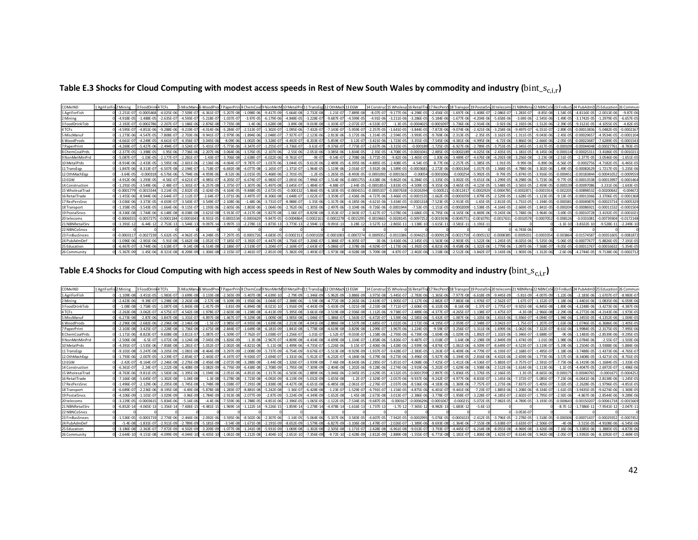| COMxIND         | 1 AgriForFis 2 Mining | 3 FoodD        | 4 TCFs         | 5 MiscMan       | 6 WoodPr       |                |                |                 |                |                | PaperPrini8 ChemCoal9 NonMetM 10 MetalPrd 11 TransEgu 12 OthMach 13 EGW |                               | 14 Construc                   |                | 15 Wholesa 16 RetailTra |                | 17 RecPersS 18 Transport 19 Postal Sr |                | 20 telecom 21 NBNRetz |                | 22 NBNCoSt 23 FinBus       |               |                 |                 |                |
|-----------------|-----------------------|----------------|----------------|-----------------|----------------|----------------|----------------|-----------------|----------------|----------------|-------------------------------------------------------------------------|-------------------------------|-------------------------------|----------------|-------------------------|----------------|---------------------------------------|----------------|-----------------------|----------------|----------------------------|---------------|-----------------|-----------------|----------------|
| 1 AgriForFish   | $-2.251E-0$           | $-0.000546$    | $-4.025E - 0$  | $-7.509E - 0$   | $-6.361E-0$    | $-5.207E - 08$ | $-1.098E$      | $-9.417F - 09$  | $-5.664E-08$   | $-2.732E-0$    | $-1.21E-07$                                                             | $-7.889E - 08$                | $-8.07E - 07$                 | $-9.177F - 0$  | $-4.298F - 05$          | $-2.456E-0$    | $-1.697E - 06$                        | $-1.408F - 0$  | $-2.086E - 07$        | $-1.283E - 07$ | $-8.85E-08$                | $-1.54F - 0$  | $-4.8116E-05$   | $-2.0013F - 0f$ | $-9.87E - 06$  |
| 2 Mining        | $-4.918E - 05$        | $1.488F - 05$  | $-2.635E-$     | $-4.593E - 0$   | $-5.218E - 0$  | $-1.037E-0$    | $-3.97E-0$     | $-6.179E-06$    | $-4.848E - 05$ | $-3.228E - C$  | $-9.687E - 07$                                                          | $-4.599E - 05$                | $-4.91E - 06$                 | $-3.211E - 0$  | $-3.286F - 05$          | $-5.184E - 06$ | $-1.677E-06$                          | $-4.204E - 0$  | $-5.658E - 06$        | $-3.69E - 06$  | $-2.545E - 06$             | $-1.49E - 0$  | $-3.1742E-05$   | $-1.2979E - 05$ | $-6.657E-05$   |
| 3 FoodDrinkTob  | $-2.192E-0$           | $-0.000278$    | $-2.207E$      | $-1.186E - 06$  | $-2.876F - 0$  | $-7.735E - 08$ | $-1.4F - 0$    | $-1.628F - 08$  | $-3.89F - 08$  | $-9.019F - C$  |                                                                         | $-2.072F - 0$                 | $-4.533F - 07$                | $-1.3F - 05$   | $-0.0004025$            | $-0.000109$    | $-1.736F - 06$                        | $-2.914F - 06$ | $-3.92F - 06$         | $-2.192F - 06$ | $-1.512E-06$               | $-2.39F - 0$  | $-9.3121F - 05$ | $-4.1055E-05$   | $-4.82E-05$    |
| 4 TCFs          | $-4.595E-0$           | $-4.851E - 06$ | $-9.288E$      | $-9.219E - 0$   | $-4.014E - 0$  | $-5.284E - 07$ | $-2.513E-0$    | $-1.302E - 0.7$ | $-1.095E-06$   | $-7.432E - 0$  | $-7.143E -$                                                             | $-5.959E-0$                   | $-2.257E - 05$                | $-1.641E-0$    | $-3.844E-0$             | $-7.872E -$    | $-9.074E - 06$                        | $-2.421E - 0$  | $-3.258E - 06$        | $-9.497E-07$   | $-6.551E-0$                | $-2.89E-$     | $-0.00013836$   | $-5.0482E-05$   | $-0.000216$    |
| 5 MiscManu      | $-1.273E - 06$        | $-4.547F - 05$ | $-7.808E - C$  | $-2.703E - 06$  | $-9.941E - 0$  | $-2.979E - 06$ | $-1.894E - 0$  | $-2.048E - 07$  | $-7.927E-07$   | $-2.123E-0$    | $-2.813E-06$                                                            | $-3.172E - 06$                | $-1.314E - 05$                | $-2.594E-0$    | $-3.993E - 05$          | $-9.769E - 06$ | $-2.313E-05$                          | $-2.35E-0.$    | $-3.162E - 05$        | $-1.311E-05$   | $-9.043E - 06$             | $-2.45E - 0$  | $-0.0002965$    | $-4.9534E-05$   | $-0.000110$    |
| 6 WoodProds     | $-4.661E-0$           | $-4.249E - 05$ | $-4.661E$      | $-4.356E - 0.7$ | $-3.045E - 06$ | $-8.09E - 06$  | $-1.002E-$     | $-3.328E - 07$  | $-4.492E-07$   | $-8.203E-0$    | $-5.859E-07$                                                            | $-3.12E - 0.7$                | $-3.421E - 06$                | $-1.723E - 05$ | $-3.355E-05$            | $-7.545E - 06$ | $-4.381E-06$                          | $-4.995E - 06$ | $-6.72E-06$           | $-3.866E-06$   | $-2.666E - 06$             | $-2.05E-0$    | $-0.00023687$   | $-7.6289E - 05$ | $-0.000154$    |
| 7 PaperPrint    | $-4.269F - 0$         | $-5.427F - 06$ | $-2.494F - 0$  | $-3.524F - 0$   | $-5.431F -$    | $-5.773F - 06$ | $-3.347F - 0$  | $-1.255E-0$     | $-3.736F - 07$ | $-3.61E-0$     | $-9.376F - 0$                                                           | $-7.773F - 0$                 | $-2.637E - 06$                | $-3.315F - 0$  | $-0.000189$             | $-1.725E-0$    | $-6.927E - 06$                        | $-2.789E - 0$  | $-3.753F - 05$        | $-2.345F - 05$ | $-1.617E-0$                | $-0.00010$    | $-0.00044048$   | 0.0002776       | $-8.783F - 0$  |
| 8 ChemCoalPrds  | $-2.377E-0$           | $-1.398E - 05$ | $-1.95E-06$    | $-7.736E - 06$  | $-2.207E - 06$ | $-3.064E - 06$ | $-1.576E-0$    | $-2.107E-06$    | $-2.55E-06$    | $-2.051E-06$   | $-3.085E - 06$                                                          | $-1.834E - 05$                | $-2.35E - 05$                 | $-4.708E - 05$ | $-0.000104$             | $-2.885E-0$    | $-0.0002189$                          | $-4.025E - 06$ | $-2.435E-05$          | $-1.181E-05$   | $-8.145E - 06$             | $-0.0001$     | $-0.0002531$    | $-3.4186E - 05$ | $-0.001021$    |
| 9 NonMetMinPrd  | $-5.087F - 0$         | $-1.03F - 05$  | $-2.177F - 0$  | $-2.281F - 0$   | $-1.43F - 0$   | $-3.706F - 08$ | $-2.638F - 0$  | $-6.022F - 06$  | $-9.761F - 07$ | $-9F - 07$     | $-9.54F - 07$                                                           | $-2.708F - 06$                | $-3.772F - 05$                | $-9.82F - 06$  | $-1.465F - 05$          | $-1.83E-06$    | $-3.489F - 07$                        | $-4.676F - 08$ | $-6.292F - 08$        | $-3.256F - 08$ | $-2.23F - 08$              | $-2.51F - 0$  | $-2.377F - 05$  | $-3.0546F - 06$ | $-1.651F - 05$ |
| 10 MetalPrds    | $-8.914F -$           | $-2.433F$      | $-1.595E -$    | $-2.601E - 06$  | $-2.136E - 0$  | $-4.064E - 07$ | $-9.787E - 0$  | $-1.037E-06$    | $-3.044E-05$   | $-9.612E-0$    | $-2.489E-$                                                              | $-6.395E - 06$                | -4.885E-05                    | $-2.408E - 0.$ | $-4.54E - 05$           | $-8.77E-0$     | $-2.257E-05$                          | $-1.385E-0$    | $-1.91E-05$           | $-9.99E - 00$  | $-6.89E - 0$               | $-6.56E - C$  | $-0.000275$     | $-4.7182E - 05$ | $-6.465E-0$    |
| 11 TransEgo     | $-1.847E - 06$        | $-8.313E - 0$  | $-6.507E-08$   | $-2.194E - 0.7$ | $-1.718E - 0$  | $-6.692E - 08$ | $-4.077E - 08$ | $-1.165E-07$    | $-1.371E-07$   | $-1.964E-0.$   | $-1.119E-06$                                                            | $-2.016E - 0.7$               | $-3.932E - 06$                | $-1.589E - 05$ | $-0.000368$             | $-2.272E-06$   | $-0.000136$                           | $-1.017E-05$   | $-1.368E - 05$        | $-4.788E - 06$ | $-3.302E - 06$             | $-1.49E-0.$   | $-0.00082629$   | $-1.7217E-05$   | $-5.235E-06$   |
| 12 OthMachEgp   | $-3.64F - 0$          | $-0.0003$      | $-6.576F - 06$ | $-5.794F - 06$  | $-4.959F - 0f$ | $-8.52F - 06$  | $-2.015F - 0$  | $-5.468F - 06$  | $-2.701F - 05$ | $-1.2E-0$      | $-1.265F - 05$                                                          | $-8.493F - 05$                | $-0.000109$                   | $-0.000156$    | $-0.00054$              | $-0.000106$    | $-0.00025$                            | $-5.992E-0$    | $-9.79F - 05$         | $-5.874F - 05$ | $-3.916F - 05$             | $-0.00045$    | $-0.00183844$   | $-0.00041052$   | $-0.0009559$   |
| 13 EGW          | $-4.912E - 06$        | $-1.293E - 05$ | $-4.56E - 0$   | $-4.621E - 0$   | $-4.985E - 0$  | $-4.205E-07$   | $-6.674E - 0$  | $-6.983E-0$     | $-2.691E-06$   | 7.996E-0       | $-1.514E - 06$                                                          | $-0.000175$                   | $-4.638E - 06$                | $-9.862E - 0$  | $-6.284E - 05$          | $-1.335E-0$    | $-3.002E - 05$                        | $-9.651E - 0$  | $-1.299E-05$          | $-8.298E - 06$ |                            | $-9.77F - 0$  | $-0.00013538$   | $-0.00013997$   | $-0.000146$    |
| 14 Construction | $-1.291E-05$          | $-3.549F - 06$ | $-2.48E - 07$  | $-1.301E - 0.7$ | $-6.257E - 08$ | $-1.375F - 07$ | $-1.307F - 0$  | $-5.497F - 08$  | $-3.645E-07$   | $-1.484E - 0$  | $-4.88F - 07$                                                           | $-2.44E-05$                   | $-0.000185$                   | $-3.833E - 05$ | $-4.509E - 05$          | $-9.355E - 06$ | $-3.465E - 05$                        | $-4.123E-0$    | $-5.548F - 05$        | $-3.565E-05$   | $-2.459F - 0$              | $-0.0001$     | -0.00097086     | $-3.231E-06$    | $-1.643E-05$   |
| 15 WholesalTrad | $-0.00017$            | $-0.001554$    | $-3.214E -$    | $-2.832E-0$     | $-2.424E - 05$ | $-4.164E - 05$ | $-9.848E - 0$  | $-2.672E-05$    | $-0.000132$    | $-5.866E - C$  | $-6.183E - 05$                                                          | $-0.000415$                   | 0.00053                       | $-0.0007638$   | $-0.002639$             | $-0.0005$      | $-0.00124$                            | $-0.0002929$   | $-0.0004785$          | $-0.000287$    | $-0.000191$                | $-0.00220$    | $-0.00898532$   | 0.0020064       | 0.00467        |
| 16 RetailTrade  | $-1.455F - 06$        | $-8.944E - 06$ | $-2.644E -$    | $-2.112E-0$     | $-2.64E-0$     | $-1.071E - 06$ | $-3.497E - 0$  | $-8.306E-08$    | $-1.648E-07$   | $-1.022E - C$  | $-3.359E - 07$                                                          | $-2.436E - 06$                | $-4.727F - 06$                | $-3.466F - 0$  | $-0.000153$             | $-1.662E-0$    | $-0.0001059$                          | $-1.879E-0$    | $-2.529E-05$          | $-1.628E - 05$ | $-1.123F - 0$              | $-9.13E - 0$  | $-0.00013366$   | $-3.3706E-05$   | $-0.000136$    |
| 17 RecPersSrvc  | $-3.036F - 06$        | $-3.373F - 05$ | $-4.659E - 07$ | $-3.543E - 07$  | $-3.549F - 0$  | $-2.108E - 06$ | $-1.48F - 06$  | $-3.731E-07$    | $-8.988E-07$   | $-1.35E-06$    |                                                                         | $-1.317E - 06$ $-4.185E - 06$ | $-4.621E - 06$ $-3.434E - 05$ |                | $-0.0001318$            | $-7.523E-05$   | $-2.913E-05$                          | $-1.65E-05$    | $-2.813E-05$          | $-1.731F - 05$ | $-1.194E - 05$             | $-0.00038$    | $-0.00049876$   | $-0.0002371$    | $-0.0005329$   |
| 18 Transport    | $-1.358E - 05$        | $-3.543F - 0$  | $-1.664E-06$   | $-9.115E - 0$   | $-1.193E - 06$ | $-2.605E-06$   | $-1.803E - 0$  | $-1.064E-06$    | $-2.762E-06$   | $-1.305E - 06$ | $-2.497E-06$                                                            | $-3.104E - 06$                | $-9.726E - 06$                | $-0.0001944$   | $-7.53E - 05$           | $-1.151E-$     | $-0.0002009$                          | $-1.538E - 0$  | $-4.164F - 05$        | $-2.669E - 05$ | $-1.841F - 0$ <sup>e</sup> | $-0.0002$     | $-0.00086921$   | $-0.00011532$   | $-0.000150$    |
| 19 Postal Srvcs | $-8.336E - 08$        | $-1.744F - 06$ | $-6.148E - 08$ | $-8.038E - 08$  | $-3.621E - 08$ | $-5.913E-07$   | $-4.217E-08$   | $-5.827E-08$    | $-1.06E-07$    | $-8.829E-0$    | $-3.353F - 07$                                                          | $-2.943E-07$                  | $-5.427E - 0$                 | $-5.078E - 06$ | $-3.686E - 05$          | $-6.795E-$     | $-4.165E-06$                          | $-6.869E - 0$  | $-9.243E - 06$        | $-5.748F - 06$ | $-3.964F - 06$             | $-3.69F - C$  | $-0.00010728$   | $-3.4192E - 05$ | $-0.000102$    |
| 20 telecoms     | $-0.000655$           | $-0.005727$    | $-0.0001184$   | $-0.000104$     | $-8.931F - 0$  | $-0.0001534$   | $-0.000362$    | $-9.847F - 05$  | $-0.0004864$   | $-0.000216$    | $-0.0002278$                                                            | $-0.001529$                   | $-0.001966$                   | 5 -0.002814    | $-0.009725$             | $-0.00191$     | $-0.004575$                           | $-0.001079'$   | $-0.0017631$          | $-0.0010578$   | $-0.000705$                | $-0.0081$     | $-0.033108$     | $-0.00739304$   | $-0.0172148$   |
| 21 NBNRetailSrv | $-1.391E-1$           | $-6.44E-1$     | $-2.753E-13$   | $-1.544E-13$    | $-9.097E-2$    | $-3.997E-13$   | $-2.278E - 1$  | $-1.873E-13$    | $-3.773E-13$   | $-2.594E-1$    | $-9.091E-13$                                                            | $-3.28E - 12$                 | $-3.527E - 1$                 | $-2.865E-11$   | $-1.138E-10$            | $-1.615E-2$    | $-3.581E-1$                           | $-1.191E-1$    |                       |                |                            | $-1.1E-1$     | $-3.8322E-10$   | $-9.528E-1$     | $-2.249E-10$   |
| 22 NBNCoSrvcs   |                       |                |                |                 |                |                |                |                 |                |                |                                                                         |                               |                               |                |                         |                |                                       |                |                       | $-6.743E - 06$ |                            |               |                 |                 |                |
| 23 FinBusSrvces | $-0.00031$            | $-0.002723$    | $-5.632E - 05$ | $-4.962E - 05$  | $-4.248F - 0$  | $-7.297E - 05$ | $-0.000172$    | $-4.683F - 05$  | $-0.000231$    | $-0.000102$    | $-0.0001083$                                                            | $-0.0007274$                  | $-0.000935$                   | $-0.0013386$   | $-0.0046252$            | $-0.00091$     | $-0.0021759$                          | $-0.000513$    | $-0.0008385$          | $-0.000503$    | $-0.0003354$               | $-0.00386$    | $-0.01574587$   | $-0.00351605$   | $-0.008187$    |
| 24 PubAdmDet    | $-1.096F - 06$        | $-2.901F - 06$ | $-5.91F$       | $-5.662F - 08$  | $-1.052F - C$  | $-7.185E - 07$ | $-3.392E - C$  | $-4.447F - 08$  | $-1.756F - 07$ | $-3.206E - C$  | $-1.386F - 0.$                                                          | $-6.305E - 0$                 |                               | $-3.416F - 06$ | $-2.145F - 05$          | $-1.563E-$     | $-2.903F - 05$                        | $-1.522E-06$   | $-1.245F - 05$        | $-8.025F - 06$ | $-5.535F - 06$             | $-5.06F - 0$  | $-0.0007747$    | $-5.8826F - 05$ | $-7.191E-0$    |
| 25 Education    | $-6.467E - 0$         | $-3.744F - 06$ | $-1.618E-0$    | $-9.14E - 08$   | $-6.514E - 08$ | $-2.186E - 07$ | $-2.519E - C$  | $-1.204E - 07$  | $-2.169E-07$   | $-2.643E-0$    | $-5.086E - 07$                                                          | $-2.378E - 06$                | $-4.929E - 07$                | $-1.173E - 06$ | $-1.392E - 05$          | $-6.821E -$    | $-9.458E - 06$                        | $-1.322E - 06$ |                       | $-1.097E-06$   | $-7.568E - 0$              | $-9.05E-0$    | $-0.00011767$   | 0.0001663       | $-5.354E-05$   |
| 26 Community    | $-5.367E-09$          | $-1.45F - 06$  | $-8.321E-$     | $-8.209E - 09$  | $-1.306E - 08$ | $-2.155E-07$   | $-2.461E - 0$  | $-2.851E-09$    | $-5.382E - 09$ | $-1.493E-0$    | $-1.973E-08$                                                            | $-4.928E - 08$                | $-5.709F - 08$                | $-4.87F - 0$   | $-2.402E - 06$          | $-1.218E-$     | $-2.512E - 06$                        | $-3.842E-0$    | $-3.143F - 06$        | $-1.903E-06$   |                            | $-2.65 - 0.0$ | $-4.2744F - 05$ | $-9.7138F - 06$ | $-0.000271$    |

Table E.3 Shocks for Cloud Computing with modest access speeds in Rest of New South Wales by commodity and industry ( $bin\_s_{c,i,r}$ )

# Table E.4 Shocks for Cloud Computing with high access speeds in Rest of New South Wales by commodity and industry ( $bin\_s_{c,i,r}$ )

| COMxIND         | 1 AgriForFis 2 Mining | 3 FoodDrink    | 4 TCFs         |                | 5 MiscManu6 WoodProd 7 PaperPrin |                | 8 ChemCoall 9 Non Met M |                | 10 MetalPrd 11 TransEgu |                | 12 Oth Mach 13 EGW |                | 14 Constru     | d 15 Wholesal 16 RetailT |                | 17 RecPersS 18 Transpor |                | 19 PostalSrv 20 telecom: |                | NBNRet          |                |               |                 |                 |                |
|-----------------|-----------------------|----------------|----------------|----------------|----------------------------------|----------------|-------------------------|----------------|-------------------------|----------------|--------------------|----------------|----------------|--------------------------|----------------|-------------------------|----------------|--------------------------|----------------|-----------------|----------------|---------------|-----------------|-----------------|----------------|
| 1 AgriForFish   | $-1.109E - 0$         | $-3.451F - 05$ | $-1.983E-07$   | $-3.699E - 0$  | $-3.133F - 08$                   | $-2.565E-09$   | $-5.407F - 08$          | $-4.639F-10$   | $-2.79E-09$             | $-1.346E - 09$ | $-5.962E-09$       | $-3.886E - 09$ | $-3.975E - 08$ | $-5.445E - 07$           | $-2.783E - 0$  | $-1.365E-06$            | $-7.977E - 08$ | $-6.618E - 09$           | $-9.445F - 09$ | $-5.81E-09$     |                | 1.22E-0       | $-2.183F - 06$  | $-1.6707F - 07$ | $-8.983E-0$    |
| 2 Mining        | $-2.423F - 0$         | $-9.39F - 07$  | $-1.298F - 08$ | $-2.263E - 08$ | $-2.57E-08$                      | $-5.109E - 09$ | $-1.956F - 06$          | $-3.044E-0$    | $-2.388F - 06$          | $-1.59F - 08$  | $-4.772E-08$       | $-2.265E-06$   | $-2.419E - C$  | $-1.905E - 0$            | $-2.127E-0$    | $-2.882E-07$            | $-7.883E - 08$ | $-1.976F - 0$            | $-2.562F - 07$ | $-1.67F - 0.7$  | 1.152F-07      | $-1.18F - 0$  | $-1.4401F - 06$ | $-1.0835F - 0f$ | $-6.059F - 0f$ |
| 3 FoodDrinkTob  | $-1.08E - 0$          | $-1.758E - 05$ | $-1.087E-08$   | $-5.843F - 08$ | $-1.417E-09$                     | $-3.81E-09$    | $-6.894E-08$            | $-8.021E-10$   | $-1.916E-09$            | $-4.443E-09$   | $-5.433E - 09$     | $-1.021E - 08$ | $-2.233E - 08$ | $-7.711E-0$              | $-2.606E-0$    | $-6.102E - 06$          | $-8.16E-08$    | $-1.37E-0$               | $-1.775E-07$   | $-9.925E-08$    | $-6.845E-08$   | $-1.89E-0$    | $-4.2248F - 06$ | $-3.4273E-06$   | $-4.387E - 06$ |
| 4 TCFs          | $-2.263E - 0$         | $-3.062F - 07$ | $-4.575E-07$   | $-4.542F - 08$ | $-1.978E-07$                     | $-2.603E-08$   | $-1.238E - 08$          | $-6.413E-09$   | $-5.395E-08$            | $-3.661E-08$   | $-3.519E-08$       | $-2.936E - 08$ | $-1.112E-06$   | $-9.738E - 07$           | $-2.489E - 06$ | $-4.377E-07$            | $-4.265E - 07$ | $-1.138E - 0$            | $-1.475E-07$   | $-4.3E-08$      | $-2.966E - 08$ | $-2.29E - 00$ | $-6.2772E-06$   | $-4.2143E - 06$ | $-1.973E-05$   |
| 5 MiscManuf     | $-6.273E - 0$         | $-2.87F - 06$  | $-3.847E-08$   | $-1.331E - 0$  | $-4.897E-08$                     | $-1.467E-07$   | $-9.329E - 08$          | $-1.009E-08$   | $-3.905E-08$            | $-1.046E-07$   | $-1.386E - 07$     | $-1.563E - 07$ | $-6.472E - 0$  | $-1.539E - 06$           | $-2.585E - 06$ | $-5.432E-07$            | $-1.087E - 06$ | $-1.105E-06$             | $-1.431E-06$   | $-5.936E - 07$  | $-4.094E-07$   | $-1.94E - 06$ | $-1.3455E-05$   | $-4.1352E-06$   | $-1.004E-05$   |
| 6 WoodProds     | $-2.296F - 0$         | $-2.682F - 06$ | $-2.296F - 08$ | $-2.146F - 08$ | $-1.5E-07$                       | $-3.985F - 07$ | $-4.935F - 08$          | $-1.639E-08$   | $-2.213E-08$            | $-4.041F - 08$ | $-2.886E-08$       | $-1.537F - 08$ | $-1.685E - 0$  | $-1.022E - 06$           | $-2.172E-06$   | $-4.195F - 07$          | $-2.059E - 07$ | $-2.348E - 0$            | $-3.042F-07$   | $-1.75E-0$      | $-1.207E-0$    | $-1.63F - 00$ | $-1.0746F - 05$ | $-6.3686F - 06$ | $-1.405F - 05$ |
| 7 PaperPrint    | $-2.103E - 00$        | $-3.425F - 07$ | $-1.228F - 08$ | $-1.736E - 08$ | $-2.675F - 08$                   | $-2.844E - 07$ | $-1.649E-08$            | $-6.181F - 09$ | $-1.841E-08$            | $-1.778E-08$   | $-4.619E-08$       | $-3.829E - 08$ | $-1.299E - C$  | $-1.967E - 06$           | $-1.224E - 05$ | $-9.59E - 07$           | $-3.256E - 07$ | $-1.311E-06$             | $-1.699E-06$   | $-1.062F - 06$  | $-7.322E - 07$ | $-8.61E - 06$ | $-1.9984F - 05$ | $-2.3175E-05$   | $-7.995E-06$   |
| 8 ChemCoalPrds  | $-1.171F - 0$         |                | $-9.608F - 08$ | $-3.811F - 0$  | $-1.087F$                        | $-1.509F - C$  | 7.762F-0                | $-1.038F - 0$  | $-1.256F - 0$           | $-1.01F - 07$  | $-1.52F - 0$       | $-9.033F - 07$ | $-1.158F - 0$  | $-2.793F - 06$           | $-6.739F - 0$  | $-1.604F - 06$          | $-1.029F - 05$ | $-1.892F - 0$            |                | $-5.346F - 0.7$ | $-3.688F - 0$  | $-9F - 00$    | $.1483F - 05$   | $-2.8539F - 06$ | $-9.295F - 0$  |
| 9 NonMetMinPro  | $-2.506E - 00$        | $-6.5E-07$     | $-1.072E - 08$ | $-1.124E-08$   | $-7.045E - 09$                   | $-1.826E - 09$ | $-1.3E-08$              | $-2.967E-0$    | $-4.809E-08$            | $-4.434E-08$   | $-4.699E - 08$     | $-1.334E - 07$ | $-1.858E - 06$ | $-5.826E - 0$            | $-9.487E - 0$  | $-1.018E-07$            | $-1.64E-08$    | $-2.198E - 09$           | $-2.849E-09$   | $-1.474E-09$    | $-1.01E-09$    | $-1.98E - 0$  | $-1.0784E - 06$ | $-2.55E-0$      | 1.503E-06      |
| 10 MetalPrds    | $-4.391E - 0$         | $-1.535F - 06$ | $-7.858E - 08$ | $-1.281E - 0$  | $-1.052E-07$                     | $-2.002E-08$   | $-4.821E - 08$          | $-5.11E-08$    | $-1.499E-06$            | $-4.735E-07$   | $-1.226E - 06$     | $-3.15E - 07$  | $-2.406E - 06$ | $-1.428E - 06$           | $-2.939E - 06$ | $-4.876E-07$            | $-1.061E-06$   | $-6.509E-0$              | $-8.649E-07$   | $-4.523E-07$    | $-3.119E-07$   | $-5.19E - 0$  | $-1.2504E - 05$ | $-3.9388E - 06$ | $-5.884E - 06$ |
| 11 TransEgp     | $-9.101F - 0$         | $-5.247F - 08$ | $-3.205F - 09$ | $-1.081F - 08$ | $-8.464F - 09$                   | $-3.297E - 09$ | $-2.008F$               | $-5.737E-09$   | $-6.754E-09$            | $-9.676E - 07$ | $-5.513E-08$       | $-9.929E - 09$ | $-1.937E - C$  | $-9.428F - 0$            | $-2.383E-0$    | $-1.263E-07$            | $-6.409E - 06$ | $-4.779E-0$              | $-6.193E-07$   | $-2.168E - 07$  | $-1.495F - 0$  | $-1.18F - 0$  | $-3.7488F - 05$ | $-1.4373F - 06$ | $-4.765F - 0$  |
| 12 OthMachEop   | $-1.793E - 0$         |                | $-3.239E - 07$ | $-2.854E - 0$  | $-2.443F - 07$                   | $-4.197E-07$   | $-9.926E - C$           | $-2.694E-07$   | $-1.331E-06$            | $-5.912E-07$   | $-6.232E-07$       | $-4.184E - 06$ | $-5.379E - 06$ | $-9.273E - 06$           | $-3.496E - 05$ | $-5.927E-06$            | $-1.194E-05$   | $-2.816E-06$             | $-4.432F - 06$ | $-2.659E-06$    | $-1.773F - 06$ | $-3.57E-0$    | $-8.3408F - 05$ | $-3.4271E-05$   | $-8.701E-05$   |
| 13 EGW          | $-2.42E - 0$          | $-8.164F - 07$ | $-2.246F - 0F$ | $-2.276E - 0$  | $-2.456E - 08$                   | $-2.072E - 08$ | $-3.288E - 08$          | $-3.44E-08$    | $-1.326E-0$             | $-3.939E-08$   | $-7.46E - 08$      | $-8.643E - 06$ | $-2.285E - 0$  | $-5.851E-0$              | $-4.068E - 0$  | $-7.425E-07$            | $-1.411E-06$   | $-4.536E - 0$            | $-5.883E-0$    | $-3.757E-07$    | $-2.591E-0$    | $-7.73E - 0$  | $-6.1419E - 06$ | $-1.1684F - 05$ | $-1.333F - 0'$ |
| 14 Construction | $-6.361E - C$         | $-2.24F - 07$  | $-1.222E-08$   | $-6.408F - 09$ | $-3.082F - 09$                   | $-6.776E-09$   | $-6.438F - 08$          | $-2.708E - 09$ | $-1.795F - 08$          | $-7.309E - 09$ | $-2.404F - 0F$     | $-1.202F - 06$ | $-9.128E - 06$ | $-2.274E-06$             | $-2.919E - 06$ | $-5.202E - 07$          | $-1.629E - 06$ | $-1.938E - 06$           | $-2.512E-06$   | $-1.614E-06$    | $-1.113F - 06$ | $-1.1F-0$     | $-4.4047F - 05$ | $-2.6972E-0$    | $-1.496E - 06$ |
| 15 WholesalTrad | $-8.763E - 0$         | $-9.811E - 05$ | $-1.583E-06$   | 1.395E-06      | $-1.194E-06$                     | $-2.051E-06$   | $-4.851E - 06$          | $-1.317E-06$   | $-6.503E-06$            | $-2.889E - 06$ | $-3.046E - 06$     | $-2.045E - 05$ | $-2.629E - 05$ | $-4.532E - 05$           | $-0.000170$    | $-2.897E-05$            | $-5.836E - 05$ | $-1.376E-0$              | $-2.166E-05$   | $-1.3E-05$      | $-8.665E - 06$ | $-0.0001$     | $-0.00040765$   | $-0.000167$     | $-0.000425$    |
| 16 RetailTrade  | $-7.166F - 0$         | $-5.645F - 07$ | $-1.302F - 08$ | $-1.04F - 08$  | $-1.3F - 08$                     | $-5.278E - 08$ | $-1.723F - 08$          | $-4.092E-09$   | $-8.119E-09$            | $-5.032E - 09$ | $-1.655E-08$       | $-1.2E-07$     | $-2.329E -$    | $-2.057E - 06$           | $-9.937E - 0$  | $-9.242E - 07$          | $-4.977E-06$   | $-8.833F - 0$            | $-1.145F - 06$ | $-7.372E - 07$  | $-5.085F - 0$  | $-7.23F - 06$ | $-6.0641F - 06$ | $-2.8138F - 06$ | $-1.245F - 0$  |
| 17 RecPersSrvc  | $-1.496E - C$         | $-2.129E - 06$ | $-2.295E-08$   | $-1.745E - 08$ | $-1.748E-08$                     | $-1.038E - 07$ | $-7.291E-08$            | $-1.838E-08$   | $-4.427E-08$            | $-6.651E-08$   | $-6.485E - 08$     | $-2.061E - 07$ | $-2.276E - C$  | $-2.037E - 06$           | $-8.536E - 06$ | $-4.183E-06$            | $-1.369E - 06$ | $-7.757E-0$              | $-1.273E-06$   | $-7.837E-07$    | $-5.405E - 0$  | $-3.02E - 0$  | $-2.2628E - 05$ | $-1.9796E-05$   | $-4.851E-05$   |
| 18 Transport    | $-6.689F - 0$         | $-2.236F - 06$ | $-8.195E-08$   | $-4.49F - 08$  | $-5.878F - 08$                   | $-1.283E - 07$ | $-8.881E - 08$          | $-5.242E-08$   | $-1.36E-07$             | $-6.428E - 08$ | $-1.23E-07$        | $-1.529E - 07$ | $-4.791E - C$  | $-1.154E-05$             | $-4.875E - 06$ | $-6.401E-07$            | $-9.441E - 06$ | $-7.23E - 0$             | $-1.885E-06$   | $-1.208F - 06$  | $-8.334F - 0$  | $-1.61E-0$    | $-3.9435F - 05$ | $-9.6274E - 06$ | $-1.369E - 05$ |
| 19 PostalSrvcs  | $-4.106E - C$         |                | $-3.029E - 09$ | $-3.96E - 09$  | $-1.784E-09$                     | $-2.913E - 08$ | $-2.077E-09$            | $-2.87E-09$    | $-5.224E-09$            | $-4.349E - 09$ | $-1.652E - 08$     | $-1.45E - 08$  | $-2.673E - 08$ | $-3.013E-0$              | $-2.386E - 0$  | $-3.778E-07$            | $-1.958E - 07$ | $-3.228E - 0$            | $-4.185E-0$    | $-2.602E-0$     | $1.795F - 0$   | $-2.92E - 00$ | $-4.867E - 06$  | $-2.8544F - 06$ | $-9.289E - 0$  |
| 20 telecoms     | $-3.229F - C$         | $-0.000361$    | $-5.834F - 0f$ | $-5.14F - 06$  | $-4.4F - 06$                     | $-7.559F - 06$ | $-1.788F - 05$          | $-4.851F - 06$ | $-2.396F - 05$          | $-1.065F - 05$ | $-1.122F - 05$     | $-7.534F - 05$ | $-9.687F - 05$ | $-0.00016$               | $-0.000629$    | $-0.0001067$            | $-0.00021$     | $-5.072F - 05$           | $-7.982F - 05$ | $-4.789F - 05$  | $-3.193F - 05$ | $-0.00064$    | $-0.00150207$   | 0.00061718      | $-0.0015669$   |
| 21 NBNRetailSrv | $-6.852E-1$           | $-4.065E-13$   | $-1.356E - 14$ | $-7.606E - 15$ | $-4.481E-15$                     | $-1.969E - 1$  | $-1.122E-14$            | $-9.226E - 15$ | $-1.859E-14$            | $-1.278E - 14$ | $-4.478E - 14$     | $-1.616E-13$   | $-1.737E-1$    | $-1.7E-12$               | $-7.365E - 1$  | $-8.982E-13$            | $-1.683E-1$    | $-5.6E-1$                |                |                 |                | $-8.7E-1$     | $-1.7386E - 11$ | $-7.9541E-12$   | $-2.047E-1$    |
| 22 NBNCoSrvcs   |                       |                |                |                |                                  |                |                         |                |                         |                |                    |                |                |                          |                |                         |                |                          |                | $-3.053E-0$     |                |               |                 |                 |                |
| 23 FinBusSrvces | $-1.536E - C$         | $-0.00017$     | $-2.774F - 0f$ | $-2.444F - 0$  | $-2.092E-06$                     | $-3.595E - 06$ | $-8.502E - 06$          | $-2.307E-06$   | $-1.14E-05$             | $-5.064E - 06$ | $-5.337E - 06$     | $-3.583E - 05$ | $-4.607E - 05$ | $-7.942E - 05$           | $-0.000299$    | $-5.076E - 05$          | $-0.0001023$   | $-2.412E - 05$           | $-3.796E-05$   | $-2.278E - 05$  | $-1.518E - 05$ | $-0.00030$    | $-0.00071437$   | $-0.00029352$   | $-0.000745$    |
| 24 PubAdmDet    | $-5.4F - 0.$          | $-1.831F - 07$ | $-2.911F - 09$ | $-2.789F - 0$  | $-5.181E-09$                     | $-3.54F - 08$  | $-1.671E-08$            | $-2.191F - 09$ | $-8.652E-09$            | $-1.579E-08$   | $-6.827E - 09$     | $-3.106E - 08$ | $-1.478E - C$  | $-2.026E - 0$            | $-1.389E - 0$  | $-8.693E-08$            | $-1.364E - 06$ | $-7.153F - 0.0$          | $-5.638E - 0$  | $-3.633F - 0$   | $-2.506F - 0$  | $-4F-0$       | $-3.515F - 05$  | $-4.9108F - 06$ | $-6.545E-0$    |
| 25 Education    | $-3.186F - 0$         | $-2.363F - 07$ | $-7.972F - 09$ | $-4.502E - 09$ | $-3.209F - 09$                   | $-1.077F - 08$ | $-1.241E$               | $-5.931F - 09$ | $-1.069E-08$            | $-1.302E-08$   | $-2.505E-08$       | $-1.171F - 07$ | $-2.428E - 08$ | $-6.961E - 08$           | $-9.013E-0$    | $-3.793E-07$            | $-4.445F - 07$ | $-6.214E - 08$           | $-8.055E-08$   | $-4.969E-08$    | $-3.426F - 08$ | $-7.16E - 00$ | $-5.3385F - 06$ | $-1.3885E - 05$ | $-4.873F - 06$ |
| 26 Community    | $-2.644E-10$          | $-9.151E - 08$ | $-4.099E - 09$ | $-4.044E-10$   |                                  | $-1.061E-08$   | $-1.212E-08$            | $-1.404E-10$   | $-2.651E-10$            | $-7.356E-09$   | $-9.72E - 10$      | $-2.428E - 09$ | $-2.812E - 09$ | $-2.889E - 08$           | $-1.555E-0$    | $-6.771E-08$            | $-1.181E-07$   | $-1.806E-08$             |                | $-8.614E-08$    | $-5.942F - 08$ | $-2.05E-0$    | $-1.9392E -$    | $-8.1092E-07$   | $-2.469E - 05$ |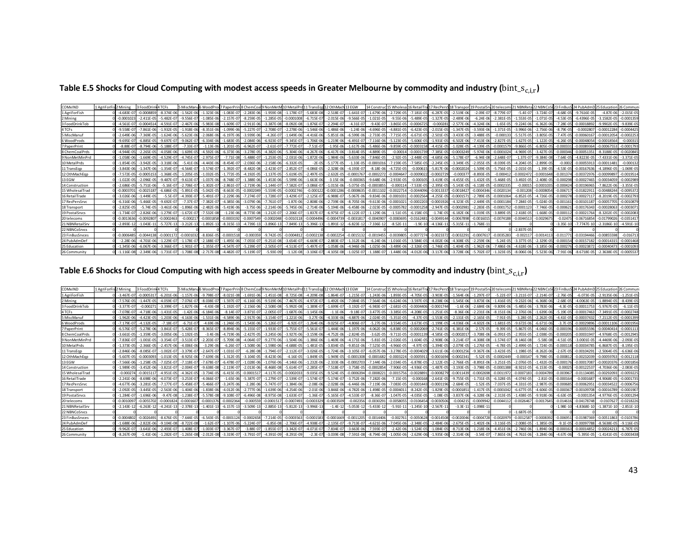| Table E.5 Shocks for Cloud Computing with modest access speeds in Greater Melbourne by commodity and industry ( $bin\_s_{c,i,r}$ ) |  |  |  |  |
|------------------------------------------------------------------------------------------------------------------------------------|--|--|--|--|
|------------------------------------------------------------------------------------------------------------------------------------|--|--|--|--|

| COMxIND         | 1 AgriForFis 2 Mining |                | 3 FoodDri      | 4 TCFs          | 5 MiscMan       |                |                | 5 WoodProd 7 PaperPrint8 ChemCoal 9 NonMetM 10 MetalPrd |                |                | 11 TransEgg 12 OthMach 13 EGW |                |                | 14 Construc    |                |                |                |                |                |                |                |                |              |                 | .115 Wholesal16 RetailTral17 RecPers918 Transport 19 PostalSrv 20 telecoms 21 NBNReta 22 NBNCoSs 23 FinBusS 24 PubAdmD 25 Education | 26 Commun      |
|-----------------|-----------------------|----------------|----------------|-----------------|-----------------|----------------|----------------|---------------------------------------------------------|----------------|----------------|-------------------------------|----------------|----------------|----------------|----------------|----------------|----------------|----------------|----------------|----------------|----------------|----------------|--------------|-----------------|-------------------------------------------------------------------------------------------------------------------------------------|----------------|
| 1 AgriForFish   |                       | $-4.683F - 07$ | $-0.000885$    | $-8.374E-06$    | $-1.562E - 06$  | $-1.323F - 0f$ | $-1.083E-07$   | $-2.283E - 0$                                           | $-1.959F - 08$ | $-1.178E-07$   | $-5.683E - 08$                | $-2.518E-07$   | $-1.641E-0$    | $-1.679E - 06$ | $-2.729E - 05$ | $-7.181E - 05$ | $-6.287E-$     | $-2.519E-06$   | $-2.09E - 0$   | $-8.779E-07$   | $-5.4E-07$     | $-3.724E - 07$ | $-4.68F - 0$ | $-9.7616F - 05$ | $-4.87F - 06$                                                                                                                       | $-2.015E-05$   |
| 2 Mining        |                       | $-0.0001023$   | $-2.411F - 0$  | $-5.482F - 0.7$ | $-9.556F - 0$   | $-1.085F - 0f$ | $-2.157F - 07$ | $-8.259F - 0$                                           | $-1.285F - 05$ | $-0.0001008$   | $-6.715F - 0$                 | $-2.015F - 06$ | $-9.566F - 0$  | $-1.021E -$    | $-9.55F - 06$  | $-5.489F - 0$  | $-1.327F-1$    | $-2.489F - 06$ | $-6.24F-0$     | $-2.381F - 05$ | $-1.553F - 05$ | $-1.071F - 05$ | $-4.53F - 0$ | $-6.4396F - 05$ | $-3.1582F - 05$                                                                                                                     | $-0.000135$    |
| 3 FoodDrinkTob  |                       | $-4.561E-07$   | $-0.000451$    | $-4.591E-07$    | $-2.467E - 06$  | $-5.983E - 08$ | $-1.609E - 07$ | $-2.911E-0$                                             | $-3.387E-08$   | $-8.092E-08$   | $-1.876E - 0$                 | $-2.294E-07$   | $-4.31E - 0.7$ | $-9.43E -$     | $-3.865E - 05$ | $-0.000672$    | $-0.0002$      | $-2.577E-06$   | $-4.324E - 06$ | $-1.65E-05$    | $-9.224E - 06$ | $-6.362E - 06$ | $-7.28E - 0$ | $-0.0001889$    | $-9.9902E-05$                                                                                                                       | $-9.839E - 05$ |
| 4 TCFs          |                       | $-9.558E - 07$ | $-7.861E - 0$  | $-1.932E - 05$  | $-1.918E - 06$  | $-8.351E - 0$  | $-1.099E - 06$ | $-5.227E - C$                                           | $-2.708E - 07$ | $-2.278E - 06$ | $-1.546E - 06$                | $-1.486E - 06$ | $-1.24E - 06$  | $-4.696E - 0$  | $-4.881E - 05$ | $-6.423E - 05$ | $-2.015E -$    | $-1.347E - 05$ | $-3.593E-0$    | $-1.371E-05$   | $-3.996E - 06$ | $-2.756E - 06$ | $-8.79E - 0$ | $-0.000280$     | 0.0001228                                                                                                                           | $-0.000442!$   |
| 5 MiscManuf     |                       | $-2.649F - 06$ | $-7.369E - 0$  | $-1.624E-06$    | $-5.623E - 0$   | $-2.068E - 06$ | $-6.197E-06$   | $-3.939E - 0$                                           | $-4.26E-07$    | $-1.649E-06$   | $-4.416E - 06$                | $-5.851E-06$   | $-6.599E - 06$ | $-2.733E-0$    | $-7.715E - 05$ | $-6.671E-05$   | $-2.501E-$     | $-3.433E - 05$ | $-3.488E - 05$ | $-0.000133$    | $-5.517E-05$   | $-3.805E - 05$ | $-7.47F - 0$ | $-0.00060167$   | $-0.0001205$                                                                                                                        | $-0.000225$    |
| 6 WoodProds     |                       | $-9.695E - 07$ | $-6.885E - C$  | $-9.697E-07$    | $-9.062E - 0$   | $-6.334E - 06$ | $-1.683E - 05$ | $-2.084E - 0$                                           | $-6.923E-07$   | $-9.345E - 07$ | 1.706E-06                     | $-1.219E - 06$ | $-6.491E-07$   | $-7.116E - 06$ | $-5.123E - 05$ | $-5.606E-05$   | $-1.931E - C$  | $-6.502E-06$   | $-7.413E - 06$ | $-2.827E-05$   | $-1.627E-05$   | $-1.122E-05$   | $-6.26E - 0$ | $-0.00048054$   | $-0.00018564$                                                                                                                       | $-0.00031$     |
| 7 PaperPrint    |                       | $-8.88F - 07$  | $-8.794F - 0f$ | $-5.188E - 07$  | $-7.33E - 0$    | $-1.13E-06$    | $-1.201E-05$   | $-6.962E - 0$                                           | $-2.61E-07$    | $-7.772E-07$   | $-7.51E-07$                   | $-1.95E - 06$  | $-1.617E-06$   | $-5.486E - 06$ | $-9.859E - 05$ | $-0.0003158$   | $-4.415E-05$   | $-1.028E - 05$ | $-4.139E-0$    | $-0.000157$    | $-9.866E - 05$ | $-6.805F - 05$ | $-0.0003$    | -0.00089364     | $-0.00067553$                                                                                                                       | $-0.000179$    |
| 8 ChemCoalPrds  |                       | $-4.944F - 05$ | $-2.265F - 0$  | $-4.058F - 06$  | $-1.609E - 05$  | $-4.592F - 06$ | $-6.373F - 06$ | $-3.278E - C$                                           | $-4.382F - 06$ | $-5.304E - 06$ | $-4.267E - 06$                | $-6.417F - 06$ | $-3.814E - 05$ | $-4.889E - 05$ | $-0.00014$     | $-0.0001739$   | $-7.385E-0$    | $-0.0003249$   | $-5.974F - 06$ | $-0.0001024$   | $-4.969E - 05$ | $-3.427F - 05$ | $-0.0003$    | $-0.0005135$    | $-8.3188E - 05$                                                                                                                     | $-0.002084$    |
| 9 NonMetMinPrd  |                       | $-1.058F - 06$ | $1.669F - C$   | $-4.529F - 07$  | $-4.745F - 07$  | $-2.975F - C$  | $-7.71F - 08$  | $-5.488F - 0$                                           | $-1.253F - 05$ | $-2.031E - 06$ | $-1.872F - 06$                | $-1.984F - 06$ | $-5.633F - 0f$ | $-7.846F - 05$ | $-2.92F - 05$  | $-2.448F - 05$ | $-4.685F - 06$ | $-5.178F - 07$ | $-6.94F - 0$   | $-2.648F - 07$ | $-1.37F - 07$  | $-9.384F - 08$ | $-7.64F - 0$ | $-4.8223F - 05$ | $-7.4331F - 06$                                                                                                                     | $-3.371E - 0$  |
| 10 MetalPrds    |                       | $-1.854F - 05$ | $-3.942E - 0$  | $-3.318E - 06$  | $-5.41E - 0$    | $-4.443F - 0f$ | $-8.454E - 07$ | $-2.036E - 0$                                           | $-2.158E - 06$ | $-6.332E - 05$ | $-2E-05$                      |                | $-1.33E - 05$  | $-0.00010$     | $-7.159E - 0$  | $-7.585E-0$    | $-2.245E-1$    | $-3.349E - 05$ | $-2.055E-0$    | $-8.039E - 05$ | $-4.204E - 05$ | $-2.899E - 05$ | $-0.000$     | $-0.0005591$    | $-0.0001148$                                                                                                                        | $-0.00013$     |
| 11 TransEgp     |                       | $-3.843F - 06$ | $-1.347F - 06$ | $-1.354F - 07$  | $-4.564E - 0.7$ | $-3.574F - C$  | $-1.392E - 07$ | $-8.482E - 08$                                          | $-2.423E-07$   | $-2.852E-07$   | 4.086E-05                     | $-2.328E - 06$ | $-4.193F - 07$ | $-8.18E - 06$  | $-4.725E - 05$ | $-0.000615$    | $-5.817E-06$   | $-0.0002024$   | $-1.509E - 05$ | $-5.756E-05$   | $-2.015E-05$   | $-1.39E - 05$  | $-4.53F - 0$ | $-0.00167636$   | $-4.1896F - 05$                                                                                                                     | $-1.069F - 05$ |
| 12 OthMachEgp   |                       | $-7.572E - 05$ | $-0.000515$    | $-1.368E - 05$  | $-1.205E - 05$  | $-1.032E - 05$ | $-1.772F - 05$ | $-4.192E-0$                                             | $-1.137E-05$   | $-5.619E-05$   | $-2.497E-05$                  | $-2.632E - 05$ | $-0.0001767$   | $-0.00022$     | $-0.000464$    | $-0.0009022$   | $-0.00027$     | $-0.00037$     | $-8.893E-05$   | $-0.00041$     | $-0.000247$    | $-0.0001648$   | $-0.0013$    | $-0.00372976$   | $-0.00099897$                                                                                                                       | $-0.001951$    |
| 13 EGW          |                       | $-1.022F - 05$ | $-2.096F -$    | $-9.487F - 0$   | $-9.613F - 0$   |                | $-8.748F - 0$  | $-1.388F - 0$                                           | $-1.453F - 06$ | $-5.599E-06$   | $-1.663E$                     | $-3.15E - 06$  | $-0.00036$     | $-9.648E - 06$ | $-2.933E - 05$ | $-0.00010$     | $-3.419F -$    | $-4.455F - 05$ | $-1.432F - 0$  | $-5.468F - 05$ | $-3.492F - 05$ | $-2.408F - 05$ | $-0.00029$   | $-0.00027465$   | 0.0003405                                                                                                                           | $-0.0002989$   |
| 14 Construction |                       | $-2.686F - 05$ | $-5.751F - 0f$ | $-5.16E-07$     | $-2.706F - 0$   | $-1.302F - C$  | $-2.861E-07$   | $-2.719F - 0$                                           | $-1.144F - 07$ | $-7.582E-07$   | $-3.086E - 0$                 | $-1.015F - 06$ | $-5.075F - 05$ | $-0.000385$    | $-0.000114$    | $-7.533E-0$    | $-2.395E-$     | $-5.143F - 05$ | $-6.118E - 0$  | $-0.0002335$   | $-0.0001$      | $-0.00010$     | $-0.0004$    | $-0.00196969$   | $-7.8622E - 06$                                                                                                                     | $-3.355E-0$    |
| 15 WholesalTrad |                       | $-0.000370$    | 0.002518       | $-6.686E - 05$  | $-5.891E-$      | $-5.042E - 05$ | $-8.663E - 05$ | $-0.000204$                                             | $-5.559E-05$   | $-0.0002746$   | $-0.00012$                    | $-0.0001286$   | $-0.000863$    | $-0.00111$     | $-0.00227$     | $-0.0044096$   | $-0.00133$     | $-0.001842$    | $-0.000434$    | $-0.0020134$   | 0.001208       | $-0.000805$    | $-0.0067$    | $-0.0182291$    | 0.0048824                                                                                                                           | $-0.009537$    |
| 16 RetailTrade  |                       | $-3.026F - 06$ | $-1.449F - 0$  | $-5.5E-0$       | $-4.393E - 0$   | $-5.491E-1$    | $-2.229E - 06$ | $-7.274E - 0$                                           | $-1.728F - 0$  | $-3.429E-0$    | $2.125E - 0$                  | $-6.988E-$     | $-5.067E - 06$ | $-9.834E - 06$ | $-0.000103$    | $-0.0002564$   | $-4.255E-1$    | $-0.00015$     | $-2.789F - 0$  | $-0.000106$    | $-6.852E - 05$ | $-4.726F - 0$  | $-0.0002$    | $-0.0002711$    | $-8.2019E - 05$                                                                                                                     | $-0.000279$    |
| 17 RecPersSrvc  |                       | $-6.316E - 06$ | $-5.466F - 0$  | $-9.692E - 07$  | $-7.37E - 0.7$  | $-7.382E - 0$  | $-4.385E - 06$ | $-3.079E - 0$                                           | $-7.761E-07$   | $-1.87E-06$    | $-2.808E - 06$                | $-2.739F - 06$ | $-8.705E - 06$ | $-9.613E - 06$ | $-0.0001021$   | $-0.000220$    | $-0.000192$    | $-4.323E-05$   | $-2.449F - 0o$ | $-0.0001184$   | $-7.284E - 05$ | $-5.024F - 05$ | $-0.00116$   | $-0.00101187$   | $-0.00057705$                                                                                                                       | $-0.001087$    |
| 18 Transport    |                       | $-2.825E - 05$ | $-5.74F - 0$   | $-3.461E - 06$  | $-1.896E - 06$  | $-2.482E - 06$ | $-5.419E - 06$ | $-3.75E-0$                                              | $-2.214E-06$   | $-5.745E-06$   | $-2.714E-06$                  | $-5.194E - 06$ | $-6.458E - 06$ | $-2.023E - 05$ | $-0.0005782$   | $-0.0001258$   | $-2.947E-0$    | $-0.000298$    | $-2.283E-05$   | $-0.0001752$   | $-0.000112$    | $-7.746F - 05$ | $-0.00062$   | $-0.00176343$   | $-0.0002806$                                                                                                                        | $-0.000307$    |
| 19 Postal Srvcs |                       | $-1.734F - 07$ | $-2.826E - 0$  | $-1.279E - 07$  | $-1.672E-0$     | $-7.532E - 08$ | $-1.23F - 06$  | $-8.773E-0$                                             | $-1.212E-07$   | $-2.206E - 07$ | $-1.837E-0$                   | $-6.975E-07$   | $-6.122E - 07$ | 1.129E-06      | $-1.51E-05$    | $-6.158E - 05$ | $-1.74F - 0$   | $-6.182E - 06$ | $-1.019F - 0$  | $-3.889E - 05$ | $-2.418F - 05$ | $-1.668E - 05$ | $-0.0001$    | $-0.00021764$   | $-8.3202F - 05$                                                                                                                     | $-0.000208$    |
| 20 telecoms     |                       | $-0.0013636$   | $-0.009280$    | $-0.0002463$    | $-0.00021$      | -0.000185      | $-0.0003192$   | $-0.000754$                                             | $-0.0002048$   | $-0.0010111$   | $-0.000449$                   | $-0.0004739$   | $-0.003181$    | $-0.004090$    | $-0.0083695$   | $-0.0162481$   | $-0.00491$     | $-0.0067898$   | $-0.001601$    | $-0.0074188$   | $-0.0044513$   | $-0.002967$    | $-0.0247$    | $-0.06716854$   | $-0.01799026$                                                                                                                       | $-0.035141$    |
| 21 NBNRetailSrv |                       | $-2.893E-12$   | $-1.043E-1$    | $-5.727E-13$    | $-3.212E-1$     | $-1.892E-1$    | $-8.315E-13$   | $-4.739E - 1$                                           | $-3.896E-1$    | $-7.849E - 13$ | $-5.396E - 1$                 | $-1.891E-12$   | $-6.823E-12$   | $-7.336E -$    | $-8.52E-11$    | $-1.9E-10$     | $-4.136E-1$    | $-5.315E-1$    | $-1.768E - 1$  |                |                |                | $-3.35E-1$   | $-7.7747E-10$   | $-2.3186E-10$                                                                                                                       | $-4.591E-10$   |
| 22 NBNCoSrvcs   |                       |                |                |                 |                 |                |                |                                                         |                |                |                               |                |                |                |                |                |                |                |                |                | $-2.837E - 05$ |                |              |                 |                                                                                                                                     |                |
| 23 FinBusSrvces |                       | $-0.0006485$   | $-0.004417$    | $-0.0001172$    | $-0.000103$     | $-8.836F - C$  | $-0.000151$    | $-0.00035$                                              | $-9.742F - 05$ | $-0.000481$    | $-0.00021$                    | $-0.0002254$   | $-0.0015132$   | $-0.001945$    | $-0.0039805$   | $-0.0077274$   | $-0.00233$     | $-0.003229$    | $-0.000761$    | $-0.0035283$   | $-0.00211$     | $-0.001411$    | $-0.01177$   | $-0.03194466$   | $-0.00855598$                                                                                                                       | $-0.01671$     |
| 24 PubAdmDef    |                       | $-2.28E - 06$  | .701E-0        | $-1.229E - 0$   | $-1.178E - 0$   | $-2.188E-1$    | $-1.495E - 06$ | $-7.055E - 0$                                           | $-9.251E-08$   | $-3.654E-07$   | $-6.669E - C$                 | $-2.883E - 07$ | $-1.312E - 06$ | $-6.24E - 06$  | $-1.016E - 05$ | $-3.584E - 05$ | $-4.002E - 06$ | $-4.308E - 05$ | $-2.259E - 06$ | $-5.24E-05$    | $-3.377E-05$   | $-2.329F$      | $-0.0001$    | $-0.0015718$    | $-0.0001431$                                                                                                                        | $-0.000146$    |
| 25 Education    |                       | $-1.345F - 06$ | $-6.067E - 06$ | $-3.366E - 0.7$ | $-1.901E-07$    | $-1.355E - C$  | $-4.547F - 07$ | $-5.239E - 0$                                           | $-2.505E-07$   | $-4.513E-07$   | $-5.497E-0$                   | $-1.058E - 06$ | $-4.946E - 06$ | $-1.025E - 06$ | $-3.489E - 06$ | $-2.326E - 05$ | $-1.746E - C$  | $-1.404E - 05$ | $-1.962E - 06$ | $-7.486F - 06$ | $-4.618E - 06$ | $-3.185F - 06$ | $-0.0002$    | $-0.00023872$   | 0.0004047                                                                                                                           | $-0.000109$    |
| 26 Community    |                       | $-1.116E-08$   | $-2.349E - 06$ | $-1.731E-07$    | $-1.708E-08$    | $-2.717E-08$   | $-4.482E - 07$ | $-5.119E - 0$                                           | $-5.93E-09$    | $-1.12E-08$    | $-3.106E - 0$                 | $-4.105E$      | $-1.025E - 07$ | $-1.188E - 07$ | $-1.448E - 06$ | $-4.012E - 06$ | $-3.117E-06$   | $-3.728E - 06$ | $-5.702E - 0$  | $-1.323E - 05$ | $-8.006E - 06$ | $-5.523E - 06$ |              |                 | $-2.3638E - 05$                                                                                                                     | $-0.000553$    |

Table E.6 Shocks for Cloud Computing with high access speeds in Greater Melbourne by commodity and industry ( $bin\_s_{c,i,r}$ )

| COMxIND         | L AgriForFis 2 Mining |                | 3 FoodDrink4 TCFs |                |                |                |                | 5 MiscManu6 WoodProd 7 PaperPrin 8 ChemCoal 9 NonMetM 10 MetalPrd |                |                |                          | 11 TransEgg 12 OthMach 13 EGW |                | 14 Constru     |                |                |                |                |                | ic 15 Wholesa 16 RetailTra 17 RecPersS 18 Transport 19 PostalSrv 20 telecoms 21 NBNRet. |                |                |               |                 |                 |                |
|-----------------|-----------------------|----------------|-------------------|----------------|----------------|----------------|----------------|-------------------------------------------------------------------|----------------|----------------|--------------------------|-------------------------------|----------------|----------------|----------------|----------------|----------------|----------------|----------------|-----------------------------------------------------------------------------------------|----------------|----------------|---------------|-----------------|-----------------|----------------|
| 1 AgriForFish   |                       | $-3.467E - 07$ | $-0.00053$        | $-6.201F - 06$ | $-1.157E-0$    | $-9.798F - 07$ | $-8.021E - 08$ | $-1.691E - 06$                                                    | $-1.451E-08$   | $-8.725E-08$   | $-4.209F - 08$           | $-1.864F - 07$                | $-1.215E-07$   | $-1.243E - 06$ | $-1.893E-05$   | $-4.705E-05$   | $-3.903F - 05$ | $-1.564F - 06$ | $-1.297E-07$   | $-5.22F - 07$                                                                           | $-3.211E-07$   | $-2.214E-07$   | $-2.76F - 0$  | $-6.073F - 05$  | $-2.9135F - 06$ | $-1.251F - 0F$ |
| 2 Mining        |                       | $-7.576E - 05$ | $-1.447F - 0$     | $-4.059F - 07$ | $-7.076E - 0$  | $-8.038E - 07$ | $-1.597E-07$   | $-6.116E-05$                                                      | $-9.519E-06$   | $-7.467E - 05$ | $-4.972E-0$              | $-1.492E - 06$                | $-7.084E - 05$ | $-7.564E -$    | $-6.624E - 06$ | $-3.597E-0$    | $-8.238E - 06$ | $-1.545E-06$   | $-3.873E - 06$ | $-1.416E-05$                                                                            | $-9.232E - 06$ | $-6.368E - 06$ | $-2.68E - 0$  | $-4.0063E - 05$ | $-1.8894E - 05$ | $-8.439E - 05$ |
| 3 FoodDrinkTob  |                       | $-3.377F-0$    | 0.00027           | $-3.399F - 07$ | $-1.827F - 0$  | $-4.43F - 08$  | $-1.192F - 07$ | $-2.156F - 06$                                                    | $-2.508F - 08$ | $-5.992F - 08$ | 1.389F-0                 | $-1.699F - 0$                 | $-3.192F - 07$ | $-6.983F -$    | $-2.681F - 05$ | $-0.0004406$   | $-0.0001744$   | $-1.6F - 06$   | $-2.684F - 06$ | $-9.809F - 06$                                                                          | $-5.485F - 06$ | $-3.783F - 06$ | $-4.3F-0$     | $-0.00011753$   | $-5.9767F - 05$ | $-6.11F - 0F$  |
| 4 TCFs          |                       | $-7.078E - 0$  | $-4.718F - 0f$    | $-1.431E-05$   | $-1.42E - 0$   | $-6.184E-06$   | $-8.14E - 07$  | $-3.871E-0$                                                       | $-2.005E-07$   | $-1.687E - 06$ | $-1.145E-06$             | $-1.1E-06$                    | $-9.18E - 07$  | $-3.477E - 0$  | $-3.385E - 05$ | $-4.208E - 05$ | $-1.251E-05$   | $-8.36E - 06$  | $-2.231E - 06$ | $-8.151E-06$                                                                            | $-2.376E-06$   | $-1.639E - 06$ | $-5.19E - 05$ | $-0.00017463$   | $-7.3491E-05$   | $-0.0002748$   |
| 5 MiscManu      |                       | $-1.962E - 06$ | $-4.423E - 05$    | $-1.203E-06$   | $-4.163E - 0$  | $-1.531E-06$   | $-4.589E - 06$ | $-2.917E-06$                                                      | $-3.154E-07$   | $-1.221E-06$   | $-3.27E - 06$            | $-4.333E - 06$                | $-4.887E - 06$ | $-2.024E - 0$  | $-5.351E-05$   | $-4.37E - 05$  | $-1.553E-05$   | $-2.131E-05$   | $-2.165E - 05$ | $-7.91E - 05$                                                                           | $-3.28E - 05$  | $-2.262E - 05$ | $-4.41E-0$    | $-0.00037432$   | $-7.2112E-05$   | $-0.000139$    |
| 6 WoodProds     |                       | $-7.179E - 0$  | $-4.132F - 05$    | $-7.18F - 07$  | $-6.71E-0$     | $-4.69E - 06$  | $-1.246E - 05$ | $-1.543E-06$                                                      | $-5.126E - 07$ | $-6.92E-07$    | $-1.264E - 06$           | $-9.025E - 0$                 | $-4.806F - 07$ | $-5.27E - 06$  | $-3.554E-05$   | $-3.673E-05$   | $-1.199E-05$   | $-4.036E - 06$ | $-4.602F - 06$ | $-1.681F - 05$                                                                          | $-9.672E - 06$ | $-6.671E - 06$ | $-3.7F-0$     | $-0.00029896$   | 0.00011106      | $-0.000195$    |
| 7 PaperPrint    |                       | $-6.576E-0$    | $-5.278F - 0$     | $-3.841F - 0$  | $-5.428E - C$  | $-8.365F - 07$ | $-8.894E - 06$ | $-5.155E-0$                                                       | $-1.933F -$    | $-5.755E-07$   | $-5.561E-07$             | $-1.444F - 06$                | $-1.197E-06$   | $-4.062E - 06$ | $-6.838E - 05$ | $-0.0002069$   | $-2.741E-05$   | $-6.381E-06$   | $-2.57E-05$    | $-9.39F - 05$                                                                           | $-5.867F - 05$ | $-4.046F - 05$ | $-0.0001$     | $-0.00055596$   | $-0.0004041$    | $-0.00011$     |
| 8 ChemCoalPrds  |                       | $-3.661F - 0$  |                   | $-3.005F - 06$ | $-1.192E-0$    | $-3.4F - 06$   | $-4.719F - 06$ | $-2.427F - C$                                                     | $-3.245F - 06$ | $-3.927F - 0f$ | $-3.159E-0$              | $-4.752F - 0f$                | $-2.824E - 05$ | $-3.62E - 0$   | $-9.711E-05$   | $-0.000113$    | $-4.585F - 0$  | $-0.000201$    | $-3.708F - 0$  | $-6.091E-$                                                                              | $-2.955E-05$   | $-2.038F - 05$ | $-0.0002$     | $-0.0003194$    | $-4.9768F - 05$ | $-0.001294$    |
| 9 NonMetMinPrd  |                       | $-7.836E - 0$  | $-1.001F - 0'$    | $-3.354E - 0$  | $-3.513E - C$  | $-2.203E-07$   | $-5.709E-08$   | $-4.064E - 0$                                                     | $-9.277E-06$   | $-1.504E-06$   | $-1.386E - 06$           | $-1.469E - 06$                | $-4.171E - 06$ | $-5.81E - 05$  | $-2.026E - 05$ | $-1.604E-05$   | $-2.908E-06$   | $-3.214E-07$   | $-4.308E - 08$ | $-1.574E-07$                                                                            | $-8.146E-08$   | $-5.58E - 08$  | $-4.51E-0$    | $-3.0001E - 05$ | .4469E-06       | $-2.093E-05$   |
| 10 MetalPrds    |                       | $-1.373F - 05$ | $-2.366E - 0$     | $-2.457E-06$   | $-4.006E - C$  | $-3.29E - 06$  | $-6.26E - 07$  | $-1.508E - 06$                                                    | $-1.598E-06$   | $-4.688E - 05$ | $-1.481E-05$             | $-3.834E - 05$                | $-9.851E - 06$ | $-7.525E - C$  | $-4.966E - 05$ | $-4.97E-05$    | $-1.394E-05$   | $-2.079E - 05$ | $-1.276E - 05$ | $-4.78E - 05$                                                                           | $-2.499E-05$   | $-1.724F - 05$ | $-0.0001$     | $-0.00034785$   | $-6.8687E-05$   | $-8.195E-05$   |
| 11 TransEgp     |                       | $-2.846E - 06$ | $-8.085F - 0$     | $-1.002E-0$    | $-3.379E - 0$  | $-2.647E-07$   | $-1.031E-07$   | $-6.28E - 08$                                                     | $-1.794E-0$    | $-2.112E-0$    | $-3.026E - 05$           | $-1.724E - 06$                | $-3.105E - 07$ | $-6.057E - 06$ | $-3.278E - 05$ | $-0.0004029$   | $-3.611E-06$   | $-0.0001256$   | $-9.367E - 06$ | $-3.423E - 05$                                                                          | $-1.198E - 05$ | $-8.262E - 06$ | $-2.67E-0$    | -0.00104291     | $-2.5064E-05$   | $-6.636E - 06$ |
| 12 OthMachEgo   |                       | $-5.607F - 05$ | $-0.00030$        | $-1.013E-05$   | $-8.925F - 0$  | $-7.639F - 06$ | $-1.312E-05$   | $-3.104F - 05$                                                    | $-8.423E-06$   | $-4.16F - 05$  | $-1.849F - 05$           | $-1.949F - 05$                | $-0.0001308$   | $-0.000168$    | $-0.000322$    | $-0.000591$    | $-0.00016$     | $-0.000234$    | $-5.52E - 05$  | $-0.0002449$                                                                            | 0.000147       | $-9.798F - 05$ | $-0.00081$    | -0.00232039     | $-0.00059763$   | $-0.0012118$   |
| 13 EGW          |                       | $-7.566F - 0$  | $-1.258F - 0$     | $-7.025E - 0$  | $-7.118E - C$  | $-7.678E - 07$ | $-6.478E - 07$ | $-1.028E - 06$                                                    | $-1.076F - 06$ | $-4.146F - 06$ | $-1.232E - 06$           | $-2.333E - 06$                | $-0.000270$    | $-7.144E -$    | $-2.034E - 05$ | $-6.878E - 0$  | $-2.122E-05$   | $-2.766E-05$   | $-8.891F - 06$ | $-3.251E-05$                                                                            | $-2.076E - 05$ | $-1.432F - 05$ | $-0.000$      | $-0.00017087$   | 0.0002037       | $-0.000185$    |
| 14 Construction |                       | $-1.989E - 05$ | $-3.452E - 06$    | $-3.821E - 0$  | $-2.004E - C$  | $-9.638E - 08$ | $-2.119E-07$   | $-2.013E-06$                                                      | $-8.468E - 08$ | $-5.614E - 07$ | $-2.285E - 0$            | $-7.518E - 0$                 | $-3.758E - 05$ | 0.00028        | $-7.906E - 05$ | $-4.936E - 05$ | $-1.487E-05$   | $-3.193E - 05$ | $-3.798E - 05$ | $-0.0001388$                                                                            | $-8.921E-05$   | $-6.153E - 05$ | $-0.000$      | $-0.00122537$   | $-4.7036E - 06$ | $-2.083E-0$    |
| 15 WholesalTrac |                       | $-0.00027$     | $-0.00151$        | $-4.951F - 05$ | $-4.362E - 0$  | $-3.734F - 05$ | $-6.415E - 05$ | $-0.000151$                                                       | $-4.117E-05$   | $-0.0002033$   | $-9.035E - 05$           | $-9.524E - 05$                | $-0.0006394$   | $-0.00082$     | $-0.0015756$   | $-0.002889$    | $-0.000827$    | $-0.0011439$   | $-0.0002698$   | $-0.0011972$                                                                            | $-0.000718$    | $-0.000478$    | $-0.00396$    | $-0.01134085$   | $-0.00292093$   | $-0.0059225$   |
| 16 RetailTrade  |                       | $-2.241F - 06$ | $-8.698F - 06$    | $-4.073F - 07$ | $-3.253E - 0$  | $-4.066E-07$   | $-1.65E-06$    | $-5.387E - 0$                                                     | $-1.279E-07$   | $-2.539E-07$   | $-1.574E-07$             | $-5.174E-07$                  | $-3.752E - 06$ | $-7.282E - 06$ | $-7.15E - 05$  | $-0.000168$    | $-2.641E-05$   | $-9.755E - 05$ | $-1.731E-05$   | $-6.328E - 05$                                                                          | $-4.074E-05$   | $-2.81E - 05$  | $-0.00016$    | $-0.0001687$    | $-4.9068F - 05$ | $-0.000173$    |
| 17 RecPersSrvc  |                       | $-4.677F - 06$ | $-3.281E - 0$     | $-7.177E-07$   | $-5.458E - 0$  | $-5.466E-07$   | $-3.247E - 06$ | $-2.28E - 06$                                                     | $-5.747E-07$   | $-1.384E-06$   | $-2.08E - 06$            | $-2.028E - 06$                | $-6.446E -06$  | $-7.119E - 06$ | $-7.083E - 05$ | $-0.0001443$   | $-0.0001196$   | $-2.684E - 05$ | $-1.52E - 05$  | $-7.037E-05$                                                                            | $-4.331E-05$   | $-2.987E-05$   | $-0.00068$    | $-0.00062951$   | 0.0003452       | $-0.0006756$   |
| 18 Transport    |                       | $-2.092E - 05$ | $-3.445F - 05$    | $-2.563E-06$   | $-1.404E - 0$  | $-1.838E - 06$ | $-4.012E - 06$ | $-2.777E-06$                                                      | $-1.639E-06$   | $-4.254E-06$   | $-2.01E - 06$            | $-3.846E - 06$                | $-4.782E - 06$ | $-1.498E -$    | $-0.0004011$   | $-8.242E - 05$ | $-1.829E-05$   | $-0.0001851$   | $-1.417E-05$   | $-0.0001042$                                                                            | $-6.677E-05$   | $-4.606E - 05$ | $-0.00036$    | $-0.00109708$   | $-0.00016789$   | $-0.000190$    |
| 19 Postal Srvcs |                       | $-1.284F - 0$  | $-1.696F - 00$    | $-9.47F - 08$  | $-1.238F - 0$  | $-5.578F - 08$ | $-9.108E - 07$ | $-6.496E - 08$                                                    | $-8.975F - 08$ | $-1.633E-0$    | $-1.36F - 0.7$           | $-5.165E-0$                   | $-4.533F - 0$  | $-8.36E - C$   | $-1.047E - 05$ | $-4.035F - 0'$ | $-1.08F - 05$  | $-3.837E-06$   | $-6.328F - 0$  | $-2.313F - 05$                                                                          | $-1.438F - 05$ | $-9.918F - 06$ | $-6.63F - 0$  | $-0.000135$     | $-4.9776F - 05$ | $-0.000129$    |
| 20 telecoms     |                       | $-0.001009$    | -0.005570         | $-0.0001824$   | $-0.000160$    | $-0.0001376$   | $-0.0002364$   | $-0.00059$                                                        | $-0.0001517$   | $-0.000749$    | $-0.000332$              | $-0.000350$                   | $-0.002356$    | 0.003029       | $-0.0058059$   | $-0.010645$    | -0.0030506     | $-0.00421$     | $-0.000994$    | $-0.0044112$                                                                            | $-0.0026467$   | $-0.001764$    | $-0.0146$     | $-0.04178748$   | $-0.010762$     | $-0.0218226$   |
| 21 NBNRetailSrv |                       | $-2.143E-1$    | $-6.263E-1$       | $-4.241E-13$   | $-2.378E-$     | $-1.401E-13$   | $-6.157E-13$   | $-3.509E - 1$                                                     | $-2.885E-13$   | $-5.812E-13$   | $-3.996E-13$             | $-1.4E-12$                    | $-5.053E - 12$ | $-5.433E -$    | $-5.91E-1$     | $-1.245E-1$    | $-2.567E-1$    | $-3.3E-11$     | $-1.098E-1$    |                                                                                         |                |                | $-1.98E-$     | $-4.8368E - 10$ | $-1.3871E-10$   | $-2.851E-10$   |
| 22 NBNCoSrvcs   |                       |                |                   |                |                |                |                |                                                                   |                |                |                          |                               |                |                |                |                |                |                |                |                                                                                         | $-1.687F - 0$  |                |               |                 |                 |                |
| 23 FinBusSrvces |                       | $-0.000480$    | -0.002649         | $-8.676E - 05$ | $-7.644E - 0$  | $-6.543E-05$   | $-0.0001124$   | $-0.0002658$                                                      | $-7.214E - 05$ | $-0.0003563$   | $-0.0001583 - 0.0001669$ |                               | $-0.0011205$   | $-0.001440$    | $-0.00276$     | $-0.0050628$   | $-0.001450$    | $-0.0020046$   | $-0.0004728$   | $-0.002097$                                                                             | $-0.0012587$   | $-0.000839$    | $-0.00695$    | $-0.01987369$   | $-0.00511863$   | $-0.010378$    |
| 24 PubAdmDef    |                       | $-1.688E - 06$ | $-2.822E - 00$    | $-9.104E-08$   | $-8.722E-0$    | $-1.62E-07$    | $-1.107E-06$   | $-5.224E - 0$                                                     | $-6.85E-08$    | $-2.706E-0$    | $-4.938E - 0$            | $-2.135E-0$                   | $-9.713E-07$   | $-4.621E - 06$ | $-7.045E - 06$ | $-2.348E - 0$  | $-2.484E-06$   | $-2.675E-05$   | $-1.402E - 0$  | $-3.116E-05$                                                                            | $-2.008E - 05$ | $-1.385F - 05$ | $-9.1E-0$     | $-0.00097788$   | $-8.5638E - 05$ | $-9.116E-0$    |
| 25 Education    |                       | $-9.962F - 07$ | $-3.641F - 06$    | $-2.493F - 07$ | $-1.408E - C$  | $-1.003F - 07$ | $-3.367E - 07$ | $-3.88E - 0$                                                      | $-1.855E-07$   | $-3.342E - 07$ | $-4.071F - 0.7$          | $-7.834E - 07$                | $-3.663E - 06$ | $-7.593E - C$  | $-2.42E - 06$  | $-1.524E-0$    | $-1.084E-05$   | $-8.713E-06$   | $-1.218E - 06$ | $-4.451F - 06$                                                                          | $-2.746E-06$   | $-1.894E - 06$ | $-0.000$      | $-0.00014852$   | $-0.0002421$    | $-6.787E-05$   |
| 26 Community    |                       | $-8.267E-09$   | $-1.41E-06$       | $-1.282E-07$   | $-1.265E - 08$ | $-2.012E-08$   | $-3.319E - 07$ | $-3.791E-0$                                                       | $-4.391E-09$   | $-8.291E-09$   | $-2.3E-07$               | $-3.039E - 08$                | $-7.591E-08$   | $-8.794E - 08$ | $-1.005E - 06$ | $-2.629E - 06$ | $-1.935E-06$   | $-2.314E-06$   | $-3.54E-0$     | $-7.865E - 06$                                                                          | $-4.761E-06$   | $-3.284E - 06$ | $-4.67F - 0$  | $-5.395F - 05$  | $-1.4141E-05$   | $-0.0003438$   |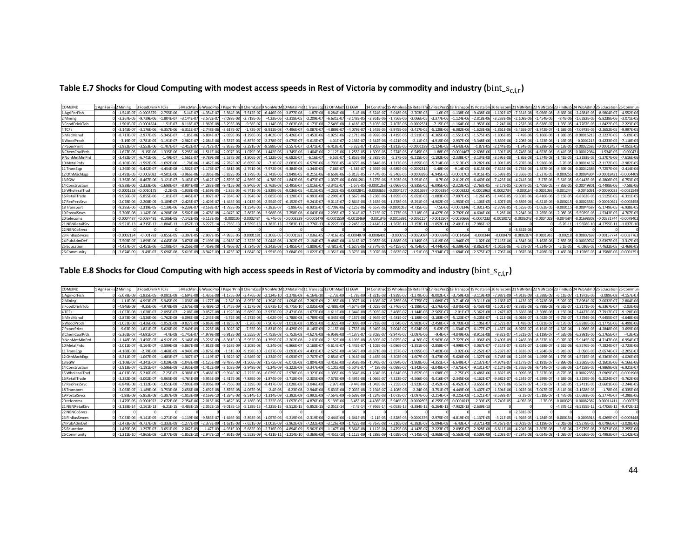|  |  | Table E.7 Shocks for Cloud Computing with modest access speeds in Rest of Victoria by commodity and industry ( $bin\_s_{c,i,r}$ ) |  |  |
|--|--|-----------------------------------------------------------------------------------------------------------------------------------|--|--|
|--|--|-----------------------------------------------------------------------------------------------------------------------------------|--|--|

| COMxIND          | 1 AgriForFis 2 Mining | 3 FoodDr       | 4 TCFs          | 5 MiscManu6 WoodProd 7 PaperPrin |                |                |                |                 | 8 ChemCoal 9 NonMetM 10 Metal Prd 11 TransEod 12 OthMach 13 EGW |                |                |                 | 14 Constru                    | ic 15 Wholesa  | 16 RetailT     | 17 RecPersS 18 Transport 19 Postal Srv 20 telecom |                |                |                |                |                |               |                 |                 |                |
|------------------|-----------------------|----------------|-----------------|----------------------------------|----------------|----------------|----------------|-----------------|-----------------------------------------------------------------|----------------|----------------|-----------------|-------------------------------|----------------|----------------|---------------------------------------------------|----------------|----------------|----------------|----------------|----------------|---------------|-----------------|-----------------|----------------|
| 1 AgriForFish    | $-1.541E - 0$         | $-0.0003579$   | $-2.755E-06$    | $-5.14E - 0$                     | $-4.354F - 07$ | $-3.564E - 08$ | $-7.512E - 0$  | $-6.446E - 09$  | $-3.877E-08$                                                    | $-1.87F - 08$  | $-8.284E - 08$ | $-5.4E - 08$    | $-5.524E - C$                 | $-5.018E - 06$ | $-2.703E-0$    | $-1.6E-05$                                        | $-1.138E - 06$ | $-9.438F - 0.$ | $-1.192E-07$   | $-7.331E-08$   | $-5.056E - 08$ | $-8.66E-0$    | $-2.4681E-05$   | $-8.9804F - 07$ | $-4.552E-06$   |
| 2 Mining         | $-3.367E$             |                | $-1.804E-07$    | $-3.144E - 0$                    | $-3.572E-1$    | $-7.098E - 08$ | $-2.718F - 05$ | $-4.23E - 06$   | $-3.318E - 05$                                                  | $-2.209E - 07$ | $-6.631E - 07$ | $-3.148E - 05$  | $-3.361E - 06$                | $-1.756E - 06$ | $-2.066E-0$    | $-3.377E-06$                                      | $-1.124E-06$   | $-2.818E - 0$  | $-3.233E-06$   | $-2.108E-06$   | $-1.454F - 06$ | $-8.4E-0$     | $-1.6282E - 05$ | $-5.8238E - 06$ | $-3.071E - 05$ |
| 3 FoodDrinkTob   | $-1.501F - 0$         | $-0.000182$    | $-1.51F - 07$   | $-8.118F - 0$                    | 1.969F-08      | $-5.295F - 08$ | $-9.58F - 0$   | $-1.114F - 08$  | $-2.663F - 08$                                                  | $-6.173F - 08$ | $-7.549F - 09$ | $-1.418F - 0.7$ | $-3.103F - 0$                 | $-7.107F - 06$ | $-0.000253$    | $-7.15F - 05$                                     | $-1.164F - 06$ | $-1.953F - 0$  | $-2.24F - 06$  | $-1.252F - 06$ | $-8.638F - 0$  | $-1.35F - 0$  | $-4.7767F - 05$ | $-1.8422F - 05$ | $-2.223E-05$   |
| 4 TCFs           | $-3.145E - 0$         | $-3.176E - 06$ | $-6.357E-06$    | $-6.311E-0$                      | $-2.748F - 06$ | $-3.617E-0$    | $-1.72E - 0$   | $-8.911E-00$    | $-7.496E - 0.$                                                  | $-5.087E - 07$ | $-4.889E - 0$  | $-4.079F - 0$   | $-1.545E - 0$                 | $-8.975E - 06$ | $-2.417E-0$    | $-5.129E - 06$                                    | $-6.082E - 06$ | $-1.623E - 0$  | $-1.861E-06$   | $-5.426E-0$    | $-3.742E - 0$  | $-1.63E - 0$  | $-7.0973F - 05$ | $-2.2652E-05$   | $-9.997E-0$    |
| 5 MiscManuf      | $-8.717E-0$           | $-2.977E-05$   | $-5.345E-07$    | $-1.85E - 06$                    | $-6.804E - 07$ | $-2.039E - 06$ | $-1.296E - 06$ | $-1.402E-0$     | $-5.426E - 07$                                                  | $-1.453E-06$   | $-1.925E - 06$ | $-2.171E-06$    | $-8.992E - 06$                | $-1.419E - 05$ | $-2.511E-0$    | $-6.365E-06$                                      | $-1.551E-05$   | $-1.575E-0$    | $-1.806E-05$   | $-7.49E - 06$  | $-5.166E - 06$ | $-1.38E - 0$  | $-0.00015213$   | $-2.2227E-0$    | $-5.09E-05$    |
| 6 WoodProds      | $-3.19E - 0$          | $-2.781E-05$   | $-3.191E-07$    | $-2.982E - 0$                    | $-2.084E - 06$ | $-5.537E-06$   | $-6.857E-0$    | $-2.278E-0$     | $-3.075E-07$                                                    | $-5.615E-07$   | $-4.01E-07$    | $-2.136E-07$    | $-2.342E - 06$                | $-9.421E - 06$ | $-2.11E-0$     | $-4.915E-06$                                      | $-2.937E - 06$ | $-3.348E - 0$  | $-3.839E - 06$ | $-2.208E - 06$ | $-1.523E-06$   | $-1.16E-0$    | $-0.0001215$    | $-3.4233E - 05$ | $7.118E-05$    |
| 7 PaperPrint     | $-2.922E - C$         | $-3.553F - 06$ | $-1.707F - 0.7$ | $-2.412E - C$                    | $-3.717F - 0$  | $-3.952E - 06$ | $-2.291E$      | $-8.588E - 08$  | $-2.557E-07$                                                    | $-2.471E-07$   | $-6.418E - 0$  | $-5.32E - 0.7$  | $-1.805E - 06$                | $-1.813E-05$   | $-0.0001189$   | $-1.124E-05$                                      | $-4.643E - 06$ | $-1.87E-0$     | $-2.144E-05$   | $-1.34E-05$    | $-9.239F - 06$ | $-6.13E-0$    | $-0.00022595$   | 0.0001245       | $-4.051E-05$   |
| 8 Chem Coal Prds | $-1.627E-0$           | $-9.15E - 06$  | $-1.335E-06$    | $-5.295E - 06$                   | $-1.511E-06$   | $-2.097E - 06$ | $-1.079E - 0$  | $-1.442E-06$    | $-1.745E-06$                                                    | $-1.404E-06$   | $-2.112E-06$   | $-1.255E-05$    | $-1.609E - 05$                | $-2.574E-05$   | $-6.545E-0$    | $-1.88E - 05$                                     | $-0.0001467$   | $-2.698E - 06$ | $-1.391E-05$   | $-6.746E-06$   | $-4.653E - 06$ | $-6.41F-0$    | $-0.00012984$   | $-1.534E-05$    | $-0.00047$     |
| 9 NonMetMinPrd   | $-3.482E - 0$         | $-6.741E - 06$ | $-1.49E - 07$   | $-1.561E-0$                      | $-9.789E - 08$ | $-2.537E-08$   | $-1.806E-0$    | $-4.122E - 06$  | $-6.682E-07$                                                    | $-6.16E-07$    | $-6.53E-07$    | $-1.853E - 06$  | $-2.582E - 05$                | $-5.37E - 06$  | $-9.215E - 06$ | $-1.192E-06$                                      | $-2.338E - 07$ | $-3.134E - 08$ | $-3.595E-08$   | $-1.86E-08$    | $-1.274F - 08$ | $-1.41E-0$    | $-1.2193E - 05$ | $-1.3707E - 06$ | $-7.616E-06$   |
| 10 MetalPrds     | $-6.101F$             | $-1.592F - 05$ | $-1.092F - 0f$  | $-1.78F - 0$                     | $-1.462F - 06$ | $-2.782F - 0$  | -6.699F-0      | $-7.1F - 0$     | $-2.083F - 05$                                                  | $-6.579F-1$    | $-1.703F - 0$  | $-4.377F - 06$  | $-3.344F - 0$                 | $-1.317F - 05$ | $-2.855E-0$    | $-5.714F - 06$                                    | $-1.513F - 05$ | $-9.282F - 0$  | $-1.091F - 05$ | $-5.707F - 06$ | $-3.936F - 06$ | $-3.7F-0$     | $-0.0001413$    | $-2.1172E-0$    | $-2.982F - 0$  |
| 11 TransEgp      | $-1.265E - 0$         | $-5.442E-07$   | $-4.454E-08$    | $-1.502E - 0$                    | $-1.176E-07$   | $-4.581E - 08$ | $-2.791E-08$   | $-7.972E - 08$  | $-9.384E - 08$                                                  | $-1.344E-05$   | $-7.66E - 07$  | $-1.38E - 07$   | $-2.692E - 06$                | $-8.689E - 06$ | $-0.000231$    | $-1.48E - 06$                                     | $-9.14E - 05$  | $-6.815E-06$   | $-7.815E-06$   | $-2.735E-06$   | $-1.887E - 06$ | $-8.39E - 00$ | $-0.00042386$   | $-7.7257E-06$   | $-2.414E - 06$ |
| 12 OthMachEop    | $-2.491F - 0$         | $-0.000208$    | $-4.501E-06$    | $-3.966E - 06$                   | $-3.395F - 06$ | $-5.832E - 06$ | $-1.379F - 05$ | $-3.743F - 06$  | $-1.849E - 05$                                                  | $-8.215E-06$   | $-8.659E - 06$ | $-5.813E - 05$  | $-7.474F - 05$                | $-8.546E - 05$ | $-0.000339$    | $-6.945E-05$                                      | $-0.0001703$   | $-4.016E - 05$ | $-5.593E-05$   | $-3.356E-05$   | $-2.237E-05$   | $-0.0002$     | $-0.00094304$   | $-0.0001842$    | $-0.0004409$   |
| 13 EGW           | $-3.362F - 0$         | $-8.467F - 06$ | $-3.121E - 07$  | $-3.163E - 0$                    |                | $-2.879E-0$    | $-4.569E - C$  | $-4.78E-0$      | $-1.842E - 06$                                                  | $-5.473E-07$   | $-1.037E - 06$ | $-0.000120$     | $-3.175E - 06$                | $-5.393E - 06$ | $-3.951E-0$    | $-8.7E-06$                                        | $-2.012E-05$   | $-6.469F - 0$  | $-7.423E - 06$ | $-4.741E - 06$ | $-3.27F - 06$  | $-5.51F-0$    | $-6.9443F - 05$ | $-6.2806E - 05$ | $-6.753E-05$   |
| 14 Construction  | $-8.838F - 0$         | $-2.323F - 06$ | $-1.698E - 0.7$ | $-8.904F - 08$                   | $-4.283F - 05$ | $-9.415F - 08$ | $-8.946F -$    | $-3.763E - 08$  | $-2.495E-07$                                                    | $-1.016E - 0$  | $-3.341E - 07$ | $-1.67E-05$     | $-0.000126$                   | $-2.096E - 05$ | $-2.835E-0$    | $-6.095E-06$                                      | $-2.323E-05$   | $-2.763E - 05$ | $-3.17E-05$    | $-2.037F - 05$ | $-1.405F - 05$ | $-7.85F - 0$  | $-0.00049801$   | $-1.4498F - 06$ | $-7.58E - 06$  |
| 15 WholesalTrad  | $-0.000121$           | $-0.001017$    | $-2.2E - 05$    | $-1.938E - 0!$                   | $-1.659E - 05$ | $-2.85E - 05$  | $-6.741E - 05$ | $-1.829E - C$   | $-9.036E - 05$                                                  | $-4.015E-05$   | $-4.232E-0.$   | $-0.0002841$    | $-0.00036$                    | $-0.00041$     | $-0.0016597$   | $-0.000339$                                       | $-0.000832$    | $-0.000196$    | $-0.0002734$   | 0.00016        | $-0.000109$    | $-0.00124$    | $-0.0046091$    | 0.0009003       | $-0.0021549$   |
| 16 RetailTrade   | $-9.956E -$           | $-5.855E - 06$ | $-1.81E-07$     | $-1.445E-0$                      | $-1.807E-0$    | $-7.334E - 0$  | $-2.394E -$    | $-5.685E-08$    | $-1.128E-0$                                                     | $-6.993E-08$   | $-2.299E-0$    | $-1.667E - 06$  | $-3.236E - 00$                | $-1.895E - 05$ | $-9.651E-0$    | $-1.083E-05$                                      | $-7.097E - 05$ | $-1.26E-0$     | $-1.445E-05$   | $-9.302E - 06$ | $-6.416F - 06$ | $-5.15E - 0$  | $-6.8563E-05$   | $-1.5125E - 05$ | $-6.311E-05$   |
| 17 RecPersSrvc   | $-2.078F - 0$         | $-2.208F - 05$ | $-3.189F - 07$  | $-2.425F - 0$                    | $-2.429E - 07$ | $-1.443F - 06$ | $-1.013E-06$   | $-2.554E-0$     | $-6.152E-07$                                                    | $-9.241E - 07$ | $-9.011E - 07$ |                 | $-2.864E - 06$ $-3.163E - 06$ | $-1.878F - 05$ | $-8.291E-0$    | $-4.902E-05$                                      | $-1.953E-05$   | $-1.106E - 05$ | $-1.607E-05$   | $-9.889F - 06$ | $-6.821E - 06$ | $-0.0002$     | $-0.00025584$   | $-0.0001064$    | $-0.0002458$   |
| 18 Transport     | $-9.295E - 0$         | $-2.319E - 05$ | $-1.139E-06$    | $-6.239E - 0$                    | $-8.168E - 07$ | $-1.783E-06$   | $-1.234E - 06$ | $-7.283E - 0.7$ | $-1.89E-06$                                                     | $-8.931E-07$   | $-1.709E - 06$ | $-2.125E - 06$  | $-6.657E - 06$                | $-0.000106$    | $-4.735E-05$   | $-7.5E-06$                                        | $-0.0001346$   | $-1.031E-0$    | $-2.379E-05$   | $-1.525E-05$   | $-1.052E - 05$ | $-0.0001$     | $-0.00044587$   | $-5.1749F - 05$ | $-6.938E - 05$ |
| 19 Postal Srvcs  | $-5.706F - 0$         | $-1.142F - 06$ | $-4.208F - 05$  | $-5.502F - 08$                   | $-2.478F - 08$ | $-4.047F - 07$ | $-2.887E - 08$ | $-3.988E-08$    | $-7.258F - 08$                                                  | $-6.043F - 08$ | $-2.295E-0$    | $-2.014E - 07$  | $-3.715F - 0$                 | $-2.777F - 06$ | $-2.318F - 0$  | $-4.427F - 06$                                    | $-2.792E-06$   | $-4.604F - 06$ | $-5.28F - 06$  | $-3.284F - 06$ | $-2.265F - 06$ | $-2.08F - 0$  | $-5.5029F - 05$ | $-1.5343F - 05$ | $-4.707F - 0$  |
| 20 telecoms      | $-0.000448$           | $-0.003749$    | $-8.106F - 05$  | $-7.142F - 0$                    | $-6.113F - 05$ | $-0.00010$     | $-0.0002484$   | $-6.74F-0$      | -0.0003329                                                      | 0.000147       | $-0.000155$    | $-0.0010469$    | $-0.0013$                     | $-0.001539$    | $-0.006115$    | $-0.001250$                                       | $-0.0030666$   | $-0.000723$    | $-0.0010072$   | $-0.000604$    | $-0.000402$    | $-0.00458$    | $-0.01698308$   | $-0.00331744$   | $-0.007940$    |
| 21 NBNRetailSrv  | $-9.521E-13$          | $-4.215E-12$   | $-1.884E - 13$  | $-1.057E-13$                     | $-6.227E-14$   | $-2.736E-1$    | $-1.559E-13$   | $-1.282E-13$    | $-2.583E-13$                                                    | $-1.776E-13$   | $-6.222E-13$   | $-2.245E - 12$  | $-2.414E-1$                   | $-1.567E-1$    | $-7.153E-1$    | $-1.052E-11$                                      | $-2.401E-11$   | $-7.986E - 1$  |                |                |                | $-6.2E-1$     | $-1.9658E - 1$  | $-4.2755E-1$    | $-1.037E-10$   |
| 22 NBNCoSrvcs    |                       |                |                 |                                  |                |                |                |                 |                                                                 |                |                |                 |                               |                |                |                                                   |                |                |                | $-3.852E - 06$ |                |               |                 |                 |                |
| 23 FinBusSrvces  | $-0.00021$            | $-0.001783$    | $-3.855E - 05$  | $-3.397E-0$                      | $-2.907F - 05$ | $-4.995E - 05$ | $-0.00011$     | $-3.206E-05$    | $-0.0001583$                                                    | $-7.036E - 05$ | $-7.416E-05$   | $-0.0004979$    | $-0.000640$                   | $-0.00073$     | $-0.002908$    | $-0.00059$                                        | $-0.0014584$   | $-0.00034$     | $-0.000479$    | $-0.000287$    | $-0.000191$    | $-0.0021$     | $-0.00807698$   | $-0.001577$     | $-0.003776$    |
| 24 PubAdmDet     | $-7.503F - C$         | $-1.899F - 06$ | $-4.045F - 08$  | $-3.876F - 0$                    | $-7.199F - 01$ | $-4.918F - 0$  | $-2.322F -$    | $-3.044F - 08$  | $-1.202F - 0.2$                                                 | $-2.194E - 07$ | $-9.486F - 0F$ | $-4.316F - 0$   | $-2.053F - 06$                | $-1.868F - 06$ | $-1.349E-0$    | $-1.019F - 06$                                    | $-1.946F - 05$ | $-1.02F - 06$  | 7.115F-06      | $-4.584F - 06$ | $-3.162F - 06$ | $-2.85F - 0$  | $-0.00039742$   | $-2.6397F - 05$ | $-3.317F - 0$  |
| 25 Education     | $-4.427E - C$         | $-2.451E-06$   | $-1.108E - 07$  | $-6.256E - 01$                   | $-4.459F - 08$ | $-1.496E-0$    | 1.724E-        | $-8.242E - 08$  | $-1.485E-07$                                                    | $-1.809E - 07$ | $-3.481E - 07$ | $-1.627E - 06$  | $-3.374E - 0$                 | $-6.415E-07$   | $-8.754E-0$    | $-4.444E-06$                                      | $-6.339E - 06$ | $-8.862E-0$    | $-1.016E-06$   | $-6.27E-0$     | $-4.324E - 07$ | $-5.1E-0$     | $-6.036E - 05$  | $-7.4632E - 05$ | $-2.469E - 05$ |
| 26 Community     | $-3.674E - 09$        | $-9.49F - 07$  | $-5.696E-08$    | $-5.619E - 09$                   | $-8.942F - 09$ | $-1.475F - 07$ | $1.684E - 0$   | $-1.951E-09$    | $-3.684E-09$                                                    |                | $-1.351E - 08$ |                 | $-3.907E - 00$                | $-2.663E - 0$  | $-1.51E-06$    | $-7.934E - 07$                                    | $-1.684E - 06$ | $-2.575E-0$    | $-1.796F$      | $-1.087F - 06$ | $-7.498F - 0$  | $1.46F - 0.0$ | $-2.1926E - 05$ | $-4.3588F - 06$ | $-0.000125$    |

# Table E.8 Shocks for Cloud Computing with high access speeds in Rest of Victoria by commodity and industry ( $bin\_s_{c,i,r}$ )

| COMxIND         | 1 AgriForFis 2 Mining | 3 FoodDrink    | 4 TCFs         |                | 5 MiscManu6 WoodProd 7 PaperPrin |                | 8 ChemCoall 9 Non Met M |                | 10 MetalPrd 11 TransEgr |                | 12 OthMach 13 EGW |                | 14 Constru                                                                                                                                                                                                                                                    | c 15 Wholesa 16 RetailT |                | 17 RecPersS 18 Transpor |                | 19 PostalSrv 20 telecom: |                | 21 NBNRet       |                  |               |                 |                 |                |
|-----------------|-----------------------|----------------|----------------|----------------|----------------------------------|----------------|-------------------------|----------------|-------------------------|----------------|-------------------|----------------|---------------------------------------------------------------------------------------------------------------------------------------------------------------------------------------------------------------------------------------------------------------|-------------------------|----------------|-------------------------|----------------|--------------------------|----------------|-----------------|------------------|---------------|-----------------|-----------------|----------------|
| 1 AgriForFish   | $-5.078E - 0$         | $-1.835F - 05$ | $-9.081F - 08$ | $-1.694E - 08$ | $-1.435F - 08$                   | $-1.175E-09$   | $-2.476F - 08$          | $-2.124F-10$   | $-1.278E-09$            | $-6.164E-10$   | $-2.73E-09$       | $-1.78E - 09$  | $-1.821E-08$                                                                                                                                                                                                                                                  | $-1.939E - 07$          | $-1.279E - 0$  | $-8.002F - 07$          | $-3.759E - 08$ | $-3.119E - 09$           | $-7.987E - 09$ | $-4.913E-09$    | $-3.388F - 09$   | $-6.11E-0$    |                 | $-3.089F - 08$  | $-4.157E-07$   |
| 2 Mining        | $-1.11F-0$            | $-4.993F - 07$ | $-5.945F - 09$ | $-1.036F - 08$ | $-1.177F - 08$                   | $-2.34F - 09$  | $-8.957E-0$             | $-1.394E-0$    | $-1.094E-06$            | $-7.282E - 09$ | $-2.185E - 08$    | $-1.037F - 06$ | $-1.108E - C$                                                                                                                                                                                                                                                 | $-6.785E - 08$          | $-9.775E - 0$  | $-1.689E-07$            | $-3.714E-08$   | $-9.311E - 08$           | $-2.166F - 07$ | $-1.413F - 0.7$ | $-9.743F - 08$   | $-5.92F - 0$  | $-7.8981F - 0$  | $-2.0032F - 07$ | $-2.804F - 0f$ |
| 3 FoodDrinkTob  | $-4.946F - 0$         | $-9.35F - 06$  | $-4.978F - 09$ | $-2.676E - 08$ | $-6.489E-1$                      | $-1.745F - 09$ | $-3.157E-08$            | $-3.673F-10$   | $-8.775E-10$            | $-2.035E-09$   | $-2.488E - 09$    | $-4.674F - 09$ | $-1.023E - 08$                                                                                                                                                                                                                                                | $-2.746E - 07$          | $-1.198E-0$    | $-3.576E-06$            | $-3.845E - 08$ | $-6.453E-08$             | $-1.501E-07$   | $-8.392E-08$    | $-5.788F - 08$   | $-9.51E-0$    | $-2.3171E-06$   | $-6.3367E-0$    | $-2.03E - 06$  |
| 4 TCFs          | $-1.037E - 00$        | $-1.628E - 07$ | $-2.095E-07$   | $-2.08E - 08$  | $-9.057E - 08$                   | $-1.192E - 08$ | $-5.669E - 09$          | $-2.937E-09$   | $-2.471E-08$            | $-1.677E-08$   | $-1.611E-08$      | $-1.344E - 08$ | $-5.093E - C$                                                                                                                                                                                                                                                 | $-3.468E - 0$           | $-1.144E-06$   | $-2.565E-07$            | $-2.01E-07$    | $-5.362E - 08$           | $-1.247E-07$   | $-3.636E-08$    | $-2.508E - 08$   | $-1.15E-0$    | $-3.4427E - 06$ | $-7.7917E-07$   | $-9.128E - 06$ |
| 5 MiscManuf     | $-2.873E - 00$        | $-1.526E - 06$ | $-1.762E-08$   | $-6.098E - 08$ | $-2.243E-08$                     | $-6.72E-08$    | $-4.272E-08$            | $-4.62E-09$    | $-1.788E - 08$          | $-4.789E - 08$ | $-6.345E-08$      | $-7.157E-08$   | $-2.964E - 0$                                                                                                                                                                                                                                                 | $-5.481E - 0$           | $-1.188E - 06$ | $-3.183E-07$            | $-5.123E - 07$ | $-5.205E - 0$            | $-1.21E-06$    | $-5.019E - 07$  | $-3.462E - 07$   | $-9.75E-0$    | $-7.3794F - 06$ | $-7.6455E-07$   | $-4.648E - 06$ |
| 6 WoodProds     | $-1.051F - 0$         | $-1.426F - 06$ | $-1.052F - 08$ | $-9.827F - 09$ | $-6.869E - 08$                   | $-1.825E-0$    | $-2.26F - 08$           | $-7.507E-09$   | $-1.013F - 08$          | $-1.851E-08$   | $-1.322E-08$      | $-7.039E - 09$ | $-7.718E - 08$                                                                                                                                                                                                                                                | $-3.64E - 0$            | $-9.983E - 0$  | $-2.458F - 07$          | $-9.703E - 08$ | $-1.106E - 0$            | $-2.572F-07$   | $-1.48E - 0.7$  | $-1.021E-0$      | $-8.17E-0$    | $-5.8938F - 06$ | $-1.1775E-06$   | $-6.499F - 0f$ |
| 7 PaperPrint    | $-9.63E - 0$          | $-1.821F - 07$ | $-5.626E - 09$ | $-7.949F - 09$ | $-1.225F - 08$                   | $-1.302E - 07$ | $-7.55E - 09$           | $-2.831E-09$   | $-8.429E-09$            | $-8.145F - 09$ | $-2.115E-08$      | $-1.753F - 08$ | $-5.949E - 08$                                                                                                                                                                                                                                                | $-7.004E - 07$          | $-5.624E - 06$ | $-5.62E - 07$           | $-1.534E-07$   | $-6.177E-0$              | $-1.437F - 06$ | $-8.976E-07$    | $-6.191E-07$     | $-4.32F - 0$  | $-1.096F - 05$  | $-4.2848E - 06$ | $-3.699E-06$   |
| 8 ChemCoalPrds  | $-5.361F$             | $-4.691F - 0$  | $-4.4F - 08$   | $-1.745F - 0$  |                                  | $-6.912F - 08$ | $-3.555F - C$           | $-4.753F - 08$ | $-5.752F - 08$          | $-4.627F - 08$ | $-6.959F - 08$    |                | $-5.302F - 0.02F - 0.02F - 0.02F - 0.02F - 0.02F - 0.02F - 0.02F - 0.02F - 0.02F - 0.02F - 0.02F - 0.02F - 0.02F - 0.02F - 0.02F - 0.02F - 0.02F - 0.02F - 0.02F - 0.02F - 0.02F - 0.02F - 0.02F - 0.02F - 0.02F - 0.02F - 0.02F - 0.02F - 0.02F - 0.02F - 0$ | $-9.947F - 0$           | $-3.097E - 06$ | $-9.4F - 07$            | $-4.849F - 06$ | $-8.915F - 0$            |                | $-4.521F-0$     | $-3.118F - C$    | $-4.52F - 0$  | $-6.2981F - 06$ | $-5.2765F - 0$  | $-4.3F - 05$   |
| 9 NonMetMinPro  | $-1.148E - 0$         | $-3.456E - 07$ | $-4.912E - 09$ | $-5.146E - 09$ | $-3.226E - 09$                   | $-8.361E-10$   | $-5.952E-09$            | $-1.359E-0$    | $-2.202E-08$            | $-2.03E-08$    | $-2.152E - 08$    | $-6.109E - 08$ | $-8.509E - C$                                                                                                                                                                                                                                                 | $-2.075E - 0$           | $-4.36E - 0$   | $-5.963E-08$            | $-7.727E-09$   | $-1.036E - 09$           | $-2.409E-09$   | $-1.246E-09$    | $-8.537E-10$     | $-9.97E - 0$  | $-5.9145E - 0.$ | $-4.7147E-08$   | $-6.954E-0$    |
| 10 MetalPrds    | $-2.011E - C$         | $-8.164E-07$   | $-3.599E - 08$ | $-5.867E - 08$ | $-4.818E-08$                     | $-9.168E - 09$ | $-2.208E - 08$          | $-2.34E-08$    | $-6.866E-07$            | $-2.168E - 07$ | $-5.614E-07$      |                | $-1.443E - 07$ $-1.102E - 06$                                                                                                                                                                                                                                 | $-5.086E - 07$          | $-1.351E-06$   | $-2.858E-07$            | $-4.998E - 07$ | $-3.067E - 0$            | $-7.314E-07$   | $-3.824E - 07$  | $-2.638E - 07$   | $-2.61E-0$    | $-6.8576E - 06$ | $-7.2824E - 0$  | $-2.723E - 06$ |
| 11 TransEgp     | $-4.168F - 0$         | $-2.79F - 08$  | $-1.468F - 09$ | $-4.949F - 09$ | $-3.876F - 09$                   | $-1.51E-09$    | $-9.198F$               | $-2.627E-09$   | $-3.093E-09$            | $-4.431E-07$   | $-2.525E-08$      | $-4.547F - 09$ | $-8.871E - 08$                                                                                                                                                                                                                                                | $-3.357E-0$             | $-1.095E-0$    | $-7.403E-08$            | $-3.02E - 06$  | $-2.252E-0$              | $-5.237E-07$   | $-1.833F - 0.7$ | $-1.264E - 0$    | $-5.91E-0$    | $-2.056F - 05$  | $-2.6574F - 07$ | $-2.205E - C$  |
| 12 OthMachEop   | $-8.211E-$            | $-1.067F - 05$ | $-1.483E-07$   | $-1.307E-0$    | $-1.119E-07$                     | $-1.922E - 07$ | $-4.546E - 0$           | $-1.234E-0$    | $-6.093E-07$            | $-2.707E-07$   | $-2.854E-07$      |                | $-1.916E - 06$ $-2.463E - 06$                                                                                                                                                                                                                                 | $-3.302E - 06$          | $-1.607E-0$    | $-3.473E-06$            | $-5.626E - 06$ | $-1.327E-06$             | $-3.748F - 06$ | $-2.249E-06$    | $-1.499E - 06$   | $-1.79E-0$    | $-4.5745F - 05$ | $-6.3363E - 06$ | $-4.026E - 05$ |
| 13 EGW          | $-1.108E - C$         | $-4.341F - 07$ | $-1.029F - 05$ | $-1.043E - 08$ | $-1.125E - 08$                   | $-9.487F - 09$ | $-1.506F - 08$          | $-1.575E-08$   | $-6.072E-08$            | $-1.804F - 08$ | $-3.416E-08$      | $-3.958E - 06$ | $-1.046E - C$                                                                                                                                                                                                                                                 | $-2.084E - 0$           | $-1.869E - 0$  | $-4.351E-07$            | $-6.649E - 07$ | $-2.137E-0$              | $-4.974F - 07$ | $-3.177E-07$    | $-2.191E-0$      | $-3.89F - 0$  | $-3.3685F - 06$ | $-2.1603F - 06$ | $-6.166E - 0$  |
| 14 Construction | $-2.913F - 0$         | $-1.191E-07$   | $-5.596E-09$   | $-2.935E - 09$ | $-1.412F - 09$                   | $-3.103E - 09$ | $-2.948F - 08$          | $-1.24E-09$    | $-8.222E-09$            | $-3.347E-09$   | $-1.101E-08$      | $-5.504E - 07$ | $-4.18E - 06$                                                                                                                                                                                                                                                 | $-8.098E - 0$           | $-1.342E - 06$ | $-3.048E - 07$          | $-7.675E - 07$ | $-9.131E-0$              | $-2.124E-06$   | $-1.365E-06$    | $-9.414F - 0$    | $-5.53E - 00$ | $-2.4158F - 05$ | $-4.9869E - 08$ | $-6.921F - C$  |
| 15 WholesalTrad | $-4.013E - 0$         | $-5.216E - 05$ | $-7.25E - 07$  | $-6.388E - 0$  | $-5.468E - 07$                   | $-9.394E - 0$  | $-2.222E - 06$          | $-6.029E-0$    | $-2.978E - 06$          | $-1.323E - 06$ | $-1.395E - 06$    | $-9.364E - 06$ | $-1.204E - 05$                                                                                                                                                                                                                                                | $-1.614E - 05$          | $-7.852E - 0$  | $-1.698E-05$            | $-2.75E-05$    | $-6.486E - 0$            | $-1.832E-05$   | $-1.099E - 05$  | $-7.327E - 06$   | $-8.77E-0$    | $-0.00022358$   | $-3.0969E - 05$ | $-0.0001968$   |
| 16 RetailTrade  | $-3.282F - 0$         | $-3.002F - 07$ | $-5.965F - 09$ | $-4.764F - 09$ | $-5.955E-09$                     | $-2.417E-08$   | $-7.889E - 09$          | $-1.874E-09$   | $-3.718F - 09$          | $-2.305E-09$   | $-7.578E - 09$    | $-5.495E - 08$ | $-1.066E - 0$                                                                                                                                                                                                                                                 | $-7.323E - 0$           | $-4.566E - 06$ | $-5.416E-07$            | $-2.345E-06$   | $-4.162F - 0$            | $-9.682E - 07$ | $-6.234E - 07$  | $-4.299F - 0$    | $-3.63F - 06$ | $-3.3259F - 06$ | $-5.2024F - 07$ | $-5.762F - 0f$ |
| 17 RecPersSrvc  | $-6.849E - 0$         | $-1.132E - 06$ | $-1.051E - 08$ | $-7.993E - 09$ | $-8.006E-09$                     | $-4.756E - 08$ | $-3.339E - 08$          | $-8.417E-09$   | $-2.028E - 08$          | $-3.046E - 08$ | $-2.97E-08$       | $-9.44E - 08$  | $-1.043E - 0$                                                                                                                                                                                                                                                 | $-7.255E-0$             | $-3.923E - 06$ | $-2.452E-06$            | $-6.452E-07$   | $-3.655E-0$              | $-1.077E-06$   | $-6.627E-07$    | $-4.571E-0.$     | $-1.52E - 0$  | $-1.2411E-05$   | $-3.6601E-06$   | $-2.244E-05$   |
| 18 Transport    | $-3.063E - 0$         | $-1.189F - 06$ | $-3.753F - 08$ | $-2.056E - 08$ | $-2.692E-08$                     | $-5.876E - 08$ | $-4.067F - 08$          | $-2.4E-08$     | $-6.23E-08$             | $-2.944E-08$   | $-5.633E-08$      | $-7.003E - 08$ | $-2.194E - C$                                                                                                                                                                                                                                                 | $-4.108E - 06$          | $-2.24E - 06$  | $-3.751E-07$            | $-4.449E - 06$ | $-3.407F - 0$            | $-1.594E-06$   | $-1.022E - 06$  | $-7.047F - 0.02$ | $-8.11E - 00$ | $-2.1628E - 05$ | $-1.78E - 06$   | $-6.335E-06$   |
| 19 PostalSrvcs  | $-1.88E - 0$          | $-5.853F - 08$ | $-1.387E - 09$ | $-1.813E-09$   | $-8.169E-$                       | $-1.334E - 08$ | $-9.514E - 10$          | $-1.314E-09$   | $-2.392E-09$            | $-1.992E - 09$ | $-7.564E - 09$    | $-6.639E - 09$ | $-1.224E - 00$                                                                                                                                                                                                                                                | $-1.073E - 0$           | $-1.097E-0$    | $-2.214E-07$            | $-9.225E - 08$ | $-1.521E-0$              | $-3.538E-0$    | $-2.2E-0$       | $-1.518E - 0$    | $-1.47F - 0$  | $-2.6693E-06$   | $-5.2774E-07$   | $-4.298E - 06$ |
| 20 telecoms     | $-1.479F - 0$         | $-0.000192$    | $-2.672F - 06$ | $-2.354F - 06$ | $-2.015F - 06$                   | $-3.462F - 06$ | $-8.186F - 06$          | $-2.222F - 06$ | $-1.097F - 05$          | $-4.876F - 06$ | $-5.139F - 06$    | $-3.45F - 05$  | $-4.436F - 05$                                                                                                                                                                                                                                                | $-5.946F - 05$          | $-0.000289$    | $-6.255F - 05$          | $-0.000101$    | $-2.39F - 05$            | $-6.749F - 05$ | $-4.05F - 05$   | $-2.7F - 05$     | $-0.00032$    | $-0.00082382$   | $-0.000114$     | $-0.00072$     |
| 21 NBNRetailSrv | $-3.138E - 1$         | $-2.161E-13$   | $-6.21E-15$    | $-3.483E - 15$ | $-2.052E - 15$                   | $-9.018E - 15$ | $-5.139E - 15$          | $-4.225E-15$   | $-8.512E-15$            | $-5.852E - 15$ | $-2.051E-14$      | $-7.4E - 14$   | $-7.956E -$                                                                                                                                                                                                                                                   | $-6.053E - 13$          | $-3.384E-1$    | $-5.264E-13$            | $-7.932E - 13$ | $-2.639E-1$              |                |                 |                  | $-4.37E-1$    | $-9.5355E-12$   | $-1.4706E-12$   | $-9.472E-12$   |
| 22 NBNCoSrvcs   |                       |                |                |                |                                  |                |                         |                |                         |                |                   |                |                                                                                                                                                                                                                                                               |                         |                |                         |                |                          |                | $-2.581E-0$     |                  |               |                 |                 |                |
| 23 FinBusSrvces | $-7.033E - 0$         | $-9.141E - 05$ | $-1.271E-06$   | $-1.119E - 06$ | $-9.583F - 07$                   | $-1.646E - 06$ | $-3.893E - 06$          | $-1.057E-06$   | $-5.219E - 06$          | $-2.319E-06$   | $-2.444E-06$      | $-1.641E - 05$ | $-2.11E-05$                                                                                                                                                                                                                                                   | $-2.828E - 05$          | $-0.000137$    | $-2.975E-05$            | $-4.819E - 05$ | $-1.137E - 05$           | $-3.21E-05$    | $-1.926E - 05$  | $-1.284E-05$     | $-0.0001$     | $-0.000391$     | $-5.4269E-05$   | $-0.000344$    |
| 24 PubAdmDef    | $-2.473F - 0$         |                | $-1.333F - 09$ | $-1.277E-0$    | $-2.373F - 09$                   | $-1.621E - 08$ | $-7.651E - 09$          | $-1.003F - 0$  | $-3.962E-09$            | $-7.232F - 09$ | $-3.126E - 09$    | $-1.422E - 08$ | $-6.767E - 08$                                                                                                                                                                                                                                                | $-7.216E - 08$          | $-6.383E - 0$  | $-5.094E-08$            | $-6.43E-07$    | $-3.371F - 08$           | $-4.767F - 0$  | $-3.072E-0$     | $-2.119F - 0$    | $-2.01F - 0$  | $-1.9278F - 05$ | $-9.0796F - 07$ | $-3.028F - 0$  |
| 25 Education    | $-1.459E - 0$         | $-1.257E-07$   | $-3.651F - 09$ | $-2.062E - 09$ | $-1.47F - 09$                    | $-4.931E-09$   | $-5.682E - 09$          | $-2.716E-09$   | $-4.894F - 09$          | $-5.962E - 09$ | $-1.147E-08$      | $-5.364E - 08$ | $-1.112E - 08$                                                                                                                                                                                                                                                | $-2.479E - 08$          | $-4.142E-0$    | $-2.223E-07$            | $-2.095E-07$   | $-2.928E - 08$           | $-6.811E-08$   | $-4.201E-08$    | $-2.897E-08$     | $-3.65-0$     | $-2.9279F - 06$ | $-2.5671E-06$   | $-2.255E-06$   |
| 26 Community    | $-1.211E-10$          | $-4.865E - 08$ |                | $-1.852E-10$   | $-2.947E-10$                     | $-4.861E - 09$ | $-5.552E-09$            | $-6.431E-11$   | $-1.214E-10$            | $-3.369E-09$   | $-4.451E-10$      |                | $-1.288E - 09$                                                                                                                                                                                                                                                | $-1.029E - 08$          | $-7.145E - 0$  | $-3.968E-08$            | $-5.563E-08$   | $-8.509E - 09$           | $-1.203F - 07$ | $-7.284E-08$    |                  | $-1.03E - 0$  |                 | $-1.4993F - 07$ | $-1.142F - 05$ |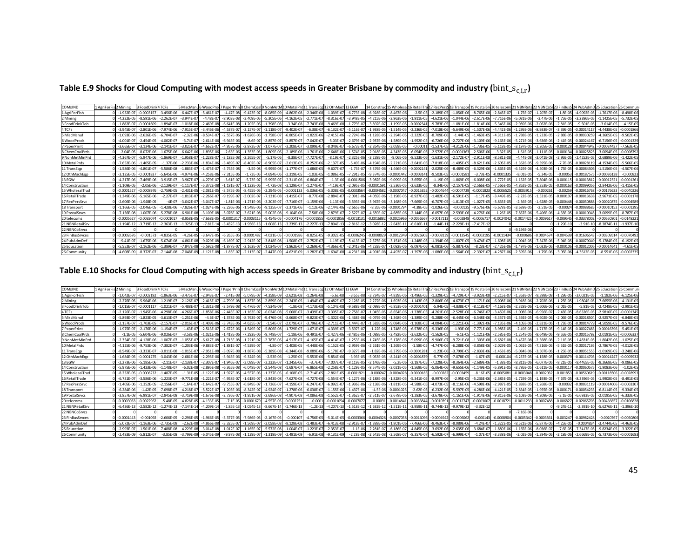|  |  | Table E.9 Shocks for Cloud Computing with modest access speeds in Greater Brisbane by commodity and industry ( $bin\_s_{c,i,r}$ ) |  |  |
|--|--|-----------------------------------------------------------------------------------------------------------------------------------|--|--|
|--|--|-----------------------------------------------------------------------------------------------------------------------------------|--|--|

| COMxIND         | 1 AgriForFis 2 Mining | 3 FoodDrin     | 4 TCFs          |                | 5 MiscManu6 WoodProd 7 PaperPrin |                |                |                | 8 ChemCoal 9 NonMetM 10 MetalPrd 11 TransEgd 12 OthMach 13 EGW |                 |                |                | 14 Constru     | ud 15 Wholesa 16 RetailTr |               | 17 RecPersS 18 Transport 19 Postal Srv 20 telecoms |                |                |                 | 21 NBNReta     | 22 NBNCoSt 23 FinBusS 24 PubAdmD 25 Education |              |                 |                 | 26 Commun      |
|-----------------|-----------------------|----------------|-----------------|----------------|----------------------------------|----------------|----------------|----------------|----------------------------------------------------------------|-----------------|----------------|----------------|----------------|---------------------------|---------------|----------------------------------------------------|----------------|----------------|-----------------|----------------|-----------------------------------------------|--------------|-----------------|-----------------|----------------|
| 1 AgriForFish   | $-1.932E - 0$         | $-0.0003157$   | $-3.456E - 06$  | $-6.447F - 0$  | $-5.461F - 07$                   | $-4.47F - 08$  | $-9.423F - 0$  | $-8.085E-09$   | $-4.862E - 08$                                                 | $-2.346E-08$    | $-1.039E - 07$ | $-6.773E - 08$ | $-6.928E -$    | $-8.467E - 06$            | $-2.5E-05$    | $-2.189E-05$                                       | $-1.056E - 06$ | $-8.765E - 08$ | $-2.845E - 0.7$ | $-1.75E-0$     | $-1.207E - 07$                                | $-1.8E - 0$  | $-4.9092F - 05$ | $-1.7617E-06$   | $-8.498F - 06$ |
| 2 Mining        | $-4.222F - C$         | $-8.591F - 06$ | $-2.262F - 0.7$ | $-3.944F - 0$  | $-4.48F - 0$                     | $-8.903F - 08$ | $-3.409F$      | $-5.305F - 0$  | $-4.162F - 05$                                                 | $-2.771F - 07$  | $-8.316F - 0$  | $-3.948F - 0$  | $-4.215F - 0$  | $-2.963F - 06$            | $-1.911F - 0$ | $-4.621F - 06$                                     | $-1.044F - 06$ | $-2.617F - 0$  |                 | $-5.031F - 06$ | $-3.47F - 06$                                 | $-1.75F - 0$ | $-3.2386E - 05$ | $-1.1425F - 05$ | $-5.732F - 0$  |
| 3 FoodDrinkTob  | $-1.882E - 0$         | $-0.000160$    | $-1.894E-07$    | $-1.018E - 0$  | $-2.469E - 0$                    | $-6.641E - 08$ | 1.202E         | $-1.398E - 08$ | $-3.34E-08$                                                    | $-7.743E - 08$  | $-9.469E - 0$  |                | $-3.892E - 0$  | $-1.199E - 05$            | $-0.000234$   | $-9.783E - 05$                                     | $-1.081E - 06$ | $-1.814E - 0$  | $-5.346E - 06$  | $-2.989E - 06$ | $-2.062E - 06$                                | $-2.81E-0$   | $-9.501E - 05$  | $-3.614E-05$    | $-4.15E-05$    |
| 4 TCFs          | $-3.945E - C$         | $-2.801E - 06$ | $-7.974F - 0f$  | 7.915E-0       | $-3.446E - 06$                   | $-4.537E-0$    | $2.157E - C$   | $-1.118E-0$    | $-9.402E-0$                                                    | $-6.38E - 07$   | $-6.132E - 0$  | $-5.116E - 07$ | $-1.938E - 0$  | $-1.514E - 05$            | $-2.236E-0$   | $-7.018E - 06$                                     | $-5.649E - 06$ | $-1.507E - 0$  | $-4.442E-06$    | $-1.295E-06$   | $-8.933E-0$                                   | $-3.39E - 0$ | $-0.0001411$    | 4.4438E-0       | $-0.000186$    |
| 5 MiscManuf     | $-1.093E - 0$         | $-2.626F - 05$ | $-6.704E-0$     | $-2.32E - 06$  | $-8.534E-07$                     | $-2.557E-06$   | $-1.626E - 06$ | $-1.758E-0$    | $-6.805E-0$                                                    | $-1.822E-06$    | $-2.415E-06$   | $-2.724E - 06$ | $-1.128E - 0$  | $-2.394E - 05$            | $-2.322E-05$  | $-8.709E-06$                                       | $-1.44E - 05$  | $-1.463E - 05$ | $-4.311E-05$    | $-1.788E - 05$ | $-1.233F - 05$                                | $-2.88E - 0$ | $-0.00030259$   | $-4.3605E-05$   | $-9.502E-0$    |
| 6 WoodProds     | $-4.001E - C$         | $-2.454F - 05$ | $-4.002E-07$    | $-3.74E - 0$   | $-2.614E-06$                     | $-6.945E - 06$ | $-8.6E-0$      | $-2.857E-0$    | $-3.857E-07$                                                   | $-7.042E - 07$  | $-5.03E - 07$  | $-2.679E - 07$ | $-2.937E - 06$ | $-1.589E - 05$            | $-1.952E-0$   | $-6.726E-06$                                       | $-2.727E - 06$ | $-3.109E - 06$ | $-9.163E - 06$  | $-5.271E-06$   | $-3.636E - 06$                                | $-2.41E-0$   | $-0.00024167$   | $-6.7156E-05$   | $-0.0001329$   |
| 7 PaperPrint    | $-3.665E - C$         | $-3.134F - 06$ | $-2.141F - 0$   | $-3.025F - 0$  | $-4.662E - C$                    | $-4.957E-06$   | $-2.873E$      | $-1.077E-0$    | $-3.208E - 0$                                                  | $-3.099E - C$   | $-8.049E - 0$  | $-6.673E-0$    | $-2.264E - 06$ | $-3.059E - 05$            | $-0.0001$     | $-1.537E-05$                                       | $-4.312E - 06$ | $-1.736E-0$    | $-5.118F - 05$  | $-3.197E-05$   | $-2.205E - 05$                                | $-0.00012$   | $-0.00044942$   | 0.0002443       | $-7.563E - C$  |
| 8 ChemCoalPrds  | $-2.04E - 0$          | $-8.072F - 06$ | $-1.675E-06$    | $-6.642E - 0$  | $-1.895E-06$                     | $-2.63E - 06$  | $-1.353E$      | $-1.809E - 00$ | $-2.189E-06$                                                   | $-1.761E-06$    | $-2.648E - 06$ | $-1.574E - 05$ | $-2.018E -$    | $-4.343E - 05$            | $-6.054E-0$   | $-2.572E-05$                                       | $-0.0001363$   | $-2.506E - 06$ | $-3.32E-05$     | $-1.61E-05$    | $-1.111E-05$                                  | $-0.0001$    | $-0.00025825$   | $-3.0094E - 05$ | $-0.000879$    |
| 9 NonMetMinPrd  | $-4.367F - 0$         | $-5.947F - 06$ | $-1.869F - 07$  | $-1.958F - 0$  | $-1.228F - 0$                    | $-3.182F - 08$ | $-2.265F - 0$  | $-5.17F - 06$  | $-8.38F - 07$                                                  | $-7.727F - 0.7$ | $-8.19E - 0.7$ | $-2.325F - 06$ | $-3.238F - 0$  | $-9.06F - 06$             | $-8.523F - 0$ | $-1.631F - 06$                                     | $-2.172F - 07$ | $-2.911F - 08$ | $-8.581F - 08$  | $-4.44F - 08$  | $-3.041F - 08$                                | $-2.95F - 0$ | $-2.4252F - 05$ | $-2.6889F - 06$ | $-1.422F - 0$  |
| 10 MetalPrds    | $-7.652F - 0$         | $-1.405F - 05$ | -1.37F-06       | $-2.233E - 0$  | $-1.834F - 0$                    | $-3.489F - 0$  | $-8.402E - C$  | $-8.905E - C$  | $-2.613E-0$                                                    | $-8.252E - 06$  | $-2.137E - 0$  | $-5.49F - 06$  | $-4.194E -$    | $-2.221E - 0.$            | $-2.641E -$   | $-7.818E - 06$                                     | $-1.405F - 09$ | $-8.621F - 0$  | $-2.605E$       | $-1.362F - 0$  | -9 395F-06                                    | $-7.7F-0$    | $-0.000281$     | $-4.1534F - 0$  | $-5.566E-0$    |
| 11 TransEqp     | $-1.586E - 0$         | $-4.801E-07$   | $-5.586E-08$    | $-1.883E-0$    | $-1.475E-07$                     | $-5.745E - 08$ | $-3.5E-08$     | $-9.999E-08$   | $-1.177E-07$                                                   | $-1.686E-05$    | $-9.607E - 07$ | $-1.73E - 07$  | $-3.376E - 06$ | $-1.466E - 05$            | $-0.000214$   | $-2.025E - 06$                                     | $-8.489E - 05$ | $-6.329E - 06$ | $-1.865E-05$    | $-6.529E-06$   | $-4.503E - 06$                                | $-1.75E-0$   | $-0.00084306$   | $-1.5156E-05$   | $-4.507E-06$   |
| 12 OthMachEop   | $-3.125F - 0$         | $-0.00018$     | $-5.645E - 06$  | $-4.974F - 06$ | $-4.258E - 06$                   | $-7.315E - 06$ | $-1.73F - 05$  | $-4.694E - 06$ | $-2.319E-05$                                                   | $-1.03E - 05$   | $-1.086E - 05$ | $-7.291E - 05$ | $-9.374E - 05$ | $-0.000144$               | $-0.000314$   | $-9.503E-05$                                       | $-0.000158$    | $-3.73E - 05$  | $-0.0001335$    | $-8.01E - 05$  | $-5.34F - 05$                                 | $-0.0005$    | $-0.00187575$   | $-0.00036138$   | $-0.00082$     |
| 13 EGW          | $-4.217E - 0$         | $-7.469F - 06$ | $-3.915E-07$    | $-3.967E - 0$  |                                  | $-3.61E-0$     | $-5.73E - C$   | $-5.995E-0$    | $-2.311E-06$                                                   | $-6.864E - 07$  | $-1.3E - 06$   | $-0.0001506$   | $-3.982E - 00$ | $-9.099E - 06$            | $-3.655E-0$   | $-1.19E-05$                                        | $-1.869E - 05$ | $-6.008E - 0$  | $-1.772F - 05$  | $-1.132E-0$    | $-7.804E - 06$                                | $-0.0001$    | $-0.0001381$    | 0.0001232       | $-0.00012$     |
| 14 Construction | $-1.109E - 0$         | $-2.05F - 06$  | $-2.129F - 0.7$ | $-1.117E-0$    | $-5.372F - 01$                   | $-1.181E-0$    | $122F-06$      | $-4.72F - 08$  | $-3.129F - 0$                                                  | $-1.274E - 07$  | $-4.19E - 0$   | $-2.095F - 05$ | $-0.000159$    | $-3.536F - 05$            | $-2.623E-0$   | $-8.34F - 06$                                      | $-2.157E-05$   | $-2.566E-0$    | $-7.566F - 05$  | $-4.862F - 05$ | $-3.353F - 05$                                | $-0.00016$   | $-0.00099056$   | $-2.8442F - 06$ | $-1.415F - 0$  |
| 15 WholesalTrad | $-0.000152$           | 0.000897       | $-2.759E - 05$  | $-2.431E-0$    | $-2.081F - 05$                   | $-3.575E-05$   | $-8.455E - 05$ | $-2.294E-0$    | $-0.0001133$                                                   | $-5.036E - 05$  | $-5.308E - 0$  | $-0.0003564$   | 0.000458       | $-0.000704$               | $-0.001535$   | $-0.0004644$                                       | $-0.0007729$   | $-0.000182$    | $-0.0006525$    | 0.000391       | $-0.00026$                                    | $-0.0025$    | $-0.00916768$   | $-0.00176623$   | $-0.004022$    |
| 16 RetailTrade  | $-1.249E - 0$         | $-5.165E - 06$ | $-2.27E - 07$   | $-1.813E - 0$  | $-2.266E-1$                      | $-9.199E - 0$  | $3.002E - C$   | $-7.131E - 08$ | $-1.415E-07$                                                   | $-8.77E-08$     | $-2.884E-0$    | $-2.091E - 06$ | $-4.059E - 00$ | $-3.198E - 05$            | $-8.927E-0$   | $-1.482E - 05$                                     | $-6.591E - 05$ | $-1.17E-0$     | $-3.449E - 05$  | $-2.22E-0$     | $-1.531E - 05$                                | $-0.0001$    | $-0.00013638$   | $-2.9671E-0$    | $-0.000117$    |
| 17 RecPersSrvc  | $-2.606F - 0$         | $-1.948F - 05$ | $-4F-07$        | $-3.042F - 0$  | $-3.047F - 0$                    | $-1.81E-06$    | $-1.271F - 06$ | $-3.203F - 0$  | $-7.716F - 07$                                                 | $-1.159E - 06$  | $-1.13E-06$    | $-3.593E - 06$ | $-3.967E - 06$ | $-3.168F - 05$            | $-7.669E - 0$ | $-6.707F - 05$                                     | $-1.813E-05$   | $-1.027F - 05$ | $-3.835F - 05$  | $-2.36F - 05$  | $-1.628F - 05$                                | $-0.00044i$  | $-0.00050888$   | $-0.0002087$    | $-0.0004589$   |
| 18 Transport    | $-1.166E -$           | $-2.046E - 05$ | $-1.428E - 06$  | $-7.826E - C$  | $-1.024E - 06$                   | $-2.236E - 06$ | $-1.548E - 06$ | $-9.135E-0$    | $-2.371E-06$                                                   | $-1.12E-06$     | $-2.144E-06$   | $-2.665E - 06$ | $-8.35E - 06$  | $-0.000179$               | $-4.38E - 05$ | $-1.026E-05$                                       | $-0.000125$    | $-9.576E - 0$  | $-5.678E - 05$  | $-3.639E-05$   | $-2.51E-05$                                   | $-0.000$     | $-0.00088685$   | $-0.0001015$    | $-0.000129$    |
| 19 PostalSrvcs  | $-7.156F - 0$         | $-1.007F - 06$ | $-5.278F - 08$  | $-6.901F - 08$ | $-3.109F - 05$                   | $-5.076F - 0$  | $-3.621E - 08$ | $-5.002F - 08$ | $-9.104E-08$                                                   | $-7.58E - 08$   | $-2.879E-0$    | $-2.527E-0$    | $-4.659F - C$  | $-4.685E - 06$            | $-2.144E-0$   | $-6.057E-06$                                       | $-2.593E-06$   | $-4.276F - 0$  | $-1.26F - 05$   | $-7.837F - 06$ | $-5.406F - 06$                                | $-4.33F - 0$ | $-0.0001094$    | $-3.0099F - 05$ | $-8.787E-0$    |
| 20 telecoms     | $-0.000562$           | -0.00330       | $-0.000101$     | $-8.958F - 0$  | $-7.668F - 0$                    | $-0.000131$    | $-0.00031$     | $-8.454F-0$    | $-0.000417$                                                    | 0.0001855       | $-0.000195$    | $-0.001313$    | $-0.001688$    | $-0.0025966$              | $-0.005656$   | $-0.00171$                                         | $-0.002848$    | $-0.000671$    | $-0.0024042$    | $-0.001442$    | $-0.000961$                                   | $-0.00954$   | $-0.0337800$    | -0.0065080      | $-0.014822$    |
| 21 NBNRetailSrv | $-1.194E - 1$         | $-3.719E-1$    | $-2.363E - 13$  | $-1.325E-1$    | $-7.81E - 14$                    | $-3.432E - 13$ | $-1.956E-13$   | $-1.608E-13$   | $-3.239E-13$                                                   | $-2.227E-13$    | $-7.804E - 13$ | $-2.816E - 12$ | $-3.028E - 3$  | $-2.643E-1$               | $-6.616E-1$   | $-1.44E-11$                                        | $-2.229E-11$   | $-7.417E-1$    |                 |                |                                               | $-1.29E-1$   | $-3.91E-10$     | $-8.3874E-11$   | $-1.937E-10$   |
| 22 NBNCoSrvcs   |                       |                |                 |                |                                  |                |                |                |                                                                |                 |                |                |                |                           |               |                                                    |                |                |                 | $-9.194F - 06$ |                                               |              |                 |                 |                |
| 23 FinBusSrvces | $-0.00026$            | $-0.00157$     | $-4.835E - 05$  | $-4.26E - 0$   | $-3.647F - 05$                   | $-6.265E - 05$ | $-0.000148$    | $-4.021E-0$    | $-0.0001986$                                                   | $-8.825E - 05$  | $-9.302F - 05$ | $-0.0006245$   | $-0.000802$    | $-0.0012349$              | $-0.002690$   | $-0.00081$                                         | $-0.0013545$   | $-0.000319$    | $-0.0011434$    | $-0.000686$    | $-0.000457$                                   | $-0.0045$    | $-0.0160654$    | $-0.003095$     | $-0.007049$    |
| 24 PubAdmDet    | $-9.41E - C$          | $-1.675F - 0f$ | $-5.074F - 08$  | $-4.861E - 08$ | $-9.029E - 0$                    | $-6.169E - 0$  | $-2.912E -$    | $-3.818E - 08$ | $-1.508E-0$                                                    | $-2.752E-0$     | $-1.19E-0$     | $-5.413E - 07$ | $-2.575E - 06$ | $-3.151E - 06$            | $-1.248E - 0$ | $-1.394E-06$                                       | $-1.807E - 05$ | $-9.474E - 0$  | $-1.698E$       | $-1.094F - 05$ | $-7.547F$                                     | $-5.94F - 0$ | $-0.00079049$   | $-5.1784F - 05$ | $-6.192E-0$    |
| 25 Education    | $-5.552E - C$         | $-2.162E - 06$ | $-1.389E - 07$  | $-7.847E - 08$ | $-5.592E-08$                     | $-1.877E-0$    | $-2.162E - C$  | $-1.034E - 0$  | $-1.862E-07$                                                   | $-2.269E-07$    | $-4.366E - 07$ | $-2.041E - 06$ | $-4.232E - C$  | $-1.082E - 06$            | $-8.097E-0$   | $-6.081E-06$                                       | $-5.887E - 06$ | $-8.23E-0$     | $-2.426E-06$    | $-1.497F - 06$ | $-1.032E - 06$                                | $-0.0001$    | $-0.00012006$   | $-0.0001464$    | $-4.61E-05$    |
| 26 Community    | $-4.608E - 09$        |                | $-7.144E-08$    | $-7.048F - 09$ | $-1.121E-08$                     | $-1.85E - 07$  |                | $-2.447E$      | $-4.621E-09$                                                   | $-1.282E - 07$  | $-1.694E - 08$ | $-4.231E - 08$ | $-4.901E - 08$ | $-4.493E - 07$            | $-1.397E-0$   | $-1.086E-06$                                       | $-1.564E-06$   | $-2.392E-0$    | $-4.287E-06$    | $-2.595E-06$   | $-1.79F - 06$                                 | $-3.05E - 0$ | $-4.3612E - 05$ | $-8.551E-06$    | $-0.0002335$   |

Table E.10 Shocks for Cloud Computing with high access speeds in Greater Brisbane by commodity and industry ( $bin\_s_{c,i,r}$ )

| COMxIND         | L AgriForFis 2 Mining |                 | 3 FoodDrink4 TCFs |                |                |                |                | 5 MiscManu6 WoodProd 7 PaperPrin 8 ChemCoal 9 NonMetM 10 MetalPrd |                |                |                | 11 TransEgg 12 OthMach 13 EGW |                | 14 Constru     |                |                |                |                |                | uc 15 Wholesa 16 RetailTra 17 RecPersS 18 Transport 19 PostalSrv 20 telecoms 21 NBNRet. |                |                |              |                 |                 |                |
|-----------------|-----------------------|-----------------|-------------------|----------------|----------------|----------------|----------------|-------------------------------------------------------------------|----------------|----------------|----------------|-------------------------------|----------------|----------------|----------------|----------------|----------------|----------------|----------------|-----------------------------------------------------------------------------------------|----------------|----------------|--------------|-----------------|-----------------|----------------|
| 1 AgriForFish   |                       | $-1.042F - 0$   | $-0.000219$       | $-1.863F - 06$ | $-3.475F - 0$  | $-2.943F - 07$ | $-2.41E-08$    | $-5.079F - 0$                                                     | $-4.358F - 09$ | $-2.621E-08$   | $-1.264F - 08$ | $-5.6E - 08$                  | $-3.65E - 08$  | $-3.734E - 0$  | $-4.839E - 06$ | $-1.496E - 05$ | $-1.329F - 05$ | $-4.729E - 07$ | $-3.923F - 08$ | $-2.215E-07$                                                                            | $-1.363F - 07$ | $-9.398F - 08$ | $-1.29F - 0$ | $-3.0021F - 05$ | $-1.182F - 06$  | $-6.125F - 06$ |
| 2 Mining        |                       | $-2.276E - 05$  | $-5.964E - 00$    | $-1.219E - 07$ | $-2.126E - C$  | $-2.415E-07$   | $-4.799E - 08$ | $-1.837E - 0.$                                                    | $-2.859E-06$   | $-2.243E-05$   | $-1.494E - 07$ | $-4.482E - 0$                 | $-2.128E - 05$ | $-2.272E - 0$  | $-1.693E - 06$ | $-1.143E-0$    | $-2.806E-06$   | $-4.673E-07$   | $-1.171E-06$   | $-6.008E - 06$                                                                          | $-3.918E - 06$ | $-2.702E - 06$ | $1.25E - 0$  | $-1.9804E - 05$ | $-7.6655E-06$   | $-4.131E-05$   |
| 3 FoodDrinkTob  |                       | $-1.015F - 0$   | 0.00011           | $-1.021F - 0$  | $-5.488F -$    | $-1.331F - 08$ | $-3.579F - 08$ | $-6.476F - 0$                                                     | $-7.534F - 09$ | $-1.8F - 0.8$  | $-4.173F - 08$ | $-5.104F - 08$                | $-9.588F - 08$ | $-2.098F -$    | $-6.853F - 06$ | $-0.000140$    | $-5.94F - 05$  | $-4.838F - 07$ | $-8.118F - 0$  | $-4.163F - 06$                                                                          | $-2.328F - 06$ | $-1.606F - 06$ | $-2.01F - 0$ | $-5.81F - 05$   | $-2.4248F - 05$ | $-2.991F - 0$  |
| 4 TCFs          |                       | $-2.126E - 0.7$ | $-1.945E - 06$    | $-4.298E - 06$ | $-4.266E - 0$  | $-1.858E-06$   | $-2.445E - 07$ | $-1.163E-07$                                                      | $-6.024E-08$   | $-5.068E - 07$ | $-3.439E-07$   | $-3.305E - 07$                | $-2.758E - 07$ | $-1.045E - 0.$ | $-8.654E - 06$ | $-1.338E - 05$ | $-4.261E-06$   | $-2.528E - 06$ | $-6.746E-0$    | $-3.459E-06$                                                                            | $-1.008E - 06$ | $-6.956E - 07$ | $-2.43E-0$   | $-8.6326E - 05$ | $-2.9816E-05$   | $-0.000134$    |
| 5 MiscManu      |                       | $-5.893E - 0$   | $-1.823E - 0$     | $-3.613E-07$   | $-1.251E-0$    | $-4.6E-07$     | $-1.378E - 06$ | $-8.763E - 0$                                                     | $-9.476E-08$   | $-3.668E - 07$ | $-9.823E-0$    | $-1.302E - 06$                | $-1.468E - 06$ | $-6.079E - 0$  | $-1.368E - 05$ | $-1.389E-0$    | $-5.288E-06$   | $-6.445E - 06$ | $-6.548E - 06$ | $-3.357E-05$                                                                            | $-1.392E-05$   | $-9.602E - 06$ | $-2.06E - 0$ | $-0.0001850$    | $-2.9257E-05$   | $-6.848E - 05$ |
| 6 WoodProds     |                       | $-2.157E-0$     | $-1.703F - 0'$    | $-2.157E-0$    | $-2.016E - C$  | $-1.409F - 06$ | $-3.743F - 06$ | $-4.635E-07$                                                      | $-1.54E-07$    | $-2.079E - 07$ | $-3.796F - 0$  | $-2.711E-0$                   | $-1.444E - 07$ | $-1.583E - 06$ | $-9.084E - 06$ | $-1.168E-05$   | $-4.084E - 06$ | $-1.221E-06$   | $-1.392E - 06$ | $-7.135E-06$                                                                            | $-4.105E - 06$ | $-2.831F - 06$ | $-1.73F - 0$ | $-0.00014779$   | $-4.5059F - 05$ | $-9.576F - 05$ |
| 7 PaperPrint    |                       | $-1.975E-07$    | $-2.176F - 0f$    | $-1.154F - 0$  | $-1.63E - C$   | $-2.513F - 07$ | $-2.672F - 06$ | $-1.549F - 0$                                                     | $-5.806F -$    | $-1.729E-0$    | $-1.671E-07$   | $-4.339F - 0$                 | $-3.597E - 07$ | $-1.22E - 0$   | $-1.748E - 05$ | $-6.578E-0$    | $-9.336F - 06$ | $-1.93E - 06$  | $-7.771F - 0$  | $-3.985F - 05$                                                                          | $-2.49F - 05$  | $-1.717F - 05$ | $-9.14F - 0$ | $-0.00027483$   | $-0.00016396$   | $-5.451F - 05$ |
| 8 ChemCoalPrds  |                       |                 | $-5.604F - 06$    | $-9.026F - 0$  | $-3.58E - 0$   | $-1.021F - 06$ | $-1.418F - 06$ | $-7.292E - 06$                                                    | $-9.748F - 07$ | $-1.18E-06$    | $-9.491F$      | $-1.427F - 06$                | $-8.485F - 06$ | $-1.088E -$    | $-2.482E - 05$ | $-3.622E - 0$  | $-1.562E-05$   | $-6.1E-05$     | $-1.121E-0$    | $-2.585F - 05$                                                                          | $-1.254E-05$   | $-8.649F - 06$ | $-9.55F - 0$ | -0.0001579      | $-2.0191E-05$   | $-0.000637$    |
| 9 NonMetMinPrd  |                       | $-2.354E - 0$   | $128E - 00$       | $-1.007E-0$    | $-1.055E - C$  | $-6.617E-08$   | $-1.715E-08$   | $-1.221E - 0$                                                     | $-2.787E-06$   | $-4.517E-07$   | $-4.165E-0$    | $-4.414E-0$                   | $-1.253E - 06$ | $-1.745E - C$  | $-5.178E - 06$ | $-5.099E - 06$ | $-9.906E - 0$  | $-9.721E - 08$ | $-1.303E - 08$ | $-6.682E-08$                                                                            | $-3.457E-08$   | $-2.368E - 08$ | $-2.11E-0$   | $-1.4831E-05$   | $-1.8042F - 06$ | $-1.025E - 05$ |
| 10 MetalPrds    |                       | $-4.125E - 06$  | $-9.753E - 06$    | $-7.382E - 07$ | $-1.203E-0$    | $-9.883E - 07$ | $-1.881E-07$   | $-4.529E - 0$                                                     | $-4.8E - 07$   | $-1.408E - 05$ | $-4.448F - 06$ | $-1.152E-05$                  | $-2.959E - 06$ | $-2.261E - 0$  | $-1.269E - 05$ | $-1.58E - 05$  | $-4.747E-06$   | $-6.288E - 06$ | $-3.858E - 06$ | $-2.029E - 05$                                                                          | $-1.061E-05$   | $-7.316E - 06$ | $-5.51E-0$   | $-0.00017195$   | $-2.7867E-05$   | $-4.012E-05$   |
| 11 TransEgp     |                       | $-8.549F - 0$   | $-3.333F - 0$     | $-3.011E-08$   | $-1.015E - C$  | $-7.951E - 08$ | $-3.097E - 08$ | $-1.887E-08$                                                      | $-5.389F - 08$ | $-6.344E-08$   | -9.089E-06     | $-5.178E - 0$                 | $-9.327E - 08$ | $-1.82E - 06$  | $-8.379E - 06$ | $-0.000128$    | $-1.23E-06$    | $-3.799E - 05$ | $-2.833E - 06$ | $-1.453E-05$                                                                            | $-5.084E - 06$ | $-3.507F - 06$ | $-1.25E-0$   | -0.00051555     | $-1.0169E - 05$ | $-3.248F - 0f$ |
| 12 OthMachEop   |                       | $-1.684F - 05$  | $-0.00012$        | $-3.043F - 06$ | $-2.681E - C$  | $-2.295F - 06$ | $-3.943E - 06$ | $-9.324F - 06$                                                    | $-2.53E-06$    | $-1.25E-05$    | $-5.553E-06$   | $-5.854F - 06$                | $-3.93E - 05$  | $-5.053E - 05$ | $-8.241E - 05$ | $-0.000187$    | $-5.77E-05$    | $-7.078E - 05$ | $-1.67E-05$    | $-0.000104$                                                                             | $-6.237E-05$   | $-4.158E - 05$ | $-0.0003$    | $-0.00114705$   | $-0.0002424$    | $-0.000593$    |
| 13 EGW          |                       | $-2.273E - 00$  | $-5.185F - 0f$    | $-2.11F - 0$   | $-2.138E - 0$  | $-2.307E-07$   | $-1.946E - 07$ | $-3.089E - 0$                                                     | $-3.232E-07$   | $-1.245E-06$   | $-3.7F-0$      | $-7.007E - 07$                | $-8.119E - 05$ | $-2.146E - 06$ | $-5.2E - 06$   | $-2.187E-0$    | $-7.228E - 06$ | $-8.364E-06$   | $-2.689F - 06$ | $-1.38F - 05$                                                                           | $-8.811E-06$   | $-6.077F - 06$ | $-8.21E-0$   | $-8.4465E-05$   | $-8.2668E - 05$ | $-9.086F - 05$ |
| 14 Construction |                       | $-5.975E - 06$  | $-1.423E - 06$    | $-1.148E - 0$  | $-6.02E - 0$   | $-2.895E - 08$ | $-6.365E - 08$ | $-6.048E - 0$                                                     | $-2.544E-08$   | $-1.687E-07$   | $-6.865E-08$   | $-2.258E - 0$                 | $-1.129E - 05$ | $-8.574E - C$  | $-2.021E - 05$ | $-1.569E-05$   | $-5.064E-06$   | $-9.655E - 06$ | $-1.149E - 05$ | $-5.891E-05$                                                                            | $-3.786E - 05$ | $-2.611E-05$   | $-0.0001$    | $-0.0006057$    | $-1.9083E - 06$ | $-1.02E-0$     |
| 15 WholesalTrac |                       | $-8.232E - 05$  | $-0.000627$       | $-1.487F - 05$ | $-1.31E-0$     | $-1.122E-05$   | $-1.927E - 05$ | $-4.557F - 05$                                                    | $-1.237E-05$   | $-6.108E - 05$ | $-2.714E-05$   | $-2.861E-05$                  | $-0.000192$    | $-0.00024$     | $-0.0004028$   | $-0.0009185$   | $-0.00028$     | $-0.0003459$   | $-8.16E - 05$  | $-0.0005081$                                                                            | $-0.0003048$   | $-0.000203$    | $-0.00185$   | $-0.0056061$    | $-0.00118506$   | $-0.002899$    |
| 16 RetailTrade  |                       | $-6.731F - 0$   | $-3.586F - 06$    | $-1.223E-0$    | $-9.771E - 08$ | $-1.221E-07$   | $-4.958E - 07$ | $-1.618E-0$                                                       | $-3.843E-08$   | $-7.627E-08$   | $-4.727E-08$   | $-1.554E-0$                   | $-1.127E - 06$ | $-2.188E - 0$  | $-1.828E - 05$ | $-5.341E - 05$ | $-8.997E-06$   | $-2.95E - 05$  | $-5.236E - 06$ | $-2.685E-05$                                                                            | $-1.729E-05$   | $-1.193E - 05$ | $-7.67F - 0$ | $-8.3396F - 05$ | $-1.9908F - 05$ | $-8.491E-0$    |
| 17 RecPersSrvc  |                       | $-1.405E - 06$  | $-1.352E - 05$    | $-2.156E-0$    | $-1.64E-0$     | $-1.642E-07$   | $-9.755E - 07$ | $-6.849E - 0$                                                     | $-1.726E-07$   | $-4.159E-07$   | $-6.247E-0$    | $-6.092E-07$                  | $-1.936E - 06$ | $-2.138E - 06$ | $-1.811E-05$   | $-4.588E - 05$ | $-4.073E-05$   | $-8.116E-06$   | $-4.598E - 06$ | $-2.987E-05$                                                                            | $-1.838E-05$   | $-1.268E - 05$ | $-0.000$     | $-0.00031119$   | $-0.00014006$   | $-0.000330$    |
| 18 Transport    |                       | $-6.284E - 06$  | $-1.42E-05$       | $-7.698E - 07$ | $-4.218E - C$  | $-5.522E-07$   | $-1.205E-06$   | $-8.342E - 07$                                                    | $-4.924E-07$   | $-1.278E - 06$ | $-6.038E - 07$ | $-1.155E-06$                  | $-1.437E - 06$ | $-4.5E - 06$   | $-0.0001025$   | $-2.62E-05$    | $-6.232E-06$   | $-5.597E-05$   | $-4.286E - 06$ | $-4.421E-05$                                                                            | $-2.834E-05$   | $-1.955E-05$   | $-0.0001$    | $-0.00054233$   | $-6.8114E-05$   | $-9.334E - 0$  |
| 19 Postal Srvcs |                       | $-3.857F - 0$   | $-6.991F -$       | $-2.845F - 08$ | $-3.719F - 0.$ | $-1.676F - 08$ | $-2.736E-07$   | $-1.951E-08$                                                      | $-2.696E-08$   | $-4.907F - 08$ | $-4.086F - 08$ | $-1.552F - 0$                 | $-1.362F - 0$  | $-2.511E - C$  | $-2.678E - 06$ | $-1.283E-0$    | $-3.678F - 06$ | $-1.161F - 06$ | $-1.914F - 0$  | $-9.815F - 06$                                                                          | $-6.103F - 06$ | $-4.209F - 06$ | $-3.1F-0$    | $-6.6933F - 05$ | $-2.0195F - 05$ | $-6.333F - 0$  |
| 20 telecoms     |                       | $-0.000303$     | $-0.002296$       | $-5.48F - 05$  | $-4.828F - 0$  | $-4.133F - 05$ | $-7.1F - 05$   | $-0.000167$                                                       | $-4.557F - 0$  | $-0.000225$    | $-0.000$       | $-0.0001054$                  | $-0.000707$    | $-0.0009$      | $-0.001484$    | $-0.003384$    | $-0.001039$    | $-0.0012747$   | $-0.000300$    | $-0.0018721$                                                                            | $-0.0011233$   | $-0.0007488$   | $-0.00682$   | $-0.0206570$    | $-0.0043665$    | $-0.0106828$   |
| 21 NBNRetailSrv |                       | $-6.436E-13$    | $-2.582E-1$       | $-1.274E-13$   | $-7.144E-1$    | $-4.209E - 14$ | $-1.85E-13$    | $-1.054E-13$                                                      | $-8.667E-14$   | $-1.746E - 13$ | $-1.2E-13$     | $-4.207E-13$                  | $-1.518E-1$    | $-1.632E-$     | $-1.511E-1$    | $-3.959E-1$    | $-8.744E-1$    | $-9.979E - 12$ | $-3.32E-1$     |                                                                                         |                |                | $-9.24E-1$   | $-2.391E-10$    | $-5.6276E - 1$  | $-1.396E-10$   |
| 22 NBNCoSrvcs   |                       |                 |                   |                |                |                |                |                                                                   |                |                |                |                               |                |                |                |                |                |                |                |                                                                                         | $-7.16E - 06$  |                |              |                 |                 |                |
| 23 FinBusSrvces |                       | $-0.000144$     | 0.00109           | $-2.606E - 05$ | $-2.296E - 0$  | $-1.966E-05$   | $-3.377E - 05$ | $-7.986E - 0$                                                     | $-2.167E-0$    | $-0.00010$     | $-4.756E - 05$ | $-5.014E - 05$                | $-0.0003366$   | $-0.000432$    | $-0.0007058$   | $-0.0016096$   | $-0.00049$     | $-0.000606$    | $-0.00014$     | $-0.0008904$                                                                            | $-0.000534$    | $-0.000356$    | $-0.0032$    | $-0.00982428$   | $-0.002076$     | $-0.005080$    |
| 24 PubAdmDef    |                       | $-5.072E - 0$   | $-1.163E - 00$    | $-2.735E - 08$ | $-2.62E - 0$   | $-4.866E-08$   | $-3.325E - 07$ | $-1.569E - 0$                                                     | $-2.058E-08$   | $-8.128E - 08$ | $-1.483E-0$    | $-6.413E - 08$                | $-2.918E - 0$  | $-1.388E -$    | $-1.801E - 06$ | $-7.466E - 0$  | $-8.463E-0$    | $-8.089E - 06$ | $-4.24E - 0$   | $-1.322E-05$                                                                            | $-8.521E-06$   | $-5.877E-06$   | $-4.25E-0$   | $-0.0004834$    | $-3.4744F-05$   | $-4.463E-0$    |
| 25 Education    |                       | $-2.993E-07$    | $-1.501F - 0f$    | $-7.488F - 08$ | $-4.229E - 0$  | $-3.014F - 08$ | $-1.012E - 07$ | $1.165E-0$                                                        | $-5.572F - 08$ | $-1.004F - 0$  | 1.223E-07      | $-2.353E - 07$                | $-1.1F - 06$   | $-2.281E -$    | $-6.186E - 07$ | $-4.845F - 0$  | $-3.692E - 06$ | $-2.635E-06$   | $-3.684F - 0$  | $-1.889E - 06$                                                                          | $-1.165E-06$   | $-8.036F - 0$  | $-7.6E - 05$ | $-7.3417F - 05$ | $-9.8234E-05$   | $-3.322E-05$   |
| 26 Community    |                       | $-2.483E - 09$  | $-5.812E - C$     |                | $-3.799E - 09$ | $-6.045E-09$   | $-9.97E-08$    | $-1.139E-0$                                                       |                | $-2.491E-09$   | $-6.91E-08$    | $-9.131E - 09$                | $-2.28E - 08$  | $-2.642E - 08$ | $-2.568E - 07$ | $-8.357E-0$    | $-6.592E-07$   | $-6.999E-07$   | $-1.07E-0$     | $-3.338E - 06$                                                                          | $-2.02E-06$    | $-1.394E - 06$ | $-2.18E - 0$ |                 | $-5.7373E-06$   | $-0.000168$    |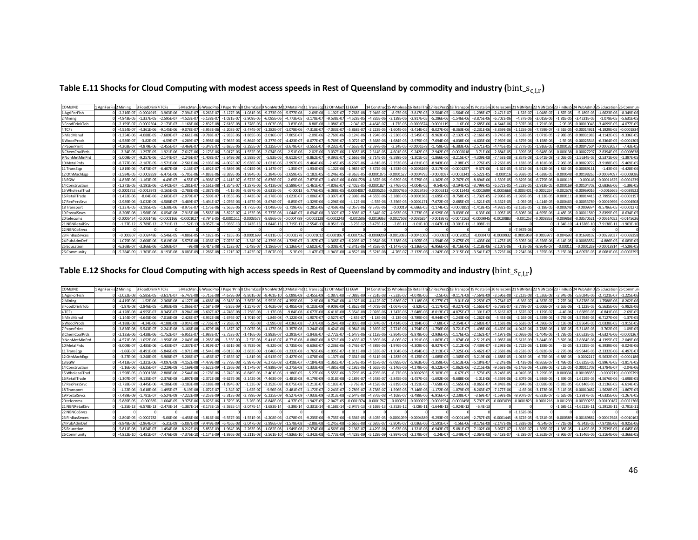Table E.11 Shocks for Cloud Computing with modest access speeds in Rest of Queensland by commodity and industry ( $bin\_s_{c,i,r}$ )

| COMxIND         | 1 AgriForFis 2 Mining |                | 3 FoodDr       | <b>ITCFs</b>   | 5 MiscMan       | S WoodProd     |                |                | d 7 PaperPrint8 ChemCoall9 NonMetM 10 MetalPro |                | 11 TransEgg 12 OthMach 13 EGW |                |                | 14 Construe     | 15 Wholesa 16 RetailTra |                |                | 17 RecPersS 18 Transport | 19 PostalSr    | 20 telecom 21 NBNRet |                | 22 NBNCoSt 23 FinBus |              |                 |                 |                |
|-----------------|-----------------------|----------------|----------------|----------------|-----------------|----------------|----------------|----------------|------------------------------------------------|----------------|-------------------------------|----------------|----------------|-----------------|-------------------------|----------------|----------------|--------------------------|----------------|----------------------|----------------|----------------------|--------------|-----------------|-----------------|----------------|
| 1 AgriForFish   |                       | $-2.216E - 07$ | $-0.000491$    | $-3.963E-06$   | $-7.394E - 0$   | $-6.263E - C$  | $-5.127F - 08$ | $-1.081E - C$  | $-9.273F - 09$                                 | $-5.577E-08$   | $-2.69E-08$                   | $-1.192E-07$   | $-7.768E - 08$ | $-7.946E - 07$  | $-8.97E - 06$           | $-3.817E-05$   | $-2.504E-0$    | $-1.564E-06$             | $-1.298E - 0$  | $-2.471E-07$         | $-1.52E-07$    | $-1.048F - 0$        | $-1.87F - 0$ | $-5.189E - 05$  | $-1.6623F - 06$ | $-8.349E - 06$ |
| 2 Mining        |                       | $-4.843F - 05$ | 1.337E-0       | $-2.595E-0$    | $-4.523E-0$     | $-5.138F - 1$  | $-1.021E - 07$ | $-3.909E - 0$  | $-6.085E-06$                                   | $-4.773E-05$   | $-3.178E - 0$                 | $-9.538E - 07$ | $-4.528E - 05$ | $-4.835E - 06$  | $-3.139E - 06$          | $-2.917E-05$   | $-5.286E - 0$  | $-1.546E-06$             | $-3.875E - 06$ | $-6.702E - 06$       | $-4.37E-06$    | $-3.015E - 06$       | $-1.81E - 0$ | $-3.4231F - 0$  | $-1.078E - 05$  | $-5.631E-0$    |
| 3 FoodDrinkTob  |                       | $-2.159E-0$    | $-0.000250$    | $-2.173F - 07$ | $-1.168E - 0$   | $-2.832F - 0F$ | $-7.616E - 08$ | $-1.378F - 0$  | $-1.603F - 08$                                 | $-3.83E-08$    | $-8.88F$                      | $-1.086E - 07$ | $-2.04F - 0.7$ | $-4.464F - 07$  | $-1.27E - 05$           | $-0.0003574$   | $-0.00011$     | $-1.6F - 06$             | $-2.685F - 06$ | $-4.644F - 06$       | $-2.597F - 06$ | $-1.791F - 06$       | $-2.9F-0$    | $-0.0001004$    | $-3.4099F - 05$ | $-4.077F - 0$  |
| 4 TCFs          |                       | $-4.524E-0$    | .361E-0        | $-9.145E - 06$ | $-9.078E - 0$   | $-3.953E - 06$ | $-5.203E - 07$ | $-2.474E - 0$  | $-1.282E-0$                                    | $-1.078E - 06$ | $7.318E - 0$                  | $-7.033E$      | $-5.868E - 0$  | $-2.223E - 0$   | $-1.604E - 05$          | $-3.414E-0$    | $-8.027E-06$   | $-8.363E - 06$           | $-2.231E-0$    | $-3.859E - 06$       | $-1.125E-06$   | $7.759E - 0$         | $-3.51E-0$   | $-0.0001492$    | $-4.1929E - 05$ | $-0.000183$    |
| 5 MiscManu      |                       | $-1.254E-06$   | .088E-0        | $-7.689E - 07$ | $-2.661E - 06$  | $-9.788E - C$  | $-2.933E-06$   | $-1.865E-0$    | $-2.016E-07$                                   | $-7.805E-07$   | $-2.09E - 06$                 | $-2.769E - 06$ | $-3.124E - 06$ | $-1.294E - 05$  | $-2.536E - 05$          | $-3.545E-05$   | $-9.963E - 06$ | $-2.132E-05$             | $-2.166E-0$    | $-3.745E-05$         | $-1.553E-05$   | $-1.071E-05$         | $-2.98E - 0$ | $-0.00031983$   | $-4.1142E-05$   | $-9.336E - 05$ |
| 6 WoodProds     |                       | $-4.589E - 0$  | $-3.82E - 05$  | $-4.59E-07$    | $-4.289E - 0$   | $-2.998E - 06$ | $-7.965E - 06$ | $-9.864E - 0$  | $-3.277E-07$                                   | $-4.423E-07$   | $-8.077E-0$                   | $-5.769E - 07$ | $-3.072E - 07$ | $-3.368E - 06$  | $-1.684E - 05$          | $-2.979E - 05$ | $-7.694E - 06$ | $-4.038E - 06$           | $-4.603E - 06$ | $-7.959E-06$         | $-4.579E-06$   | $-3.158E - 06$       | $-2.5E-0$    | $-0.00025545$   | $-6.3364E - 05$ | $-0.000130$    |
| 7 PaperPrint    |                       | $-4.203F - 0$  | $-4.879F - 0$  | $-2.455F - 0$  | $-3.469F - 0$   | $-5.347F - C$  | $-5.685E - 06$ | $-3.295E - 0$  | $-1.235E-07$                                   | $-3.679E-07$   | $-3.555E-0$                   | $-9.232F - 0$  | $-7.653E - 07$ | $-2.597E - 06$  | $-3.24E - 05$           | $-0.0001678$   | $-1.759E - 0$  | $-6.383E - 06$           | $-2.571F - 0$  | $-4.445F - 05$       | $-2.777F - 05$ | $-1.916F - 0$        | $-0.0001$    | $-0.0004750$    | 0.0002305       | $-7.43F - 05$  |
| 8 ChemCoalPrds  |                       | $-2.34E-05$    | $-1.257E - 05$ | $-1.921E-06$   | $-7.617E - 06$  | $-2.173E-06$   | $-3.017E - 06$ | $-1.552E-0$    | $-2.074E-06$                                   | $-2.51E-06$    | $-2.02E - 06$                 | $-3.037E - 06$ | $-1.805E - 05$ | $-2.314E - 05$  | $-4.601E - 05$          | $-9.242E - 05$ | $-2.942E-0$    | $-0.0002018$             | $-3.71E - 06$  | $-2.884E-05$         | $-1.399E-05$   | $-9.648E - 06$       | $-0.0001$    | $-0.00027297$   | $-2.8394E-05$   | $-0.0008638$   |
| 9 NonMetMinPrd  |                       | $-5.009F - 07$ | $-9.257F - 0f$ | $-2.144F - 07$ | $-2.246F - 0.7$ | $-1.408F - C$  | $-3.649F - 08$ | $-2.598F - 0$  | $-5.93F - 06$                                  | $-9.612E-07$   | $-8.862F-07$                  | $-9.393F - 07$ | $-2.666F - 0f$ | $-3.714F - 05$  | $-9.598F - 06$          | $-1.301F - 05$ | $-1.866F - 06$ | $-3.215F - 07$           | $-4.309F - 08$ | $-7.453F - 08$       | $-3.857F - 08$ | $-2.641F - 08$       | $-3.05F - 0$ | $-2.5634F - 05$ | $-2.5371F - 06$ | $-1.397F - 05$ |
| 10 MetalPrds    |                       | $-8.777F - 0$  | $-2.187E-0$    | $-1.571E-06$   | $-2.561E - 0$   | $-2.103E - C$  | $-4.002E - 07$ | $-9.636E - 0$  | $-1.021E - 06$                                 | $-2.997E-05$   | $-9.464E - 0$                 | $-2.45E -$     | $-6.297E - 06$ | $-4.81E - 0$    | $-2.353E-0$             |                | $-8.943E-0$    | $-2.08E - 05$            | $-1.276E - 0$  | $-2.263E-05$         | $-1.183E - 05$ | $-8.161F - 0f$       | $-7.96E - 0$ | $-0.00029722$   | $-3.9188E - 05$ | $-5.469E-0$    |
| 11 TransEgp     |                       | $-1.819E - 06$ | $-7.473E - 0$  | $-6.407E-08$   | $-2.16E - 0.7$  | $-1.692E-0$    | $-6.589E - 08$ | $-4.015E - 0$  | $-1.147E-07$                                   | $-1.35E-07$    | $-1.934E - 05$                | $-1.102E - 06$ | $-1.985E - 07$ | $-3.872E - 06$  | $-1.553E-05$            | $-0.0003269$   | $-2.317E-06$   | $-0.000125$              | $-9.37E - 06$  | $-1.62E-05$          | $-5.671E-06$   | $-3.912E - 06$       | $-1.81E-0$   | $-0.00089111$   | $-1.43E-05$     | $-4.428E - 06$ |
| 12 OthMachEgp   |                       | $-3.584F - 05$ | $-0.000285$    | $-6.475F - 06$ | $-5.705F - 06$  | $-4.883F - 06$ | $-8.389E - 06$ | $-1.984F - 0$  | $-5.384F - 06$                                 | $-2.659E-05$   | $-1.182F - 05$                | $-1.246E - 05$ | $-8.363F - 05$ | $-0.000107$     | $-0.0001527$            | $-0.0004795$   | $-0.00010$     | $-0.000234$              | $-5.522F - 0$  | $-0.0001$            | $-6.958F - 05$ | $-4.638F - 05$       | $-0.000548$  | $-0.00198265$   | $-0.00034097$   | $-0.000808$    |
| 13 EGW          |                       | $-4.836E - 06$ | $-1.163E - 0$  | $-4.49E - 0.7$ | $-4.55E-0$      | $-4.908F -$    | $-4.141$       | $-6.572E-0$    | $-6.876E-07$                                   | $-2.65E-06$    | $-7.873E - C$                 | $-1.491E$      | $-0.0001728$   | $-4.567E - 06$  | $-9.639E - 06$          | $-5.579E-05$   | $-1.362E - C$  | $-2.767E-05$             | $-8.894E - 0$  | $-1.539E-05$         | $-9.829E - 06$ | $-6.779E - 06$       | $-0.0001$    | $-0.000146$     | $-0.00011625$   | $-0.000123$    |
| 14 Construction |                       | $-1.271E-05$   | $-3.191E - 06$ | $-2.442F-07$   | $-1.281E-0$     | $-6.161E - 08$ | $-1.354E-07$   | $-1.287E - 0$  | $-5.413F - 08$                                 | $-3.589E-07$   | $-1.461F - 07$                | $-4.806F - 07$ | $-2.402F - 05$ | $-0.000182$     | $-3.746F - 05$          | $-4.004E - 05$ | $-9.54E-06$    | $-3.194E - 05$           | $-3.799E-0$    | $-6.572E-05$         | $-4.223E - 05$ | $-2.913F - 05$       | $-0.000$     | $-0.00104702$   | $-2.6836E - 06$ | $-1.39E-05$    |
| 15 WholesalTrad |                       | $-0.000175$    | 0.001397       | $-3.165E - 05$ | $-2.788E - C$   | $-2.387E-0$    | $-4.1F - 05$   | $-9.697E$      | $-2.631E-05$                                   | $-0.00013$     | $-5.776E-05$                  | $-6.088E - 05$ | $-0.0004087$   | $-0.000525$     | $-0.0007466$            | $-0.0023436$   | $-0.00053$     | $-0.0011443$             | $-0.000269$    | $-0.0005668$         | 0.000340       | $-0.000226$          | $-0.0026$    | $-0.0096901$    | $-0.001666$     | $-0.003952$    |
| 16 RetailTrade  |                       | $-1.432F - 06$ | $-8.04E - 06$  | $-2.603E-0$    | $-2.079E - 0$   | $-2.599E - C$  | $-1.055E-06$   | $-3.443F - 0$  | $-8.178E-08$                                   | $-1.623E-07$   | $1.006E - C$                  | $-3.307E - 0$  | $-2.398E - 06$ | $-4.655E - 06$  | $-3.388E - 05$          | $-0.000136$    | $-1.695E-0$    | $-9.758E - 05$           | $-1.732E-0$    | $-2.996E-05$         | $-1.929E - 05$ | $-1.33F - 05$        | $-0.0001$    | $-0.0001441$    | $-2.7995E-05$   | $-0.00011$     |
| 17 RecPersSrvc  |                       | $-2.989E - 06$ | $-3.032E - 05$ | $-4.588F - 07$ | $-3.489F - 07$  | $-3.494E - 0$  | $-2.076E - 06$ | $-1.457F - 06$ | $-3.674E-07$                                   | $-8.85E-07$    | $-1.329E - 06$                | $-1.296E - 06$ | $-4.12E-06$    | $-4.55E - 06$   | $-3.356E - 05$          | $-0.0001171$   | $-7.672E - 05$ | $-2.685E - 05$           | $-1.521E-05$   | $-3.332E-05$         | $-2.05E-05$    | $-1.414F - 05$       | $-0.00046$   | $-0.00053789$   | $-0.00019696$   | $-0.0004508$   |
| 18 Transport    |                       | $-1.337E-05$   | $-3.185E - 0$  | $-1.638E - 06$ | $-8.975E-0$     | $-1.175E-06$   | $-2.565E-06$   | $-1.775E-0$    | $-1.048E-06$                                   | $-2.719E-06$   | $-1.285E - 06$                | $-2.459E - 06$ | $-3.057E - 06$ | $-9.576E - 06$  | $-0.00019$              | $-6.686E - 05$ | $-1.174E - C$  | $-0.000185$              | $-1.418E - 05$ | $-4.932E-05$         | $-3.161E-05$   | $-2.18E - 05$        | $-0.0002$    | $-0.000937$     | $-9.5786E - 05$ | $-0.000127$    |
| 19 Postal Srvcs |                       | $-8.208E - 08$ | $-1.568E - 0$  | $-6.054E - 08$ | $-7.915E-08$    | $-3.565F - 08$ | $-5.822E-07$   | $-4.153E - 0$  | $-5.737F - 08$                                 | $-1.044E-07$   | $-8.694E-08$                  | $-3.302E - 07$ | $-2.898E - 07$ | $-5.344E - 0.7$ | $-4.963E - 06$          | $-3.273E - 05$ | $-6.929E-$     | $-3.839E - 06$           | $-6.33E - 06$  | $-1.095E-05$         | $-6.808E - 06$ | $4.695F - 06$        | $-4.48F - 0$ | $-0.00011569$   | $-2.8399E-05$   | $-8.634E-0$    |
| 20 telecoms     |                       | $-0.0006454$   | $-0.005148$    | $-0.0001166$   | $-0.000102$     | $-8.794F - C$  | $-0.000151$    | $-0.00035$     | $-9.696F - 05$                                 | $-0.0004789$   | $-0.00021$                    | $-0.000224$    | $-0.001506$    | $-0.001936$     | $-0.0027508$            | $-0.0086354$   | $-0.00195$     | $-0.0042163$             | $-0.000994$    | $-0.0020883$         | $-0.001253$    | $-0.000835$          | $-0.00986$   | $-0.03570521$   | $-0.00614052$   | $-0.0145626$   |
| 21 NBNRetailSrv |                       | $-1.37E-12$    | $-5.789E-1$    | $-2.711E-13$   | $-1.52E-1$      | $-8.957E-1$    | $-3.936E-13$   | $-2.243E-13$   | $-1.844E-13$                                   | $-3.715E-13$   | $-2.554E-1$                   | $-8.951E-13$   | $-3.23E - 12$  | $-3.473E-1$     | $-2.8E-11$              | $-1.01E-10$    | $-1.647E-1$    | $-3.301E-1$              | $-1.098E - 1$  |                      |                |                      | $-1.34E-1$   | $-4.1328E - 10$ | $-7.9138E - 1$  | $-1.903E-10$   |
| 22 NBNCoSrvcs   |                       |                |                |                |                 |                |                |                |                                                |                |                               |                |                |                 |                         |                |                |                          |                |                      | $-7.987E - 06$ |                      |              |                 |                 |                |
| 23 FinBusSrvces |                       | $-0.00030$     | 0.002448       | $-5.546E - 05$ | $-4.886E - 05$  | $-4.182F - 0$  | $-7.185E - 05$ | $-0.000169$    | $-4.611E-05$                                   | $-0.0002278$   | $-0.00010$                    | $-0.0001067$   | $-0.000716$    | $-0.000920$     | $-0.001308$             | $-0.0041069$   | $-0.0009$      | $-0.002005$              | $-0.00047$     | $-0.000993$          | $-0.000595$    | $-0.000397$          | $-0.00469$   | $-0.01698102$   | $-0.0029203$    | $-0.0069258$   |
| 24 PubAdmDef    |                       | $-1.079F - 06$ | $-2.608F - 1$  | $-5.819E - 08$ | $-5.575F - 08$  | $-1.036F - 1$  | $-7.075E - 07$ | $-3.34F - 0$   | $-4.379F - 08$                                 | $-1.729E-07$   | $-3.157E-0$                   | $-1.365E-0$    | $-6.209E - 07$ | $-2.954E - 06$  | $-3.338F - 06$          | $-1.905E-0$    | $-1.594F - 06$ | $-2.675F - 05$           | $-1.403F - 06$ | $-1.475F - 05$       | $-9.505F - 06$ | $-6.556F - 06$       | $-6.14F-0$   | $-0.0008355$    | $-4.886F - 05$  | $-6.083E - 05$ |
| 25 Education    |                       | $-6.368E - 07$ | $-3.366E - 0$  | $-1.593E-0$    | $-9F - 08$      | $-6.414E - 08$ | $-2.152E - 07$ | $-2.48E - 0$   | 1.186E-07                                      | $-2.136E-07$   | $2.602E - 0$                  | $-5.008E - 07$ | $-2.341E - 06$ | $-4.853E - 07$  | $-1.147E-06$            | $-1.236E - 05$ | $-6.956E-$     | $-8.716E-06$             | $-1.218E - 0$  | $-2.107E-06$         | $-1.3E-06$     | $-8.964E - 0$        | $-0.0001$    | $-0.0001269$    | $-0.0001381$    | $-4.529E-05$   |
| 26 Community    |                       | $-5.284E - 09$ | 1.303F-06      | $-8.193E-08$   | $-8.083E - 09$  | $-1.286E-08$   | $-2.121E-07$   | $-2.423F - 0$  | $-2.807E-09$                                   | $-5.3E-09$     | $-1.47F - 07$                 | $-1.943E-08$   | $-4.852E - 08$ | $-5.621E - 08$  | $-4.76E - 07$           | $-2.132E - 06$ | $-1.242E - 06$ | $-2.315E-06$             | $-3.541E-0$    | $-3.723F - 06$       | $-2.254E-06$   | $-1.555E - 06$       | $-3.15F - 0$ | $-4.6097F - 05$ | $-8.0681F - 06$ | $-0.000229$    |

Table E.12 Shocks for Cloud Computing with high access speeds in Rest of Queensland by commodity and industry ( $bin\_s_{c,i,r}$ )

| COMxIND         | 1 AgriForFist 2 Mining |                 | 3 FoodDri      |                 | 5 MiscMan                   |                              |                | 5 WoodProd 7 PaperPrini 8 ChemCoall 9 NonMetN |                | 110 MetalPr    | 11 TransEgd 12 OthMach |                |                | 14 Constru     |                 | 15 Wholesa 16 RetailTra | 17 RecPersS 18 Transport |                | 119 Postal Sr  | v 20 telecoms 21 |                |                |               |                 |                 |                |
|-----------------|------------------------|-----------------|----------------|-----------------|-----------------------------|------------------------------|----------------|-----------------------------------------------|----------------|----------------|------------------------|----------------|----------------|----------------|-----------------|-------------------------|--------------------------|----------------|----------------|------------------|----------------|----------------|---------------|-----------------|-----------------|----------------|
| 1 AgriForFish   |                        | $-2.022F - 08$  | $-5.585F - 0$  | $-3.617F - 0.7$ | $-6.747F - 08$              | $-5.715F - 08$               | $-4.679F - 09$ | $-9.861E - 0$                                 | $-8.461E-10$   | $-5.089E-09$   | $-2.455E-09$           | $-1.087E - 08$ | $-7.088E - 0$  | $-7.251E - 08$ | $-7.533E - 07$  | $-4.079E - 06$          | $-2.5E-06$               | $-9.117E-08$   | $-7.564E - 09$ | $-3.596E-08$     | $-2.212E-08$   | $-1.526F - 08$ | $-2.34E - 00$ | $-5.8024F - 06$ | $-2.7121E-07$   | $-1.225E-06$   |
| 2 Mining        |                        | $-4.419F - 06$  | $-1.52E - 06$  | $-2.368F - 08$  | $-4.127F - 0.1$             | $-4.688F - 08$               | $-9.318F - 09$ | $-3.567E - 0$                                 | $-5.552E-07$   | $-4.355E-06$   | $-2.9E-08$             | $-8.704F - 08$ | $-4.132E - 06$ | $-4.412E - 0$  | $-2.636E - 07$  | $-3.118E - 06$          | $-5.277E-0$              | $-9.01E-08$    | $-2.259E-0$    | $-9.754E-07$     | $-6.36E-07$    | $-4.387F - 07$ | $-2.27E-0$    | $-3.8278F - 06$ | $-1.7588F - 0f$ | $-8.262E - 06$ |
| 3 FoodDrinkTob  |                        | $-1.97F - 08$   | $-2.846E - 0$  | $-1.983E-08$    | $-1.066F - 0$               | $-2.584E-09$                 | $-6.95E-09$    | $-1.257E-0$                                   | $-1.463E-09$   | $-3.495E-09$   | $-8.103E-09$           | $-9.909E - 09$ | $-1.862E - 08$ | $-4.073E - 08$ | $-1.067E - 06$  | $-3.82E - 05$           | $-1.117E-0$              | $-9.327E-08$   | $-1.565E-0$    | $-6.758E-07$     | $-3.779E-07$   | $-2.606E - 0$  | $-3.65E - 00$ | $-1.123F - 05$  | $-5.5635E-06$   | $-5.982E - 06$ |
| 4 TCFs          |                        | $-4.128E - 08$  | $-4.955E-0$    | $-8.345E-07$    | $-8.284E - 08$              | -3.607E-0                    | $-4.748F - 08$ | $-2.258E - 08$                                | $-1.17E-08$    | $-9.84E-08$    | $-6.677E-08$           | $-6.418E - 08$ | $-5.354E-08$   | $-2.028E - 06$ | $-1.347E - 06$  | $-3.648E - 06$          | $-8.013E - C$            | $-4.875E-07$   | $-1.301E-0$    | $-5.616E-07$     | $-1.637E-07$   | $-1.129E-0$    | $-4.4F - 06$  | $-1.6685E - 05$ | $-6.841E - 06$  | $-2.69E-05$    |
| 5 MiscManu      |                        | $-1.144E-0$     | $-4.645E - 06$ | $-7.016E-08$    | $-2.428E - 0$               | $-8.932E - 08$               | $-2.676E-07$   | $-1.701E-0$                                   | $-1.84E-08$    | $-7.122E-08$   | $-1.907E-0$            | $-2.527E-07$   | $-2.85E-07$    | $-1.18E - 06$  | $-2.13E - 06$   | $-3.789E - 06$          | $-9.944E-1$              | $-1.243E - 06$ | $-1.262E - 06$ | $-5.45E - 06$    | $-2.26E-06$    | $-1.559E - 06$ | $-3.74F - 06$ | $-3.5764F - 05$ | $-6.7127E-06$   | $-1.37E-05$    |
| 6 WoodProds     |                        | $-4.188F - 08$  | $-4.34F - 0f$  | $-4.188F - 08$  | $-3.914E - 08 - 2.736E - 0$ |                              | $-7.268F - 0$  | $-9E-08$                                      | $-2.99F - 08$  | $-4.036F - 08$ | $-7.37F - 08$          | $-5.264E - 08$ | $-2.803F - 08$ | $-3.074F - 07$ | $-1.414E-06$    | $-3.184E - 06$          | $-7.68E - C$             | $-2.354E-0.$   | $-2.683F - 0$  | $-1.158F - 06$   | $-6.663F - 07$ | $-4.596F - 0$  | $-3.13F - 0$  | $-2.8564F - 05$ | $-1.0338F - 05$ | $-1.915F - 05$ |
| 7 PaperPrint    |                        | $-3.836E - 08$  | $-5.543F - 0$  | $-2.241E-08$    | $-3.166E - 08$              | $-4.879F - 08$               | $-5.187F - 07$ | $-3.007E - 08$                                | $-1.127F - 08$ | $-3.357E-08$   | $-3.244F - 08$         | $-8.424E - 08$ | $-6.984E-08$   | $-2.369E - C$  | $-2.721E-06$    | $-1.794E-05$            | $-1.756E-06$             | $-3.721F - 07$ | $-1.498F - 06$ | $-6.469E - 06$   | $-4.042F - 06$ | $-2.788F - 06$ | $-1.66F - 0$  | $-5.3118F - 05$ | $-3.762E - 05$  | $-1.09E - 05$  |
| 8 ChemCoalPrds  |                        | $-2.135F - 06$  | 1.428F-        | $-1.752F - 0$   | $-6.951F - 0$               | $-1.983F -$                  | $-2.753F - 0$  | $-1.416F - 0$                                 | $-1.893F -$    | $-2.291F - 0$  | $-1.843F - C$          |                | $-1.647F - 0f$ | $-2.112E - 06$ | $-3.864F - 06$  | $-9.878F - 0$           | $-2.936E-$               | $-1.176F - 05$ | $-2.162F - 0$  | $-4.197F - 06$   | $-2.036F - 06$ |                | $-1.73F -$    | $-3.0523F - 05$ | $-4.6327F - 06$ | $-0.00012$     |
| 9 NonMetMinPrd  |                        | $-4.571E-08$    | $-1.052E - 06$ | $-1.956E-08$    | $-2.049E - 08$              | $-1.285E - 08$               | $-3.33E - 09$  | $-2.37E - 0$                                  | $-5.411E-0$    | $-8.771E-08$   | $-8.086E - 08$         | $-8.571E-08$   | $-2.433E - 07$ | $-3.389E - 06$ | $-8.06E - 0.7$  | $-1.391E - 06$          | $-1.863E-0$              | $-1.874E-08$   | $-2.512E-09$   | $-1.085E-08$     | $-5.612E-09$   | $-3.844E-09$   | $-3.82E - 0$  | $-2.8664E - 06$ | $-4.1395E-0$    | $-2.049E - 0$  |
| 10 MetalPrds    |                        | $-8.009E - 07$  | $-2.485E - 06$ | $-1.433E - 07$  | $-2.337E-0$                 | $-1.919E-1$                  | $-3.651E-08$   | $-8.793E-0$                                   | $-9.32E - 08$  | $-2.735E-06$   | $-8.636E - 07$         | $-2.236E - 06$ | $-5.746E - 07$ | $-4.389E - 06$ | $-1.976E - 06$  | $-4.309F - 06$          | $-8.927E-$               | $-1.212E-06$   | $-7.439E - 0.$ | $-3.293E-06$     | $-1.722E-06$   | $-1.188E - 06$ |               | $-3.3235E - 05$ | $-6.3939E-06$   | $-8.024E - 06$ |
| 11 TransEgp     |                        | $-1.66F - 0.7$  | $-8.491F - 08$ | $-5.846F - 09$  | $-1.971F - 08$              | $-1.544F - 08$               | $-6.013E-09$   | $-3.663E - 0$                                 | $-1.046E-08$   | $-1.232E-08$   | $-1.765E - 06$         | $-1.005F -$    | $-1.811E-08$   | $-3.533E - 0$  | $-1.304E - 06$  | $-3.494E - 05$          | $-2.313E-1$              | $-7.325E - 06$ | $-5.462F - 0$  | $-2.358F - 06$   | $-8.253E-07$   | $-5.692F - 0$  | $-2.27F-0$    | $-9.9644F - 05$ | $-2.3332F - 06$ | $-6.497F - C$  |
| 12 OthMachEop   |                        | $-3.27E - 06$   | $-3.248F - 0$  | $-5.908E-07$    | $-5.206E - 0.7$             | $-4.456F - 0$                | $-7.655E - 07$ | $-1.81E-0$                                    | $-4.913F-07$   | $-2.427E-06$   | $-1.078E - 06$         | $-1.137E - 06$ | $-7.631E - 06$ | $-9.811E-$     | $-1.283E - 05$  | $-5.125E - 05$          | $-1.085E-05$             | $-1.365E - 05$ | $-3.219E - 06$ | $-1.688E-05$     | $-1.013E-05$   | $-6.75E - 06$  | $-6.88E - 0$  | $-0.000221$     | $-5.5632E - 05$ | $-0.000118$    |
| 13 EGW          |                        | $-4.413E-0$     | 1.321E-06      | $-4.097F - 08$  | $-4.152E - 08$              | $-4.479E - 08$               | $-3.779F - 08$ | $-5.997E - 0$                                 | $-6.275E-08$   | $-2.418E - 07$ | 7.184E-08              | $-1.361E-0$    | $-1.576E - 05$ | $-4.167E - 0$  | $-8.095E - 0$   | $-5.963E - 06$          | $-1.359E-0$              | $-1.613E-06$   | $-5.184E - 0$  | $-2.24E-06$      | $-1.43F - 06$  | $-9.865F - 0$  | $-1.49F - 0$  | $-1.6325F - 05$ | $-1.8967F - 05$ | $-1.817E-0$    |
| 14 Construction |                        | $-1.16F - 06$   | $-3.625F - 0$  | $-2.229E-08$    | $-1.169E - 08$              | $-5.622F - 09$               | $-1.236F - 08$ | $-1.174E-0$                                   | $-4.939E-09$   | $-3.275E-08$   | $-1.333E-08$           | $-4.385E - 08$ | $-2.192E - 06$ | $-1.665E - 0$  | $-3.146E - 06$  | $-4.279F - 0f$          | $-9.522E-1$              | $-1.862E - 06$ | $-2.215F - 06$ | $-9.563E - 06$   | $-6.146F - 06$ | $-4.239F - 06$ | $-2.12F - 0$  | $-0.00011708$   | $-4.3784E - 0.$ | $-2.04E - 06$  |
| 15 WholesalTrad |                        | $-1.598E - 05$  | $-0.000158$    | $-2.888E - 06$  |                             | $-2.544E - 06 - 2.178E - 06$ | $-3.742F - 06$ | $-8.849E - 0$                                 | $-2.401E-06$   | $-1.186E-05$   | $-5.27E-06$            | $-5.555E - 06$ | $-3.729E - 05$ | $-4.795E - 05$ | $-6.27E - 05$   | $-0.0002505$            | $-5.303E-0$              | $-6.67E-05$    | $-1.573E-05$   | $-8.248E - 05$   | $-4.949E - 05$ | $-3.299E - 05$ | $-0.0003$     | $-0.00108355$   | $-0.000271$     | $-0.0005799$   |
| 16 RetailTrade  |                        | $-1.307F - 0.7$ | $-9.135F - C$  | $-2.376F - 08$  | $-1.897E - 08$              | $-2.372E - 08$               | $-9.627E - 08$ | $-3.142F - 08$                                | $-7.463E - 09$ | $-1.481E-08$   | $-9.179E - 09$         | $-3.018E - 08$ | $-2.189E - 07$ | $-4.248F - 0$  | $-2.845E - 06$  | $-1.457E-05$            | $-1.692E-06$             | $-5.688E - 06$ | $-1.01F - 0f$  | $-4.359E-06$     | $-2.807E-06$   | $-1.936F - 06$ | $-1.39F - 0$  | $-1.6119F - 05$ | $-4.5676F - 06$ | $-1.698F - 0$  |
| 17 RecPersSrvc  |                        | $-2.728E - 07$  | $-3.445E - 06$ | $-4.186E - 08$  |                             | $-3.183E - 08 - 3.188E - 08$ | $-1.894E - 07$ | $-1.33E-0$                                    | $-3.352E-08$   | $-8.075E-08$   | $-1.213E-0$            | $-1.183E-07$   | $-3.76E - 07$  | $-4.152E - 07$ | $-2.819E - 06$  | $-1.251E-05$            | $-7.658E - 06$           | $-1.565E-06$   | $-8.865E-0$    | $-4.848E - 06$   | $-2.984E-06$   | $-2.058E - 06$ | $-5.81E-0$    | $-6.0146E - 05$ | $-3.2136E-05$   | $-6.614E-05$   |
| 18 Transport    |                        | $-1.22E - 06$   | $-3.618E - 06$ | $-1.495E-07$    | $-8.19E - 08$               | $-1.072F - 0$                | $-2.34E - 07$  | $-1.62E - 0$                                  | $-9.56E - 08$  | $-2.481E-07$   | $-1.172E-0$            | $-2.243E-07$   | $-2.789E - 07$ | $-8.738E - C$  | $-1.596E - 05$  | $-7.146E - 06$          | $-1.172E-06$             | $-1.079E-05$   | $-8.263E-0$    | $-7.177E-06$     | $-4.6E - 06$   | $-3.173F - 06$ | $-3.11E-0$    | $-0.00010482$   | $-1.5628E - 05$ | $-1.867E-05$   |
| 19 Postal Srvcs |                        | $-7.489F - 09$  | $-1.781E-0$    | $-5.524F - 09$  | $-7.222E - 09$              | $-3.253E-09$                 | $-5.313E-08$   | $-3.789E - 0$                                 | $-5.235E-09$   | $-9.527E-09$   | $-7.933E-09$           | $-3.013E$      | $-2.644E - 08$ | $-4.876E - 08$ | $-4.168E - 0$   | $-3.498E - 06$          | $-6.916E-$               | $-2.238E - 0.$ | $-3.69E - 0$   | $-1.593E-06$     | $-9.907E-0$    | $-6.833E - 0$  | $-5.62F - 0$  | $-1.2937E-05$   | $-4.6335E-06$   | $-1.267E-0$    |
| 20 telecoms     |                        | $-5.889F - 05$  | 0.00058        | $-1.064F - 05$  | $-9.375F - 06$              | $-8.025F - 06$               | $-1.379F - 05$ | $-3.26F - 0$                                  | $-8.848F - 06$ | $-4.37F - 05$  | $-1.942F - 05$         | $-2.047F - 05$ | $-0.000137$    | $-0.000176$    | $-0.00023$      | $-0.0009229$            | 0.000195                 | $-0.0002458$   | $-5.797F - 0$  | -0.0003039       | $-0.0001823$   | $-0.000121$    | $-0.00123$    | $-0.00399255$   | $-0.0010018$    | $-0.0021366$   |
| 21 NBNRetailSrv |                        | $-1.25E-13$     | $-6.578E-1$    | $-2.473E-14$    | $-1.387E-14$                | $-8.173E - 15$               | $-3.592E-14$   | $-2.047E-1$                                   | $-1.683E-14$   | $-3.39E-14$    | $-2.331E-14$           | $-8.168E - 14$ | $-2.947E-13$   | $-3.169E -$    | $-2.352E-12$    | $-1.08E-11$             | $-1.644E-$               | $-1.924E-12$   | $-6.4E-13$     |                  |                |                | $-1.68E-1$    | $-4.6213E-11$   | $-1.2912E-1$    | $-2.791E-1$    |
| 22 NBNCoSrvcs   |                        |                 |                |                 |                             |                              |                |                                               |                |                |                        |                |                |                |                 |                         |                          |                |                |                  | $-1.162E - 00$ |                |               |                 |                 |                |
| 23 FinBusSrvces |                        | $-2.801E - 05$  | 0.000278       | $-5.06E - 06$   | $-4.458E - 06$              | $-3.816F - 0f$               | $-6.557E-06$   | $-1.551E-0$                                   | $-4.208E - 06$ | $-2.078E - 05$ | $-9.235E - 06$         | $-9.735E - 06$ | $-6.536E - 05$ | $-8.403E - 05$ | $-0.0001099$    | $-0.0004389$            | $-9.293E - 0$            | $-0.0001169$   | $-2.757E-05$   | $-0.0001445$     | $-8.672E-05$   | $-5.781E - 05$ | $-0.00058$    | $-0.00189882$   | $-0.00047648$   | $-0.001016$    |
| 24 PubAdmDef    |                        | $-9.848F - 08$  | $-2.964F - C$  | $-5.31F - 09$   | $-5.087E - 09$              | $-9.449F - 09$               | $-6.456F - 08$ | $-3.047F - 0$                                 | $-3.996F - 09$ | $-1.578F - 08$ | $-2.88F - 08$          | $-1.245E - 08$ | $-5.665E - 08$ | $-2.695E -$    | $-2.804E - 0.7$ | $-2.036E - 0$           | $-1.591E-0$              | $-1.56E-06$    | $-8.176E - 00$ | $-2.147E-06$     | $-1.383F - 06$ | $-9.54F - 0$   | $-7.71F$      | $-9.343F - 05$  | $-7.9718F - 06$ | $-8.925F - 0$  |
| 25 Education    |                        | $-5.811F - 08$  | $-3.824E - 0$  | $-1.454F - 08$  | $-8.212E-0$                 | $-5.853F - 09$               | $-1.964E-08$   | $-2.263E-0$                                   | $-1.082F - 08$ | $-1.949E-08$   | $-2.374E-08$           | $-4.569E - 08$ | $-2.136E - 07$ | $-4.429E - 08$ | $-9.63E - 08$   | $-1.321E - 06$          | $-6.943E - C$            | $-5.081E - 07$ | $-7.102E - 00$ | $-3.067E-07$     | $-1.892E-07$   | $-1.305F - 0$  | $-1.38E - 0$  | $-1.419F - 05$  | $-2.2539E-05$   | $-6.645E - 06$ |
| 26 Community    |                        | $-4.822E-10$    | $-1.481F - 0$  | $-7.476E - 09$  | $-7.376E - 10$              | $-1.174E-09$                 | $-1.936E-08$   | $-2.211E-0$                                   | $-2.561E-10$   | $-4.836E-10$   | $-1.342E-08$           | $-1.773E-$     | $-4.428E - 09$ | $-5.129E - 09$ | $-3.997E - 08$  | $-2.279E - 07$          | $-1.24E - C$             | $-1.349E - 07$ | $-2.064E - 08$ | $-5.418E - 07$   | $-3.28E - 07$  | $-2.262E - 0$  | $-3.96E - 0$  | $-5.1546E - 06$ | $-1.3164E-06$   | $-3.366E - 05$ |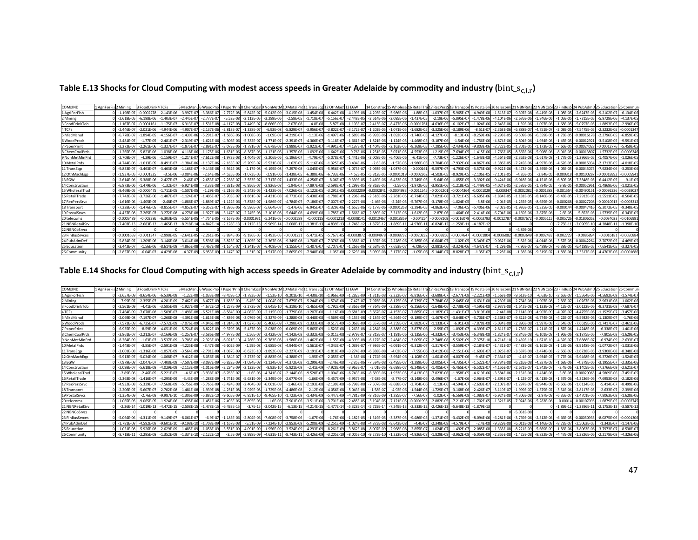Table E.13 Shocks for Cloud Computing with modest access speeds in Greater Adelaide by commodity and industry ( $bin\_s_{c,i,r}$ )

| COMxIND         | 1 AgriForFist 2 Mining |                 | 3 FoodDri      | <b>TCFs</b>     | 5 MiscMan      | WoodPro        | 7 PaperPrint8 ChemCoall9 NonMet |               |                | 10 MetalPro    | 11 TransEgn 12 OthMach |                | 13 EGW          | 14 Constr      | 15 Wholesa 1   | 16 RetailTra              | 17 RecPer     | 18 Transpo      | 19 PostalS     | 20 teleco       |                |                |              |                 |                 | 26 Commur      |
|-----------------|------------------------|-----------------|----------------|-----------------|----------------|----------------|---------------------------------|---------------|----------------|----------------|------------------------|----------------|-----------------|----------------|----------------|---------------------------|---------------|-----------------|----------------|-----------------|----------------|----------------|--------------|-----------------|-----------------|----------------|
| 1 AgriForFish   |                        | $-1.198F - 07$  | $-0.000227$    | $-2.143F - 06$  | $-3.997F - 0$  | $-3.386F - 1$  | $-2.772F - 08$                  | $-5.842F - 0$ | $-5.012F - 09$ | $-3.015F - 08$ | $-1.454F - 08$         | $-6.442F - 08$ | $-4.199F - 08$  | $-4.295F -$    | $-5.986F - 06$ | $-1.88F - 0$ <sup>e</sup> | $-1.037F - 0$ | $-5.965F - 0.7$ | $-4.949F - 08$ | $-1.513F - 0.7$ | $-9.307F - 08$ | $-6.419F - 08$ | $-1.08F - 0$ | $-2.6247F - 05$ | $-9.2102F - 07$ | $-6.134F - 0f$ |
| 2 Mining        |                        | $-2.618E - 05$  | .198E-0<br>-6  | $-1.403E - 07$  | $-2.445E - 0$  | $-2.777E - C$  | $-5.52E-08$                     | $-2.113E-0$   | $-3.289E - 06$ | $-2.58E-05$    | $-1.718E - 0$          | $-5.156E-07$   | $-2.448E - 05$  | $-2.614E -$    | $-2.095E - 06$ | $-1.437E-05$              | $-2.19E -$    | $-5.895E-07$    | $-1.478E - 06$ | $-4.104E-06$    | $-2.676E-06$   | $-1.846E - 06$ | $-1.05E - 0$ | $-1.7315E-05$   | $-5.9728E-06$   | $-4.137E-05$   |
| 3 FoodDrinkTob  |                        | $-1.167F - 0$   | $-0.000116$    | $-1.175F - 0$   | $-6.313F - 0$  | $-1.531F - 08$ | $-4.117F - 08$                  | $-7.449F - 0$ | $-8.666F - 09$ | $-2.07F - 08$  | $-4.8F - 08$           |                | $-1.103F - 0$   | $-2.413F -$    | $-8.477F - 06$ | $-0.000176$               | $-4.636F - 0$ | $-6.102F - 0.7$ | $-1.024F - 0$  | $-2.843F - 06$  | $-1.59F - 06$  | $-1.097F - 06$ | $-1.68F - 0$ | $-5.0797F - 05$ | $-1.8893F - 05$ | $-2.996F - 0$  |
| 4 TCFs          |                        | $-2.446F - 0$   | $-2.021E - 0$  | $-4.944F - 06$  | $-4.907E-0$    | $-2.137E - 06$ | $-2.813E - 07$                  | $-1.338E - 0$ | $-6.93E-08$    | $-5.829E-0$    | $-3.956E - 0$          | $-3.802E - 0$  | $-3.172E - 07$  | 1.202E-0       | $-1.071E-05$   | $-1.682E - 05$            | $-3.325E-06$  | $-3.189E - 06$  | $-8.51E-0$     | $-2.363E-06$    | $-6.888E - 07$ | $-4.751E-0$    | $-2.03E - 0$ | $-7.5475F - 05$ | $-2.3232E-05$   | $-0.000134$    |
| 5 MiscManu      |                        | $-6.778E - 07$  | $-1.894E - 0.$ | $-4.156E-07$    | $-1.439E - 06$ | $-5.291E - C$  | $-1.586E - 06$                  | $-1.008E - 0$ | $-1.09E-07$    | $-4.219E-07$   | $-1.13E-06$            | $-1.497E - 06$ | $-1.689E - 06$  | $-6.993E -06$  | $-1.692E - 05$ | $-1.746E-05$              | $-4.127E-06$  | $-8.13E-06$     | $-8.259E - 06$ | $-2.293E-05$    | $-9.509E - 06$ | $-6.559E - 06$ | $-1.73E-0$   | $-0.00016178$   | $-2.2796E - 05$ | $-6.859E-05$   |
| 6 WoodProds     |                        | $-2.481F - 0$   | $-1.77F - 0$   | $-2.481F - 07$  | $-2.319E - 0$  | $-1.621F - 06$ | $-4.306F - 06$                  | $-5.332E - 0$ | $-1.771F - 07$ | $-2.391E-07$   | $-4.366E - 0$          | $-3.118F - 07$ | $-1.661E-07$    | $-1.821E - 06$ | $-1.124E-05$   | $-1.468E - 05$            | $-3.187E-06$  | $-1.54E-06$     | $-1.756E - 06$ | $-4.874F - 06$  | $-2.804F - 06$ | $-1.934F - 06$ | $-1.45F - 0$ | $-0.0001292$    | $-3.5108F - 05$ | $-9.591E-0$    |
| 7 PaperPrint    |                        | $-2.272E - C$   | $-2.261E - 0$  | $-1.327F - 0$   | $-1.875E - C$  | $-2.891E-$     | $-3.073E - 06$                  | $-1.781E$     | $-6.678E - 08$ | $-1.989E-07$   | $-1.922E - 0$          | $-4.991F$      | $-4.137F - 0.7$ | 1.404E-06      | $-2.163E - 05$ | $-8.269E - 05$            | $-7.285E-$    | $-2.434F - 06$  | $-9.803F - 0$  | $-2.722E-05$    | $-1.701F - 05$ |                | $-7.66F - 0$ | $-0.00024028$   | $-0.0001277$    | $-5.459F - 05$ |
| 8 ChemCoalPrds  |                        | $-1.265E-05$    | $-5.823E - 06$ | $-1.038E - 06$  | $-4.118E - 06$ | $-1.175E-06$   | $-1.631E-06$                    | $-8.387E - 0$ | $-1.121E-06$   | $-1.357E-06$   | $-1.092E - 06$         | $-1.642E - 06$ | $-9.76E - 06$   | $-1.251E - 05$ | $-3.071E - 05$ | $-4.553E-05$              | $-1.219E-0$   | $-7.694E - 05$  | $-1.415E-06$   | $-1.766E-05$    | $-8.565E-06$   | $-5.908F - 06$ | $-8.01E-0$   | $-0.0001380$    | $-1.5732E-05$   | $-0.000634$    |
| 9 NonMetMinPrd  |                        | $-2.708E - 0$   | $-4.29E - 06$  | $-1.159E - 07$  | $-1.214E-0$    | $-7.612E - 08$ | $-1.973E-08$                    | $-1.404E - 0$ | $-3.206E - 06$ | $-5.196E-07$   | $-4.79E-07$            | $-5.078E - 07$ | $-1.441E - 06$  | $-2.008E -$    | $-6.406E - 06$ | $-6.41E - 06$             | $-7.73E-$     | $-1.226E - 07$  | $-1.643E - 08$ | $-4.564E-08$    | $-2.362E-08$   | $-1.617E-08$   | $-1.77F$     | $-1.2966E-05$   | $-1.4057E - 06$ | $-1.026E - 0!$ |
| 10 MetalPrds    |                        | $-4.744F - 06$  | $-1.013E -$    | $-8.491E - 0$   | $-1.384F - 0$  | $-1.137E-0$    | $-2.163E - 07$                  | $-5.209E - 0$ | $-5.521E-07$   | $-1.62E-05$    | $-5.116E-06$           | $-1.325E - 05$ | $-3.404F - 0$   | $-2.6E-0$      | $-1.57E-05$    | $-1.986F - 0$             | $-3.704E - 0$ | $-7.932E - 06$  | $-4.867E - 0$  | $-1.386E - 05$  | $-7.245E - 06$ | $-4.997F - 06$ | $-4.62F-0$   | $-0.0001503$    | $-2.1713E-05$   | $-4.018E - 0!$ |
| 11 TransEgp     |                        | $-9.833E - 0$   | $-3.463E - 0$  | $-3.463E-08$    | $-1.168E - 0$  | $-9.146E - 08$ | $-3.562E - 08$                  | $-2.17E-08$   | $-6.199E-08$   | $-7.297E-08$   | $-1.045E-05$           | $-5.956E - 07$ | $-1.073E - 07$  | $-2.093E - 06$ | $-1.037E - 05$ | $-0.000161$               | $-9.597E - C$ | $-4.793E-05$    | $-3.573E - 06$ | $-9.922E - 06$  | $-3.473E-06$   | $-2.395E - 06$ | $-1.05E-0$   | $-0.0004507$    | $-7.9234E - 06$ | $-3.253E - 06$ |
| 12 OthMachEop   |                        | $-1.937E - 05$  | $-0.000132$    | $-3.5E-06$      | $-3.084E - 0$  | $-2.64E - 06$  | $-4.535E - 06$                  | $-1.073E -$   | $-2.91E-06$    | $-1.438E - 05$ | $-6.388E - 06$         | $-6.733E - 06$ | $-4.52E - 05$   | $-5.812E -$    | $-0.0001019$   | $-0.0002362$              | $-4.503E-0$   | $-8.929E-05$    | $-2.106E - 0$  | $-7.101E-05$    | $-4.26E-05$    | $-2.84E - 05$  | $-0.0003$    | $-0.00100287$   | 0.0001889       | $-0.000594$    |
| 13 EGW          |                        | $-2.614F - 06$  | $-5.388F -$    | $-2.427F - 0.7$ | $-2.46F - 0$   | $-2.653F-1$    | $-2.238F - 07$                  | $-3.553F - C$ | $-3.717F - 07$ | $-1.433F - 06$ | $-4.256F - C$          | $-8.06F -$     | $-9.339F - 05$  | $-2.469F - 06$ | $-6.433F - 06$ | $-2.749F - 05$            | $-5.64F - 0$  | $-1.055F - 05$  | $-3.392F - 0$  | $-9.424F - 06$  | $-6.018F - 06$ | $4.151F - 0f$  | $-6.89F - ($ | $-7.3848F - 05$ | $-6.4412E-05$   | $-9.1E-05$     |
| 14 Construction |                        | $-6.873F - 06$  | $-1.479E - 06$ | $-1.32E-07$     | $-6.924E - 08$ | $-3.33E - 08$  | $-7.321E - 08$                  | $-6.956E - 0$ | $-2.926E-08$   | $-1.94E-07$    | $-7.897E$              | $-2.598E -$    | $-1.299E - 05$  | $-9.863E - 05$ | $-2.5E-05$     | $-1.972E - 05$            | $-3.951E-06$  | $-1.218E - 05$  | $-1.449E - 0$  | $-4.024E - 05$  | $-2.586E-05$   | $-1.784F - 05$ | $-9.8F - 0$  | $-0.00052961$   | $-1.4869E - 06$ | $-1.021E-05$   |
| 15 WholesalTrad |                        | $-9.469E - 05$  | $-0.000647$    | $-1.711E-05$    | $-1.507E-0$    | $-1.29E - 0$   | $-2.216E - 05$                  | $-5.242E - C$ | $-1.422E-05$   | $-7.026E - 05$ | $-3.122E - 05$         | $-3.291E$      | $-0.0002209$    | $-0.00028$     | $-0.000498$    | $-0.0011545$              | $-0.00022$    | $-0.0004364$    | $-0.000102$    | $-0.000347$     | $-0.0002082$   | $-0.0001388$   | $-0.00155$   | $-0.00490151$   | 0.0009233       | $-0.002903$    |
| 16 RetailTrade  |                        | $-7.742F - 07$  | $-3.726E - 0$  | $-1.407E - 07$  | $-1.124E-0$    | $-1.405E - C$  | $-5.703E - 07$                  | $-1.861E - C$ | $-4.421E-08$   | $-8.773E-08$   | $-5.438E - 08$         | $-1.788E-$     | $-1.296E - 0$   | $-2.516E - 00$ | $-2.261E-05$   | $-6.714F - 0$             | $-7.021E-$    | $-3.721E - 05$  | $-6.605E - 0$  | $-1.834E-05$    | $-1.181E-05$   | $-8.146F - 06$ | $-6.43E-0$   | $-7.2913E - 05$ | $-1.5511E-05$   | $-8.504E-0$    |
| 17 RecPersSrvc  |                        | $-1.616E - 06$  | $-1.405E - 0.$ | $-2.48E - 07$   | $-1.886E - 0$  | $-1.889E-0$    | $-1.122E - 06$                  | $-7.878E - C$ | $-1.986E-07$   | $-4.784E-07$   | $-7.186E - 0$          | $-7.007E$      | $-2.227E - 06$  | $-2.46E - 06$  | $-2.24E-05$    | $-5.767E-05$              | $-3.178E - C$ | $-1.024E - 05$  | $-5.8E - 06$   | $-2.04E-05$     | $-1.255E-05$   | $-8.659E - 06$ | $-0.0002$    | $-0.00027208$   | $-0.0001091$    | $-0.000331$    |
| 18 Transport    |                        | $-7.228E - 06$  | $-1.476E - 0$  | $-8.855E-07$    | $-4.852E-0$    | $-6.352E - C$  | $-1.386E - 06$                  | $-9.596E - C$ | $-5.664E-07$   | $-1.47E-06$    | $-6.945E-0$            | $-1.329E - 06$ | $-1.652E - 06$  | $-5.177E - 06$ | $-0.0001268$   | $-3.294E - 05$            | $-4.863E-06$  | $-7.06E - 05$   | $-5.406E - 06$ | $-3.02E - 05$   | $-1.936E-05$   | $-1.335E - 05$ | $-0.000$     | $-0.00047416$   | $-5.3072E - 05$ | $-9.348E - 0$  |
| 19 Postal Srvcs |                        | $-4.437F - 08$  | $-7.265F - C$  | $-3.272E - 08$  | $-4.278E - 08$ | $-1.927E-08$   | $-3.147F - 07$                  | $-2.245E - 0$ | $-3.101F - 08$ | $-5.644E-08$   | $-4.699E-08$           | $-1.785E - 07$ | $-1.566E - 0$   | $-2.889E - 0$  | $-3.312F - 06$ | $-1.612E - 05$            | $-2.87E-06$   | $-1.464F - 06$  | $-2.414F - 06$ | $-6.704F - 06$  | $-4.169E - 06$ | $-2.875F - 06$ | $-2.6F-0$    | $-5.852F - 05$  | $-1.5735F - 05$ | $-6.343F - 0$  |
| 20 telecoms     |                        | $-0.0003489$    | $-0.00238$     | $-6.303F - 05$  | $-5.554F - 0$  | $-4.754F - 0$  | $-8.167F - 05$                  | $-0.000193$   | $-5.241F - 05$ | $-0.0002589$   | $-0.0001$              | $-0.0001213$   | $-0.000814$     | $-0.001046$    | $-0.001835$    | $-0.004254$               | $-0.00081$    | $-0.001607$     | $-0.000379$    | $-0.0012787$    | $-0.0007672$   | $-0.000511$    | $-0.00572$   | $-0.0180605$    | $-0.003402$     | $-0.010699$    |
| 21 NBNRetailSrv |                        | $-7.403E - 13$  | $-2.683E-1$    | $-1.465E-13$    | $-8.218E - 1$  | $-4.842E-1$    | $-2.128E - 13$                  | $-1.212E-1$   | $-9.969E - 14$ | $-2.008E - 13$ | $-1.381E-13$           | $-4.839E-13$   | $-1.746E - 12$  | $-1.877E-1$    | $-1.869E-1$    | $-4.976E-1$               | $-6.824E-1$   | $-1.259E-1$     | $-4.187E - 1$  |                 |                |                | $-7.75E-1$   | $-2.0905E - 1$  | $-4.3848E - 1$  | $-1.398E-10$   |
| 22 NBNCoSrvcs   |                        |                 |                |                 |                |                |                                 |               |                |                |                        |                |                 |                |                |                           |               |                 |                |                 | $-4.89E - 06$  |                |              |                 |                 |                |
| 23 FinBusSrvces |                        | $-0.000165$     | $-0.001134$    | $-2.998E - 05$  | $-2.641E-05$   | $-2.261E-0$    | $-3.884E - 05$                  | $-9.186E - 0$ | $-2.493E - 05$ | $-0.000123$    | $-5.471E-05$           | $-5.767E-05$   | $-0.000387$     | $-0.000497$    | $-0.000873$    | $-0.0020232$              | $-0.00038$    | $-0.000764$     | $-0.000180$    | $-0.0006082$    | $-0.0003649$   | $-0.000243$    | $-0.00272$   | $-0.008589$     | $-0.001618$     | $-0.005088$    |
| 24 PubAdmDef    |                        | $-5.834F - 0$   | 1.209E-0       | $-3.146F - 08$  | $-3.014E - 01$ | $-5.598F - 08$ | $-3.825E - 0$                   | $-1.805F - 0$ | $-2.367F - 08$ | $-9.349E - 08$ | $-1.706E - 0$          | $-7.376E - 08$ | $-3.356E - 0$   | $-1.597E - 00$ | $-2.228E - 06$ | $-9.385E - 06$            | $-6,604E-0$   | $-1.02E - 05$   | $-5.349E - 0$  | $-9.032F - 06$  | $-5.82F - 06$  | $-4.014F - 06$ | $-3.57F - 0$ | $-0.0004226$    | $-2.7072F - 05$ | $-4.469E-0$    |
| 25 Education    |                        | $-3.442F - 0.7$ | $-1.56E - 06$  | $-8.614E-08$    | $-4.865E-08$   | $-3.467F - 08$ | $-1.164F - 07$                  | $-1.341F -$   | $-6.409F - 08$ | $-1.155F - 07$ | $1.407F - 0$           | $-2.707F - 07$ | $-1.266F - 06$  | $-2.624E - 0$  | $-7.653E - 07$ | $-6.09F - 06$             | $-2.881E-$    | $-3.324F - 06$  | $-4.647F - 0$  | $-1.29E-06$     | $-7.96E-07$    | $-5.489F - 0$  | $-6.38F - 0$ | $-6.4189F - 05$ | $-7.6541E - 05$ | $-3.327E-05$   |
| 26 Community    |                        | $-2.857E-09$    | $-6.04F - 0$   | $-4.429F - 08$  | $-4.37F - 09$  | $-6.953E-09$   | $-1.147F - 0.7$                 | $-1.31E-0$    | $-1.517E-09$   | $-2.865E-09$   | $-7.948E-08$           | $-1.05E$       | $-2.623E - 08$  | $-3.039E - 08$ | $-3.177F - 07$ | $-1.05E-06$               | $-5.144E - C$ | $-8.828E - 07$  | $-1.35F - 0$   | $-2.28F - 06$   | $-1.38E - 06$  | $-9.519F - 0$  | $-1.83F - 0$ | $-2.3317E-05$   | $-4.4703F - 06$ | $-0.000168$    |

Table E.14 Shocks for Cloud Computing with high access speeds in Greater Adelaide by commodity and industry ( $bin\_s_{c,i,r}$ )

| COMxIND         | L AgriForFis 2 Mining |                | 3 FoodDrink4 TCFs |                |                |                |                | 5 MiscManu6 WoodProd 7 PaperPrin 8 ChemCoal 9 NonMetM 10 MetalPrd |                |                |                | 11 TransEgg 12 OthMach 13 EGW |                | 14 Constru     |                 |                |                |                |                | uc 15 Wholesa 16 RetailTra 17 RecPersS 18 Transport 19 PostalSrv 20 telecoms 21 NBNRet. |                |                |               |                 |                 |                |
|-----------------|-----------------------|----------------|-------------------|----------------|----------------|----------------|----------------|-------------------------------------------------------------------|----------------|----------------|----------------|-------------------------------|----------------|----------------|-----------------|----------------|----------------|----------------|----------------|-----------------------------------------------------------------------------------------|----------------|----------------|---------------|-----------------|-----------------|----------------|
| 1 AgriForFish   |                       | $-3.657F - 09$ | $-8.654F - 06$    | $-6.539F - 08$ | $-1.22E - 08$  | $-1.033F - 08$ | $-8.459E-10$   | $-1.783F - 08$                                                    | $-1.53E-10$    | $-9.201E-10$   | $-4.438F - 10$ | $-1.966F - 09$                | $-1.282E - 09$ | $-1.311E-08$   | $-2.322E - 07$  | $-8.816E-0$    | $-3.688F - 07$ | $-2.677E-08$   | $-2.221E-09$   | $-1.563F - 09$                                                                          | $-9.613F - 10$ | $-6.63F - 10$  | $-2.65F - 0$  | $-1.5564F - 06$ | $-4.5692F - 09$ | $-1.574F - 0$  |
| 2 Mining        |                       | $-7.99E - 07$  | $-2.355E - C$     | $-4.281E-09$   | $-7.462E - 0$  | $-8.477E-09$   | $-1.685E - 09$ | $-6.45E-0$                                                        | $-1.004E-07$   | $-7.875E - 07$ | $-5.244E-09$   | $-1.574E-08$                  | $-7.47E-07$    | $-7.976E - C$  | $-8.125E - 08$  | $-6.739E - 07$ | $-7.784E-08$   | $-2.645E-08$   | $-6.631E - 08$ | $-4.239E-08$                                                                            | $-2.764E-08$   | $-1.907E-08$   | $-2.56E-0$    | $-1.0267E - 06$ | $-2.9631E - 08$ | $-1.062E - 06$ |
| 3 FoodDrinkTob  |                       | $-3.561F - 09$ | $-4.41F - 06$     | $-3.585F - 09$ | $-1.927F - 0$  | $-4.672F - 10$ | $-1.257F - 09$ | $-2.273F - 08$                                                    | $-2.645F-1$    | $-6.319F-1$    | $1.465F - 09$  | $-1.792F - 09$                | $-3.366F - 09$ | $-7.364F -$    | $-3.288F - 07$  | $-8.256F - 06$ | $-1.648F - 06$ | $-2.738F - 08$ | $-4.595F - 0$  | $-2.937F - 08$                                                                          | $-1.642F - 08$ | $-1.133F - 08$ | $-4.12F - 0$  | $-3.0122F - 06$ | $-9.3731F - 08$ | $-7.687F - 0$  |
| 4 TCFs          |                       | $-7.464F - 09$ | $-7.678F - 08$    | $-1.509E-07$   | $-1.498E - 08$ | $-6.521E - 08$ | $-8.584E-09$   | $-4.082E - 09$                                                    | $-2.115E-09$   | $-1.779E-08$   | $-1.207E-08$   | $-1.16E-08$                   | $-9.681E - 09$ | $-3.667E - 0$  | $-4.153E - 07$  | $-7.885E-0$    | $-1.182E - 07$ | $-1.431E-07$   | $-3.819E-08$   | $-2.44E-08$                                                                             | $-7.114E-09$   | $-4.907E - 09$ | $-4.97E-0$    | $-4.4755E - 06$ | $-1.1525E-07$   | $-3.457E-06$   |
| 5 MiscManut     |                       | $-2.069E - 08$ | $-7.197E - C$     | $-1.268E-08$   | $-4.391E - C$  | $-1.615E-08$   | $-4.839E - 08$ | $-3.076E - 08$                                                    | $-3.327E-09$   | $-1.288E-08$   | $-3.448E-08$   | $-4.569E - 08$                | $-5.153E-08$   | $-2.134E - 0$  | $-6.564E-07$    | $-8.189E-0$    | $-1.467E-07$   | $-3.648E - 07$ | $-3.706E - 0$  | $-2.368E-07$                                                                            | $-9.821E-08$   | $-6.774E - 08$ | $-4.22E-0$    | $-9.5932E - 06$ | $-1.1309E - 0$  | $-1.76E - 06$  |
| 6 WoodProds     |                       | $-7.571F - 09$ | $-6.725F - 0$     | $-7.572F - 09$ | $-7.076E -$    | $-4.946F - 08$ | $-1.314E - 07$ | $-1.627E-08$                                                      | $-5.406F - 09$ | $-7.298E-09$   | $-1.333E-08$   | $-9.517F - 09$                | $-5.068E - 09$ | $-5.557E - 08$ | $-4.359E - 07$  | $-6.882E-0$    | $-1.133E-07$   | $-6.91E-08$    | $-7.878F - 0$  | $-5.034E-08$                                                                            | $-2.896E-08$   | $-1.997F - 08$ | $-3.54F - 0$  | $-7.6619E - 06$ | $-1.7417E-07$   | $-2.461E-06$   |
| 7 PaperPrint    |                       | $-6.935E-09$   | $-8.59F - 08$     | $-4.051F - 09$ | $-5.724E - 0$  | $-8.822F - 09$ | $-9.379E - 08$ | $-5.437F - 09$                                                    | $-2.038E-09$   | $-6.069F - 09$ | $-5.865E-09$   | $-1.523F - 08$                | $-1.263E-08$   | $-4.284E - 0$  | $-8.388E - 07$  | $-3.877E - 0$  | $-2.59E-07$    | $-1.092E-07$   | $-4.399E-0$    | $-2.811E-07$                                                                            | $-1.756F - 07$ | $-1.211E-07$   | $-1.87F - 0$  | $-1.4248F - 05$ | $-6.338F - 07$  | $-1.401E-06$   |
| 8 ChemCoalPrds  |                       | $-3.861F - 0$  |                   | $-3.169F - 08$ | $-1.257E$      | $-3.586F - 08$ | $-4.977F - 08$ | $-2.56E-0$                                                        |                | $-4.142F - 08$ | $-3.332E-08$   | $-5.011E-08$                  | $-2.979E - 07$ | $-3.818E-$     | $-1.191E - 06$  | $-2.135E-0$    | $-4.332E-0$    | $-3.453E - 06$ | $-6.348F - 0$  | $-1.824E - 07$                                                                          | $-8.846F - 08$ | $-6.101F - 08$ | $-1.96F - 0$  | $-8.1875F - 0f$ | $-7.805F - 08$  | $-1.629E - 05$ |
| 9 NonMetMinPrd  |                       | $-8.264E - 09$ | $-1.63E-0$        | $-3.537E-09$   | $-3.705E - 0$  | $-2.323E-09$   | $-6.021E-10$   | $-4.286E - 09$                                                    | $-9.783E-08$   | $-1.586E-08$   | $-1.462E-08$   | $-1.55E-08$                   | $-4.399E - 08$ | $-6.127E - C$  | $-2.484E - 0.7$ | $-3.005E-0$    | $-2.748E-08$   | $-5.502E - 09$ | $-7.375E - 10$ | $-4.714E-10$                                                                            | $-2.439E-10$   | $-1.671E-10$   | $-4.32E-0$    | $-7.6888E - 07$ | $-6.974F - 09$  | $-2.633E-0$    |
| 10 MetalPrds    |                       | $-1.448F - 0$  | $-3.85E - 0$      | $-2.591E-08$   | $-4.225E - 0$  | $-3.47E - 08$  | $-6.602E-09$   | $-1.59E-08$                                                       | $-1.685E-08$   | $-4.944E-07$   | $-1.561E-07$   | $-4.043E - 07$                | $-1.039E-07$   | $-7.936E - 0$  | $-6.091E - 07$  | $-9.312E-0$    | $-1.317E-07$   | $-3.559E-07$   | $-2.184E - 0$  | $-1.431E-07$                                                                            | $-7.483E-08$   | $-5.161E-08$   | $-1.13E-0$    | $-8.9148E - 06$ | $-1.0772E-07$   | $-1.031E-06$   |
| 11 TransEgp     |                       | $-3.001F - 08$ | $-1.316F - 0.9$   | $-1.057E-09$   | $-3.564E - 0$  | $-2.791E-09$   | $-1.087E - 09$ | $-6.623E-10$                                                      | $-1.892E-09$   | $-2.227E-09$   | $-3.191E-0$    | $-1.818E-08$                  | $-3.274E - 09$ | $-6.388E - 0$  | $-4.02E - 0.7$  | $-7.55E - 06$  | $-3.412E-08$   | $-2.151E-06$   | $-1.603E - 0$  | $-1.025E-07$                                                                            | $-3.587E-08$   | $-2.474F - 08$ | $-2.56E - 0$  | $-2.6728E - 05$ | $-3.9308F - 08$ | $-8.348E - 08$ |
| 12 OthMachEgo   |                       | $-5.913F - 0$  | $-5.034F - 06$    | $-1.068F - 0$  | $-9.412F - 0.$ | $-8.056E-08$   | $-1.384E - 07$ | $-3.273F - 0$                                                     | $-8.883E-08$   | $-4.388E - 0$  | $-1.95E-07$    | $-2.055E-07$                  | $-1.38E - 06$  | $-1.774E - 06$ | $-3.954E - 06$  | $-1.108E - 05$ | $-1.601E-06$   | $-4.007E-06$   | $-9.45F - 0$   | $-7.334E - 07$                                                                          | $-4.4F-07$     | $-2.934E - 07$ | $-7.77F - 0$  | $-5.9468F - 05$ | $-9.3726E - 07$ | $-1.524E-05$   |
| 13 EGW          |                       | $-7.979F - 0$  | $-2.047F - 0$     | $-7.408F - 09$ | $-7.507E-$     | $-8.097E-09$   | $-6.832E - 09$ | $-1.084E - 08$                                                    | $-1.134F - 08$ | $-4.372E-08$   | $-1.299E - 08$ | $-2.46E-08$                   | $-2.85E - 06$  | $-7.534E - 0$  | $-2.495E - 0$   | $-1.289E - 0$  | $-2.005E-07$   | $-4.735E-07$   | $-1.522E-0$    | $-9.734F - 08$                                                                          | $-6.216E-08$   | $-4.287F - 08$ | $-1.68F - 0$  | $-4.379F - 06$  | $-3.1955F - 0$  | $-2.335E-06$   |
| 14 Construction |                       | $-2.098E-0$    | $-5.618E - 08$    | $-4.029E - 09$ | $-2.113E - C$  | $-1.016E-09$   | $-2.234E - 09$ | $-2.123E-08$                                                      | $-8.93E-1$     | $-5.921E-09$   | $-2.41E-09$    | $-7.928E - 09$                | $-3.963E - 0$  | $-3.01E - 0$   | $-9.698E - 07$  | $-9.248E - 0$  | $-1.405E-07$   | $-5.465E-07$   | $-6.502E-0$    | $-4.156E-07$                                                                            | $-2.671E-07$   | $-1.842E-07$   | $-2.4E - 06$  | $-3.1405E - 05$ | $-7.3766E-09$   | $-2.621E - C$  |
| 15 WholesalTrac |                       | $-2.89E - 06$  | $-2.46F - 0$      | $-5.221E-0$    | $-4.6F-0$      | $-3.938F - 07$ | $-6.765E-07$   | $-1.6E-06$                                                        | $-4.341E - 07$ | $-2.144E-06$   | $-9.528E - 07$ | $-1.004E - 06$                | $-6.743F - 06$ | $-8.669E - 06$ | $-1.933E - 05$  | $-5.413E-05$   | $-7.823E-06$   | $-1.958E - 05$ | $-4.619E - 06$ | $-3.584E-06$                                                                            | $-2.151E-06$   | $-1.434F - 06$ | $-3.8F - 05$  | $-0.00029065$   | $-4.5809F - 0f$ | $-7.451E-05$   |
| 16 RetailTrade  |                       | $-2.363F - 08$ | $-1.416F - 0$     | $-4.295F - 09$ | $-3.43E - 09$  | $-4.288E - 09$ | $-1.741E-08$   | $-5.681E - 09$                                                    | $-1.349E-09$   | $-2.677E-09$   | $-1.66E-09$    | $-5.457E - 09$                | $-3.957E-08$   | $-7.68E - 08$  | $-8.77E-07$     | $-3.148E - 06$ | $-2.496E-07$   | $-1.67E-06$    | $-2.964E-0.$   | $-1.895E-07$                                                                            | $-1.22E-07$    | $-8.413E-08$   | $-1.57F - 0f$ | $-4.3236E - 06$ | $-7.6953E-08$   | $-2.182E-06$   |
| 17 RecPersSrvc  |                       | $-4.932E - 08$ | $-5.339E - C$     | $-7.568E - 09$ | $-5.756E - 0$  | $-5.765E-09$   | $-3.424E - 08$ | $-2.404E-08$                                                      | $-6.061E-09$   | $-1.46E-08$    | $-2.193E-08$   | $-2.139E - 08$                | $-6.798E - 08$ | $-7.507E - 08$ | $-8.688E - 07$  | $-2.704E - 06$ | $-1.13E-06$    | $-4.594E-07$   | $-2.603E-0.$   | $-2.107E-07$                                                                            | $-1.297E-07$   | $-8.944E-08$   | $-6.56E - 00$ | $-1.6134E-05$   | $-5.414E-07$    | $-8.499E-06$   |
| 18 Transport    |                       | $-2.206E - 0$  | $-5.607F - 0$     | $-2.702E - 08$ | $-1.481E - 08$ | $-1.939F - 08$ | $-4.231E-08$   | $-2.929E-08$                                                      | $-1.729E-08$   | $-4.486E-08$   | $-2.12E-08$    | $-4.056E - 08$                | $-5.043E - 08$ | $-1.58E - C$   | $-4.92E - 06$   | $-1.544E-06$   | $-1.729E-07$   | $-3.168E - 06$ | $-2.426E - 0.$ | $-3.119E-07$                                                                            | $-1.999E-07$   | $-1.379F - 07$ | $-3.51E - 06$ | $-2.8117E-05$   | $-2.633E-07$    | $-2.399E-06$   |
| 19 PostalSrvcs  |                       | $-1.354F - 09$ |                   | $-9.987F - 10$ | $-1.306F - 0$  | $-5.882F$      | $-9.605E - 09$ | $-6.851E-10$                                                      | $-9.465F-1$    | $-1.723E-09$   | $-1.434F - 09$ | $-5.447F - 09$                | $-4.781F - 09$ | $-8.816E -$    | $-1.285E - 0$   | $-7.56F - 0$   | $-1.02E - C$   | $-6.569E-08$   | $-1.083F - 0$  | $-6.924F - 08$                                                                          | $-4.306F - 08$ | $-2.97F - 08$  | $-6.35F - 0$  | $-3.4701F - 06$ | $-7.8063F-08$   | $-1.628F - 0f$ |
| 20 telecoms     |                       | $-1.065F - 05$ | $-9.065F - 0$     | $-1.924F - 06$ | $-1.695F - 0$  | $-1.451F - 06$ | $-2.493F - 06$ | $-5.895F - 06$                                                    | $-1.6F - 06$   | $-7.901F - 0f$ | $-3.511E-06$   | $-3.701F - 06$                | $-2.485F - 05$ | $-3.194F -$    | $-7.121E - 05$  | $-0.000199'$   | $-2.882F - 05$ | $-7.216E - 05$ | $-1.702E - 05$ | $-1.321E-05$                                                                            | $-7.924E - 06$ | $-5.283E - 06$ | $-0.000$      | $-0.00107095$   | $-1.6879F - 0$  | $-0.000274$    |
| 21 NBNRetailSrv |                       | $-2.26E - 14$  | $-1.019E-1$       | $-4.472E-15$   | $-2.508E-1$    | $-1.478E - 15$ | $-6.493E-15$   | $-3.7E-15$                                                        | $-3.042E-15$   | $-6.13E-15$    | $-4.214E-15$   | $-1.477E-14$                  | $-5.328E - 14$ | $-5.729E -$    | $-7.249E - 13$  | $-2.333E-1$    | $-2.426E-13$   | $-5.648E - 13$ | $-1.879E-1$    |                                                                                         |                |                | $-1.89E-1$    | $-1.2396E - 12$ | $-2.1753E-13$   | $-3.587E-12$   |
| 22 NBNCoSrvcs   |                       |                |                   |                |                |                |                |                                                                   |                |                |                |                               |                |                |                 |                |                |                |                |                                                                                         | $-5.051E - 00$ |                |               |                 |                 |                |
| 23 FinBusSrvces |                       | $-5.064E -$    | $-4.311F - 0$     | $-9.149F - 0$  | $-8.061E - 0$  | $-6.9E-07$     | $-1.185E - 06$ | $-2.804E - 06$                                                    | $-7.608E - 07$ | $-3.758E - 06$ | $-1.67E-06$    | $-1.76E - 06$                 | $-1.182E - 05$ | $-1.519E - 0$  | $-3.387E - 05$  | $-9.486E - 05$ | $-1.371E-05$   | $-3.432E - 05$ | $-8.094E - 06$ | $-6.281E-06$                                                                            | $-3.769E - 06$ | $-2.512E - 06$ | $-6.66E-0$    | $-0.00050933$   | $-8.0275E-06$   | $-0.000130$    |
| 24 PubAdmDef    |                       | $-1.781E - 08$ | $-4.592E - 08$    | $-9.601E-10$   | $-9.198E - 1$  | $-1.708E-09$   | $-1.167E-08$   | $-5.51E-09$                                                       | $-7.224E-10$   | $-2.853E-09$   | $-5.208E-09$   | $-2.251E-09$                  | $-1.024E - 08$ | $-4.873E - 0$  | $-8.642E - 08$  | $-4.4E-0$      | $-2.348E-08$   | $-4.579E - 07$ | $-2.4E-08$     | $-9.329E - 08$                                                                          | $-6.011E-08$   | $-4.146E - 08$ | $-8.72E-0$    | $-2.5062E - 05$ | $-1.343E-07$    | $-1.147E - 0$  |
| 25 Education    |                       | $-1.051F - 08$ | $-5.926F - 08$    | $-2.629E - 09$ | $-1.485E - C$  | $-1.058F - 09$ | $-3.551E-09$   | $-4.091E - 09$                                                    | $-1.956E-09$   | $-3.524E-09$   | $-4.293F - 09$ | $-8.261E - 09$                | $-3.862E - 08$ | $-8.007E-$     | $-2.968E - 08$  | $-2.855E-0$    | $-1.024E - 07$ | $-1.492E-07$   | $-2.085F - 08$ | $-1.333E-08$                                                                            | $-8.221E-09$   | $-5.669E - 09$ | $-1.56E-0$    | $-3.8063F - 06$ | $-3.7973E-07$   | $-8.538E-0$    |
| 26 Community    |                       | $-8.718E-1$    | $-2.295E-08$      | $-1.352E-09$   | $-1.334E-10$   | $-2.122E-10$   | $-3.5E-09$     | $-3.998E - 09$                                                    | $-4.631E-11$   | $-8.743E-1$    | $-2.426E - 09$ | $-3.205E - 10$                | $-8.005E - 10$ | $-9.273E -$    | $-1.232E-08$    | $-4.926E - 08$ | $-1.829E-08$   | $-3.962E - 08$ | $-6.059E - 09$ | $-2.355E-08$                                                                            | $-1.425E-08$   | $-9.832E - 09$ | $-4.47F - 09$ | $-1.3826E - 06$ | $-2.2178E-08$   | $-4.326E - 06$ |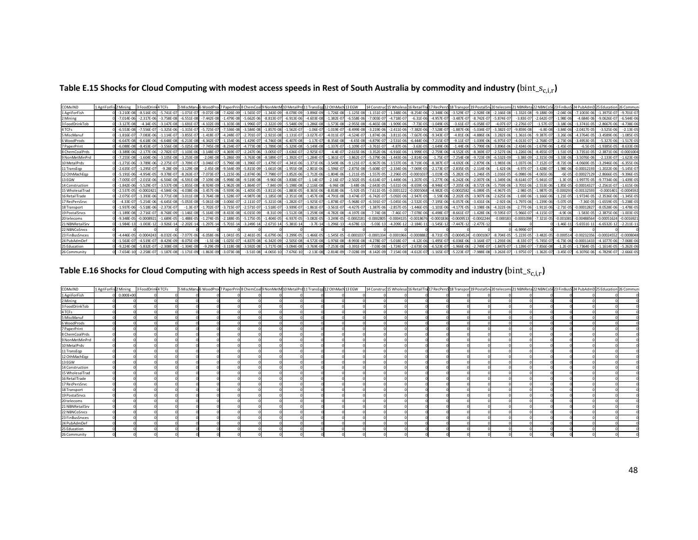Table E.15 Shocks for Cloud Computing with modest access speeds in Rest of South Australia by commodity and industry ( $bin\_s_{C,i,r}$ )

| COMxIND         | 1 AgriForFi.<br>is 2 Minine | FoodDrin       | TCFs           | 5 MiscMan       | 6 WoodPr       |                |                |                | ' PaperPrin 8 ChemCoal 9 NonMetM 10 MetalPrd 11 TransEod 12 OthMac |                |                 | 13 EGW          | 14 Constru                   | 15 Wholesa     | 16 RetailTra   | L7 RecPers     |                | 19 PostalSr     | 20 telecon     |                |                |               |                 |                 | 26 Commur      |
|-----------------|-----------------------------|----------------|----------------|-----------------|----------------|----------------|----------------|----------------|--------------------------------------------------------------------|----------------|-----------------|-----------------|------------------------------|----------------|----------------|----------------|----------------|-----------------|----------------|----------------|----------------|---------------|-----------------|-----------------|----------------|
| 1 AgriForFish   | $-3.210F - 08$              | $-8.516F - 05$ | $-5.741F$      | $-1.071F - 0$   | $-9.072F - 08$ | $-7.426F - 09$ | $-1.565F - 0$  | $-1.343F - 09$ | $-8.078F - 09$                                                     | $-3.896F - 0$  | $-1.726F - 08$  | $-1.125F - 08$  | $1.151F - 0$                 | $-1.348F - 06$ | $-8.254F - 0f$ | $-2.348F - 06$ | $-3.529F - 0$  | $-2.928F - 0$   | $-2.166F - 08$ | $-1.332F - 08$ | $-9.188F - 09$ | $-2.04F - 0$  | $-7.1003F - 06$ | $-1.3975F - 07$ | $-9.701F - 0$  |
| 2 Mining        | $-7.014F - 06$              | $-2.317E-06$   | $-3.758E - 08$ | $-6.551E - 08$  | $-7.442E - 08$ | $-1.479E-08$   | $-5.662E - C$  | $-8.813E-07$   | $-6.913E-06$                                                       | $-4.603E - 0$  | $-1.382E-07$    | $-6.558E - 06$  | $-7.003E - C$                | $-4.718E - 0$  | $-6.31E - 06$  | $-4.957E - C$  | $-3.487E - 07$ | $-8.742E-0$     | $-5.874E-07$   | $-3.83E-07$    | $-2.642E-0$    | $-1.98E - 0$  | $-4.684E - 06$  | $-9.0626E - 0$  | $-6.544E-06$   |
| 3 FoodDrinkTob  | $-3.127F - 08$              | $-4.34F - 0$   | $-3.147F - 08$ | $-1.691F - 0$   | $-4.102F - 0$  | $-1.103F - 08$ | $-1.996F - C$  | $-2.322F - 09$ | $-5.548F - 09$                                                     | 1.286F-0       | $-1.573F - 08$  | $-2.955F - 08$  | $-6.465F - 0$                | $-1.909F - 0$  | $-7.73F - 0$   | $-1.049F - 0$  | $-3.61F - 0.7$ | $-6.058F - C$   |                | $-2.276F - 07$ | $-1.57F - 0$   | $-3.18F - 0$  | $-1.3741F - 05$ | $-2.8667F - 06$ | $-4.738F - 0$  |
| 4 TCFs          | $-6.553E-08$                | $-7.556F - C$  | $-1.325E - 06$ | $-1.315E - 0$   | $-5.725E - C$  | $-7.536E-08$   | $-3.584E - 08$ | $-1.857E-08$   | $-1.562E-07$                                                       | $-1.06E-0$     | $-1.019E - 07$  | $-8.499F - 08$  | $-3.219F - 06$               | $-2.411F - 0$  | $-7.382F - 06$ | $-7.528E-0$    | $-1.887E - 06$ | $-5.034E - 0$   | $-3.382F - 07$ | $-9.859E-08$   | $-6.8E - 08$   | $-3.84E - 00$ | $-2.0417F - 05$ | $-3.525F - 06$  | $-2.13E-05$    |
| 5 MiscManu      | $-1.816E-0$                 | $-7.083E - 06$ | $-1.114E-0$    | $-3.855E-0$     | $-1.418E - 0$  | $-4.248E - 07$ | $-2.701E - 0$  | $-2.921E-08$   | $-1.131E-07$                                                       | $-3.027E-0$    | $-4.011E-07$    | $-4.524E-07$    | $-1.874E - 06$               | $-3.811E - 06$ | $-7.667E - 06$ | $-9.343E - C$  | $-4.81E-06$    | $-4.886E - 06$  | $-3.282E - 06$ | $-1.361E-06$   | $-9.387E - 07$ | $-3.26E - 00$ | $-4.3764E - 05$ | $-3.4589E - 06$ | $-1.085E-05$   |
| 6 WoodProds     | $-6.647F - 08$              | $-6.618F - 06$ | $-6.648F - 08$ | $-6.213F - 08$  | $-4.342F - 0$  | $-1.154F - 06$ | $-1.429E - 0$  | $-4.746F - 08$ | $-6.407F - 08$                                                     | $-1.17E-0$     | $-8.356E - 08$  | $-4.45F - 08$   | $-4.879F$                    | $-2.531E - 06$ | $-6.444E - 06$ | $-7.215E-0$    | $-9.11E-0$     | $-1.039E - 0$   | $-6.975F - 07$ | $-4.013E-07$   | $-2.768F - 0$  | $-2.73E - 00$ | $-3.4953F - 05$ | $-5.327E-06$    | $-1.517E-05$   |
| 7 PaperPrint    | $-6.088F - 08$              | $-8.453F -$    | $-3.556F - 08$ | $-5.025F - 08$  | $-7.745F - 08$ | $-8.234E - 07$ | $-4.773F - C$  | $-1.789F - 08$ | $-5.329E - 08$                                                     | $-5.149E - 0$  | $-1.337F - 0.7$ | $-1.109F - 0$   | $-3.761F$                    | $-4.87F - 0$   | $-3.63E - 05$  | $-1.649E - 0$  | $-1.44F - 06$  | $-5.799E - 0$   | $-3.896F - 06$ | $-2.434F - 06$ | $-1.679F - 0f$ | $-1.45F - 0$  | $-6.5F - 05$    | $-1.9385F - 05$ | $-8.633E - 06$ |
| 8 ChemCoalPrds  | $-3.389F - 06$              |                | $-2.782E - 0$  | $-1.103E - 06$  | $-3.148E - 0$  | $-4.369E - 07$ | $-2.247E - 0$  | $-3.005F - 07$ | $-3.636E-07$                                                       | $-2.925E - 0$  | $-4.4E-07$      | $-2.615E - 06$  | $-3.352E - 06$               | $-6.916E - 06$ | $-1.999E-05$   | $-2.759E-06$   | $-4.552E-05$   | $-8.369E - 0$   | $-2.527E-06$   | $-1.226E - 06$ | $-8.455E-0$    | $-1.51E-0$    | $-3.7351F - 05$ | $-2.3871E-06$   | $-0.000100$    |
| 9 NonMetMinPrd  | $-7.255E - 08$              | $-1.604F - 06$ | $-3.105E -$    | $-3.253E - 08$  | $-2.04E - 08$  | $-5.286E - 09$ | $-3.763E - 0$  | $-8.589E-0$    | $-1.392E - 07$                                                     | $-1.284E - C$  | L.361E-07       | $-3.862E - 07$  | $-5.379E - 06$               | $-1.443E - 06$ | $-2.814E - 06$ | $-1.75E-0$     | $-7.254E - 08$ | $-9.723E - 0$   | $-6.532E-09$   | $-3.38E-09$    | $-2.315E - 09$ | $-3.33E-0$    | $-3.5076E - 06$ | $-2.133E-0$     | $-1.623E - 06$ |
| 10 MetalPrds    | $-1.271E - 00$              | $-3.789F - 06$ | $-2.275E-0$    | $-3.709E - C$   | $-3.046E - 0$  | $-5.796E - 08$ | $-1.396E -$    | $-1.479F - 07$ | $-4.341E - 06$                                                     | $-1.371E - C$  | $-3.549F - 06$  | $-9.121E-0$     | $-6.967E - 06$               | $-3.537F - 0$  | $-8.719E - 06$ | $-8.387E - C$  | $-4.692E - 06$ | $-2.879F - 0$   | $-1.983F - 06$ | $-1.037F - 06$ | $-7.152E - 0$  | $-8.72F - 0$  | $-4.0669F - 05$ | $-3.2946F - 06$ | $-6.355E-0$    |
| 11 TransEgp     | $-2.635E - 0$               | $-1.295E - 0$  | $-9.28E - 09$  | $-3.129E - 08$  | $-2.45E - 08$  | $-9.544E-09$   | $-5.815E-09$   | $-1.661E-08$   | $-1.955E-08$                                                       | $-2.801E-06$   | $-1.596E-07$    | $-2.875E-08$    | $-5.608E - C$                | $-2.334E - 06$ | $-7.069E - 05$ | $-2.173E-0$    | $-2.835E-05$   | $-2.114E - 06$  | $-1.42E-06$    | $-4.97E-07$    | $-3.428E - 07$ | $-1.98E - 00$ | $-0.00012193$   | $-1.2022E-06$   | $-5.145E - 0$  |
| 12 OthMachEop   | $-5.191E - 06$              | $-4.954F - 05$ | $-9.378E - 0$  | $-8.263E - 0.7$ | $-7.073E - C$  | $-1.215E-06$   | $-2.874E - 0$  | $-7.798E - 07$ | $-3.852E-06$                                                       | $-1.712E-0$    | $-1.804E - 06$  | $-1.211E-05$    | $-1.557E - 05$               | $-2.296E - 05$ | $-0.0001037$   | $-1.019E-$     | $-5.282E - 05$ | $-1.246E - 05$  | $-1.016E-05$   | $-6.098E - 06$ | $-4.065E - 06$ | -6E           | $-0.00027129$   | $-2.8666E-05$   | $-9.396E - 05$ |
| 13 EGW          | $-7.005F - 0$               | $-2.015F - 0f$ | $-6.504F - 08$ | $-6.591F - 08$  | $-7.109F - 08$ | $-5.998F - 08$ | $-9.519E - 0$  | $-9.96F - 08$  | $-3.838F - 07$                                                     | $-1.14F-0$     | $-2.16E-07$     | $-2.502F - 05$  | $-6.614E - 0$                | $-1.449F - 0$  | $-1.207F - 0$  | $-1.277E-0$    | $-6.242E - 06$ | $-2.007F - 0$   | $-1.349F - 06$ | $-8.614F - 07$ | $-5.941F - 0$  | $-1.3F-0$     | $-1.9977F - 0$  | $-9.7734F - 06$ | $-1.439F - 0$  |
| 14 Construction | $-1.842E - 06$              | $-5.529F - 0$  | $-3.537E-08$   | $-1.855E-08$    | $-8.924F - 0$  | $-1.962E - 08$ | $-1.864E - C$  | $-7.84E - 09$  | $-5.198E-08$                                                       | $-2.116E-0$    | $-6.96E - 08$   | $-3.48F - 06$   | $-2.643E - 05 - 5.631E - 06$ |                | $-8.659E - 06$ | $-8.946E - C$  | $-7.205E - 06$ | $-8.572F - 06$  | $-5.759E - 06$ | $-3.701F - 06$ | $-2.553E-06$   | $-1.85F - 0$  | $-0.00014327$   | $-2.2561E-07$   | $-1.615E-06$   |
| 15 WholesalTrad | $-2.537E-0$                 | $-0.000242$    | $-4.584E - 06$ | $-4.038E - 06$  | $-3.457E - 06$ | $-5.939E - 06$ | $-1.405E - C$  | $-3.811E - 06$ | $-1.883E - 05$                                                     | $-8.365E - 0$  | $-8.818E - 06$  | $-5.92E - 05$   | $-7.611E$                    | 05 -0.000112   | $-0.0005068$   | $-4.982E-0$    | $-0.000258$    | $-6.089E - 0$   | $-4.967E-05$   | $-2.98E - 05$  | $-1.987E-05$   | $-0.00029$    | $-0.00132593$   | $-0.000140$     | $-0.000459$    |
| 16 RetailTrade  | $-2.075F - 0$               | $-1.393E - 06$ | $-3.771E-01$   | $-3.011F - 08$  | $-3.764F - 0F$ | $-1.528E-0$    | $-4.987E-0$    | $-1.185E-08$   | $-2.351E-08$                                                       | $-1.457F - 08$ | $-4.791E-08$    | $-3.474F - 0.7$ | $-6.742F - 0$                | $-5.092E - 0$  | $-2.947E-05$   | $-1.59E-0$     | $-2.202E - 05$ | $-3.907E - 0$   | $-2.625E-06$   | $-1.69E - 06$  | $-1.166E-06$   | $-1.21E - C$  | $-1.9724E - 05$ | $-2.3536E-06$   | $-1.345E-0$    |
| 17 RecPersSrvc  | $-4.33E-0$                  | $-5.254E - 06$ | $-6.645E-08$   | $-5.053E-08$    | $-5.061E - 08$ | $-3.006E - 07$ | $-2.111E - C$  | $-5.321E-08$   | $-1.282E-07$                                                       | $-1.925E-0$    | $-1.878E - 07$  | $-5.968E - 07$  | $-6.591E - C$                | $-5.045E - 06$ | $-2.532E-05$   | $-7.195E - 06$ | $-6.057E-06$   | $-3.431E - 06$  | $-2.92E-06$    | $-1.797E-06$   | $-1.239E - 06$ | $-5.07E - 05$ | $-7.36E - 05$   | $-1.6559E-05$   | $-5.238E - 05$ |
| 18 Transport    | $-1.937E - 06$              | $-5.518F - 0f$ | $-2.373E - 0$  | $-1.3E-0$       | $-1.702E-0$    | $-3.715E - 07$ | $-2.571E-0$    | $-1.518E - 07$ | $-3.939E-07$                                                       | $-1.861E-0$    | $-3.561E-07$    | $-4.427E-07$    | 1.387E-06                    | $-2.857E-05$   | $-1.446E - 05$ | $-1.101E-06$   | $-4.177E - 05$ | $-3.198E - 0$   | $-4.322E - 06$ | $-2.77F - 06$  | $-1.911E - 06$ | $-2.71E-0$    | $-0.0001282$    | $-8.0528E - 06$ | $-1.478F - 0F$ |
| 19 Postal Srvcs | $-1.189F - 08$              | $-2.716F - 0$  | $-8.768E-09$   | $1.146F - 08$   | $-5.164F - 0$  | $-8.433F - 08$ | $-6.015E - 0$  | $-8.31F - 09$  | $-1.512E-08$                                                       | $-1.259E - 08$ | $-4.782E - 08$  | $-4.197E-08$    | $-7.74F - 08$                | $-7.46F - 0$   | $-7.078F - 06$ | $-6.498F-0$    | $-8.661E-0$    | $-1.428F - 06$  | $-9.595F - 07$ | $-5.966E-07$   | $-4.115F - 0$  | $-4.9E - 0$   | $-1.583F - 05$  | $-2.3875E-06$   | $-1.003F - 0$  |
| 20 telecoms     | $-9.348F - 0$               | $-0.000892$    | $-1.689F - 05$ | $-1.488F - 05$  | $-1.274F - 0$  | $-2.188F - 05$ | $-5.175F - 0$  | $-1.404F - 05$ | $-6.937F - 05$                                                     | $-3.082F - C$  | $-3.249F - 05$  | $-0.000218$     | 0.000280                     | $-0.00041$     | $-0.001867$    | $-0.00018$     | $-0.00095$     | $-0.000224$     | $-0.000183$    | $-0.0001098$   | $-7.321E - 05$ | $-0.00108$    | $-0.00488564$   | $-0.00051624$   | $-0.001692$    |
| 21 NBNRetailSrv | $-1.984F - 1$               | $-1.003E - 1$  | $-3.926E - 14$ | $-2.202E - 14$  | $-1.297E-1$    | $-5.701E-14$   | $-3.249E-1$    | $-2.671E-14$   | $-5.381E-14$                                                       | $-3.7E-14$     | $-1.296E-13$    | $-4.678E - 13$  | $-5.03E - 13$                | $-4.209E - 12$ | $-2.184E-1$    | $-1.545E-2$    | $-7.447E-12$   | $-2.477E-1$     |                |                |                | $-1.46E-1$    | $-5.6551E-1$    | $-6.6532E-12$   | $-2.211E-1$    |
| 22 NBNCoSrvcs   |                             |                |                |                 |                |                |                |                |                                                                    |                |                 |                 |                              |                |                |                |                |                 |                | $-6.999E - 07$ |                |               |                 |                 |                |
| 23 FinBusSrvces | $-4.446F - 0$               | $-0.000424$    | $-8.032E - 06$ | $-7.077E - 06$  | $-6.058E - 06$ | $-1.041E-05$   | $-2.461E-0$    | $-6.679E-06$   | $-3.299E-05$                                                       | $-1.466E-0.$   | $-1.545E-05$    | $-0.000103$     | $-0.000133$                  | $-0.0001966$   | $-0.0008882$   | $-8.731E-05$   | $-0.0004524$   | $-0.000106$     | $-8.704E-05$   | $-5.223E-05$   | $-3.482F - 05$ | $-0.0005$     | $-0.00232356$   | $-0.00024552$   | $-0.000804$    |
| 24 PubAdmDet    | $-1.563F - 0$               | $-4.519F$      | $-8.429F - 0$  | $-8.075F - 09$  | $-1.5E - 08$   | $-1.025E - 0$  | $-4.837E-0$    | $-6.342F - 09$ | $-2.505E-08$                                                       | $-4.572F - 08$ | $-1.976F - 08$  | $-8.993E - 08$  | $-4.278F - 0$                | $-5.018F - 0$  | $-4.12E - 06$  | $-1.495E-0$    | $-6.036E - 06$ | $-3.164E - 0$   | $-1.293F - 06$ | $-8.33F - 0$   | $-5.745F - 0$  | $-6.73F - 0$  | $-0.00011433$   | $-4.1077F - 06$ | $-7.068E - 00$ |
| 25 Education    | $-9.224F - 08$              | $-5.832F - 0$  | $-2.308F - 08$ | $-1.304F - 08$  | $-9.29E - 0$   | $-3.118F - 08$ | $-3.592E - C$  | $-1.717F - 08$ | $-3.094F - 08$                                                     | $-3.769E - 0$  | $-7.253F - 08$  | $-3.391E - 07$  | $-7.03F - 08$                | $-1.724E - 0$  | $-2.673E-06$   | $-6.523E - C$  | $-1.966E - 06$ | $-2.749F - 0$   | $-1.847E-07$   | $-1.139F - 07$ | $-7.856F - 09$ | $-1.2F - 0$   | $-1.7364F - 05$ | $-1.1614E - 05$ | $-5.262E-06$   |
| 26 Community    | $-7.654E - 10$              | $-2.258F - C$  | $-1.187E$      | $-1.171E-09$    | $-1.863E - 09$ | $-3.073E-08$   | $-3.51E-0$     | $-4.065E-10$   | $-7.676E - 10$                                                     | $-2.13E - 08$  | $-2.814E-09$    | $-7.028E - 09$  | $-8.142E - 09$               | $-7.154E - 08$ | $-4.612E - 07$ | $-1.165E-0$    | $-5.223E - 07$ | $-7.988F - 0.0$ | $-3.263E-07$   | $-1.975F - 07$ | $-1.362F - 0$  | $-3.45E - 0$  | $-6.3076E - 06$ | $-6.7829F - 07$ | $-2.666E-05$   |

Table E.16 Shocks for Cloud Computing with high access speeds in Rest of South Australia by commodity and industry ( $bin\_s_{c,i,r}$ )

| COMxIND         | 1 AgriForFis 2 Mining 3 FoodDrink 4 TCFs |  |  |  |  | 5 MiscManu6 WoodProd 7 PaperPrin 8 ChemCoal 9 NonMetM 10 MetalPrd 11 TransEqp 12 OthMach 13 EGW |  | 14 Construct 15 Wholesa 16 RetailTra 17 RecPers 18 Transport 19 PostalSrv 20 telecom 21 NBNReta 22 NBNCoSr 23 FinBusS 24 PubAdmD 25 Education 26 Commun |  |  |  |  |  |
|-----------------|------------------------------------------|--|--|--|--|-------------------------------------------------------------------------------------------------|--|---------------------------------------------------------------------------------------------------------------------------------------------------------|--|--|--|--|--|
| 1 AgriForFish   | $0.000E + 00$                            |  |  |  |  |                                                                                                 |  |                                                                                                                                                         |  |  |  |  |  |
| 2 Mining        |                                          |  |  |  |  |                                                                                                 |  |                                                                                                                                                         |  |  |  |  |  |
| 3 FoodDrinkTob  |                                          |  |  |  |  |                                                                                                 |  |                                                                                                                                                         |  |  |  |  |  |
| 4 TCFs          |                                          |  |  |  |  |                                                                                                 |  |                                                                                                                                                         |  |  |  |  |  |
| 5 MiscManuf     |                                          |  |  |  |  |                                                                                                 |  |                                                                                                                                                         |  |  |  |  |  |
| 6 WoodProds     |                                          |  |  |  |  |                                                                                                 |  |                                                                                                                                                         |  |  |  |  |  |
| 7 PaperPrint    |                                          |  |  |  |  |                                                                                                 |  |                                                                                                                                                         |  |  |  |  |  |
| 8 ChemCoalPrds  |                                          |  |  |  |  |                                                                                                 |  |                                                                                                                                                         |  |  |  |  |  |
| 9 NonMetMinPrd  |                                          |  |  |  |  |                                                                                                 |  |                                                                                                                                                         |  |  |  |  |  |
| 10 MetalPrds    |                                          |  |  |  |  |                                                                                                 |  |                                                                                                                                                         |  |  |  |  |  |
| 11 TransEqp     |                                          |  |  |  |  |                                                                                                 |  |                                                                                                                                                         |  |  |  |  |  |
| 12 OthMachEqp   |                                          |  |  |  |  |                                                                                                 |  |                                                                                                                                                         |  |  |  |  |  |
| 13 EGW          |                                          |  |  |  |  |                                                                                                 |  |                                                                                                                                                         |  |  |  |  |  |
| 14 Construction |                                          |  |  |  |  |                                                                                                 |  |                                                                                                                                                         |  |  |  |  |  |
| 15 WholesalTrad |                                          |  |  |  |  |                                                                                                 |  |                                                                                                                                                         |  |  |  |  |  |
| 16 RetailTrade  |                                          |  |  |  |  |                                                                                                 |  |                                                                                                                                                         |  |  |  |  |  |
| 17 RecPersSrvc  |                                          |  |  |  |  |                                                                                                 |  |                                                                                                                                                         |  |  |  |  |  |
| 18 Transport    |                                          |  |  |  |  |                                                                                                 |  |                                                                                                                                                         |  |  |  |  |  |
| 19 Postal Srvcs |                                          |  |  |  |  |                                                                                                 |  |                                                                                                                                                         |  |  |  |  |  |
| 20 telecoms     |                                          |  |  |  |  |                                                                                                 |  |                                                                                                                                                         |  |  |  |  |  |
| 21 NBNRetailSrv |                                          |  |  |  |  |                                                                                                 |  |                                                                                                                                                         |  |  |  |  |  |
| 22 NBNCoSrvcs   |                                          |  |  |  |  |                                                                                                 |  |                                                                                                                                                         |  |  |  |  |  |
| 23 FinBusSrvces |                                          |  |  |  |  |                                                                                                 |  |                                                                                                                                                         |  |  |  |  |  |
| 24 PubAdmDef    |                                          |  |  |  |  |                                                                                                 |  |                                                                                                                                                         |  |  |  |  |  |
| 25 Education    |                                          |  |  |  |  |                                                                                                 |  |                                                                                                                                                         |  |  |  |  |  |
| 26 Community    |                                          |  |  |  |  |                                                                                                 |  |                                                                                                                                                         |  |  |  |  |  |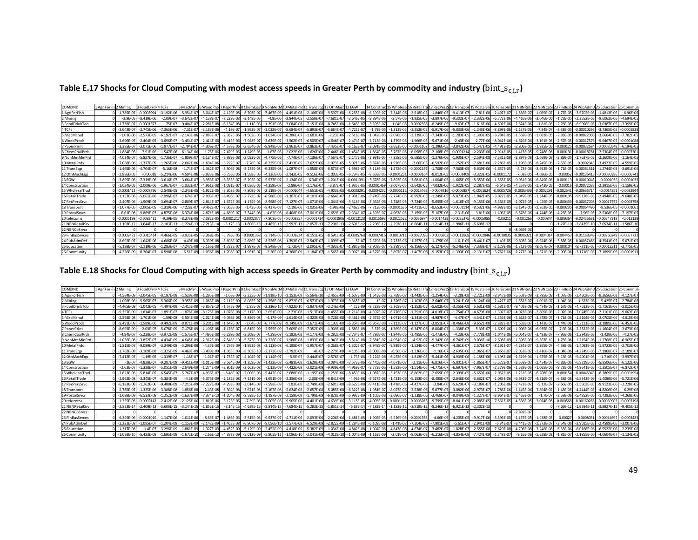Table E.17 Shocks for Cloud Computing with modest access speeds in Greater Perth by commodity and industry ( $bin\_s_{c,i,r}$ )

| COMxIND         | 1 AgriForFis 2 Mining |                | 3 FoodDr       | <b>ITCFs</b>    | 5 MiscMan       | S WoodProd     |                |               | d 7 PaperPrint8 ChemCoall9 NonMetM 10 MetalPro |                | 11 TransEgg 12 OthMach 13 EGW |                |                 | 14 Construe    | 15 Wholesa 16 RetailTra |                            |                | 17 RecPersS 18 Transpor | 19 PostalSr    | 20 telecom 21 NBNRet: |                | 22 NBNCoSt 23 FinBus |                           |                 |                 |                |
|-----------------|-----------------------|----------------|----------------|-----------------|-----------------|----------------|----------------|---------------|------------------------------------------------|----------------|-------------------------------|----------------|-----------------|----------------|-------------------------|----------------------------|----------------|-------------------------|----------------|-----------------------|----------------|----------------------|---------------------------|-----------------|-----------------|----------------|
| 1 AgriForFish   |                       | $-1.785E - 07$ | $-0.000309$    | $-3.192E-06$    | $-5.954E - C$   | $-5.044E - C$  | $-4.129F - 08$ | $-8.703E - 0$ | $-7.467F - 09$                                 | $-4.491F - 08$ | $-2.166E - 0.8$               | $-9.597E$      | $-6.255E-08$    | $-6.399E - 0$  | $-7.344E - 06$          | $-2.518E-05$               | $-1.846E - C$  | $-9.413F - 07$          | $-7.81E - 0$   | $-2.497E-07$          | $-1.536E-07$   | $-1.059E - 0$        | $-1.77F - 0$              | $-3.5702F - 05$ | $-1.4813F - 06$ | $-6.96E-06$    |
| 2 Mining        |                       | $-3.9E - 05$   | $-8.419E - 0$  | $-2.09E-0$      | $-3.642E - 0$   | $-4.138E - C$  | $-8.223E-08$   | $-3.148E - 0$ | $-4.9E - 06$                                   | $-3.844E-05$   | $-2.559E-0$                   | $-7.681E$      | $-3.646E-0$     | $-3.894E - 06$ | $-2.57E-06$             | $-1.925E - 05$             | $-3.897E - 0$  | $-9.302E - 07$          | $-2.332F - 0$  | $-6.772E-06$          | $-4.416E-06$   | $-3.046F - 06$       | $-1.72E - 0$              | $-2.3552F - 05$ | $-9.6063E - 06$ | $-4.694E-0$    |
| 3 FoodDrinkTob  |                       | $-1.738F - 0$  | 0.000157       | $-1.75E-07$     | $-9.404F - 0$   | $-2.281E-08$   | $-6.134E - 08$ | $-1.11F - 0$  | $-1.291F - 08$                                 | $-3.084E-08$   | $-7.151F - 08$                | $-8.745F - 08$ | $-1.643F - 0.7$ | $-3.595E - 07$ | $-1.04F - 05$           | -0.0002358                 | $-8.249E-1$    | $-9.63E - 07$           | $-1.616F - 0$  | $-4.692F - 06$        | $-2.624E - 06$ | $-1.81F - 06$        | $-2.76F - 0$              | $-6.9096F - 05$ | $-3.0387F - 05$ | $-3.399F - 05$ |
| 4 TCFs          |                       | $-3.643E - 07$ | $-2.745E - C$  | $-7.365E - 06$  | $-7.31E - 0$    | $-3.183E - 06$ | $-4.19E - 07$  | $-1.993E - 0$ | $-1.032E-0$                                    | $-8.684E-07$   | $-5.893E - 0$                 | $-5.664E - 0$  | $-4.725E - 07$  | $-1.79E - 0$   | $-1.313E - 05$          | $-2.252E-0$                | $-5.917E-06$   | $-5.033E-06$            | $-1.343E - 0$  | $-3.899E-06$          | $-1.137E-06$   | $-7.84E - 0$         | $-3.33E-0$                | $-0.0001026$    | $-3.7365E-05$   | $-0.000152$    |
| 5 MiscManu      |                       | $-1.01E-06$    | $-2.573E-05$   | $-6.192E-07$    | $-2.143E - 06$  | $-7.883E - C$  | $-2.362E - 06$ | $-1.502E - 0$ | $-1.624E-07$                                   | $-6.286E-07$   | $-1.683E - 06$                | $-2.23E - 06$  | $-2.516E - 06$  | $-1.042E - 05$ | $-2.076E - 05$          | $-2.339E - 05$             | $-7.343E - 06$ | $-1.283E-05$            | $-1.303E - 05$ | $-3.784E - 05$        | $-1.569E-05$   | $-1.082E - 05$       | $-2.83E-0$                | $-0.00022006$   | $-3.6664E - 05$ | $-7.782E - 0$  |
| 6 WoodProds     |                       | $-3.696E-0$    | $-2.404E - 0.$ | $-3.696E-07$    | $-3.454E - 0.7$ | $-2.414E-06$   | $-6.415E-06$   | $-7.943E - 0$ | $-2.639E-07$                                   | $-3.562E-07$   | $-6.505E-0$                   | $-4.646E-07$   | $-2.474E - 07$  | $-2.713E - 06$ | $-1.379E - 05$          | $-1.966E - 05$             | $-5.671E-06$   | $-2.43E - 06$           | $-2.77E-06$    | $-8.042E-06$          | $-4.626E-06$   | $-3.191E - 06$       | $-2.37E-0$                | $-0.00017576$   | $-5.6467E-05$   | $-0.0001088$   |
| 7 PaperPrint    |                       | $-3.385F - 0$  | $-3.071F - 06$ | $-1.977E-0$     | $-2.794F - 0$   | $-4.306F - C$  | $-4.578F - 06$ | $-2.654E - 0$ | $-9.949F - 08$                                 | $-2.963E-07$   | $-2.863E-0$                   | $-7.435E - 0$  | $-6.163E - 07$  | $-2.091E - 06$ | $-2.653F - 05$          | $-0.000110$                | $-1.296E - C$  | $-3.842F - 06$          | $-1.547F - 0$  | $-4.491E-05$          | $-2.806E-05$   | $-1.935F - 0$        | $-0.0001$                 | $-0.00032684$   | 0.00020548      | $-6.194E-0$    |
| 8 ChemCoalPrds  |                       | $-1.884E - 05$ | $-7.91E - 06$  | $-1.547E-06$    | $-6.134E - 06$  | $-1.75E - 06$  | $-2.429E - 06$ | $-1.249E - 0$ | $-1.67E-06$                                    | $-2.022E-06$   | $-1.626E - 06$                | $-2.446E - 06$ | $-1.454E - 05$  | $-1.864E - 05$ | $-3.767E - 05$          | $-6.098E - 05$             | $-2.168E - C$  | $-0.0001214$            | $-2.233E - 06$ | $-2.914E-05$          | $-1.413E-05$   | $-9.748E - 06$       | $-0.0001$                 | $-0.0001878$    | $-2.5304E-05$   | $-0.000720$    |
| 9 NonMetMinPrd  |                       | $-4.034F - 07$ | $-5.827F - 0f$ | $-1.726F - 07$  | $-1.809F - 0.7$ | $-1.134F - 0$  | $-2.939F - 08$ | $-2.092F - 0$ | $-4.775F - 06$                                 | $-7.74F - 07$  | $-7.136F - 07$                | $-7.564E - 07$ | $-2.147F - 0f$  | $-2.991E - 05$ | $-7.858F - 06$          | $-8.585F - 06$             | $-1.376F - 06$ | $-1.935F - 07$          | $-2.594F - 08$ | $-7.531F - 08$        | $-3.897F - 08$ | $-2.669F - 08$       | $-2.89F - 0$              | $-1.7637F - 05$ | $-2.2609F - 06$ | $-1.164F - 05$ |
| 10 MetalPrds    |                       | $-7.068F - 0$  | 1.377E-0       | $-1.265E - 06$  | $-2.062E - 0$   | $-1.694F - 0$  | $-3.222E - 07$ | $-7.76E - 0$  | $-8.225E-07$                                   | $-2.413E - 05$ | $-7.622E-0$                   | $-1.973F$      | $-5.071E - 0$   | $-3.874E - 0$  | $-1.926E - 0$           | $-2.66E-0$                 | $-6.592E - C$  | $-1.252E - 05$          | $-7.681E - 0$  | $-2.286E - 05$        | $-1.196E - 05$ | $-8.245E - 06$       | $-7.55E - 0$              | $-0.000204$     | $-3.4923E - 05$ | $-4.559E-0$    |
| 11 TransEgp     |                       | $-1.465E - 06$ | .704E-0        | $-5.16E-08$     | $-1.74E - 0.7$  | $-1.362E - 0$  | $-5.306E - 08$ | $-3.233E - 0$ | $-9.235E-08$                                   | $-1.087E-07$   | $-1.558E - 05$                | $-8.873E-07$   | $-1.598E - 07$  | $-3.118E - 06$ | $-1.272E - 05$          | $-0.0002157$               | $-1.708E-06$   | $-7.563E-05$            | $-5.639E - 06$ | $-1.637E-05$          | $-5.73E-06$    | $-3.952E - 06$       | $-1.71E-0$                | $-0.0006131$    | $-1.2744E-05$   | $-3.691E - 06$ |
| 12 OthMachEgp   |                       | $-2.886F - 05$ | 0.0001         | $-5.214E-06$    | $-4.594F - 06$  | $-3.933F - 06$ | $-6.756F - 06$ | $-1.598E - C$ | $-4.336F - 06$                                 | $-2.142E - 05$ | $-9.516E - 06$                | $-1.003F - 05$ | $-6.734F - 05$  | $-8.658F - 0$  | $-0.0001251$            | $-0.0003164$               | $-8.012E - 05$ | $-0.0001409$            | $-3.323F - 0o$ | $-0.000117$           | $-7.03E - 05$  | $-4.686F - 05$       | $-0.000$                  | $-0.00136413$   | $-0.00030386$   | $-0.00067$     |
| 13 EGW          |                       | $-3.895F - 06$ |                | $-3.616E - 0$   | $-3.664E - 0$   | $-3.953E-1$    | $-3.335E - 07$ | $-5.292E - 0$ | $-5.537E-07$                                   | $-2.134E-06$   | $-6.34E-0$                    | $-1.201E$      | $-0.000139$     | $-3.678E - 06$ | $-7.892E - 06$          | $-3.681E - 05$             | $-1.004E - C$  | $-1.665E-05$            | $-5.353F - 0$  | $-1.555E-05$          | $-9.931E - 06$ | $-6.849E - 06$       | $-0.0001$                 | $-0.0001004$    | $-0.0001036$    | $-0.000103$    |
| 14 Construction |                       | $-1.024F - 05$ | $-2.009F - 0$  | $-1.967E-07$    | $-1.032E - 0$   | $-4.961E - 08$ | $-1.091E-07$   | $-1.036E - 0$ | $-4.359F - 08$                                 | $-2.89E-07$    | $-1.176E - 07$                | $-3.87E-07$    | $-1.935E - 05$  | $-0.000146$    | $-3.067E - 05$          | $-2.642E - 05$             | $-7.032E - 06$ | $-1.922E-05$            | $-2.287E-05$   | $-6.64E-05$           | $-4.267E-05$   | $-2.943F - 05$       | $-0.000$                  | $-0.00072038$   | $-2.3915E-06$   | $-1.159E - 05$ |
| 15 WholesalTrad |                       | $-0.000141$    | 0.000879       | $-2.548E - 05$  | $-2.245E - 05$  | $-1.922E-0$    | $-3.302E - 05$ | $-7.809E - 0$ | $-2.119E-05$                                   | $-0.000104$    | $-4.651E - 05$                | $-4.903E - 05$ | $-0.0003291$    | $-0.00042$     | $-0.00061$              | $-0.0015462$               | $-0.00039$     | $-0.000688$             | $-0.000162$    | $-0.0005726$          | 0.0003436      | $-0.000229$          | $-0.00254$                | $-0.0066671$    | $-0.001485$     | $-0.003294$    |
| 16 RetailTrade  |                       | $-1.153E-06$   | $-5.061E - 06$ | $-2.096E-0$     | $-1.674E-0$     | $-2.093E - 0$  | $-8.496E-0$    | $-2.773E - C$ | $-6.586E-08$                                   | $-1.307E-0$    | $-8.101E - 00$                | $-2.664E-0$    | $-1.931E - 06$  | $-3.749E - 06$ | $-2.774E - 05$          | $-8.992E-0$                | $-1.249E -$    | $-5.873E - 05$          | $-1.042F - 0$  | $-3.027E-05$          | $-1.949E - 05$ | $-1.344F - 0$        | $-0.0001$                 | $-9.9178E - 05$ | $-2.4948F - 05$ | $-9.648F - 0$  |
| 17 RecPersSrvc  |                       | $-2.407F - 06$ | $-1.909E - 0$  | $-3.694E - 07$  | $-2.809E - 07$  | $-2.814E - 0$  | $-1.672E-06$   | $-1.174E-06$  | $-2.958E-07$                                   | $-7.127E-07$   | $-1.071E-06$                  | $-1.044F - 06$ | $-3.318E - 06$  | $-3.664E - 06$ | $-2.748F - 05$          | $-7.724E - 05$             | $-5.655E-05$   | $-1.616E-05$            | $-9.153E - 06$ | $-3.366E-05$          | $-2.072F - 05$ | $-1.429F - 05$       | $-0.0004$                 | $-0.00037008$   | $-0.00017552$   | $-0.0003758$   |
| 18 Transport    |                       | $-1.077E-05$   | $-2.005E - C$  | $-1.319E-06$    | $-7.228E - 0$   | $-9.462E - 0$  | $-2.065E-06$   | $-1.43E-0$    | $-8.437E-07$                                   | $-2.19E-06$    | $-1.035E - 06$                | $-1.98E - 06$  | $-2.462E - 06$  | $-7.712E - 06$ | $-0.0001556$            | $-4.411E-05$               | $-8.653E-06$   | $-0.0001114$            | $-8.532E - 06$ | $-4.983E-05$          | $-3.194E-05$   | $-2.203E - 05$       | $-0.0002$                 | $-0.0006449$    | $-8.536E-05$    | $-0.000106$    |
| 19 Postal Srvcs |                       | $-6.61E - 08$  | $-9.869E - C$  | $-4.875E-08$    | $-6.374E - 08$  | $-2.871E-08$   | $-4.689E - 07$ | $-3.344E - 0$ | $-4.62E-08$                                    | $-8.408E-08$   | $-7.001E-08$                  | $-2.659E - 07$ | $-2.334E - 07$  | $-4.303E - 0$  | $-4.063E - 06$          | $-2.159E-05$               | $-5.107E-06$   | $-2.31E-06$             | $-3.81E - 06$  | $-1.106E-05$          | $-6.878E - 06$ | $-4.744F - 06$       | $-4.25E - 0$ <sup>r</sup> | $-7.96E - 05$   | $-2.5308E-05$   | $-7.197E-0$    |
| 20 telecoms     |                       | $-0.0005198$   | $-0.003241$    | $-9.39F - 05$   | $-8.273F - 0$   | $-7.082F - C$  | $-0.000121$    | $-0.000287$   | $-7.808F - 05$                                 | $-0.000385$    | 0.000171                      | $-0.0001806$   | $-0.0012128$    | $-0.001559$    | $-0.0022522$            | $-0.0056974$               | $-0.00144$     | $-0.0025379$            | $-0.0005989$   | $-0.00211$            | $-0.001266$    | $-0.000844$          | $-0.00936$                | $-0.02456631$   | $-0.0054721$    | $-0.012139$    |
| 21 NBNRetailSrv |                       | $-1.103E-12$   | $-3.644E-1$    | $-2.183E-13$    | $-1.224E-1$     | $-7.213E-1$    | $-3.17E-13$    | $-1.806E - 1$ | $-1.485E-13$                                   | $-2.992E-13$   | $-2.057E-1$                   | $-7.208E - 13$ | $-2.601E-12$    | $-2.796E-$     | $-2.293E-11$            | $-6.664E-11$               | $-1.214E-$     | $-1.986E - 1$           | $-6.608E - 1$  |                       |                |                      | $-1.27E-1$                | $-2.8435E-10$   | $-7.0524E-1$    | $-1.586E-10$   |
| 22 NBNCoSrvcs   |                       |                |                |                 |                 |                |                |               |                                                |                |                               |                |                 |                |                         |                            |                |                         |                |                       | $-8.069E - 06$ |                      |                           |                 |                 |                |
| 23 FinBusSrvces |                       | $-0.000247$    | $-0.001541$    | $-4.466E - 05$  | $-3.935E - 05$  | $-3.368E - 0$  | $-5.786F - 05$ | $-0.000136$   | $-3.714E-05$                                   | $-0.0001834$   | $-8.151E-05$                  | $-8.591E-05$   | $-0.0005768$    | $-0.00074$     | $-0.001071$             | $-0.0027096$               | $-0.00068$     | $-0.0012068$            | $-0.000284$    | $-0.0010035$          | $-0.000602$    | $-0.000401$          | $-0.0044$ <sup>t</sup>    | $-0.01168348$   | $-0.00260249$   | $-0.005773$    |
| 24 PubAdmDef    |                       | $-8.692F - 0$  | $-1.642F - 06$ | $-4.686F - 08$  | $-4.49F - 08$   | $-8.339F - 08$ | $-5.698E - 0$  | $-2.689F - C$ | $-3.526F - 08$                                 | $-1.393E-07$   | $-2.542F - 0$                 | $-1.099E - 07$ | $-5F - 07$      | $-2.379E -$    | $-2.733E - 06$          | $-1.257F - 0$ <sup>e</sup> | $-1.175E-06$   | $-1.61E-05$             | $-8.441F - 0$  | $-1.49F - 05$         | $-9.603F - 06$ | $-6.624F - 06$       | $-5.83F - 0$              | $-0.00057488$   | $-4.3541F - 05$ | $-5.071E-0$    |
| 25 Education    |                       | $-5.128E - 07$ | $-2.119E - 0$  | $-1.283E - 0.7$ | $-7.247E - 08$  | $-5.165E - 08$ | $-1.733F - 07$ | $-1.997E - C$ | $-9.548E-08$                                   | $-1.72E-07$    | $2.095E-0$                    | $-4.033F - 07$ | $-1.885E - 06$  | $-3.908E - 0$  | $-9.388E - 07$          | $-8.156E - 06$             | $-5.127E-$     | $-5.246E - 06$          | $-7.333E - 0$  | $-2.129E-06$          | $-1.313E-06$   | $-9.057F - 0$        | $-0.0001$                 | $-8.7311F - 05$ | $-0.000123$     | $-3.775E-05$   |
| 26 Community    |                       | $-4.256E - 09$ | $-8.204F - 0$  | $-6.598E-08$    | $-6.51E-09$     | $-1.036E - 08$ | $-1.708F - 07$ | $-1.951E-0$   | $-2.26E-09$                                    | $-4.268E - 09$ | $-1.184E - 0.$                | $-1.565E-08$   |                 | $-4.527E - 08$ | $-3.897E - 07$          | $-1.407E - 06$             | $-9.153E - C$  | $-1.393E-06$            | $-2.131E-0$    | $-3.762E-06$          | $-2.277E-06$   | $-1.571F - 06$       | $-2.99E-0$                | $-3.1716E - 05$ | $-7.1899F - 06$ | $-0.000191$    |

Table E.18 Shocks for Cloud Computing with high access speeds in Greater Perth by commodity and industry ( $bin\_s_{C,i,r}$ )

| COMxIND         | 1 AgriForFis 2 Mining | 3 FoodDrink4 TCFs |                 |                |                |                |                                                                                                                                                                                                                                                           |               | 5 MiscManu6 WoodProd 7 PaperPrin 8 ChemCoal 9 NonMetM 10 MetalPrd 11 TransEgd 12 OthMach 13 EGW |                |                |                | 14 Construct 15 Wholesal 16 Retail Tra |                |                | 17 RecPersS 18 Transport 19 Postal Srv 20 telecoms 21 NBNReta |                |                |                 |                 | 22 NBNCoSr23 FinBusS |               | 24 PubAdmD 25 Education 26 Commun |                 |                |
|-----------------|-----------------------|-------------------|-----------------|----------------|----------------|----------------|-----------------------------------------------------------------------------------------------------------------------------------------------------------------------------------------------------------------------------------------------------------|---------------|-------------------------------------------------------------------------------------------------|----------------|----------------|----------------|----------------------------------------|----------------|----------------|---------------------------------------------------------------|----------------|----------------|-----------------|-----------------|----------------------|---------------|-----------------------------------|-----------------|----------------|
| 1 AgriForFish   | $-4.584E - 0$         | $-2.045F - 05$    | $-8.197E-08$    | $-1.529E - 01$ | $-1.295F - 08$ | $-1.06F - 09$  | $-2.235E-08$                                                                                                                                                                                                                                              | $-1.918E-10$  | $-1.153E-09$                                                                                    | $-5.564E-10$   | $-2.465E - 09$ | $-1.607E - 09$ | $-1.643F - 08$                         | $-3.789E - 07$ | $-1.443E - 06$ | $-1.254E-06$                                                  | $-3.28E - 08$  | $-2.721E-0$    | $-8.947F - 09$  | $-5.503F - 09$  | $-3.795F - 09$       | $-1.07F - 0$  | $-2.4602E - 06$                   | $-8.3656F - 08$ | $-4.127F - 0$  |
| 2 Minine        | $-1.002F - 0$         | $-5.565F - C$     | $-5.366F - 09$  | $-9.355F - 0$  | $-1.063F - 08$ | $-2.112F - 09$ | $-8.085F -$                                                                                                                                                                                                                                               | $-1.258E-0$   | $-9.872E-0$                                                                                     | $-6.573E-09$   | $-1.973E - 08$ | $-9.365F - 0$  | $-1F-0$                                | $-1.326F - 0$  | $-1.103E - 0$  | $-2.646F - C$                                                 | $-3.241E - 08$ | $-8.124F - 08$ | $-2.427F - 0$   | $-1.582F - 0.7$ | $-1.091F - 0$        | $-1.04F - 00$ | $-1.623F - 06$                    | $-5.425F - 07$  | $-2.784F - 0$  |
| 3 FoodDrinkTob  | $-4.465E - C$         | $-1.042E - 05$    | $-4.494E-09$    | $-2.415E - C$  | $-5.857E-10$   | $-1.575E-09$   | $-2.85E-08$                                                                                                                                                                                                                                               | $-3.316E-2$   | $-7.922E - 10$                                                                                  | $-1.837E-09$   | $-2.246E - 0$  | $-4.22E - 09$  | $-9.232E - C$                          | $-5.365E - 0$  | $-1.352E-0$    | $-5.602E - 06$                                                | $-3.355E-08$   | $-5.631E-0$    | $-1.681E-07$    | $-9.401E - 08$  | $-6.484E - 08$       | $-1.67E - 0$  | $-4.7613E - 06$                   | $-1.7161E-06$   | $-2.015E-06$   |
| 4 TCFs          | $-9.357E - C$         | $-1.814E-07$      | $-1.891E-07$    | $-1.878E - 0$  | $-8.175E-08$   | $-1.076E - 08$ | $-5.117E-0$                                                                                                                                                                                                                                               | $-2.651E-09$  | $-2.23E-08$                                                                                     | $-1.513E-08$   | $-1.455E - 08$ | $-1.214E-08$   | $-4.597E-$                             | $-6.776E - 0$  | $-1.291E-0$    | $-4.018E-07$                                                  | $-1.754E-07$   | $-4.679E-0$    | $-1.397E-07$    | $-4.073E-08$    | $-2.809E - 08$       | $-2.02E - 0$  | $-7.0745E - 06$                   | $-2.1101E-06$   | $-9.063E - 06$ |
| 5 MiscManuf     | $-2.593E - 0$         | $-1.701E-06$      | $-1.59E - 08$   | $-5.504E - 0$  | $-2.024E - 08$ | $-6.066E - 08$ | $-3.856E - 08$                                                                                                                                                                                                                                            | $-4.17E-09$   | $-1.614E-08$                                                                                    | $-4.323E - 08$ | $-5.728E - 08$ | $-6.461E-08$   | $-2.675E -$                            | $-1.071E - 06$ | $-1.341E-0$    | $-4.987E-07$                                                  | $-4.47E-07$    | $-4.541E-0$    | $-1.356E-06$    | $-5.622E-0$     | $-3.878E - C$        | $-1.71E-0$    | $-1.5164E-05$                     | $-2.0705E-06$   | $-4.615E-06$   |
| 6 WoodProds     | $-9.491F$             | $-1.589F - 06$    | $-9.492E - 09$  | $-8.871E-0$    | $-6.201E - 08$ | $-1.647F - 07$ | $-2.04F - 08$                                                                                                                                                                                                                                             | $-6.777F - 0$ | $-9.149E - 09$                                                                                  | $-1.671E-08$   | $-1.193E - 08$ | $-6.354E-09$   | $-6.967E - 08$                         | $-7.112E - 07$ | $-1.127E-0$    | $-3.851E-07$                                                  | $-8.466E - 08$ | $-9.652E - 0$  | $-2.882E-07$    | $-1.658E - 07$  | $1.143F - 0.7$       | $-1.44F - 0$  | $-1.2111E-05$                     | $-3.1889E - 06$ | $-6.453E-06$   |
| 7 PaperPrint    | $-8.693E-0$           |                   | $-5.078F - 09$  | $-7.176E - 09$ | $.106F - 08$   | $-1.176E-0$    | $-6.815E-09$                                                                                                                                                                                                                                              | $-2.555F-09$  | $-7.609E - 09$                                                                                  | $-7.352E - 09$ | $-1.909E - 08$ | $-1.583E-08$   | $-5.37E - 08$                          | $-1.369E - 06$ | $-6.347F - 0$  | $-8.804E - 07$                                                | $-1.338E - 07$ | $-5.39E - 0$   | $-1.609F - 06$  | $-1.006F - 06$  | $-6.935F - 0$        | $-7.6F - 0$   | $-2.2522F - 05$                   | $-1.1604F - 05$ | $-3.673F - 0f$ |
| 8 ChemCoalPrds  | $-4.84E - C$          | $-5.228F - 0$     | $-3.972F - 08$  | $-1.575E - 0$  |                | $-6.239E - 08$ | $-3.209F - 0.09F - 0.09F - 0.009F - 0.009F - 0.009F - 0.009F - 0.009F - 0.009F - 0.009F - 0.009F - 0.009F - 0.009F - 0.009F - 0.009F - 0.009F - 0.009F - 0.009F - 0.009F - 0.009F - 0.009F - 0.009F - 0.009F - 0.009F - 0.009F - 0.009F - 0.009F - 0.009$ | $-4.29E - 00$ | $-5.192E-08$                                                                                    | $-4.177F - 08$ | $-6.282E - 08$ | $-3.734F - 0$  | $-4.786E -$                            | $-1.944E - 06$ | $-3.495E - 0$  | $-1.473E-06$                                                  | $-4.23E - 06$  | $-7.778F - 0$  | $-1.044F - 06$  | $-5.064F - 0$   | $-3.493F - 0$        | -7.95F-0      | $-1.2942F - 05$                   | $-1.429E - 06$  | $-4.27F - 0$   |
| 9 NonMetMinPrd  | $-1.036E - 0$         | $-3.852E - 07$    | $-4.434E - 09$  | $-4.645E - 0$  | $-2.912E-09$   | $-7.548E - 10$ | $-5.373E-09$                                                                                                                                                                                                                                              | $-1.226E-0$   | $-1.988E-08$                                                                                    | $-1.833E-08$   | $-1.943E-08$   | $-5.514E - 08$ | $-7.681E - C$                          | $-4.054E - 0$  | $-4.92E-0$     | $-9.342E-08$                                                  | $-6.742E-09$   | $-9.036E - 1$  | $-2.698E-09$    | $-1.396E-09$    | $-9.563E - 10$       | $-1.75E - 06$ | $-1.2154E-06$                     | $-1.2768E - 07$ | $-6.905E - 0$  |
| 10 MetalPrds    | $-1.815E - C$         | $-9.099F - 07$    | $-3.249E - 08$  | $-5.296E - 08$ | $-4.35E - 08$  | $-8.276E - 09$ | $-1.993E-08$                                                                                                                                                                                                                                              | $-2.112E-08$  | $-6.198E-07$                                                                                    | $-1.957E-07$   | $-5.068E - 0$  | $-1.302E - 07$ | $-9.948E - C$                          | $-9.939E - 0$  | $-1.524E - 06$ | $-4.477E-07$                                                  | $-4.361E-07$   | $-2.676E - 0$  | $-8.192E-07$    | $-4.284E-0$     | $-2.955E-0$          | $-4.58E - 00$ | $-1.4092E-05$                     | $-1.9722E-06$   | $-2.703E-06$   |
| 11 TransEgp     | $-3.762E - 00$        | $-3.109F - 08$    | $-1.325E-09$    | $-4.468E - 09$ | $-3.499E - 09$ | $-1.363E - 09$ | $-8.303E-$                                                                                                                                                                                                                                                | $-2.372E-09$  | $-2.792E-09$                                                                                    | $-4E-07$       | $-2.279E - 08$ | $-4.105E - 09$ | $-8.008E - 08$                         | $-6.56E - 07$  | $-1.236E-05$   | $-1.16E-07$                                                   | $-2.635E - 06$ | $-1.965E-0$    | $-5.866E-07$    | $-2.053E-07$    | $-1.416E-0$          | $-1.04E - 00$ | $-4.2249E - 05$                   | $-7.1968E - 07$ | $-2.189E-0$    |
| 12 OthMachEop   | $-7.412E - C$         | L. 19E-05         | $-1.339E - 0.7$ | $-1.18E - 0$   | $-1.01E-07$    | $-1.735E-0$    | $-4.104F -$                                                                                                                                                                                                                                               | $-1.114E-0$   | $-5.5E-07$                                                                                      | $-2.444E - 07$ | $-2.576E-0$    | $-1.73E - 06$  | $-2.224E - 06$                         | $-6.452E - 06$ | $-1.813E-0$    | $-5.441E-06$                                                  | $-4.909E - 06$ | $-1.158E - 06$ | $-4.198F - 06$  | $-2.519E-06$    | $-1.679F - 06$       | $-3.15F - 0$  | $-9.4001F - 05$                   | $-1.716E-05$    | $-3.997E-0$    |
| 13 EGW          | $-1F-0$               | $-4.838F - 07$    | $-9.287E - 09$  | $-9.411E-0$    | $-1.015E-08$   | $-8.564E - 09$ | $-1.359E - 08$                                                                                                                                                                                                                                            | $-1.422E-08$  | $-5.481E-08$                                                                                    | $-1.628E - 08$ | $-3.084E - 08$ | $-3.573E - 06$ | $-9.445E - 08$                         | $-4.071E-0$    | $-2.11E-0$     | $-6.816E-07$                                                  | $-5.801E-07$   | $-1.865E-0$    | $-5.572E-0$     | $-3.558E-0$     | $-2.454E-0$          | $-6.83E-0$    | $-6.9219F - 06$                   | $-5.8506E-06$   | $-6.122E - 06$ |
| 14 Construction | $-2.63E-0$            | $-1.328E - 07$    | $-5.051E-09$    | $-2.649E - 09$ | $-1.274E-09$   | $-2.801E-09$   | $-2.662E - 08$                                                                                                                                                                                                                                            | $-1.12E-09$   | $-7.422E-09$                                                                                    | $-3.021E - 09$ | $-9.939E - 0$  | $-4.969E - 07$ | $-3.773E - 06$                         | $-1.582E - 06$ | $-1.514E-06$   | $-4.775E-07$                                                  | $-6.697E-07$   | $-7.967E - 0$  | $-2.379E-06$    | $-1.529E-06$    | $-1.055E - 06$       | $-9.73E - 0$  | $-4.9641E-05$                     | $-1.3505E-0$    | $-6.872E-0$    |
| 15 WholesalTrad | $-3.623F - 0$         | $-5.814E-05$      | $-6.545E-07$    | $-5.767E - 0$  | $-4.936E - 0$  | $-8.48F - 0$   | $-2.006E - 06$                                                                                                                                                                                                                                            | $-5.442E-0$   | $-2.688E - 06$                                                                                  | $-1.195E-06$   | $-1.259E - 06$ | $-8.453E - 06$ | $-1.087E - 05$                         | $-3.153E - 05$ | $-8.862E-0$    | $-2.659E-05$                                                  | $-2.399E - 05$ | $-5.659E - 0$  | $-2.052E-05$    | $-1.231E-05$    | $-8.208E - 06$       | $-0.00015$    | $-0.00045943$                     | $-8.3869E-05$   | $-0.000195$    |
| 16 RetailTrade  | $-2.962E - 0$         | $-3.345F - 07$    | $-5.384E - 09$  | $-4.3E - 09$   | $-5.375F - 09$ | $-2.182E - 08$ | $-7.121E - 09$                                                                                                                                                                                                                                            | $-1.691E-09$  | $-3.356E-09$                                                                                    | $-2.08E - 09$  | $-6.841E - 09$ | $-4.96E - 08$  | $-9.627E - 08$                         | $-1.431E-06$   | $-5.153E-0$    | $-8.485E-07$                                                  | $-2.046E - 06$ | $-3.632E - 0$  | $-1.085E-06$    | $-6.983E - 07$  | $-4.816E - 0$        | $-6.38E - 00$ | $-6.8343E-06$                     | $-1.4089E-06$   | $-5.721E-06$   |
| 17 RecPersSrvc  | $-6.183E - C$         | $-1.262E - 06$    | $-9.488E - 09$  | $-7.215E - 09$ | $-7.227E - 09$ | $-4.293E - 08$ | $-3.014E-08$                                                                                                                                                                                                                                              | $-7.598E-09$  | $-1.83E-08$                                                                                     | $-2.749E-08$   | $-2.681E-08$   | $-8.522E - 08$ | $-9.411E - 08$                         | $-1.418E - 06$ | $-4.427E - 06$ | $-3.84E - 06$                                                 | $-5.629E - 07$ | $-3.189E - 0$  | $-1.206E-06$    | $-7.423E-0$     | $-5.12E-0$           | $-2.66E - C$  | $-2.5502E-05$                     | $-9.9123E - 06$ | $-2.228E - 0$  |
| 18 Transport    | $-2.765E-0$           | $-1.325F - 06$    | $-3.388E - 08$  | $-1.856E - 08$ | $-2.43E - 08$  | $-5.304E - 08$ | $-3.671E-08$                                                                                                                                                                                                                                              | $-2.167E-08$  | $-5.624E-08$                                                                                    | $-2.657E-08$   | $-5.085E-08$   | $-6.322E - 08$ | $-1.981E -$                            | $-8.027E - 06$ | $-2.528E-0$    | $-5.877E-07$                                                  | $-3.882E - 06$ | $-2.973E-0$    | $-1.786E-06$    | $-1.145E-06$    | $-7.894E - 07$       | $-1.43E - 0$  | $-4.4444F - 05$                   | $-4.8206E - 06$ | $-6.29E - 06$  |
| 19 Postal Srvcs | $-1.698E - 0$         | $-6.523F - 08$    | $-1.252F - 09$  | $-1.637E - 09$ | $-7.374E - 10$ | $-1.204E - 08$ | $-8.588F$                                                                                                                                                                                                                                                 | $-1.187E-09$  | $-2.159E-09$                                                                                    | $-1.798E - 09$ | -6.828F-09     | $-5.993E - 09$ | $-1.105F - 0.0$                        | $-2.096E - C$  | $-1.238E - C$  | $-3.468F - 0$                                                 | $-8.049E - 08$ | $-1.327F - C$  | $-3.964F - 0$   | $-2.465E-0$     | $-1.7F - 0$          | $-2.58F - 0$  | $-5.4852F - 06$                   | $-1.4292F - 06$ | $-4.268F - 0$  |
| 20 telecoms     | $-1.335E-0.$          | -0.00021          | $-2.412F - 0f$  | $-2.125E - 0$  | $-1.819F - 06$ | $-3.125E - 06$ | $-7.39E - 06$                                                                                                                                                                                                                                             | $-2.005E-0$   | $-9.905E - 06$                                                                                  | $-4.401F - 06$ | -4.639E-0      | $-3.115F - 0$  | $-4.005E - 0$                          | $-0.0001$      | $-0.000326$    | $-9.799E - 05$                                                | $-8.841E - 05$ | $-2.085E - 0$  | $-7.561E-05$    | $-4.536E-05$    | $-3.024E - 0$        | $-0.00056$    | $-0.00169285$                     | 0.0003090       | $-0.0007198$   |
| 21 NBNRetailSrv | $-2.833E-1$           | $-2.409E - 13$    | $-5.606E - 15$  | $-3.144E-15$   | $-1.853E-15$   | $-8.14E-15$    | $-4.639E - 15$                                                                                                                                                                                                                                            | $-3.814E-15$  | $-7.684E - 15$                                                                                  | $-5.283E - 15$ | $-1.851E-14$   | $-6.68E - 14$  | $-7.182E - 1$                          | $-1.183E-1$    | $-3.819E-1$    | $-8.246E - 13$                                                | $-6.921E-13$   | $-2.302E-1$    |                 |                 |                      | $-7.69E-1$    | $-1.9594E-1$                      | $-3.9827E - 12$ | $-9.405E - 12$ |
| 22 NBNCoSrvcs   |                       |                   |                 |                |                |                |                                                                                                                                                                                                                                                           |               |                                                                                                 |                |                |                |                                        |                |                |                                                               |                |                |                 | $-2.892F - 0$   |                      |               |                                   |                 |                |
| 23 FinBusSrvces | $-6.349F - 0$         | $-0.00010$        | $-1.147F - 0f$  | $-1.011E-06$   | $-8.65F - 07$  | $-1.486F - 06$ | $-3.515E-06$                                                                                                                                                                                                                                              | $-9.537E-0$   | $-4.711E-06$                                                                                    | $-2.093E-06$   | $-2.206E - 06$ | $-1.481E - 05$ | $-1.905E - 05$                         | $-5.526E - 05$ | $-0.0001553$   | $-4.66E-05$                                                   | $-4.205E - 05$ | $-9.917E - 0$  | $-3.596E-05$    | $-2.157E-05$    | $-1.438F - 05$       | $-0.000$      | $-0.000805$                       | $-0.00014697$   | $-0.000342$    |
| 24 PubAdmDef    | $-2.232F - 0$         | $-1.085F - 07$    | $-1.204F - 09$  | $-1.153E - 09$ | $-2.142E-09$   | $-1.463F - 08$ | $-6.907F - 09$                                                                                                                                                                                                                                            | $-9.056E - 1$ | $-3.577E-09$                                                                                    | $-6.529E -$    | $-2.822E - 09$ | $-1.284E - 08$ | $-6.109E - 08$                         | $-1.41F - 0$   | $-7.204E - 0$  | $-7.981E-08$                                                  | $-5.61E-07$    | $-2.941E - 08$ | $-5.34F-0$      | $-3.441F - 0$   | $-2.373F - 0$        | $-3.54F - 0$  | $-3.9615F - 05$                   | $-2.4589F - 06$ | $-3.007F - 0$  |
| 25 Education    | $-1.317E-0$           | $-1.4F - 07$      | $-3.296F - 09$  | $-1.861E - 0!$ | $-1.327E-09$   | $-4.452F - 09$ | $-5.129E - 09$                                                                                                                                                                                                                                            | $-2.452E-09$  | $-4.418F - 09$                                                                                  | $-5.382E - 09$ | $-1.036E - 08$ | $-4.842F - 08$ | $-1.004E - 08$                         | $-4.843E - 08$ | $-4.674E-0$    | $-3.482E - 07$                                                | $-1.828E - 07$ | $-2.555E-0$    | $-7.629E - 08$  | $-4.706E - 08$  | $-3.246F - 08$       | $-6.33E-0$    | $-6.0166F - 06$                   | $-6.9522E-06$   | $-2.239E-06$   |
| 26 Community    | $-1.093E-10$          | $-5.423E - 08$    | $-1.695E-09$    | $-1.672E-10$   | $-2.66E - 10$  | $-4.388E - 09$ | $-5.012E - 09$                                                                                                                                                                                                                                            | $-5.805E-11$  | $-1.096E-10$                                                                                    | $-3.041E-09$   | $-4.018E - 1$  |                | $-1.004E - 09$ $-1.163E - 09$          | $-2.01E-08$    | $-8.063E - 0$  | $-6.216E-08$                                                  | $-4.854E-08$   | $-7.424E - 09$ | $-1.348F - 0.7$ | $-8.16E-08$     | $-5.628E$            | $-1.81E-0$    | $-2.1855E-06$                     | $-4.0604E - 07$ | $-1.134E - 05$ |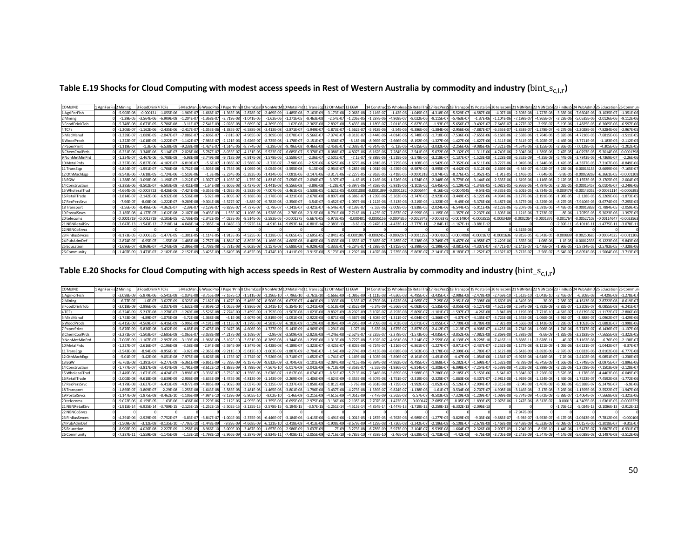Table E.19 Shocks for Cloud Computing with modest access speeds in Rest of Western Australia by commodity and industry ( $bin\_s_{c,i,r}$ )

| COMxIND         | 1 AgriForFis 2 Mining | 4 TCFs<br>3 FoodDrin |                | 5 MiscManı     | 6 WoodPre      |                 |                |                |                |                | 7 PaperPrin 8 ChemCoal 9 Non MetM 10 Metal Prd 11 TransEgg 12 Oth Mach | 13 EGW         | 14 Construc                  |                | 15 Wholesa 16 RetailTra |                | 17 RecPersS 18 Transport 19 Postal Sr |                | 20 telecoms 21 NBNReta |                |                |               | 24 PubAdmD 25 Education |                 | 26 Commun      |
|-----------------|-----------------------|----------------------|----------------|----------------|----------------|-----------------|----------------|----------------|----------------|----------------|------------------------------------------------------------------------|----------------|------------------------------|----------------|-------------------------|----------------|---------------------------------------|----------------|------------------------|----------------|----------------|---------------|-------------------------|-----------------|----------------|
| 1 AeriForFish   | $-5.902E - 08$        | $-0.0001$            | $-1.055E - 06$ | $-1.969E - 0$  | $-1.668E-0$    | $-1.365E-08$    | $-2.878E-$     | $-2.469F - 09$ | $-1.485E-08$   | $-7.163E - 0$  |                                                                        | $-2.068E - 08$ | $-2.116E - C$                | $-1.42F - 06$  | $-1.049F - 05$          | $-4.318E - 0$  | $-5.529E - 07$                        | $-4.587F - 0$  | $-4.07F - 08$          | $-2.503F - 08$ |                | $-3.33F - 0$  | $-7.6604F - 06$         | $-3.1035F - 07$ | $-1.351F - 0f$ |
| 2 Mining        | $-1.29E - 0$          | $-3.564F - 00$       | $-6.909E - 08$ | $-1.204E - 0$  | $-1.368E - C$  | $-2.719E - 08$  | $-1.041E-$     | $-1.62E-06$    | $-1.271E-05$   | $-8.463E-0$    | $-2.54E-0$                                                             | $-1.206E - 05$ | $-1.287E - 06$               | $-4.969E - 0$  | $-8.022E - 06$          | $-9.115E-0$    | $-5.463E-0$                           | $-1.37E-0$     | $-1.104E-06$           | $-7.198E - 07$ | $-4.965E - 0$  | $-3.23E - 0$  | $-5.0535E - 06$         | $-2.0126E - 06$ | $-9.112E - 06$ |
| 3 FoodDrinkTob  | $-5.748F - 08$        | $-6.673F - 05$       | $-5.786E-08$   | $-3.11E-0$     | $-7.541E - 0$  | $-2.028E - 08$  | $-3.669E - 0$  | I.269E-09      | 1.02E-08       | $-2.365E-0$    | $-2.892F - 08$                                                         | $-5.433F - 08$ | $.189E -$                    | $-2.011E - 06$ | $-9.827E - 05$          | $-1.93E-$      | $-5.656E - 07$                        | $-9.492F - 0$  | $-7.648F - 07$         |                | $-2.95E-0$     | $-5.19E - 0$  | $-1.4825F - 05$         | $-6.3665F - 06$ | $-6.597E-06$   |
| 4 TCFs          | $-1.205E - C$         |                      | $-2.435E - 06$ | $-2.417E - 07$ | $-1.053E - 06$ | $-1.385E - 07$  | $-6.588E - 0$  | $-3.413E-08$   | $-2.871E-07$   | $-1.949E-0$    | $-1.873E-07$                                                           | $-1.562E - 07$ | $-5.918E - 06$               | $-2.54E - 06$  | $-9.386E - 06$          | $-1.384E - 06$ | $-2.956E - 06$                        | $-7.887E - 0$  | $-6.355E-07$           | $-1.853E-07$   | $-1.278E - 0$  | $-6.27E - 0$  | $-2.2028E - 05$         | $-7.8284E-06$   | $-2.967E-05$   |
| 5 MiscManuf     | $-3.339E - 0$         | $-1.089E - 05$       | $-2.047E-0$    | $-7.086E - 0$  | $-2.606E - 0$  | $-7.81E - 07$   | $-4.965E - 0$  | $-5.369E-08$   | $-2.078E - 07$ | $-5.566E-0$    | $-7.374E - 07$                                                         | $-8.318E - 07$ | $-3.444E - 06$               | $-4.014E - 06$ | $-9.748E - 06$          | $-1.718E-06$   | $-7.536E - 06$                        | $-7.655E - 06$ | $-6.168E - 06$         | $-2.558E-06$   | $-1.764E - 06$ | $-5.32E - 00$ | $-4.7216E-05$           | $-7.6815E - 06$ | $-1.511E-05$   |
| 6 WoodProds     | $-1.222E-0$           | $-1.018E - 05$       | $-1.222E-$     | $-1.142E-0$    | $-7.983E - C$  | $-2.121E-06$    | $-2.626E - 0$  | $-8.725E-08$   | $-1.178E-07$   | $-2.151E - C$  | $-1.536E - 07$                                                         | $-8.18E - 08$  | $-8.969E -$                  | $-2.666E - 06$ | $-8.192E - 06$          | $-1.327E-$     | $-1.427E - 06$                        | $-1.627E - 06$ | $-1.311E-06$           | $-7.541E-07$   | $-5.202E - 0$  | $-4.46E - 0$  | $-3.7711E-05$           | $-1.183E-05$    | $-2.112E-05$   |
| 7 PaperPrint    | $-1.119E-0$           | $-1.3F - 06$         | $-6.538E - 08$ | $-9.238F - 08$ | $-1.424F - 0$  | $-1.514E-06$    | $-8.774E-0$    | $-3.29E-08$    | $-9.796F - 08$ | $-9.466E - C$  | $-2.458E - 07$                                                         | $-2.038E - 07$ | $-6.914E - 0.$               | $-5.13E - 06$  | $-4.615E-05$            | $-3.032E - 06$ | $-2.256E - 06$                        | $-9.086E - 0$  | $-7.321E-06$           | $-4.574E-06$   | $-3.155F - 0f$ | $-2.36E-0.$   | $-7.0128E - 05$         | $-4.305E-05$    | $-1.202E - 05$ |
| 8 ChemCoalPrds  | $-6.231F - 06$        | $-3.348F - 06$       | $-5.114F - 0$  | $-2.028F - 06$ | $-5.787F - 0$  | $-8.033F - 07$  | $-4.131E - 06$ | $-5.523F - 07$ | $-6.685E-07$   | $-5.378F - 0$  | $-8.088F - 07$                                                         | $-4.807F - 06$ | $-6.162F - 06$               | $-7.284E - 06$ | $-2.541F - 05$          | $-5.072E-06$   | $-7.132E - 05$                        | $-1.311E-06$   | $-4.749F - 06$         | $-2.304F - 06$ | $-1.589F - 06$ | $-2.47F - 0$  | $-4.0297F - 05$         | $-5.3014F - 06$ | $-0.000139$    |
| 9 NonMetMinPrd  | $-1.334E - C$         | $-2.467F - 06$       | $-5.708E - 08$ | $-5.98E - 08$  | $-3.749E - 0$  | $-9.718E - 09$  | $-6.917E-0$    | $-1.579E-06$   | $-2.559E-07$   | $-2.36E - 0$   | $-2.501E-07$                                                           | $-7.1E - 07$   | $-9.889E - 06$               | $-1.519E - 0$  | $-3.578F - 06$          | $-3.218E-$     | $-1.137E-07$                          | $-1.523E-08$   | $-1.228E-08$           | $-6.352E-09$   | $-4.35E - 09$  | $-5.44F - 0$  | $-3.7843F - 06$         | $-4.7369E - 0.$ | $-2.26E - 06$  |
| 10 MetalPrds    | $-2.337F - 0f$        | $-5.827F - 06$       | $-4.182E - 0$  | $-6.819E - 0$  | $-5.6E - 0$    | $-1.066E - 0.7$ | $-2.566E -$    | $-2.72E-07$    | $-7.98E - 06$  | $-2.52E-0$     | $-6.525E-06$                                                           | $-1.677F - 06$ | $-1.281F - 05$               | $-3.725E - C$  | 1.108F-05               | $-1.542E - 06$ | $-7.352E - 06$                        | $-4.511F - 0$  | $-3.727F - 06$         | $-1.949E-06$   | $-1.344F - 0f$ | $-1.42F - 0$  | $-4.3877F - 05$         | $-7.3167E-06$   | $-8.849E - 0$  |
| 11 TransEgo     | $-4.844E-0$           | $-1.991F - C$        | $-1.706E-08$   | $-5.752E-08$   | $-4.505F - 08$ | $-1.755E-08$    | $-1.069E - 0$  | $-3.054F - 08$ | $-3.595E-08$   | $-5.15E - 06$  | $-2.934E - 07$                                                         | $-5.285E - 08$ | $-1.031E - 06$               | $-2.459E - 06$ | $-8.987E - 05$          | $-3.995E - C$  | $-4.442E-05$                          | $-3.312E - 06$ | $-2.669E-06$           | $-9.34F - 07$  | $-6.442F - 0$  | $-3.23F - 0f$ | $-0.00013155$           | $-2.6699F - 06$ | $-7.165E - 0$  |
| 12 OthMachEop   | $-9.543E - 06$        | $-7.618F - 05$       | $-1.724E-06$   | $-1.519E - 06$ | $-1.3E - 06$   | $-2.234E-06$    | $-5.283E - 0$  | $-1.434F - 06$ | $-7.081E-06$   | $-3.147E-0$    | $-3.317E - 06$                                                         | $-2.227E - 05$ | $-2.863E - 05$               | $-2.418E - 05$ | $-0.0001318$            | $-1.874E-$     | $-8.276E - 05$                        | $-1.952E-05$   | $-1.91E-05$            | $-1.146E-05$   | $-7.64E - 06$  | $-9.8E - 0.$  | $-0.00029269$           | $-6.3661E - 05$ | $-0.000130$    |
| 13 EGW          | $-1.288F - 06$        | $-3.098F - 00$       | $-1.196F$      | $-1.212F - 0$  | $-1.307F - 0$  | $-1.103F - 07$  | $-1.75E-0$     | $-1.831F - 07$ | $-7.056F - 07$ | $-2.096F - C$  | $-3.97F - 07$                                                          | $-4.6F - 0$    | 1.216F-06                    | $-1.526F - 0$  | $-1.534F - 05$          | $-2.348F - 06$ | $-9.779F - 06$                        | $-3.144F - 0$  | $-2.535F - 06$         | $-1.619F - 06$ | $-1.116E - 06$ | $-2.12F - 0$  | $-2.1553F - 05$         | $-2.1705F - 05$ | $-2.004F - 0$  |
| 14 Construction | $-3.385E - 06$        | $-8.502E - C$        | $-6.503E-08$   | $-3.411E-08$   | $-1.64E-0$     | $-3.606E - 08$  | $-3.427E - C$  | $-1.441F - 08$ | $-9.556E-08$   | $-3.89E - C$   | L.28E-07                                                               | $-6.397E - 06$ | $-4.858E - 05 - 5.931E - 06$ |                | $-1.101E-05$            | $-1.645E-06$   | $-1.129E - 05$                        | $-1.343E-0$    | $-1.082E-05$           | $-6.956E-06$   | $-4.797F - 0f$ | $-3.02E - 0$  | $-0.00015457$           | $-5.0104E - 07$ | $-2.249E - 06$ |
| 15 WholesalTrad | $-4.664E - C$         | $-0.000372$          | $-8.426E - 06$ | $-7.424E - 06$ | $-6.355E - 06$ | $-1.092E - 05$  | $-2.582E - C$  | $-7.007E-06$   | $-3.461E-05$   | 1.538E-C       | $-1.621E-05$                                                           | $-0.0001088$   | $-0.00013$                   | $-0.000118$    | $-0.000644$             | $-9.16E-$      | $-0.000404$                           | $-9.54E - 05$  | $-9.335E - 05$         | $-5.601E-05$   | $-3.734E - 05$ | $-0.0004$     | $-0.00143052$           | $-0.000311$     | $-0.000639$    |
| 16 RetailTrade  | $-3.814F - 0$         | $-2.142F - 06$       | $-6.932F - 08$ | $-5.536F - 08$ | $-6.92F - 08$  | $-2.809E - 07$  | $-9.168E - 08$ | $-2.178F - 08$ | $-4.321E-08$   | $-2.678F - 0.$ | $-8.807E - 08$                                                         | $-6.386E - 07$ | 1.239F-06                    | $-5.363E - 0$  | $-3.747F - 05$          | $-2.923E - 06$ | $-3.449E - 05$                        | $-6.122F - 06$ | $-4.934F - 06$         | $-3.177F - 06$ | $-2.191F - 06$ | $-1.98E - C$  | $-2.128F - 05$          | $-5.2269F - 06$ | $-1.873E-0$    |
| 17 RecPersSrvc  | $-7.96E - 0$          | $-8.08E - 06$        | $-1.222E - 0$  | $-9.289E - 08$ | $-9.304E - 08$ | $-5.527E - 07$  | $-3.88E - 0$   | $-9.782E - 08$ | $-2.356E-07$   | $-3.54E-0$     | $-3.452E-07$                                                           | $-1.097E - 06$ | $1.212E - 06$                | $-5.313E - 06$ | $-3.219E-05$            | $-1.323E-05$   | $-9.49E - 06$                         | $-5.376E - 06$ | $-5.487E - 06$         | $-3.377E-06$   | $-2.329E - 06$ | $-8.27E-0$    | $-7.9406F - 05$         | $-3.6774E-05$   | $-7.295E - 05$ |
| 18 Transport    | $-3.56E - 06$         | $-8.486F - 0f$       | $-4.362F - 0$  | $-2.39E - 0.7$ | $-3.129E - 0$  | $-6.829E - 07$  | $-4.727E - 0$  | $-2.79E-07$    | $-7.241E-07$   | $-3.421E-0$    | $-6.546E - 07$                                                         | $-8.139E - 07$ | $-2.55E - 06$                | $-3.009E - 05$ | $-1.838E - 05$          | $-2.024E - 06$ | $-6.544E-05$                          | $-5.011E-0$    | $-8.123E-06$           | $-5.207E-06$   | $-3.591E - 06$ | $-4.43F - 0$  | $-0.00013838$           | $-1.7884F - 05$ | $-2.059E - 0$  |
| 19 Postal Srvcs | $-2.185E - 08$        |                      | $-1.612E - 08$ | $-2.107E - 08$ | $-9.493E - 0$  | $-1.55E-07$     | $-1.106E - 0$  | $-1.528E-08$   | $-2.78E - 08$  | $-2.315E-0$    | $-8.791E-08$                                                           | $-7.716E - 08$ | $-1.423E - C$                | $-7.857E - 0$  | $-8.999E - 06$          | $-1.195E-06$   | $-1.357E-06$                          | $-2.237E-06$   | $-1.803E - 06$         | $-1.121E-06$   | $-7.733E - 0$  | $-8E-00$      | $-1.7079E-05$           | $-5.3023E-06$   | $-1.397E-05$   |
| 20 telecoms     | $-0.000171$           | $-0.0013719$         | $-3.105F - 05$ | $-2.736F - 05$ | $-2.342F - 0$  | $-4.023F - 05$  | $-9.514F - 0$  | $-2.582F - 05$ | $-0.0001275$   | $-5.667F - 0$  | $-5.973F - 05$                                                         | $-0.00040$     | $-0.0005156$                 | $-0.00043$     | $-0.002374$             | $-0.00033$     | $-0.001490$                           | $-0.000351$    | $-0.0003439$           | $-0.0002064$   | $-0.000137$    | $-0.00176$    | $-0.0052710$            | $-0.0011464$    | $-0.002356$    |
| 21 NBNRetailSrv | $-3.647E-13$          | $-1.543E-1$          | $-7.218E - 14$ | $-4.048E - 14$ | $-2.385E-2$    | $-1.048E - 13$  | $-5.972E-1$    | $-4.91E-14$    | $-9.893E - 14$ | $-6.801E-14$   | $-2.383E-13$                                                           | $-8.6E-13$     | $-9.247E - 13$               | $-4.433E-12$   | $-2.777E-1$             | $-2.84E-2$     | $-1.167E-1$                           | $-3.881E-1$    |                        |                |                | $-2.39E-1$    | $-6.1011E-1$            | $-1.4775E-1$    | $-3.078E - 1$  |
| 22 NBNCoSrvcs   |                       |                      |                |                |                |                 |                |                |                |                |                                                                        |                |                              |                |                         |                |                                       |                |                        | $-1.315E - 06$ |                |               |                         |                 |                |
| 23 FinBusSrvces | $-8.173F - 0$         | $-0.000652$          | $-1.477F - 05$ | $-1.301F - 05$ | $-1.114E-0$    | $-1.913E-05$    | $-4.525E-0$    | $-1.228E-05$   | $-6.065E-05$   | $-2.695E-0$    | $-2.841E-05$                                                           | $-0.000190$    | $-0.000245$                  | $-0.000207$    | $-0.0011292$            | $-0.000160$    | $-0.0007088$                          | $-0.000167$    | $-0.0001636$           | $-9.815E-05$   | $-6.543E - 05$ | $-0.0008$     | -0.00250685             | $-0.00054525$   | $-0.001120$    |
| 24 PubAdmDe     | $-2.874F - 0$         | $-6.95F - C$         | $-1.55E-08$    | $-1.485F - 08$ | $-2.757E - 08$ | $-1.884E-0$     | $-8.892E - 0$  | $-1.166F - 08$ | $-4.605E-08$   | $-8.405F - 0$  | $-3.633E-08$                                                           | $-1.653E - 0$  | $-7.865E -$                  | $-5.285E - C$  | $-5.238E - 06$          | $-2.749E-0$    | $-9.457E - 06$                        | $-4.958E - 0$  | $-2.429E-06$           | $-1.565E - 06$ | $-1.08E - 06$  |               | -0.0001233              | $-9.1223F - 06$ | $-9.843E - 06$ |
| 25 Education    | $-1.696E - 0$         | $-8.969F - C$        | $-4.243F - 08$ | $-2.396F - 08$ | $-1.708E - C$  | $-5.731F - 08$  | $-6.603E-$     | $-3.157F - 08$ | $-5.688F - 08$ | $-6.929F - 0$  | $-1.333F - 07$                                                         | $-6.234F - 07$ | $1.292E - 0$                 | $-1.815F - 0$  | $-3.399F - 06$          | $-1.199E -$    | $-3.081E - 06$                        | $-4.307F - 0$  | $-3.471F - 07$         | $-2.141E-07$   | $-1.476F - 0$  | $-1.96E-0.$   | $-1.8734F - 05$         | $-2.5792E-05$   | $-7.328E - 06$ |
| 26 Community    | $-1.407F - 09$        |                      | $-2.182E$      | $-2.152E-09$   | $-3.425F - 09$ | $-5.649E - 08$  | $-6.452E - 08$ | $-7.474F - 10$ |                |                |                                                                        | $-1.292E - 08$ | $-1.497F - 08$               | $-7.535E - 08$ | $-5.863E - 0$           | $-2.141E-0$    | $-8.183E - 07$                        | $-1.252E-0$    | $-6.132E - 07$         | $-3.712E-07$   | $-2.56E-0$     | $-5.64F - 0$  |                         | $-1.5064F - 06$ | $-3.713F - 05$ |

Table E.20 Shocks for Cloud Computing with high access speeds in Rest of Western Australia by commodity and industry ( $bin\_s_{c,i,r}$ )

| COMxIND         | 1 AgriForFis 2 Mining |                | 3 FoodDri      | <b>N4TCFs</b>  | 5 MiscMan      |                |                |                | 6 WoodProd 7 PaperPrint8 ChemCoal 9 NonMetM 10 MetalPro |                | 11 TransEgg 12 OthMach 13 EGW |                |                           | 14 Construc     | : 15 Wholesa 16 RetailTra |                | 17 RecPersS 18 Transport |                | 19 PostalSr    | 20 telecoms 21 NBNReta |                |                |               |                 |                  |                |
|-----------------|-----------------------|----------------|----------------|----------------|----------------|----------------|----------------|----------------|---------------------------------------------------------|----------------|-------------------------------|----------------|---------------------------|-----------------|---------------------------|----------------|--------------------------|----------------|----------------|------------------------|----------------|----------------|---------------|-----------------|------------------|----------------|
| 1 AgriForFish   |                       | $-3.098F - 09$ | $-5.879F - 06$ | $-5.541F - 08$ | $-1.034F - 08$ | $-8.755F - 09$ | $-7.167F - 10$ | $-1.511E-08$   | $-1.296F - 10$                                          | $-7.796E - 10$ | $-3.761E - 10$                | $-1.666E - 09$ | $-1.086F - 09$            | $-1.111E-08$    | $-4.636E - 08$            | $-6.495E - 07$ | $-3.435F - C$            | $-2.986F - 08$ | $-2.478F - 09$ | $-2.459F-10$           | $-1.512E-10$   | $-1.043F - 10$ | $-2.45F - 0$  | $-6.308F - 08$  | $-4.429F - 09$   | $-1.278F - 0$  |
| 2 Mining        |                       | $-6.77E-0$     | $1.6E - 0$     | $-3.627E-09$   | $-6.323E - 09$ | $-7.182E - 09$ | $-1.427E-09$   | $-5.465E - 0$  | $-8.506E-08$                                            | $-6.672E-07$   | $-4.443E - 09$                | $-1.333E-08$   | $-6.33E-07$               | $-6.759E - 00$  | $-1.622E-08$              | $-4.965E - 07$ | $-7.25E - C$             | $-2.951E-08$   | $-7.398E - 0$  | $-6.669E-09$           | $-4.349E - 09$ | $-3E-09$       | $-2.38E - 0$  | $-4.1613E - 08$ | $-2.8722E - 08$  | $-8.619E-0$    |
| 3 FoodDrinkTob  |                       | $-3.018F - 09$ | $-2.996F - C$  | $-3.037F - 09$ | $-1.632F - 08$ | $-3.959F -$    | $-1.065F - 09$ | $-1.926F - 0$  | $-2.241F-10$                                            | $-5.354F-10$   | $-1.241F - 09$                | $-1.518F - 09$ | $-2.852F - 09$            | $-6.24F - 09$   | $-6.566F - 08$            | $-6.083F - 06$ | $-1.535F - 06$           | $-3.055F - 08$ | $-5.127F - 0$  | $-4.621F - 09$         | $-2.584F - 09$ | $-1.782F - 09$ | $-3.82F - 0$  | $-1.2208F - 07$ | $-9.0855F - 08$  | $-6.241F-0$    |
| 4 TCFs          |                       | $-6.324E - 09$ | $-5.217E-0$    | $-1.278E-07$   | $-1.269E - 08$ | $-5.526E-08$   | $-7.274E - 09$ | $-3.459E - 0$  | $-1.792E-09$                                            | $-1.507E-08$   | $-1.023E-08$                  | $-9.832E - 09$ | $-8.202E - 09$            | $-3.107E - 0.7$ | $-8.292E - 08$            | $-5.809E - 07$ | $-1.101E-0$              | $-1.597E-07$   | $-4.26E - 08$  | $-3.84E - 09$          | $-1.119E-09$   | $-7.721E-10$   | $-4.61E-0$    | $-1.8139E-07$   | $-1.1172E-07$    | $-2.806E-06$   |
| 5 MiscManu      |                       | $-1.753E-08$   | $-4.89E - C$   | $-1.075E-08$   | $-3.72E - 08$  | $-1.368E-08$   | $-4.1E-08$     | $-2.607E - C$  | $-2.819E-09$                                            | $-1.091E-08$   | $-2.922E-08$                  | $-3.871E-08$   | $-4.367E - 08$            | $-1.808E - 0$   | $-1.311E-07$              | $-6.034E - 07$ | $-1.366E - C$            | $-4.07E-07$    | $-4.135E-0$    | $-3.726E-08$           | $-1.545E-08$   | $-1.066E - 08$ | $-3.91E-0$    | $-3.888E - 07$  | $-1.0962E - 07$  | $-1.429E - 06$ |
| 6 WoodProds     |                       | $-6.415F - 09$ | $-4.569F - 0$  | $-6.416E-09$   | $-5.996E - 09$ | $-4.191F - 08$ | $-1.113E-07$   | $-1.379E - 0$  | $-4.581F - 09$                                          | $-6.183E - 09$ | $-1.129E-08$                  | $-8.064E - 09$ | $-4.295E - 09$            | $-4.709E - 08$  | $-8.703E - 08$            | $-5.071F - 07$ | $-1.055E - C$            | $-7.709E - 08$ | $-8.789F - 0$  | $-7.92E - 09$          | $-4.556E-09$   | $-3.143F - 09$ | $-3.28E - 0$  | $-3.1053F - 07$ | $-1.6883F - 07$  | $-1.998E - 06$ |
| 7 PaperPrint    |                       | $-5.876F - 09$ | $-5.836F - C$  | $-3.432F - 09$ | $-4.85E - 09$  | $-7.475F - 09$ | $-7.947F - 08$ | $-4.606E - 0$  | $-1.727F - 09$                                          | $-5.143E-09$   | $-4.969E-09$                  | $-1.291E-08$   | $-1.07E-08$               | $-3.63F - 09$   | $-1.675E-07$              | $-2.857E-06$   | $-2.412E - C$            | $-1.219E - 07$ | $-4.908F - 0$  | $-4.423F - 08$         | $-2.764F - 08$ | $-1.906F - 08$ | $-1.74F - 0$  | $-5.7747F - 07$ | $-6.1436F - 07$  | $1.137F - 0$   |
| 8 ChemCoalPrds  |                       | $-3.271F - 0$  | $503F - 0$     | $-2.685F - 08$ | $-1.065E - 0$  | $-3.038F - 08$ | $-4.217F - 08$ | $-2.169E - C$  | $-2.9E-08$                                              | $-3.509E-08$   | $-2.823E-08$                  | $-4.246E - 08$ | $-2.524E - 07$            | $-3.235E - 0$   | $-2.378E - 0$             | $-1.573E-0$    | $-4.035E-$               | $-3.852E - 06$ | $-7.082F - 0$  | $-2.869E-08$           | $-1.392E - 08$ | $-9.6E - 09$   | $-1.82F - 0$  | $-3.3183F - 07$ | $-7.5655F - 08$  | $-1.322E-05$   |
| 9 NonMetMinPrd  |                       | $-7.002E - 09$ | .107E-0        | $-2.997E-09$   | $-3.139E - 09$ | $-1.968E - 09$ | $-5.102E-10$   | $-3.631E - 0$  | $-8.289E - 08$                                          | $-1.344E-08$   | $-1.239E - 08$                | $-1.313E-08$   | $-3.727E - 08$            | $-5.192E - 07$  | $-4.961E - 08$            | $-2.214E-07$   | $-2.559E-08$             | $-6.139E - 09$ | $-8.228E-10$   | $-7.416E - 11$         | $-3.838E-1$    | $-2.628E - 11$ | $-4F-0$       | $-3.1162E - 08$ | $-6.76E-09$      | $-2.138E - 0$  |
| 10 MetalPrds    |                       | $-1.227E - 07$ | $-2.616E - 0$  | $-2.196E-08$   | $-3.58E - 08$  | $-2.94E-08$    | $-5.594E-09$   | $-1.347E - 0$  | $-1.428E - 08$                                          | $-4.189E - 07$ | $-1.323E - 07$                | $-3.425E - 07$ | $-8.803E-08$              | $-6.724E - 0.7$ | $-1.216E - 07$            | $-6.861E-07$   | $-1.227E-1$              | $-3.971E-07$   | $-2.437E-0$    | $-2.252E-08$           | $-1.177E-08$   | $-8.121E-09$   | $-1.05E - 0$  | $-3.6131E-07$   | $-1.0442E-07$    | $-8.37E-0$     |
| 11 TransEgp     |                       | $-2.543E-08$   | $-8.94F - 0$   | $-8.956E-1$    | $-3.02E - 09$  | $-2.365E-09$   | $-9.211E-10$   | $-5.612E-1$    | $-1.603E-09$                                            | $-1.887E-09$   | $-2.704E-0$                   | $-1.54E-08$    | $-2.774E - 09$            | $-5.413E - 08$  | $-8.028E - 08$            | $-5.563E - 06$ | $-3.178E-$               | $-2.399E-06$   | $-1.789E - 0$  | $-1.612E-08$           | $-5.643E-09$   | $-3.892E - 09$ | $-2.37E - 0$  | $-1.0833E - 06$ | $-3.8102E-08$    | $-6.777F - 08$ |
| 12 OthMachEop   |                       | $-5.01E - 0.7$ | $-3.42F - 0f$  | $-9.051F - 08$ | $-7.975E - 08$ | $-6.826F - 08$ | $-1.173F - 07$ | $-2.774F - 0$  | $-7.526E-08$                                            | $-3.718E-07$   | $-1.652E-07$                  | $-1.741E-07$   | $-1.169E - 06$            | $-1.503E - 06$  | $-7.896E - 07$            | $-8.161E - 06$ | $-1.491F - 06$           | $-4.47F - 06$  | $-1.054E - 06$ | $-1.154E-07$           | $-6.923E-08$   | $-4.616F - 08$ | $-7.2E - 0$   | $-2.4102F - 06$ | $-9.0851F - 07$  | $-1.238F - 05$ |
| 13 EGW          |                       | $-6.761F - 08$ | $1.391F - 0$   | $-6.277E-09$   | $-6.361E - 09$ | $-6.861F - 09$ | $-5.789F - 09$ | $-9.187E - 0$  | $-9.612E - 09$                                          | $-3.704E-08$   | $-1.101E-08$                  | $-2.084E - 08$ | $-2.415E - 06$            | $-6.384E - 08$  | $-4.982E - 08$            | $-9.495E-0$    | $-1.868E-0$              | $-5.282E - 07$ | $-1.698E - 0$  | $-1.532E-08$           | $-9.78F - 09$  | $-6.745F - 09$ | $-1.56F - 0$  | $-1.7748F - 07$ | $-3.0975F - 0.7$ | $-1.896E - 06$ |
| 14 Construction |                       | $-1.777E-07$   | $-3.817E - 08$ | $-3.414E-09$   | $-1.791E-09$   | $-8.612E-1$    | $-1.893E-09$   | $-1.799E - 0$  | $-7.567E-10$                                            | $-5.017E-09$   | $-2.042E - 09$                | $-6.718E - 09$ | $-3.358E - 07$            | $-2.55E - 06$   | $-1.936E - 07$            | $-6.814E-0$    | $-1.308E -$              | $-6.098E - 07$ | $-7.254E - 0$  | $-6.539E-08$           | $-4.202E - 08$ | $-2.898E - 08$ | $-2.22E - 0$  | $-1.2728E - 06$ | $-7.1503E-09$    | $-2.128E - 0$  |
| 15 WholesalTrad |                       | $-2.449F - 06$ | $-1.671E-05$   | $-4.424F-07$   | $-3.898E - 0$  | $-3.336F - C$  | $-5.732E - 07$ | $-1.356E - 0$  | $-3.678E-07$                                            | $-1.817E-06$   | $-8.074E-07$                  | $-8.51E-07$    | $-5.713E - 06$            | $-7.346E - 06$  | $-3.859E - 06$            | $-3.988E - 05$ | $-7.286E - 06$           | $-2.185E-05$   | $-5.153E - 06$ | $-5.64E-07$            | $-3.384E - 07$ | $-2.256E-0$    | $-3.52E - 05$ | $-1.178F - 05$  | $-4.4403E - 06$  | $-6.049E - 05$ |
| 16 RetailTrade  |                       | $-2.002F - 08$ | $-9.618F - 08$ | $-3.639E-09$   | $-2.906E-09$   | $-3.633F - 09$ | $-1.475F - 08$ | $-4.813E-09$   | $-1.143E-09$                                            | $-2.269E-09$   | $-1.406E-09$                  | $-4.624E - 09$ | $-3.353E-08$              | $-6.507E - 08$  | $-1.751E-07$              | $-2.319E - 06$ | $-2.325E - C$            | $-1.863E - 06$ | $-3.307E - 0$  | $-2.981E-08$           | $-1.919E-08$   | $-1.324E - 08$ | $-1.46F - 0$  | $-1.7523F - 07$ | $-7.4592E-08$    | $-1.772F - 0f$ |
| 17 RecPersSrvc  |                       | $-4.179E - 08$ | $-3.627E - 0$  | $-6.413E-09$   | $-4.877E-09$   | $-4.885E-09$   | $-2.902E-08$   | $-2.037E - 0$  | $-5.135E-09$                                            | $-1.237E-08$   | $-1.858E-08$                  | $-1.812E - 08$ | $-5.76E - 08$             | $-6.361E - 08$  | $-1.735E-07$              | $-1.992E - 06$ | $-1.052E-06$             | $-5.126E - 07$ | $-2.904E - 0$  | $-3.315E-08$           | $-2.04E-08$    | $-1.407E-08$   | $-6.08E - 00$ | $-6.5388E - 07$ | $-5.2479E-0$     | $-6.9E - 06$   |
| 18 Transport    |                       | $-1.869E - 07$ | $-3.809E - C$  | $-2.29E-08$    | $-1.255E-08$   | $-1.643F - 08$ | $-3.585E-08$   | $-2.481E - 08$ | $-1.465E-08$                                            | $-3.801E-08$   | $-1.796E-08$                  | $-3.437E-08$   | $-4.273E-08$              | $-1.339E - 0.7$ | $-9.824E - 07$            | $-1.138E - 06$ | $-1.61E - C$             | $-3.534E - 06$ | $-2.707E-0$    | $-4.908E-08$           | $-3.146E-08$   | $-2.17E-08$    | $-3.26E - 06$ | $-1.1395E - 06$ | $-2.5522E-07$    | $-1.947E-06$   |
| 19 Postal Srvcs |                       |                | $-1.875F - 0$  | $-8.462F-10$   | 1.106F-09      | $-4.984F - 1$  | $-8.139F - 09$ | $-5.805F - 1$  | $-8.02E-10$                                             | $-1.46E-09$    | $-1.215E - 09$                | $-4.615F - 09$ | $-4.051F - 09$            | $-7.47F - 09$   | $-2.565E - 08$            | $-5.57F - 0$   | $-9.503F - 0$            | $-7.329E - 08$ | $-1.209E - 0$  | $-1.089F - 08$         | $-6.774F - 09$ |                | $-5.88F - 0$  | $-1.4064F - 0$  | $-7.5668F - 08$  | $-1.321F - 0f$ |
| 20 telecoms     |                       | $-9.022F - 06$ | $-6.159F - 0$  | $-1.63F - 06$  | $-1.436F - 06$ | 1.229F-06      | $-2.112F - 06$ | $-4.995F - 0$  | $-1.355F - 06$                                          | $-6.695F - 06$ | $-2.975E-06$                  | $-3.136E - 06$ | $-2.105F - 05$            | $-2.707F - 05$  | $-1.422E - 05$            | $-0.00014$     | $-2.685E-05$             | $-8.05E - 05$  | $-1.899E-0$    | $-2.078E - 06$         | $-1.247E-06$   | $-8.312E-07$   | $-0.000$      | $-4.3405F - 05$ | $-1.6361F - 05$  | $-0.0002229$   |
| 21 NBNRetailSrv |                       | $-1.915E-14$   | $-6.925E-1$    | $-3.789E - 15$ | $-2.125E-15$   | $-1.252E-15$   | $-5.502E - 15$ | $-3.135E-15$   | $-2.578E-15$                                            | $-5.194E-15$   | $-3.57E-15$                   |                | $-1.251E-14$ $-4.515E-14$ | $-4.854E - 1$   | $-1.447E-13$              | $-1.719E-12$   | $-2.259E-$               | $-6.302E - 13$ | $-2.096E - 1$  |                        |                |                | $-1.76E-1$    | $-5.024E - 13$  | $-2.1086E - 13$  | $-2.912E-12$   |
| 22 NBNCoSrvcs   |                       |                |                |                |                |                |                |                |                                                         |                |                               |                |                           |                 |                           |                |                          |                |                |                        | $-7.947E - 09$ |                |               |                 |                  |                |
| 23 FinBusSrvces |                       | $-4.291E - 06$ | $-2.929E - 0$  | $-7.752E - 07$ | $-6.83E - 0$   | $-5.847F -$    | $-1.004E - 06$ | $-2.375E-0$    | $-6.446E-07$                                            | $-3.184E - 06$ | $-1.415E-06$                  | $-1.491E - 06$ | $-1.001E - 05$            | $-1.287E - 05$  | $-6.762E - 06$            | $-6.989E - 05$ | $-1.277E-$               | $-3.829E - 05$ | $-9.03E - 06$  | $-9.883E-07$           | $-5.93E-07$    | $-3.953E - 07$ | $-6.17E-0$    | $-2.0643E - 05$ | $-7.7812E - 06$  | $-0.00010$     |
| 24 PubAdmDef    |                       | $-1.509E - 08$ | $-3.12E-0$     | $-8.135E-10$   | $-7.793E - 1$  | $-1.448E - 09$ | $-9.89E - 09$  | $-4.668E - 0$  | $-6.121E-10$                                            | $-2.418E - 09$ | $-4.413E - 09$                | $-1.908E - 09$ | $-8.679E - 09$            | $-4.129E - 08$  | $-1.726E - 08$            | $-3.242E-0$    | $-2.186E-08$             | $-5.108E - 07$ | $-2.678E - 08$ | $-1.468E-08$           | $-9.458E - 09$ | $-6.523E - 09$ | $-8.08E - 0$  | $-1.0157E-06$   | $-1.3018E - 0.$  | $-9.31E - 0$   |
| 25 Education    |                       | $-8.902F - 09$ | $-4.026F - 0.$ | $-2.227E-09$   | $-1.258E - 09$ | $-8.966F -$    | $-3.009F - 09$ | $-3.467F - 0$  | $-1.657E-09$                                            | $-2.986F - 09$ | $-3.637E-09$                  | $-7E-09$       | $-3.273E-08$              | $-6.785E -$     | $-5.927E-09$              | $-2.104E - 07$ | $-9.539E-1$              | $-1.664E-07$   | $-2.326E - 00$ | $-2.097E-09$           | $-1.294E-09$   | $-8.92E-10$    | $-1.44F - 0$  | $-1.5427F - 07$ | $-3.6807F - 07$  | $-6.931E-0$    |
| 26 Community    |                       | $-7.387E - 11$ | 1.559E-08      | $-1.145E-09$   | $-1.13E-10$    | $-1.798E-$     | $-2.966E-09$   | $-3.387E - 09$ | $-3.924E-11$                                            | $-7.408E - 12$ | $-2.055E-09$                  |                | $-6.783E-$                | $-7.858E-$      | $-2.46E-09$               | $-3.629E - 08$ | $-1.703E-08$             | $-4.42E-08$    | $-6.76E - 09$  | $-3.705E-09$           | $-2.243E-09$   | $-1.547E-09$   | $-4.14F - 08$ |                 | $-2.1497F - 08$  | $-3.512E-06$   |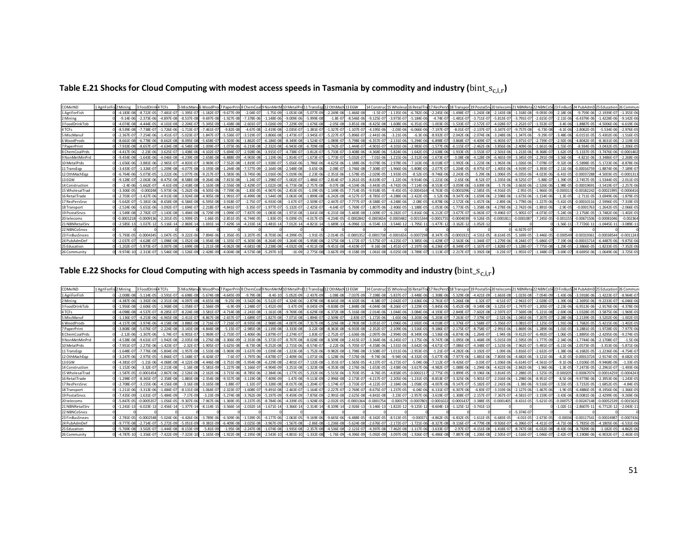Table E.21 Shocks for Cloud Computing with modest access speeds in Tasmania by commodity and industry ( $bin\_s_{c,i,r}$ )

| COMxIND         | 1 AgriForFis 2 Mining |                 | 3 FoodDri      | 4 TCFs         | 5 MiscMan       |                |                | 5 WoodProd 7 PaperPrint8 ChemCoal 9 NonMetM 10 MetalPrd |                |                | 11 TransEgg 12 OthMach 13 EGW |                |                 |                |                |                |                |                |                |                |                | 14 Construct 15 Wholesal 16 RetailTral 17 RecPers 18 Transport 19 Postal Srd 20 telecoms 21 NBNReta 22 NBNCoS 123 FinBusS 24 PubAdmD 25 Education |              |                 |                 |                |
|-----------------|-----------------------|-----------------|----------------|----------------|-----------------|----------------|----------------|---------------------------------------------------------|----------------|----------------|-------------------------------|----------------|-----------------|----------------|----------------|----------------|----------------|----------------|----------------|----------------|----------------|---------------------------------------------------------------------------------------------------------------------------------------------------|--------------|-----------------|-----------------|----------------|
| 1 AgriForFish   |                       | $-4.183E - 08$  | $-8.722E-0$    | $-7.481E-07$   | $-1.395E - 0.7$ | l. 182E-C      | $-9.677F - 09$ | $-2.04E - 0$                                            | $-1.75F - 09$  | $-1.053E-08$   | $-5.077E-09$                  | $-2.249E - 08$ | $-1.466E - 08$  | $-1.5E-0$      | $-1.135E - 06$ | $-6.782E - 06$ | $-2.245E-06$   | $-1.498E-07$   | $-1.243E - 08$ | $-2.143E-08$   | $-1.318E-08$   | $-9.093F - 09$                                                                                                                                    | $-2.18E - 0$ | $-9.759F - 06$  | $-2.1939E - 07$ | $-1.355E - 06$ |
| 2 Mining        |                       | $-9.14F - 06$   | $-2.373F - 0$  | $-4.897F - 08$ | $-8.537F - 0.1$ | $-9.697F - 08$ | $-1.927F - 08$ | $-7.378F - 0$                                           | $-1.148F - 06$ | $-9.009F - 06$ | $-5.999F - 08$                | $-1.8F - 07$   | $-8.546F - 06$  | $-9.125F - 0$  | $-3.973F - 07$ | $-5.184F - 0$  | $-4.74F-1$     | $-1.481F - 07$ | $-3.711F - 0$  | $-5.813F - 07$ | $-3.791F - 07$ | $-2.615F - 0$                                                                                                                                     | $-2.11F - 0$ | $-6.4379F - 06$ | $-1.4228F - 06$ | $-9.142F - 0f$ |
| 3 FoodDrinkTob  |                       | $-4.074F - 08$  | $-4.444F -$    | $-4.101E-08$   | $-2.204E - 0$   | $-5.345E - 09$ | $-1.438E - 08$ | $-2.601E - C$                                           | $-3.026E-09$   | $-7.229E - 09$ | $-1.676E-08$                  | $-2.05E - 08$  | $-3.851E - 08$  | $-8.425E -$    | $-1.608E - 06$ | $-6.351E-0$    | $-1.003E - C$  | $-1.533E-07$   | $-2.572E-0$    | $-4.028E - 07$ | $-2.252E-07$   | $-1.553E-0$                                                                                                                                       | $-3.4E-0$    | $-1.8887E-05$   | $-4.5006E - 06$ | $-6.619E-06$   |
| 4 TCFs          |                       | $-8.539E - 08$  | .738E-0        | $-1.726E - 06$ | $-1.713E-0$     | $-7.461E - C$  | $-9.82E - 08$  | $-4.67E-0$                                              | $-2.419E - 08$ | $-2.035E-07$   | 1.381E-0                      | $-1.327E - 07$ | $-1.107E - 07$  | $-4.195E - 06$ | $-2.03E - 06$  | $-6.066E - 06$ | $-7.197E - C$  | $-8.01E-0$     | $-2.137E-0$    | $-3.347E-07$   | $-9.757E-08$   | $-6.73E-08$                                                                                                                                       | $-4.1E-0$    | $-2.8062E - 05$ | $-5.534E-06$    | $-2.976E - 05$ |
| 5 MiscManuf     |                       | $-2.367F - 07$  | $-7.254E - 06$ | $-1.451E-07$   | $-5.023E - 0$   | $-1.847E-0$    | $-5.536E - 07$ | $-3.519E - 0$                                           | $-3.806E-08$   | $-1.473E-07$   | $-3.945E-0$                   | $-5.227E-07$   | $-5.896E - 07$  | $-2.441E - 06$ | $-3.21E - 06$  | $-6.3E - 06$   | $-8.932E-$     | $-2.042E - 06$ | $-2.074E - 06$ | $-3.248E - 06$ | $-1.347E-06$   | $-9.29E - 07$                                                                                                                                     | $-3.48E - 0$ | $-6.0151E - 05$ | $-5.4302E - 06$ | $-1.516E-05$   |
| 6 WoodProds     |                       | $-8.661E - 08$  | $-6.778E - 0$  | $-8.662E-08$   | $-8.095E - 08$  | $-5.658E-1$    | $-1.503E-06$   | $-1.862E - 0$                                           | $-6.184E-08$   | $-8.349E-08$   | $-1.524E - 0$                 | $-1.089E - 0$  | $-5.798E - 08$  | $-6.357E - 0$  | $-2.131E - 06$ | $-5.294E - 06$ | $-6.898E-1$    | $-3.868E - 07$ | $-4.409E - 0$  | $-6.903E-07$   | $-3.971E-0$    | $-2.739E - 0$                                                                                                                                     | $-2.92E-0$   | $-4.8042F - 05$ | $-8.3631E - 06$ | $-2.119E-05$   |
| 7 PaperPrint    |                       | $-7.933E - 08$  | $-8.657F - 0$  | $-4.634F - 08$ | $-6.548F - 08$  | $-1.009F - C$  | $-1.073E-06$   | $-6.219E - 0$                                           | $-2.332E-08$   | $-6.943F - 08$ | $-6.709F - 08$                | $-1.742E-07$   | $-1.444F - 07$  | $-4.901E - 0$  | $-4.101E - 06$ | $-2.983E - 05$ | $-1.577E-06$   | $-6.115E-07$   | $-2.462E - 06$ | $-3.856F - 06$ | $-2.409F - 06$ | $-1.661F - 06$                                                                                                                                    | $-1.55F - 0$ | $-8.934F - 05$  | $-3.0432F-05$   | $-1.206E-0$    |
| 8 ChemCoalPrds  |                       | $-4.417F - 06$  | $-2.23E - 06$  | $-3.625E-07$   | $-1.438E - 06$  | $-4.102F - C$  | $-5.694E-07$   | $-2.928E - 0$                                           | $-3.915F - 07$ | $-4.738E - 07$ | $-3.812E-0$                   | $-5.733E-07$   | $-3.408F - 0f$  | $-4.368E - 06$ | $-5.824E - 06$ | $-1.642E - 05$ | $-2.638E - 0$  | $-1.933E-05$   | $-3.553F - 0$  | $-2.501E-06$   | $-1.213E-06$   | $-8.368E - 0$                                                                                                                                     | $-1.62E-0$   | $-5.1337E - 05$ | $-3.7476F - 06$ | $-0.000140$    |
| 9 NonMetMinPrd  |                       | $-9.454F - 08$  | $-1.643F - 06$ | $-4.046F - 08$ | $-4.239F - 08$  | $-2.658F - 08$ | $-6.888F - 09$ | $-4.903F - 0$                                           | $-1.119F - 06$ | $-1.814F - 07$ | $-1.673E - 07$                | $-1.773F - 07$ | $-5.032F - 07$  | $-7.01F - 06$  | $-1.215F - 06$ | $-2.312F - 06$ | $-1.673E-0$    | $-3.08F - 08$  | $-4.128F - 0$  | $-6.465F - 09$ | $-3.345F - 09$ | $-2.291F - 09$                                                                                                                                    | $-3.56F - 0$ | $-4.821F - 06$  | $-3.3486F - 07$ | $-2.268E - 06$ |
| 10 MetalPrds    |                       | $-1.656E - 06$  | $-3.881E - 0$  | $-2.965E - 0$  | $-4.833E - 0$   | $-3.969F-1$    | $-7.552E - 08$ | $-1.819E - C$                                           | $-1.928E - 07$ | $-5.656E-06$   | $-1.786E - 06$                | $-4.625E - 06$ | $-1.188E - 06$  | $-9.078E -$    | $-2.978E - 06$ | $-7.163E - 0$  | $-8.018E-$     | $-1.992E - 06$ | $-1.223E-0$    | $-1.963E-06$   | $-1.026E - 00$ |                                                                                                                                                   | $-9.32E - 0$ | $-5.5898F - 05$ | $-5.1723E-06$   | $-8.878E - 0$  |
| 11 TransEgp     |                       | $-3.433F - 07$  | $-1.326E - 0$  | $-1.209E-08$   | $-4.077F - 08$  | $-3.193E - 08$ | $-1.244F - 08$ | $-7.577E - 0$                                           | $-2.164E-08$   | $-2.548E-08$   | $-3.65E - 06$                 | $-2.08E - 07$  | $-3.746E - 08$  | $-7.308E - C$  | $-1.966E - 06$ | $-5.808E - 05$ | $-2.077E-0$    | $-1.204E-05$   | $-8.975E-0$    | $-1.405E-06$   | $-4.919E-07$   | $-3.393E - 0$                                                                                                                                     | $-2.11E-0$   | $-0.00016759$   | $-1.8874F - 06$ | 7.189F-0       |
| 12 OthMachEgp   |                       | $-6.764E - 06$  | $-5.073F - C$  | $-1.222E-06$   | $-1.077E - 06$  | $-9.217E - C$  | $-1.583E - 06$ | $-3.745E - 06$                                          | $-1.016E-06$   | $-5.019E - 06$ | $-2.23E - 06$                 | $-2.351E - 06$ | $-1.578E - 05$  | $-2.029E -$    | $-1.933E - 05$ | $-8.52E-05$    | $-9.746E - 06$ | $-2.243E-05$   | $-5.29E - 06$  | $-1.006E-05$   | $-6.035E-06$   | $-4.023F - 06$                                                                                                                                    | $-6.41F-0$   | $-0.00037288$   | $-4.5003E-05$   | $-0.000131$    |
| 13 EGW          |                       | $-9.128F - 0$   | $-2.063F - 0$  | $-8.475F - 08$ | $-8.588F - 08$  | $-9.264F - 01$ | $-7.815E-08$   | $-1.24E - C$                                            | $-1.298F - 0$  | $-5.002F - 07$ | $1.486F - C$                  |                | $-3.261E - 0$   | $-8.619E -$    | $-1.22E - 06$  | $-9.914E - 0$  | $-1.221E$      | $-2.65E - 06$  | $-8.52F-0$     | $-1.335F - 06$ | $-8.525F - 0$  | $-5.88E - C$                                                                                                                                      | $-1.39F - 0$ | $-2.7457F - 05$ | $-1.5344E-05$   | $-2.011E-0$    |
| 14 Construction |                       | $-2.4F - 06$    | $-5.662F - 0$  | $-4.61F - 08$  | $-2.418E - 08$  | $-1.163E-08$   | $-2.556E-08$   | $-2.429E - 0$                                           | $-1.022E-08$   | $-6.773F - 08$ | $-2.757F - 08$                | $-9.07F - 08$  | $-4.534F - 06$  | $-3.443F - 0$  | $-4.742F - 06$ | $-7.114E - 06$ | $-8.553E-1$    | $-3.059E - 06$ | $-3.639E - 06$ | $-5.7F - 06$   | $-3.663E-06$   | $-2.526F - 06$                                                                                                                                    | $-1.98F - 0$ | $-0.0001969$    | $-3.5419E - 07$ | $-2.257E-06$   |
| 15 WholesalTrad |                       | $-3.306E - 05$  | 0.00024        | $-5.973E-06$   | $-5.262E - 0$   | $-4.505E - 06$ | $-7.739E - 06$ | $-1.83E - C$                                            | $-4.967E-06$   | $-2.453E-05$   | $-1.09E-05$                   | .149E-05       | $-7.714E - 05$  | $-9.918E -$    | $-9.45E - 05$  | $-0.0004164$   | $-4.763E-$     | $-0.0001096$   | $-2.585E-05$   | $-4.916E - 05$ | $-2.95E-05$    | L.966E-05                                                                                                                                         | $-0.0003$    | $-0.00182242$   | 0.0002199       | $-0.000641$    |
| 16 RetailTrade  |                       | $-2.703F - C$   | 1.427E-0       | $-4.913F - 08$ | $-3.924E - 08$  | $-4.905F - 0F$ | $-1.991E - 0$  | $-6.499E - 0$                                           | $-1.544E-08$   | $-3.063E-08$   | 1.899E                        | $-6.242F - 08$ | $-4.527F - 0.7$ | $-8.785E - 0$  | 4.288E-06      | $-2.422E-0$    | $-1.52E-0$     | $-9.347F - 06$ | $-1.659E-0$    | $-2.598E-06$   | $-1.673F - 06$ | $-1.154F - 06$                                                                                                                                    | $-1.3F - 0$  | $-2.711F - 0$   | $-3.6949E-06$   | $-1.879E - 0$  |
| 17 RecPersSrvc  |                       | $-5.642F - 0.7$ | $-5.381E - 06$ | $-8.658E - 08$ | $-6.584E - 08$  | $-6.595E-08$   | $-3.918E - 07$ | $-2.75E-0$                                              | $-6.933E-08$   | $-1.67E-07$    | $-2.509E-0$                   | $-2.447F - 07$ | $-7.777F - 07$  | $-8.588E - 0$  | $-4.248E - 06$ | $-2.08E - 05$  | $-6.878E-$     | $-2.572E-06$   | $-1.457E-06$   | $-2.89F - 06$  | $-1.778F - 06$ | $-1.227E-06$                                                                                                                                      | $-5.41F-0$   | $-0.0001011$    | $-2.5996E-05$   | $-7.319E - 05$ |
| 18 Transport    |                       | $-2.524E - 06$  | $-5.651E - 06$ | $-3.092E - 07$ | $-1.694E-0$     | $-2.218E-$     | $-4.841F - 0$  | $-3.35E - 0$                                            | $-1.977E-07$   | $-5.132E-07$   | $-2.425E-0$                   | $-4.64E - 0.7$ | $-5.769E - 07$  | $-1.807E - 06$ | $-2.406E - 05$ | $-1.188E - 05$ | $-1.053E-06$   | $-1.773E-05$   | $-1.358E - 06$ | $-4.278E - 06$ | $-2.742E-06$   | $-1.891E - 06$                                                                                                                                    | $-2.9E - C$  | $-0.000176$     | $-1.2642E - 05$ | $-2.066E-0$    |
| 19 Postal Srvcs |                       | $-1.549F - 08$  | $-2.782F - 0$  | $-1.143E-08$   | $-1.494E - 08$  | $-6.729E - 09$ | $-1.099E - 07$ | $-7.837E - 0$                                           | $-1.083F - 08$ | $-1.971E-08$   | $-1.641F - 08$                | $-6.231F - 08$ | $-5.469F - 09$  | 1.009E-        | $-6.282E - 07$ | $-5.816E - 06$ | $-6.212E-1$    | $-3.677E-0$    | $-6.063F - 0$  | $-9.496E - 07$ | $-5.905E-07$   | $4.073F - 0$                                                                                                                                      | $-5.24F - 0$ | $-2.1758F - 05$ | $-3.7482F - 06$ | $-1.402F - 0$  |
| 20 telecoms     |                       | $-0.0001218$    | 0.00091        | $-2.201F - 05$ | $-1.939F - 05$  | $-1.66F - C$   | $-2.851F - 05$ | $-6.744F -$                                             | $-1.83F - 05$  | $-9.039F - 05$ | $-4.017F - 0$                 | $-4.234F - 05$ | $-0.0002842$    | -0.000365      | $-0.000348$    | $-0.0015344$   | $-0.00017$     | $-0.0004039$   | $-9.526F - 0$  | $-0.000181$    | $-0.0001087$   | $-7.245F - 05$                                                                                                                                    | $-0.00115$   | $-0.00671506$   | $-0.0008104$    | $-0.00236$     |
| 21 NBNRetailSrv |                       | $-2.585E-13$    | $-1.027E-1$    | $-5.116E-14$   | $-2.869E - 1$   | $-1.691E-1$    | $-7.429E - 14$ | $-4.233E-1$                                             | $-3.481E - 14$ | $-7.012E - 14$ | $-4.821E-14$                  | $-1.689E-13$   | $-6.096E - 13$  | $-6.554E -$    | $-3.544E-12$   | $-1.795E-11$   | $-1.477E-$     | $-3.162E - 12$ | $-1.052E-1$    |                |                |                                                                                                                                                   | $-1.56E-1$   | $-7.7726E - 1$  | $-1.0445E-1$    | $-3.089E-1$    |
| 22 NBNCoSrvcs   |                       |                 |                |                |                 |                |                |                                                         |                |                |                               |                |                 |                |                |                |                |                |                |                | $-6.927E - 0$  |                                                                                                                                                   |              |                 |                 |                |
| 23 FinBusSrvces |                       | $-5.793F - 05$  | $-0.000434$    | $-1.047F - 05$ | $-9.222E - 06$  | $-7.894F - 0f$ | $-1.356E - 05$ | $-3.207E - 0$                                           | $-8.703F - 06$ | $-4.299E-05$   | $-1.91F - 05$                 | $-2.014F - 05$ | $-0.000135$     | $-0.00017$     | $-0.0001656$   | $-0.0007298$   | $-8.347E - C$  | $-0.000192$    | $-4.531E-0$    | $-8.614F - 05$ | $-5.169F - 05$ | $-3.446F - 05$                                                                                                                                    | $-0.0005$    | $-0.0031936$    | $-0.0003854$    | $-0.001124$    |
| 24 PubAdmDef    |                       | $-2.037E-0$     | $-4.628E - 0$  | $-1.098E - 08$ | $-1.052E - 01$  | $-1.954E - 08$ | $-1.335E$      | $-6.303E - 0$                                           | $-8.264E-09$   | $-3.264E-08$   | $-5.958E-08$                  | $-2.575E-08$   | $-1.172E - 07$  | $-5.575E - 0$  | $-4.225E - 0$  | $-3.385E - 06$ | $-1.429E-$     | $-2.563E - 06$ | $-1.344E-0$    | $-1.279E - 06$ | $-8.244F - 0$  | $-5.686E - 0$                                                                                                                                     | $-7.19E -$   | $-0.0001571$    | $-6.4487F - 06$ | $-9.875E - 0$  |
| 25 Education    |                       | $-1.202E-07$    | $-5.973F - C$  | $-3.007E-08$   | $-1.699E - 08$  | $-1.211E-08$   | $-4.062E - 08$ | $-4.681E$                                               | $-2.238E-08$   | $-4.032E-08$   | $-4.911F - 08$                | $-9.451F - 08$ | $-4.419F - 07$  | $-9.16E - 00$  | $-1.451E-07$   | $-2.197E-06$   | $-6.236E-1$    | $-8.349E - 07$ | $-1.167E-0$    | $-1.828E - 07$ | $-1.128E - 07$ |                                                                                                                                                   | $1.29E - C$  | $-2.3866E - 05$ | $-1.8233E-05$   | $-7.352E - 06$ |
| 26 Community    |                       | $-9.974E - 10$  | $-2.313E - C$  | $-1.546E-08$   | $-1.526E - 09$  | $-2.428E - 09$ |                | $-4.573E-0$                                             | $-5.297E$      | $-1E-09$       | $-2.775E-08$                  | $-3.667E$      | $-9.158E - 09$  | $-1.061E - 08$ | $-6.025E - 08$ | $-3.789E - 07$ | $-1.113E-0$    | $-2.217E-07$   | $-3.392E - 08$ | $-3.23F - 07$  | $-1.955E-07$   | $-1.348F - 0$                                                                                                                                     | $-3.69E - 0$ | $-8.6695E - 06$ | $-1.0649E - 06$ | $-3.725E - 05$ |

Table E.22 Shocks for Cloud Computing with high access speeds in Tasmania by commodity and industry ( $bin\_s_{c,i,r}$ )

| COMxIND         | 1 AgriForFis 2 Mining | 3 FoodDrink 4 TCFs |                 | 5 MiscManu6 WoodProd7 PaperPrin 8 ChemCoal9 NonMetM |                             |                |                |                | 10 MetalPrd 11 TransEgd 12 OthMach 13 EGW |                |                |                |                | 14 Construct15 Wholesal 16 RetailTra |                | 17 RecPersS 18 Transport |                |                | 19 Postal Srv 20 telecoms | 21 NBNRet       |                |               |                 |                 |                |
|-----------------|-----------------------|--------------------|-----------------|-----------------------------------------------------|-----------------------------|----------------|----------------|----------------|-------------------------------------------|----------------|----------------|----------------|----------------|--------------------------------------|----------------|--------------------------|----------------|----------------|---------------------------|-----------------|----------------|---------------|-----------------|-----------------|----------------|
| 1 AgriForFish   | $-2.008F - 0$         | $-5.114F - 05$     | $-3.591F - 07$  | $-6.698E - 08$                                      | $-5.674F - 08$              | $-4.645F - 09$ | $-9.79F - 08$  | $-8.4F-10$     | $-5.052F - 09$                            | $-2.437F - 09$ | $-1.08E - 08$  | $-7.037F - 09$ | $-7.198E - 08$ | $-5.837E - 07$                       | $-3.448E - 06$ | $-1.308F - 06$           | $-5.329F - 08$ | $-4.421F - 09$ | $-1.663F - 08$            | $-1.023F - 08$  | $-7.054F - 09$ | $-1.43F - 00$ | $-3.5918F - 06$ | $-1.4223F - 07$ | $-8.964F - 0$  |
| 2 Mining        | $-4.387E - 0$         | $-1.392E - 06$     | $-2.351E-08$    | $-4.097E - 0$                                       | $-4.655E-08$                | $-9.25E - 09$  | $-3.542E - 06$ | $-5.512E-0$    | $-4.324E-06$                              | $-2.879E-08$   | $-8.641E-08$   | $-4.102E - 06$ | $-4.38E - C$   | $-2.042E - 07$                       | $-2.636E - 06$ | $-2.761E-07$             | $-5.266E - 08$ | $-1.32E-0$     | $-4.51F-07$               | $-2.941E-0$     | $-2.028E - 0$  | $-1.39E - 0$  | $-2.3695E - 06$ | $-9.2233E - 0$  | $-6.046E - 06$ |
| 3 FoodDrinkTob  | $-1.956F - 0$         | $-2.606F - 05$     | $-1.968F - 08$  | $-1.058F - 0$                                       | $-2.566F - 0$               | $-6.9F - 09$   | $-1.248F - 0$  | $-1.452F - 09$ | $-3.47F - 09$                             | $-8.045F - 09$ | $-9.838F - 09$ | $-1.848F - 08$ | $-4.044F - 08$ | $-8.266E - 07$                       | $-3.229F - 0$  | $-5.845F - 06$           | $-5.452F - 08$ | $-9.149F - 08$ | $-3.125F - 07$            | $-1.747F - 0.7$ | $-1.205F - 0$  | $-2.23F - 0$  | $-6.9513F - 06$ | $-2.9176F - 06$ | $-4.378F - 0f$ |
| 4 TCFs          | $-4.098E - 00$        | $-4.537E-07$       | $-8.285E-07$    | $-8.224E - 08$                                      | $-3.581E-07$                | $-4.714E-08$   | $-2.241E-08$   | $-1.161E-08$   | $-9.769E - 08$                            | $-6.629E - 08$ | $-6.372E - 08$ | $-5.316E-08$   | $-2.014E - 06$ | $-1.044E - 06$                       | $-3.084E - 06$ | $-4.193E-07$             | $-2.849E - 07$ | $-7.602E - 08$ | $-2.597E-07$              | $-7.569E-08$    | $-5.221E - 08$ | $-2.69E - 00$ | $-1.0328E - 05$ | $-3.5875E-06$   | $-1.969E-05$   |
| 5 MiscManuf     | $-1.136E - C$         | $-4.253E - 06$     | $-6.965E-08$    | $-2.411E-0$                                         | $-8.867E - 08$              | $-2.657E-07$   | $-1.689E - 0$  | $-1.827E-08$   | $-7.071E-08$                              | $-1.894E-07$   | $-2.509E-0$    | $-2.83E-07$    | $-1.172E - 06$ | $-1.65E - 06$                        | $-3.203E - 0$  | $-5.203E-07$             | $-7.263E - 07$ | $-7.379E - 0$  | $-2.52E-06$               | $-1.045E-06$    | $-7.207E - 0$  | $-2.28E - 0$  | $-2.2139E - 05$ | $-3.5202E-06$   | $-1.002E - 05$ |
| 6 WoodProds     | $-4.157F - 0.$        | $-3.974F - 06$     | $-4.158F - 08$  | $-3.886F - 08$                                      | $-2.716F - 07$              | $-7.216E - 07$ | $-8.935E-08$   | $-2.968E-08$   | $-4.007F - 08$                            | $-7.317E-08$   | $-5.226E - 08$ | $-2.783E-08$   | $-3.051E - C$  | $-1.096E - 06$                       | $-2.692E - 06$ | $-4.018E-07$             | $-1.376E-07$   | $-1.568E - 0$  | $-5.356E-07$              | $-3.081E - 07$  | $-2.125E-0$    | $-1.91E - 00$ | $-1.7682E - 05$ | $-5.4215E-06$   | $-1.402F - 05$ |
| 7 PaperPrint    | $-3.808E - C$         |                    | $-2.224E-08$    | $-3.143F - 08$                                      | $-4.844F - 08$              | $-5.15F - 07$  | $-2.985F - 08$ | $-1.119F - 08$ | $-3.333F - 08$                            | $-3.22E-08$    | $-8.363E-08$   | $-6.933E - 08$ | $-2.352E - C$  | $-2.109E - 06$                       | $-1.516E-0$    | $-9.186E - 07$           | $-2.175E-07$   | $-8.758E - 0$  | $-2.991E-06$              | $-1.869F - 06$  | $-1.289F - 06$ | $-1.01F - 0$  | $-3.2881F - 05$ | $-1.9728F - 05$ | $-7.977F - 0$  |
| 8 ChemCoalPrds  | $-2.12E - 0$          |                    | $-1.74F - 07$   | $-6.901F - 0$                                       | $1.969F - 0$                | $-2.733F - 0$  | $-1.406F - C$  | $-1.879E-0$    | $-2.274E-0$                               | $-1.83E-07$    | $-2.752E-0$    | $-1.636E - 06$ | $-2.097E - 06$ | $-2.994E - 06$                       | $-8.349E-0$    | $-1.536E-06$             | $-6.874F - 06$ | $-1.264E - 0$  | $-1.94F -$                | $-9.412F - 0$   | $-6.492F - 0$  | $-1.06F - 0$  | $-1.8895F - 05$ | $-2.4295F - 06$ | $-9.274F - 05$ |
| 9 NonMetMinPrd  | $-4.538E - 0$         | $-9.631E-07$       | $-1.942E - 08$  | $-2.035E - 08$                                      | $-1.276E - 08$              | $-3.306E - 09$ | $-2.353E-08$   | $-5.372E-0$    | $-8.707E-08$                              | $-8.028E - 08$ | $-8.509E - 08$ | $-2.415E - 07$ | $-3.364E - 06$ | $-6.245E - 0$                        | $-1.175E-0$    | $-9.747E-08$             | $-1.095E - 08$ | $-1.468E - 09$ | $-5.015E-09$              | $-2.595E-09$    | $-1.777F - 09$ | $-2.34E - 00$ | $-1.7744F - 06$ | $-2.1708E - 0$  | $-1.5E-06$     |
| 10 MetalPrds    | $-7.951E - C$         | $-2.275E-06$       | $-1.423E - 0.7$ | $-2.32E - 0$                                        | $-1.905E-07$                | $-3.625E - 08$ | $-8.73E - 08$  | $-9.252E - 08$ | $-2.715E-06$                              | $-8.574E-07$   | $-2.22E-06$    | $-5.705E - 07$ | $-4.358E - 06$ | $-1.531E - 06$                       | $-3.642E - 06$ | $-4.671E-07$             | $-7.086E - 07$ | $-4.348E - 0$  | $-1.523E-06$              | $-7.962E - 07$  | $-5.491E-07$   | $-6.11E-0$    | $-2.0573E-05$   | $-3.353E - 06$  | $-5.871E - 06$ |
| 11 TransEgp     | $-1.648F - C$         |                    | $-5.804E - 09$  | $-1.957E - 08$                                      | $-1.533E-08$                | $-5.969E - 09$ | $-3.637E - 09$ | $-1.039E - 08$ | $-1.223E-08$                              | $-1.752E - 06$ | $-9.982E - 08$ | $-1.798E - 08$ | $-3.508E - C$  | $-1.011E-06$                         | $-2.953E-0$    | $-1.21E-07$              | $-4.282E - 06$ | $-3.192E-0$    | $-1.09E-06$               | $-3.816E-0$     | $-2.632E - 0$  | $-1.38E - 00$ | $-6.1682E - 05$ | $-1.2236E - 06$ | $-4.754E - 0$  |
| 12 OthMachEop   | $-3.247E - 0$         | $-2.975F - 05$     | $-5.866F - 07$  | $-5.168F - 0$                                       | $-4.424F - 07$              | $-7.6F - 07$   | $-1.797F - 06$ | $-4.878F - 0$  | $-2.409E - 06$                            | $-1.071E-06$   | $-1.128E - 06$ | $-7.576E - 06$ | $-9.74F - 06$  | $-9.94E - 06$                        | $-4.332E-05$   | $-5.677E-06$             | $-7.977E - 06$ | $-1.881E-06$   | $-7.803E-06$              | $-4.682F - 06$  | $-3.121E - 06$ | $-4.2E-05$    | $-0.00013724$   | $-2.9174E-05$   | $-8.682E-05$   |
| 13 EGW          | $-4.381F -$           | $-1.21E-06$        | $-4.068F - 08$  | $-4.122F - 08$                                      | $-4.446F - 08$              | $-3.751E - 08$ | $-5.954E-08$   | $-6.229E - 08$ | $-2.401E-07$                              | $-7.132E - 08$ | $-1.351E-07$   | $-1.565E - 05$ | $-4.137E - 0$  | $-6.272E-0$                          | $-5.04E - 06$  | $-7.112E-07$             | $-9.426E - 07$ | $-3.03E - 0$   | $-1.036F - 06$            | $-6.614E-07$    | $-4.561F - 07$ | $-9.1F - 0$   | $-1.0106E-05$   | $-9.9468F - 06$ | $-1.33F - 05$  |
| 14 Construction | $-1.152E - 0$         | $-3.32E - 07$      | $-2.213E-08$    | $-1.16E-08$                                         | $-5.581E-09$                | $-1.227E-08$   | 1.166E-0       | $-4.904E-09$   | $-3.251E-08$                              | $-1.323E-08$   | $-4.353E-08$   | $-2.176E - 06$ | $-1.653E - 05$ | $-2.438E - 06$                       | $-3.617E-06$   | $-4.982E-07$             | $-1.088E - 06$ | $-1.294E - 06$ |                           | $-2.842E-06$    | $-1.96E - 06$  | $-1.3E-0$     | $-7.2473E - 05$ | $-2.2961E-07$   | $-1.493E - 06$ |
| 15 WholesalTrac | $-1.587E-0$           | $-0.000145$        | $-2.867E - 06$  | $-2.526E - 06$                                      | $-2.162E - 06$              | $-3.715E-06$   | $-8.785E - 06$ | $-2.384E - 06$ | $-1.177E-05$                              | $-5.232E - 06$ | $-5.515E-06$   | $-3.703E - 05$ | $-4.76E - 05$  | $-4.858E - 05$                       | $-0.000211$    | $-2.775E-05$             | $-3.899E - 05$ | $-9.196E - 06$ | $-3.814E-05$              | $-2.288E - 05$  | $-1.525E-05$   | $-0.00020$    | $-0.0006707$    | $-0.0001425$    | $-0.000424$    |
| 16 RetailTrade  | $-1.298E - C$         | $-8.365F - 07$     | $-2.358E - 08$  | $-1.883E-08$                                        | $-2.354E - 08$              | $-9.557E-08$   | $-3.119E - 08$ | $-7.409E - 09$ | $-1.47E-08$                               | $-9.113E - 09$ | $-2.996E-08$   | $-2.173E - 07$ | $-4.217E-07$   | $-2.205E - 06$                       | $-1.231E-05$   | $-8.853E-07$             | $-3.325E-06$   | $-5.901E-0$    | $-2.016E-06$              | $-1.298E - 06$  | $-8.951E-07$   | $-8.5E - 06$  | $-9.9778F - 06$ | $-2.3953E-06$   | $-1.243E-05$   |
| 17 RecPersSrvc  | $-2.708E - C$         | $-3.155E - 06$     | $-4.156E - 08$  | $-3.16E - 08$                                       | $-3.165E - 08$              | $-1.88E-0$     | $-1.32E-0$     | $-3.328E - 08$ | $-8.017E-08$                              | $-1.204E - 07$ | $-1.174E-07$   | $-3.733E - 07$ | $-4.122E - C$  | $-2.184E - 06$                       | $-1.058E-05$   | $-4.007E-06$             | $-9.147E - 07$ | $-5.182E - 0$  | $-2.242E-06$              | $-1.38E - 06$   | $-9.516E - 0$  | $-3.55E-0$    | $-3.7232E - 05$ | $-1.6852E-05$   | $-4.84E-05$    |
| 18 Transport    | $-1.211E-00$          | $-3.313F - 06$     | $-1.484E-07$    | $-8.131E-08$                                        | $-1.064E-07$                | $-2.323E - 07$ | $-1.608E - 07$ | $-9.491E-08$   | $-2.463E-07$                              | $-1.164E-07$   | $-2.227E-07$   | $-2.769E - 07$ | $-8.675E - 0$  | $-1.237E-05$                         | $-6.04E - 06$  | $-6.131E-07$             | $-6.307E - 06$ | $-4.83E-0$     | $-3.319E-06$              | $-2.127E-06$    | $-1.467E - 06$ | $-1.9E-0$     | $-6.4886E - 05$ | $-8.1956E - 06$ | $-1.366E - 05$ |
| 19 PostalSrvcs  | $-7.435F - 0$         | $-1.631F - 07$     | $-5.484F - 09$  | $-7.17F - 09$                                       | $-3.23F - 09$               | $-5.274F - 08$ | $-3.762F - 09$ | $-5.197F - 09$ | $-9.459F - 09$                            | $-7.876E - 09$ | $-2.991E - 08$ | $-2.625E - 08$ | $-4.841E - 08$ | $-3.23E - 0$                         | $-2.957E-0$    | $-3.619E-0$              | $-1.308E - 07$ | $-2.157E-0$    | $-7.367F - 0$             | $-4.581F - 0$   | $-3.159F - 0$  | $-3.43F - 0$  | $-8.0081F - 06$ | $-2.4299F - 06$ | $-9.269F - 01$ |
| 20 telecoms     | $-5.847F - 0$         | $-0.00053$         | $-1.056F - 05$  | $-9.307F - 06$                                      | $-7.967F - 06$              | $-1.369F - 05$ | $-3.237F - 05$ | $-8.784F - 06$ | $-4.339F - 05$                            | $-1.928E - 05$ | $-2.032F - 0$  | $-0.0001364$   | $-0.000175$    | $-0.0001$                            | $-0.000780$    | $-0.00010$               | $-0.0001437$   | $-3.388F - 0$  | $-0.0001405$              | $-8.431E-05$    | $-5.621E-05$   | $-0.0007$     | $-0.00247148$   | -0.00052539     | $-0.001563$    |
| 21 NBNRetailSrv | $-1.241E-1$           | $-6.023E-13$       | $-2.456E - 14$  | $-1.377E-14$                                        | $-8.114E - 15 - 3.566E - 1$ |                | $-2.032E-$     | $-1.671E-14$   | $-3.366E - 14$                            | $-2.314E - 14$ | $-8.109E - 14$ | $-2.926E - 13$ | $-3.146E -$    | $-1.822E-12$                         | $-9.125E - 1$  | $-8.604E-13$             | $-1.125E-12$   | $-3.741E-1$    |                           |                 |                | $-1.02E-1$    | $-2.8607E-1$    | $-6.7712E-12$   | $-2.043E-1$    |
| 22 NBNCoSrvcs   |                       |                    |                 |                                                     |                             |                |                |                |                                           |                |                |                |                |                                      |                |                          |                |                |                           | $-5.374E - 0$   |                |               |                 |                 |                |
| 23 FinBusSrvces | $-2.781E$             | $-0.0002548$       | $-5.024E - 06$  | $-4.426E - 06$                                      | $-3.789F - 06$              | $-6.509E - 06$ | $-1.539E - 05$ | $-4.177F - 00$ | $-2.063E-05$                              | $-9.169E - 06$ | $-9.665E - 06$ | $-6.488E - 05$ | $-8.342E - 05$ | $-8.513E-05$                         | $-0.00037$     | $-4.862E-05$             | $-6.832E - 05$ | $-1.611E-05$   | $-6.683E - 05$            | $-4.01E-05$     | $-2.673E-05$   | $-0.000$      | $-0.00117541$   | $-0.00024987$   | $-0.0007436$   |
| 24 PubAdmDef    | $-9.777E-0$           |                    | $-5.272E - 09$  | $-5.051E-0!$                                        | $-9.381E - 09$              | $-6.409E - 08$ | $-3.025E - 08$ | $-3.967E-09$   | $-1.567E-08$                              | $-2.86E-08$    | $-1.236E-08$   | $-5.624E - 08$ | $-2.676E - C$  | $-2.172E-0$                          | $-1.721E-0$    | $-8.327E-08$             | $-9.116E - 07$ | $-4.779E - 08$ | $-9.926E - 0$             | $-6.396E-0$     | $-4.411E - 0$  | $-4.71E-0$    | $-5.7835E - 05$ | $-4.1805E - 06$ | $-6.531E-06$   |
| 25 Education    | $-5.769F - 0.$        | $-3.502F - 07$     | $-1.444F - 08$  | $-8.153E-09$                                        | $-5.81E-09$                 | $-1.95E-08$    | $-2.247F - 08$ | $-1.074F - 08$ | $-1.935F - 08$                            | $-2.357E-08$   | $-4.536E - 08$ | $-2.121E-07$   | $-4.397E - 08$ | $-7.462E - 08$                       | $-1.117E-0$    | $-3.633E-07$             | $-2.97E-07$    | $-4.151F - 08$ | $-1.418F - 07$            | $-8.747F - 08$  | $-6.032F - 08$ | $-8.43F - 0$  | $-8.7839F - 06$ | $-1.182E - 05$  | $-4.862E - 06$ |
| 26 Community    | $-4.787E-1$           |                    | $-7.422E - 09$  | $-7.323E - 10$                                      | $-1.165E-09$                | $-1.922E - 08$ | $-2.195E-08$   | $-2.543E-10$   |                                           | $-1.332E-08$   | $-1.76E-09$    | $-4.396E - 09$ | $-5.092E - 09$ | $-3.097E - 08$                       | $-1.926E - 0$  | $-6.486E - 08$           | $-7.887E - 08$ | $-1.206E - 08$ | $-2.505E-07$              | $-1.516E-07$    |                | $-2.42F-0$    |                 | $-6.9032E-07$   | $-2.463E-05$   |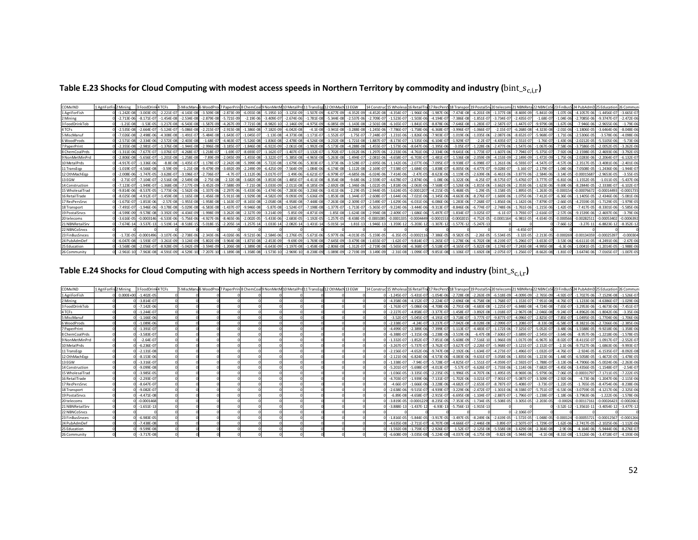Table E.23 Shocks for Cloud Computing with modest access speeds in Northern Territory by commodity and industry ( $bin\_s_{c,i,r}$ )

| COMxIND         | 1 AgriForFist 2 Mining |                | 3 FoodDri      | <b>TCFs</b>     | 5 MiscMan      | i WoodPro      | 7 PaperPrint8 ChemCoall9 NonMet |                |                | 10 MetalPr     | 11 TransEgn 12 OthMach |                | 13 EGW          | 14 Constr      | 15 Wholesa 16 RetailTra |                | 17 RecPer:     | 18 Transpo      | 19 PostalSr    | 20 teleco      |                 |                |               |                 |                 |                |
|-----------------|------------------------|----------------|----------------|-----------------|----------------|----------------|---------------------------------|----------------|----------------|----------------|------------------------|----------------|-----------------|----------------|-------------------------|----------------|----------------|-----------------|----------------|----------------|-----------------|----------------|---------------|-----------------|-----------------|----------------|
| 1 AgriForFish   |                        | $-1.242F - 08$ | $-3.003F - C$  | $-2.221F - 0$   | $-4.143F - 08$ | $-3.509F - 08$ | $-2.873F - 09$                  | $-6.055F - 08$ | $-5.195F - 10$ | $-3.125F - 09$ | $-1.507F - 09$         | $-6.677F - 09$ | $-4.352F - 09$  | $-4.452F - 0F$ | $-4.354F - 07$          | $-1.966F - 06$ | $-1.987F - 06$ | $-7.474F - 08$  | $-6.201F - 09$ | $-1.377F - 08$ | $-8.469F - 09$  | $-5.841F - 09$ | $-1.07F - 0$  | $-4.1057F - 06$ | $-1.4456F - 07$ | $-3.665F - 0$  |
| 2 Mining        |                        | $-2.713E - 06$ | $-8.171E - C$  | $-1.454E-08$    | $-2.534E - 08$ | $-2.879E - 08$ | $-5.721E-09$                    | $-2.19E - 0$   | $-3.409E - 07$ | $-2.674E-06$   | $-1.781E$              | $-5.344E - 08$ | $-2.537E - 06$  | $-2.709E -$    | $-1.523E - 07$          | $-1.503E - 06$ | $-4.194E - C$  | $-7.386E - 08$  | $-1.851E-0$    | $-3.734E - 07$ | $-2.435E-07$    | $-1.68E - 0$   | $-1.04E -$    | $-2.7085E - 06$ | $-9.3747E - 07$ | $-2.472E - 06$ |
| 3 FoodDrinkTob  |                        | $-1.21F - 0R$  | $-1.53F - C$   | $-1.217F - 08$  | $-6.543F - 08$ | $-1.587F - 09$ | $-4.267F - 09$                  | $-7.721F - 0$  | $-8.982F-10$   | $-2.146F - 09$ | 4.975F-09              | $-6.085F -$    | $-1.143E - 0R$  | $-2.501F - 0$  | $-6.165F - 0$           | $-1.841F - 0$  | $-8.878F - 0$  | $-7.646F - 08$  | $-1.283F - 0$  | $-2.587F - 07$ | $-1.447F - 07$  | $-9.979F - 08$ | $-1.67F -$    | $-7.946F - 06$  | $-2.9655F - 06$ | $-1.79F - 0f$  |
| 4 TCFs          |                        | $-2.535F - 08$ | $-2.664E - C$  | $-5.124E-0$     | $-5.086E - 08$ | $-2.215E-1$    | $-2.915E-08$                    | $-1.386E - 0$  | $-7.182E - 09$ | $-6.042E-08$   | $-4.1E-08$             | $-3.941E-08$   | $-3.288E - 08$  | $-1.245E - 06$ | $-7.786E - 0$           | $-1.758E - 06$ | $-6.368E-$     | $-3.996E - 0$   | $-1.066E - 0$  | $-2.15F-07$    | $-6.268F - 08$  | $-4.323F - 08$ | $-2.01E - 00$ | $-1.1806F - 05$ | $-3.6464F - 06$ | $-8.048F - 0$  |
| 5 MiscManu      |                        | $-7.026E - 08$ | $-2.498E - 06$ | $-4.308E - 08$  | $-1.491E-0$    | $-5.484E - 08$ | $-1.643E-07$                    | $-1.045E - 0$  | $-1.13E-08$    | $-4.373E-08$   | $1.171E-0$             | $-1.552E-07$   | $-1.75E-07$     | $-7.248E - 0$  | $-1.231E-06$            | $-1.826E - 06$ | $-7.903E-1$    | $-1.019E - 06$  | $-1.035E - 06$ | $-2.087E-06$   | $-8.652E-07$    | $-5.968E - 0$  | $-1.71E-0$    | $-2.5306E - 05$ | $-3.578E-06$    | $-4.098E - 06$ |
| 6 WoodProds     |                        | $-2.571F - 08$ | $-2.334F - 06$ | $-2.572F - 08$  | $-2.403E - 01$ | $-1.68F - C$   | $-4.463E - 07$                  | $-5.526F - 0$  | $-1.836E-08$   | $-2.478E - 08$ | $-4.526F - 08$         | $-3.232F - 08$ | $-1.721E-08$    | $-1.887E - 0$  | $-8.173E-07$            | $-1.535E-06$   | $-6.104E-1$    | $-1.929E - 0.7$ | $-2.2E-0$      | $-4.435E-07$   | $-2.551E-07$    | $-1.76F - 0$   | $-1.43F - 0$  | $-2.0212F - 05$ | $-5.5105F - 06$ | $-5.73E - 06$  |
| 7 PaperPrint    |                        | $-2.355F - 08$ | $-2.981E - C$  | $-1.376F - 08$  | $-1.944F - 08$ | $-2.996E - 0$  | $-3.185F - 07$                  | $-1.846E - 0$  | $-6.922F - 09$ | $-2.061E-08$   | $-1.992E - 08$         | $-5.173F - 08$ | $-4.288E - 08$  | $-1.455E -$    | $-1.573E-06$            | $-8.647F - 0$  | $-1.395E-0$    | $-3.05E - 0$    | $-1.228E - 0$  | $-2.477F - 06$ | $-1.547F - 06$  | $-1.067F - 06$ | $-7.58F - 0$  | $-3.7586F - 05$ | $-2.0052F - 05$ | $-3.262E - 06$ |
| 8 ChemCoalPrds  |                        | $-1.311E-06$   | $-7.677E-0$    | $-1.076E - 0.7$ | $-4.268E - 0$  | $-1.218E - C$  | $-1.69E - 07$                   | $-8.693E - 0$  | $-1.162E - 07$ | $-1.407E-07$   | $-1.132E-0$            | $-1.702E - 07$ | $-1.012E - 06$  | $-1.297E - 06$ | $-2.233E - 06$          | $-4.761E - 06$ | $-2.334E-06$   | $-9.641E - 06$  | $-1.773E-0$    | $-1.607E-06$   | $-7.794E-07$    | $-5.375E - 0$  | $-7.92F - 0$  | $-2.1598E - 05$ | $-2.4693E - 06$ | $-3.792E-05$   |
| 9 NonMetMinPrd  |                        | $-2.806E - 08$ | $-5.656E - C$  | $-1.201E-08$    | $-1.258E - 01$ | $-7.89E - 09$  | $-2.045E-09$                    | $-1.455E - C$  | $-3.322E-07$   | $-5.385E - 08$ | $-4.965E-08$           | $-5.263E - 08$ | $-1.494E-07$    | $-2.081E - 06$ | $-4.658E - 07$          | $-6.703E - 07$ | $-1.481E-$     | $-1.536E-08$    | $-2.059E-0$    | $-4.153E-09$   | $-2.149E-09$    | $-1.472E-09$   | $-1.75E - 0$  | $-2.0283E - 06$ | $-2.2064E - 07$ | $-6.132E-0$    |
| 10 MetalPrds    |                        | $-4.917F - 0$  | $-1.336E - 0$  | $-8.8F - 08$    | $-1.435E-0$    | $-1.178E-$     | $-2.242E-08$                    | $-5.399E -$    | $-5.722E-08$   | $-1.679E-06$   | $-5.303F - C$          | $-1.373F - 06$ | $-3.528E - C$   | $-2.695E -$    | $-1.142E - 06$          | $-2.077E-0$    | $-7.095E-$     | $-9.938E - 0$   | $-6.098E - 0$  | $-1.261E-06$   | $-6.593E-07$    | $-4.547F - 0$  | $-4.57F-0$    | $-2.3517E-05$   | $-3.4081F - 06$ | $-2.401F - 0$  |
| 11 TransEgp     |                        | $-1.019E - 0$  | $-4.566E - 0$  | $-3.59E-09$     | $-1.21E-08$    | $-9.479E - 09$ | $-3.692E - 09$                  | $-2.249E - 0$  | $-6.425E-09$   | $-7.564E-09$   | $-1.084E-06$           | $-6.174E - 08$ | $-1.112E-08$    | $-2.169E - 0$  | $-7.538E - 07$          | $-1.684E - 05$ | $-1.838E - C$  | $-6.005E - 06$  | $-4.477E-0$    | $-9.028E - 07$ | $-3.16E-07$     | $-2.179E-0$    | $-1.04E - 06$ | $-7.0508E - 05$ | $-1.2436E - 06$ | $-1.944E - 0$  |
| 12 OthMachEop   |                        | $-2.008E - 06$ | 1.747F-0       | $-3.628E - 07$  | $-3.196E - 0$  | $-2.736E - C$  | $-4.7F-07$                      | $-1.112E-0$    | $-3.017E-07$   | $-1.49E-06$    | $-6.621E-0$            | $-6.979E-07$   | $-4.685E - 06$  | $-6.024E - 06$ | $-7.414E - 06$          | $-2.47E-0.5$   | $-8.623E - 0$  | $-1.119E-05$    | $-2.639E - 0$  | $-6.461E-06$   | $-3.877E-06$    | $-2.584E - 06$ | $-3.14E - 0$  | $-0.00015687$   | $-2.9653E-05$   | $-3.55E-05$    |
| 13 EGW          |                        | $-2.71F - 0.7$ | $-7.104F - 0$  | $-2.516E-08$    | $-2.549F - 08$ | $-2.75F - 08$  | $-2.32F - 08$                   | $-3.682F -$    | $-3.853F - 08$ | $-1.485F - 07$ | $-4.411F - 08$         | $-8.354F - 08$ | $-9.68F - 06$   | $-2.559E - 0$  | $-4.678F - 0.7$         | $-2.874F - 0$  | $-1.08F - 0$   | $-1.322E - 06$  | $-4.25F-0$     | $-8.575F - 07$ | $-5.476F - 07$  |                | $-6.81F - 0$  | $-1.1552F - 05$ | $-1.011F - 05$  | $-5.437F - 0$  |
| 14 Construction |                        | $-7.123E - 07$ | $1.949F - ($   | $-1.368E-08$    | $-7.177E - 09$ | $-3.452E - 09$ | $-7.588E - 09$                  | $-7.21E - 0$   | $-3.033F - 09$ | $-2.011E-08$   | $-8.185E-09$           | $-2.692E - 08$ | $-1.346E - 06$  | $-1.022E - 05$ | $-1.818E - 06$          | $-2.063E - 06$ | $-7.568E-1$    | $-1.526E-06$    | $-1.815E-06$   | $-3.662E-06$   | $-2.353F - 06$  | $-1.623F - 06$ | $-9.69E - 0$  | $-8.2844F - 05$ | $-2.3338F - 07$ | $-6.102E-0$    |
| 15 WholesalTrad |                        | $-9.814E - 06$ | $-8.537E-0$    | $-1.773E-06$    | $-1.562E - 0$  | $-1.337E - 06$ | $-2.297E-06$                    | $-5.433E - 0$  | $-1.474E-06$   | $-7.283E - 06$ | $-3.236E - 06$         | $-3.411E - 06$ | $-2.29E-05$     | $-2.944E - 05$ | $-3.624E - 05$          | $-0.000120$    | $-4.215E-1$    | $-5.468E - 05$  | $-1.29E - 05$  | $-3.158E - 05$ | $-1.895E-05$    | $-1.263E-05$   | $-0.0001$     | $-0.00076672$   | $-0.0001449$    | $-0.0001735$   |
| 16 RetailTrade  |                        | $-8.025F - 08$ | $-4.912E-0$    | $-1.459E-08$    | $-1.165E - 08$ | $-1.456E - 08$ | $-5.911E-08$                    | $-1.929E - C$  | $-4.582E-09$   | $-9.093E - 09$ | $-5.636E - 09$         | $-1.853E-08$   | $-1.344E - 0$   | $-2.608E -$    | $-1.644E - 06$          | $-7.021E - 0$  | $-1.345E-0$    | $-4.663E - 06$  | $-8.276E - 0$  | $-1.669E-06$   | $-1.075E-06$    | $-7.412E - 0$  | $-6.36E - 0$  | $-1.1405F - 05$ | $-2.4346E - 06$ | $-5.081E - 0$  |
| 17 RecPersSrvc  |                        | $-1.675E-07$   | $-1.853E - 06$ | $-2.57E-08$     | $-1.955E-08$   | $-1.958E - 08$ | $-1.163E-07$                    | $-8.165E - 0$  | $-2.058E-08$   | $-4.958E-08$   | $-7.448E - 08$         | $-7.263E - 08$ | $-2.309E - 07$  | $-2.549E - 0$  | $-1.629E - 06$          | $-6.031E - 06$ | $-6.086E - 06$ | $-1.283E-06$    | $-7.268E - 0$  | $-1.856E-06$   | $-1.142E-06$    | $-7.879E - 0$  | $-2.66E-0$    | $-4.2559E - 05$ | $-1.7129E-05$   | $-1.979E-05$   |
| 18 Transport    |                        | $-7.491F - 0$  | 1.946F-06      | $-9.178E - 08$  | $-5.029E - 01$ | $-6.583E - 08$ | $-1.437E - 07$                  | $-9.946E - 0$  | $-5.87E-08$    | $-1.524E-07$   | 7.198E-08              | $-1.377E-07$   | $-1.713E-07$    | $-5.365E - C$  | $-9.224E - 06$          | $-3.444E - 06$ | $-9.313E-1$    | $-8.846E-06$    | $-6.774E-0$    | $-2.748F - 06$ | $-1.761E-06$    | $-1.215E - 06$ | $-1.42F - 0$  | $-7.417E-05$    | $-8.3301E-06$   | $-5.585E-06$   |
| 19 Postal Srvcs |                        | $-4.599F - 09$ | $-9.578F - 0$  | $-3.392E - 09$  | $-4.434E - 09$ | $-1.998E - 09$ | $-3.262F - 08$                  | $-2.327E-0$    | $-3.214E-09$   | $-5.85E-09$    | $-4.871F - 09$         | $-1.85E - 08$  | $-1.624F - 08$  | $-2.994E - 08$ | $-2.409F - 0$           | $-1.686E - 06$ | $-5.497F -$    | $-1.834E - 07$  | $-3.025F - 0$  | $-6.1E-07$     | $-3.793E-07$    | $-2.616E-0$    | $-2.57F-0$    | $-9.1539F - 06$ | $-2.4697F - 06$ | $-3.79E - 06$  |
| 20 telecoms     |                        | $-3.616F - 05$ | $-0.00031$     | $-6.533F - 06$  | $-5.756F - 06$ | $-4.927F - 0f$ | $-8.465F - 06$                  | $-2.002F -$    | $-5.433F - 06$ | $-2.683E-05$   | $-1.192F - 05$         | $-1.257F - 05$ | $-8.438F - 05$  | 0.000108       | $-0.000133$             | $-0.0004449$   | $-0.00015$     | $-0.00020$      | $-4.752F - 0$  | $-0.0001164$   | $-6.981E-05$    | $-4.654F - 05$ | $-0.00056$    | $-0.00282511$   | $-0.0005340$    | $-0.000639$    |
| 21 NBNRetailSrv |                        | $-7.674F - 14$ | $-3.537E-1$    | $-1.519E-14$    | $-8.518E-1$    | $-5.018E - 1$  | $-2.205E-14$                    | $-1.257E-1$    | $-1.033E-14$   | $-2.082E-14$   | $-1.431E-14$           | $-5.015E-14$   | $-1.81E-13$     | 1.946E-        | $-1.359E-12$            | $-5.203E-1$    | $-1.307E-1$    | $-1.577E-12$    | $-5.247E - 13$ |                |                 |                | $-7.66E - 1$  | $-3.27E-1$      | $-6.8823E-12$   | $-8.352E-12$   |
| 22 NBNCoSrvcs   |                        |                |                |                 |                |                |                                 |                |                |                |                        |                |                 |                |                         |                |                |                 |                |                | $-4.45E-07$     |                |               |                 |                 |                |
| 23 FinBusSrvces |                        | $-1.72E-05$    | $-0.000149$    | $-3.107E-06$    | $-2.738E - 06$ | $-2.343E - 06$ | $-4.026E - 06$                  | $-9.521E-0$    | $-2.584E-06$   | $-1.276E - 05$ | $-5.671E-06$           | $-5.977F - 06$ | $-4.013E - 05$  | $-5.159E - 05$ | $-6.35E - 05$           | $-0.000211$    | $-7.386E - C$  | $-9.582E - 05$  | $-2.26E - 05$  | $-5.534E-05$   | $-3.32E-05$     | $-2.213E-05$   | $-0.0002$     | $-0.00134359$   | $-0.0002539$    | $-0.00030$     |
| 24 PubAdmDef    |                        | $-6.047F - 08$ | $-1.593E-0$    | $-3.261E - 09$  | $-3.124E - 09$ | $-5.802F - 09$ | $-3.964E - 08$                  | $-1.871E-0$    | $-2.453F - 09$ | $-9.69E-09$    | 1.769E                 | $-7.645E - 09$ | $-3.479E - 08$  | $-1.655E - 0$  | $-1.62E - 0$            | $-9.814E - 0$  | $-1.265E-1$    | $-1.278F - 06$  | $-6.702F - 0$  | $-8.219E-0$    | $-5.296F - 0.7$ | $-3.653F - 0$  | $-3.53F - 0$  | $-6.6111F - 0$  | $-4.2491F - 06$ | $-2.67E-06$    |
| 25 Education    |                        | $-3.568F - 08$ | $-2.056E - 0$  | $-8.928F - 09$  | $-5.042F - 09$ | $-3.594F - 09$ | $-1.206F - 08$                  | $-1.389E - C$  | $-6.643F-09$   | $-1.197F - 08$ | $-1.458F - 08$         | $-2.806F - 08$ | $-1.312F - 0.7$ | $-2.719F - 0$  | $-5.565E-08$            | $-6.368F - 0$  | $-5.518E -$    | $-4.165F - 07$  | $-5.822F - 0$  | $-1.174F - 07$ | $-7.243F - 08$  | $-4.995F - 08$ | $-6.3F-0$     | $-1.0041F - 05$ | $-1.2014E-05$   | $-1.988E - 06$ |
| 26 Community    |                        | $-2.961E-10$   | $-7.963F - 08$ | $-4.591E-09$    | $-4.529E-10$   |                | $-1.189F - 08$                  | $-1.358E - 0$  | $-1.573E$      | $-2.969E-10$   | $-8.238E - 09$         | $-1.089E$      | $-2.719E - 09$  | $-3.149F - 09$ | $-2.31E-08$             | $-1.099E-0$    | $-9.851E-08$   | $-1.106F - 07$  | $-1.692E - 00$ | $-2.075E-07$   | $-1.256E - 07$  |                | $-1.81F - 0$  | $-3.6474F - 06$ | $-7.0165F - 07$ | $-1.007E - 05$ |

Table E.24 Shocks for Cloud Computing with high access speeds in Northern Territory by commodity and industry ( $bin\_s_{c,i,r}$ )

| COMxIND         | 1 AgriForFis 2 Mining | 3 FoodDrink4 TCFs |  |  |  | 5 MiscManu6 WoodProd 7 PaperPrint 8 ChemCoal 9 NonMetM 10 Metal Pro 11 TransEod 12 Oth Mach 13 EGW |  |                |                               |                           |                               |                |                                                        |              | 125 I44 Construct 15 Wholesa 16 RetailTra 17 RecPers 18 Transport 19 Postal Sn 20 telecoms 21 NBNReta 22 NBNCoS 23 FinBus St 24 PubAdmD 25 Education 26 Commun |               |                                               |                                                    |                |
|-----------------|-----------------------|-------------------|--|--|--|----------------------------------------------------------------------------------------------------|--|----------------|-------------------------------|---------------------------|-------------------------------|----------------|--------------------------------------------------------|--------------|----------------------------------------------------------------------------------------------------------------------------------------------------------------|---------------|-----------------------------------------------|----------------------------------------------------|----------------|
| 1 AgriForFish   | $0.000F + 00$         | $-1.402F - 05$    |  |  |  |                                                                                                    |  | $-1.245F - 07$ | $-5.431E - 07$                | $-1.054E-06$              |                               |                |                                                        |              | -2.728E-08 -2.263E-09 -6.518E-09 -4.009E-09 -2.765E-09 -4.92E-07 -1.7027E-06 -7.1529E-08                                                                       |               |                                               |                                                    | $-1.526E-07$   |
| 2 Mining        |                       | $-3.814F - 0$     |  |  |  |                                                                                                    |  | $-4.358F - 08$ | $-4.152F - 07$                | $-2.224E-07$              | $-2.696E - 08$                | $-6.758E - 08$ |                                                        |              | $-1.768E-07$ $-1.153E-07$ $-7.951E-08$                                                                                                                         | $-4.76F - 07$ | $-1.1233F - 06$                               | $-4.6386F - 07$                                    | $-1.029E - 06$ |
| 3 FoodDrinkTob  |                       | $-7.142E - 06$    |  |  |  |                                                                                                    |  | $-1.763F - 0$  | $-5.086F - 06$                | $-4.708E-06$              | $-2.791E-08$                  | $-4.683E - 08$ |                                                        |              | $-1.225E-07$ $-6.848E-08$ $-4.724E-08$                                                                                                                         |               | $-7.65E - 07$ $-3.2953E - 06$ $-1.4673E - 06$ |                                                    | $-7.451E-0$    |
| 4 TCFs          |                       | $-1.244E-0$       |  |  |  |                                                                                                    |  | $-2.227E-0$    | $-4.858E - 07$                | $-3.377E-07$              | $-1.458E-07$                  |                | $-3.892E-08$ $-1.018E-07$ $-2.967E-08$ $-2.046E-08$    |              |                                                                                                                                                                | $-9.24E - 0$  | $-4.8962E - 06$ $-1.8042E - 06$               |                                                    | $-3.35E - 06$  |
| 5 MiscManuf     |                       | $-1.166E - 06$    |  |  |  |                                                                                                    |  | $-3.52F - 07$  | $-5.045E - 07$                | $-4.191E-07$              | $-3.718E - 07 - 3.777E - 07$  |                |                                                        |              | $-9.877E - 07$ $-4.096E - 07$ $-2.825E - 07$                                                                                                                   |               |                                               | $-7.85E - 07$ $-1.0495E - 05$ $-1.7704E - 06$      | $-1.706E-06$   |
| 6 WoodProds     |                       | $-1.089F - 0f$    |  |  |  |                                                                                                    |  | $-2.338F - 0$  | $-4.24F - 07$                 | $-3.237E-07$              | $-7.042E - 08$                |                | $-8.028E - 08$ $-2.099E - 07$ $-1.208E - 07$           |              | $-8.33E - 08$                                                                                                                                                  |               | $-6.58E - 07$ $-8.3821E - 06$ $-2.7266E - 06$ |                                                    | $-2.385E-06$   |
| 7 PaperPrint    |                       | $-1.391E-0$       |  |  |  |                                                                                                    |  | $-4.499F - 0$  | $-2.389E - 06$ $-7.399E - 07$ |                           | $-1.113E-07$                  |                |                                                        |              | -4.483E-07 -1.172E-06 -7.325E-07 -5.052E-07 -3.48E-06                                                                                                          |               |                                               | $-1.5588E - 05$ $-9.9218E - 06$                    | $-1.358E-06$   |
| 8 ChemCoalPrds  |                       | $-3.583F - 0$     |  |  |  |                                                                                                    |  | $-6.388F - 0$  | $-1.315F - 06$                | $-1.238F - 06$            | $-3.519F - 06$                | $-6.47F - 08$  | $-7.606E - 07$ $-3.689E - 07$                          |              | $-2.545E-07$                                                                                                                                                   | $-3.64E - 06$ | $-8.957F - 06$                                | $-1.2218F - 06$                                    | $-1.578F - 05$ |
| 9 NonMetMinPrd  |                       | $-2.64E - C$      |  |  |  |                                                                                                    |  | $-1.332E-0$    | $-1.852E-07$                  | $-7.851E-08$              | $-5.608E - 09$ $-7.516E - 10$ |                |                                                        |              | $-1.966E-09$ $-1.017E-09$ $-6.967E-10$                                                                                                                         | $-8.02E - 07$ | $-8.4115E-07$                                 | $-1.0917E-07$                                      | $-2.552E-07$   |
| 10 MetalPrds    |                       | $-6.236E - C$     |  |  |  |                                                                                                    |  | $-3.267F - 0$  | $-5.737E - 07$ $-3.762E - 07$ |                           |                               |                | -3.627E-07 -2.226E-07 -5.968E-07 -3.121E-07 -2.152E-07 |              |                                                                                                                                                                |               | $-2.1E - 06$ $-9.7527E - 06$ $-1.6863E - 06$  |                                                    | $-9.993E-07$   |
| 11 TransEgp     |                       | $-2.131E - 08$    |  |  |  |                                                                                                    |  | $-2.156F - 0$  | $-4.652E - 06$                | $-9.747E-08$              | $-2.192E-06$                  | $-1.634E - 07$ |                                                        |              | $-4.273E-07$ $-1.496E-07$ $-1.032E-07$                                                                                                                         | $-4.76E - 07$ | $-2.924E-05$ $-6.1535E-07$                    |                                                    | $-8.092E-08$   |
| 12 OthMachEop   |                       | $-8.153E - 06$    |  |  |  |                                                                                                    |  | $-2.121F - 0f$ | $-6.824E-06$                  | $-4.573E-06$              | $-4.083E - 06$ $-9.631E - 07$ |                |                                                        |              | 3.058E-06 -1.835E-06 -1.223E-06 -1.44E-05 -6.5058E-05 -1.4672E-05                                                                                              |               |                                               |                                                    | $-1.478E-05$   |
| 13 EGW          |                       | $-3.316E - 0$     |  |  |  |                                                                                                    |  | $-1.338E - 0$  | $-7.94F - 07$                 | $-5.728E - 0$             | $-4.825E-07$                  | $-1.551E-07$   | $-4.059E - 07$ $-2.592E - 07$                          |              | $-1.788E - 07$                                                                                                                                                 | $-3.13E - 06$ | $-4.7906E - 06$                               | $-5.0024E - 06$                                    | $-2.263E-06$   |
| 14 Construction |                       | $-9.099E - 08$    |  |  |  |                                                                                                    |  | $-5.201F - 0$  | $-5.698E - 07$                | $-4.013E-07$              | $-5.57E-07$                   | $-6.626E - 07$ |                                                        |              | $-1.733E-06$ $-1.114E-06$ $-7.682E-07$                                                                                                                         |               | $-4.45E - 06$ $-3.4356E - 05$ $-1.1548E - 07$ |                                                    | $-2.54E-0$     |
| 15 WholesalTrad |                       | $-3.985E - 05$    |  |  |  |                                                                                                    |  | $-1.036F - 05$ | $-3.335E - 05$                | $-2.235E-05$              | $-1.996E - 05$                | $-4.707E-06$   |                                                        |              | $-1.495E-05$ $-8.969E-06$ $-5.979E-06$                                                                                                                         |               | $-7.06E - 05$ $-0.00031797$                   | $-7.1711E-05$                                      | $-7.222E-05$   |
| 16 RetailTrade  |                       | $-2.293F - 0$     |  |  |  |                                                                                                    |  | $-4.703F - 0$  | $-1.939E - 06$                | $-7.131E-07$              | $-1.702E-06$                  | $-3.021E - 07$ | $-7.901E - 07 - 5.087E - 07$                           |              | $-3.509E - 07$                                                                                                                                                 | $-2.92E - 06$ | $-4.73F - 06$                                 | $-1.2047E-06$                                      | $-2.115E-06$   |
| 17 RecPersSrvc  |                       | $-8.647E-0$       |  |  |  |                                                                                                    |  | $-4.66E-0$     | $-1.666E - 06$                | $-3.228E - 06$            | $-4.682E - 07$                | $-2.653E-07$   | $-8.787E-07$ $-5.408E-07$                              |              | $-3.73E - 07$                                                                                                                                                  | $-1.22E - 05$ |                                               | $-1.765E-05$ $-8.4754E-06$                         | $-8.238E - 06$ |
| 18 Transport    |                       | $-9.082E - 0$     |  |  |  |                                                                                                    |  | $-2.638F - 06$ | $-9.515E-07$                  | $-4.939E-0$               | $-3.229E - 06$                | $-2.472E-07$   |                                                        |              | $-1.301E-06$ $-8.338E-07$ $-5.751E-07$                                                                                                                         | $-6.53E - 06$ |                                               | $-3.0759E - 05$ $-4.1217E - 06$                    | $-2.325E-06$   |
| 19 Postal Srvcs |                       | $-4.471E - 08$    |  |  |  |                                                                                                    |  | $-6.89E - 08$  | $-4.658E - 0$                 | $-2.915E-0$               | $-6.695E-08$                  | $-1.104E-0$    | $-2.887E-07$ $-1.796E-07$                              |              | $-1.238E - 07$                                                                                                                                                 | $-1.18E - 06$ | $-3.7963E - 06$                               | $-1.222E-06$                                       | $-1.578E - 06$ |
| 20 telecoms     |                       | $-0.000146$       |  |  |  |                                                                                                    |  | $-3.819F - 05$ | $-0.0001229$                  | $-8.235F - 05$            | $-7.353F - 05$                |                | $-1.734E-05$ $-5.508E-05$ $-3.305E-05$                 |              | $-2.203E - 05$                                                                                                                                                 | -0.00026      | $-0.00117161$                                 | $-0.00026423$                                      | $-0.000266$    |
| 21 NBNRetailSrv |                       | $-1.651E-13$      |  |  |  |                                                                                                    |  | $-3.888E-13$   | $-1.437E-12$                  | $-6.93E-1$                | $-5.756E - 13 - 1.915E - 13$  |                |                                                        |              |                                                                                                                                                                | $-3.52E-12$   | $-1.3561E-11$                                 | $-3.4054E-12$                                      | $-3.477E-12$   |
| 22 NBNCoSrvcs   |                       |                   |  |  |  |                                                                                                    |  |                |                               |                           |                               |                |                                                        | 0 -2.106E-07 |                                                                                                                                                                |               |                                               |                                                    |                |
| 23 FinBusSrvces |                       | $-6.983E - 05$    |  |  |  |                                                                                                    |  | $-1.816F - 0$  | $-5.844E-05$                  | $-3.917E-05$              | $-3.497E-05$                  | $-8.249E - 06$ | $-2.619E - 05$ $-1.572E - 05$                          |              | $-1.048E - 05$ $-0.000124$                                                                                                                                     |               | $-0.00055721$                                 | $-0.00012567$                                      | $-0.0001266$   |
| 24 PubAdmDef    |                       | $-7.438F - 09$    |  |  |  |                                                                                                    |  | $-4.635F - 08$ | $-2.711F - 07$                | $-6.707E-08$              | $-4.666E-07$                  | $-2.446E-08$   | $-3.89E - 07$ $-2.507E - 07$                           |              | $-1.729E - 07$                                                                                                                                                 | $-1.62E - 06$ | $-2.7417E-05$                                 | $-2.1025F - 06$                                    | $-1.112F - 06$ |
| 25 Education    |                       | $-9.599E - 08$    |  |  |  |                                                                                                    |  | $-1.592F - 08$ | $-1.759F - 07$                | $-2.926E - 07$            | $-1.52E - 07$                 |                | $-2.125E-08$ $-5.558E-08$ $-3.429E-08$ $-2.364E-08$    |              |                                                                                                                                                                | $-2.9E - 06$  |                                               | $-4.164E - 06$ $-5.9444E - 06$                     | $-8.276E-07$   |
| 26 Community    |                       | $-3.717E-08$      |  |  |  |                                                                                                    |  | $-6.608E-09$   |                               | $-3.035E-08$ $-5.224E-08$ | $-4.037E - 08$                | $-6.175E-09$   | $-9.82E - 08$ $-5.944E - 08$                           |              |                                                                                                                                                                |               |                                               | $-4.1E-08$ $-8.31E-08$ $-1.5126E-06$ $-3.4718E-07$ | $-4.193E-06$   |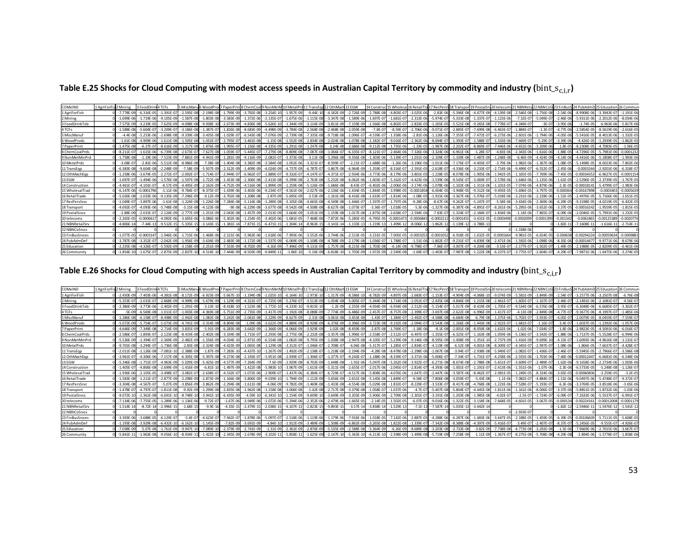Table E.25 Shocks for Cloud Computing with modest access speeds in Australian Capital Territory by commodity and industry ( $bin\_s_{c,i,r}$ )

| COMxIND         | 1 AgriForFis 2 Mining |                | 3 FoodDr       | 1 TCFs         | 5 MiscMan      |                |                | 5 WoodProd 7 PaperPrint8 ChemCoall 9 NonMet |                | 10 MetalPr     |                |                | 13 EGW          | 14 Construe    | 15 Wholesa 16 Retail |                |                |                |                |                |                |                |               |                 |                 |                |
|-----------------|-----------------------|----------------|----------------|----------------|----------------|----------------|----------------|---------------------------------------------|----------------|----------------|----------------|----------------|-----------------|----------------|----------------------|----------------|----------------|----------------|----------------|----------------|----------------|----------------|---------------|-----------------|-----------------|----------------|
| 1 AgriForFish   |                       | $-7.778F - 09$ | $-6.316E - 0$  | $-1.391E-0$    | $-2.595E-08$   | $-2.198F - 01$ | 1 799F-09      | $-3.792F - 0$                               | $-3.254F$      | $-1.957F - 09$ | $-9.44F - 10$  | $-4.182E$      | $-2.726E - 0$   | $-2.788E - 08$ | $-4.803F - 0$        |                | $-2.83E - 0$   | $-5.396F - 08$ | $-4.477F-0$    | $-4.139F - 08$ | $-2.546F - 08$ | 1.756F-08      | $-2.54F - 0$  | $-8.9908F - 06$ | $-3.3943F - 07$ | 1.191E-06      |
| 2 Mining        |                       | $-1.699F - 06$ | $1.719F - C$   | $-9.105F - 09$ | $-1.587F - 08$ | $-1.803F - 08$ | $-3.583F - 09$ | $-1.372F - 0$                               | $-2.135F - 07$ | $-1.675F - 06$ | $-1.115F - 08$ | $-3.347F - 08$ | $-1.589F - 06$  | $-1.697E - 0$  | $-1.681E - 0.7$      | $-2.313E - 06$ | $-5.974F -$    | $-5.333F - 08$ | $-1.337F - 0$  | $-1.123F - 06$ | $-7.32E - 07$  | $-5.049F - 0$  | $-2.46F - 0$  | $-5.9311F - 06$ | $-2.2012F - 06$ | $-8.034F - 0f$ |
| 3 FoodDrinkTob  |                       | $-7.575E - 09$ | $-3.219E -$    | $-7.625E - 09$ | $-4.098E - 08$ | $-9.938E-$     | $-2.673E-09$   | $-4.836E-$                                  | $-5.626E-$     | $-1.344E-09$   | $-3.116E -$    | $-3.811E$      | $-7.159E - 0$   | 1.566E-        | $-6.802E - 07$       | $-2.833E-0$    | $-1.265E-$     | $-5.521E - 08$ | $-9.265E - 0$  | $-7.778E - 07$ | $-4.349E - 07$ | $-3E-07$       | $-3.95E - 0$  | $-1.74F - 05$   | $-6.963E - 06$  | $-5.817E-06$   |
| 4 TCFs          |                       | $-1.588E - 08$ | $-5.604E - C$  | $-3.209E - 0$  | $-3.186E - 01$ | $-1.387E-1$    | $-1.826E - 08$ | $-8.683E - 0$                               | $-4.498E - 09$ | $-3.784E-08$   | $2.568E-08$    | $-2.468E -$    | $-2.059E - 08$  | $-7.8E - 0$    | $-8.59E-0$           | $-2.706E - 0$  | $-9.071E-$     | $-2.885E - 0$  | $-7.699E - 0$  | $-6.463E-07$   | $-1.884E-07$   | $-1.3E-07$     | $-4.77E-0$    | $-2.5854E-05$   | $-8.5619E-06$   | $-2.616E-0$    |
| 5 MiscManu      |                       | $-4.4F - 08$   | $-5.253E-0$    | $-2.698E-08$   | $-9.339E - 08$ | $-3.435E - 08$ | $-1.029E - 07$ | $-6.543E - 08$                              | $-7.076E - 09$ | $-2.739E-08$   | $-7.335E-08$   | $-9.718E - 08$ | $-1.096E - 07$  | $-4.539E - 0$  | $-1.358E - 06$       | $-2.81E - 06$  | $-1.126E-06$   | $-7.355E-0$    | $-7.472E - 0$  | $-6.273E-06$   | $-2.601E-06$   | $-1.794E - 06$ | $-4.05E - 00$ | $-5.5416E - 05$ | $-8.4013E-06$   | $-1.332E-05$   |
| 6 WoodProds     |                       | $-1.61E-08$    | $-4.909E - 0$  | $-1.611E-08$   | $-1.505E-08$   | $-1.052F - C$  | $-2.795E-07$   | $-3.461E-$                                  | $-1.15F - 08$  | $-1.552E-08$   | $-2.834E-08$   | $-2.024E - 08$ | $-1.078E - 08$  | $-1.182E - 0$  | $-9.016E - 07$       | $-2.362E - 06$ | $-8.694E-1$    | $-1.393E - 07$ | $-1.588E - 0$  | $-1.333E-06$   | $-7.669E - 07$ | $-5.29E - 0$   | $-3.39E - 0$  | $-4.426F - 05$  | $-1.2939E - 05$ | $-1.862E - 05$ |
| 7 PaperPrint    |                       | $-1.475F - 08$ | $-6.27E-0$     | $-8.616E-09$   | $-1.217E-0$    | $-1.876E - 08$ | $-1.995E-0$    | $-1.156E - 0$                               | $-4.335E-09$   | $-1.291E-08$   | $-1.247E-08$   | $-3.24E - 08$  | $-2.686E - 08$  | $-9.112E - 00$ | $-1.735E - 06$       | $-1.33F - 0$   | $-1.987E-0$    | $-2.202E-0$    | $-8.869E - 0$  | $-7.446E - 06$ | $-4.652E - 06$ | $-3.209E - 06$ | $-1.8F - 0$   | $-8.2308E - 05$ | $-4.7083E - 05$ | $-1.06E-0$     |
| 8 ChemCoalPrds  |                       | $-8.211E-0$    | $-1.615F - 06$ | $-6.739F - 08$ | $-2.673F - 0$  | $-7.627F - 08$ | $-1.059E-07$   | $-5.445F - 0$                               | $-7.279E-08$   | $-8.809E-08$   | $-7.087F - 08$ | $-1.066F - 07$ | $-6.335E-07$    | $-8.121E -$    | $-2.464F - 06$       | $-7.326E - 06$ | $-3.324E - 06$ | $-6.961E-06$   | $-1.28E - 0$   | $-4.83F - 06$  | $-2.343F - 06$ | $-1.616E-06$   | $-1.88F - 0$  | $-4.7296F - 05$ | $-5.7981E-06$   | $-0.000123$    |
| 9 NonMetMinPrd  |                       | $-1.758F - 08$ | $-1.19E - 06$  | $-7.523F - 09$ | $-7.881F - 09$ | $-4.941E-09$   | $-1.281E-09$   | $-9.116F - 0$                               | $-2.081E-07$   | $-3.373E-08$   | $-3.11E-08$    | $-3.296E - 08$ | $-9.356E - 08$  | $-1.303E - 06$ | $-5.139E - 0.7$      | $-1.031F - 0f$ | $-2.109E -$    | $-1.109F - 08$ | $-1.487E - 09$ | $-1.248F - 08$ | $-6.46E-09$    | $-4.424F - 09$ | $-4.14F - 0$  | $-4.4416F - 06$ | $-5.1808F - 0$  | $-1.993F - 0f$ |
| 10 MetalPrds    |                       | $-3.08E - 0$   | $-2.81E - 06$  | $-5.512E-08$   | $-8.986E - 0$  | $-7.38E - 08$  | $-1.404E-08$   | $-3.382E - C$                               | $-3.584E-08$   | $-1.052E-06$   | $-3.321E-0$    | $-8.599E-0$    | $-2.21E-0$      | $-1.688E - 06$ | $-1.26E - 06$        | $-3.196E - 0$  | $-1.011E-$     | $-7.176E - 07$ | $-4.403E - 0$  | $-3.79E-06$    | $-1.982E - 06$ | $-1.367E - 06$ | $-1.08E - 0$  | $-5.1498E - 05$ | $-8.0023E - 06$ | $-7.802E - 06$ |
| 11 TransEgp     |                       | $-6.383E - 08$ | $-9.604E - 0$  | $-2.248E-09$   | $-7.58E - 09$  | $-5.937E-09$   | $-2.312E-09$   | $-1.409E - 0$                               | $-4.024E-09$   | $-4.737E-09$   | $-6.787E-0$    | $-3.867E - 08$ | $-6.964E - 09$  | $-1.359E - 0$  | $-8.316E - 0.7$      | $-2.591E-05$   | $-2.618E-1$    | $-4.336E - 06$ | $-3.233E-0$    | $-2.714E-06$   | $-9.499E-07$   | $-6.552E-07$   | $-2.45E - 00$ | $-0.0001544$    | $-2.9201E-06$   | $-6.318E - 0$  |
| 12 OthMachEgp   |                       | $-1.258E - 06$ | $-3.674F - 0$  | $-2.272E-07$   | $-2.002E - 0$  | $-1.714F - C$  | $-2.944F - 07$ | $-6.962E - 0$                               | $-1.889E-07$   | $-9.332E-07$   | $-4.147F - 0$  | $-4.371F - 07$ | $-2.934E - 06$  | $-3.773F - 0f$ | $-8.179F - 06$       | $-3.801E - 05$ | $-1.228E-$     | $-8.078E - 06$ | $-1.905E - 06$ | $-1.942F - 05$ | $-1.165E-05$   | 7.769F-06      | $-7.45F - 0$  | $-0.0003435$    | $-6.9627E - 05$ | $-0.000115$    |
| 13 EGW          |                       | $-1.697F - 0$  | L.494E-06      | $-1.576E-08$   | $-1.597E - 08$ | $-1.722F - 08$ | $-1.453E-08$   | $-2.306F - 0$                               | $-2.413F - 08$ | $-9.299E-08$   | $-2.763F - 08$ | $-5.232F - 08$ | $-6.062F - 0f$  | $-1.603E -$    | $-5.162E - 0.7$      | $-4.423E - 06$ | $-1.539E-06$   | $-9.545E - 0$  | $-3.069F - 0$  | $-2.578E-06$   | $-1.646F - 06$ | $-1.135F - 06$ | $-1.61F - 0$  | $-2.5296F - 05$ | $-2.3739E-05$   | $-1.767E-0$    |
| 14 Construction |                       | $-4.461F - 07$ | 101E-0         | $-8.57E-09$    | $-4.495E - 09$ | $-2.162E-09$   | $-4.752E - 09$ | $-4.516E - 0$                               | $-1.899E-09$   | $-1.259E-08$   | $-5.126E - 0$  | $-1.686E - 08$ | $-8.43E-07$     | $-6.402E - 06$ | $-2.006E - 06$       | $-3.174E - 06$ | $-1.078E-$     | $-1.102E - 06$ | $-1.311E-0$    | $-1.101E-05$   | $-7.074F - 06$ | $-4.879F - 06$ | $-2.3E-0$     | $-0.0001814$    | $-5.4799E-07$   | $-1.983E-06$   |
| 15 WholesalTrad |                       | $-6.147E - 06$ | 0.000179       | $-1.11E-06$    | $-9.784E -$    | $-8.375E - C$  | $-1.439E - 06$ | $-3.403E - 0$                               | $-9.234E - 0$  | $-4.561E-06$   | $-2.027E - 06$ | $-2.136E - 06$ | $-1.434E - 05$  | $-1.844E - 0$  | $-3.998E - 05$       | $-0.000185$    | $-6.004E - C$  | $-3.948E - 05$ | $-9.312E-0$    | $-9.493E - 05$ | $-5.696E - 05$ | $-3.797E - 05$ | $-0.0003$     | $-0.00167898$   | $-0.000340$     | $-0.0005639$   |
| 16 RetailTrade  |                       | $-5.026F - 08$ | $-1.033F - 06$ | $-9.135E-09$   | $-7.296E - 0$  | $-9.12E - 09$  | $-3.702E - 08$ | $-1.208E - 0$                               | $-2.87F - 09$  | $-5.695E-09$   | $-3.53E-09$    | $-1.161F - 08$ | $-8.416E-08$    | $-1.633E-0$    | $-1.814E - 06$       | $-1.08E - 05$  | $-1.915E-06$   | $-3.367E - 06$ | $-5.976F - 0$  | $-5.018E - 06$ | $-3.231E - 06$ | $-2.228F - 06$ | $-1.51F - 0$  | $-2.4976F - 05$ | $-5.7166F - 06$ | $-1.651E-05$   |
| 17 RecPersSrvc  |                       | $-1.049E - 07$ | $-3.897E - 0$  | $-1.61E-08$    | $-1.224E-08$   | $-1.226E - 08$ | $-7.284E - 08$ | $-5.114E - 0$                               | $-1.289E-08$   | $-3.105E-08$   | $-4.665E-08$   | $-4.549E - 08$ | $-1.446E - 0.7$ | $-1.597E - 0.$ | $-1.797E - 06$       | $-9.28E - 06$  | $-8.67E-06$    | $-9.262E - 07$ | $-5.247E-0$    | $-5.58E-06$    | $-3.434E - 06$ | $-2.369E - 06$ | $-6.29E - 0$  | $-9.3198F - 05$ | $-4.0219E-05$   | $-6.432E-05$   |
| 18 Transport    |                       | $-4.692E-0$    | $-4.093E - C$  | $-5.748E-08$   | $-3.15E - 0$   | $-4.123E - 08$ | $-9E-08$       | $-6.229E - 0$                               | $-3.677E-08$   | $-9.542E-08$   | $-4.508E - 08$ | $-8.627E - 08$ | $-1.073E - 07$  | $-3.36E -$     | $-1.018E - 0!$       | $-5.3E - 06$   | $-1.327E-06$   | $-6.387E - 06$ | $-4.891E-0$    | $-8.261E-06$   | $-5.295E - 06$ | $-3.652E - 06$ | $-3.37E-0$    | $-0.00016242$   | $-1.9559E-05$   | $-1.815E-0$    |
| 19 Postal Srvcs |                       | $-2.88E - 09$  | $-2.015E - C$  | $-2.124E-09$   | $-2.777E-0$    | $-1.251E-09$   | $-2.043E-08$   | $-1.457E - C$                               | $-2.013E-09$   | $-3.664E-09$   | $-3.051E-09$   | $-1.159E-08$   | $-1.017E-08$    | $-1.875E$      | $-2.658E - 0.7$      | $-2.594E-0$    | $-7.83E-1$     | $-1.324E - 07$ | $-2.184E - 0$  | $-1.834E-06$   | $-1.14E-06$    | $-7.865E - 0$  | $-6.09E - 0$  | $-2.0046F - 05$ | $-5.7991E-00$   | $-1.232E-05$   |
| 20 telecoms     |                       | $-2.265F - 05$ | 0.000661       | $-4.092E - 06$ | $-3.605F - 0$  | $-3.086F - 0f$ | $-5.302F - 06$ | $-1.254E-0$                                 | $-3.402F - 06$ | $-1.681F - 05$ | $-7.468F - 06$ | $-7.872F - 0f$ | $-5.285F - 05$  | $-6.795F - 0$  | $-0.000147$          | $-0.000684$    | $-0.00022$     | $-0.0001455$   | $-3.431F - 0$  | $-0.0003498$   | -0.0002099     | $-0.0001399$   | $-0.00134$    | $-0.006186$     | $-0.00125389$   | $-0.002077t$   |
| 21 NBNRetailSrv |                       | $-4.806E - 1$  | $-7.44E-1$     | $-9.512E-15$   | $-5.335E-1!$   | $-3.143E-1$    | $-1.381E-14$   | $-7.871E-1$                                 | $-6.471E-15$   | $-1.304E - 14$ | $-8.963E - 15$ | $-3.141E-14$   | $-1.133E-1$     | 1.219E-        | $-1.499E-1$          | $-8,006E-1$    | $-1.862E-1$    | 1.139E-12      | $-3.788E - 1$  |                |                |                | $-1.82E-1$    | $-7.1608E - 1$  | $-1.616E-1$     | $-2.714E-1$    |
| 22 NBNCoSrvcs   |                       |                |                |                |                |                |                |                                             |                |                |                |                |                 |                |                      |                |                |                |                |                | $-1.338E - 06$ |                |               |                 |                 |                |
| 23 FinBusSrvces |                       | $-1.077E - 05$ | $-0.00031$     | $-1.946E-06$   | $-1.715E - 06$ | $-1.468F - 0f$ | $-2.521E-06$   | $-5.963E - 0$                               | $-1.618E-06$   | $-7.993E - 06$ | $-3.552E-06$   | $-3.744F - 06$ | $-2.513E-05$    | $-3.231E - 05$ | $-7.005E - 05$       | $-0.0003255$   | $-0.00010$     | $-6.918E - 05$ | $-1.632E - 05$ | $-0.000166$    | $-9.981E - 05$ | $-6.654E - 05$ | $-0.0006$     | $-0.00294224$   | $-0.0005963$    | $-0.000988$    |
| 24 PubAdmDet    |                       | $-3.787E - 08$ | $-3.352E - C$  | $-2.042E-09$   | $-1.956E - 0$  | $-3.634E - 09$ | $-2.483E - 08$ | $-1.172E-0$                                 | $-1.537E-09$   | $-6.069E-09$   | 1.108E-08      | $-4.788E - 09$ | $-2.179E - 08$  | $-1.036E -$    | $-1.788E - 0$        | $-1.51E-0$     | $-1.802E-$     | $-9.231E$      | $-4.839E - 0$  | $-2.471F - 06$ | $-1.592E-06$   | $-1.098E - 06$ | $-8.35F - 0$  | $-0.0001447$    | $-9.9771E-06$   | $-8.679E - 06$ |
| 25 Education    |                       | $-2.235E-08$   | .326E-0        | $-5.592E-09$   | $-3.158E - 09$ | $-2.251E-09$   | $-7.553E-09$   | $-8.702E - 0$                               | $-4.16E-09$    | $-7.496F - 09$ | $-9.131F - 09$ | $-1.757F$      | $-8.215E-08$    | $.703F - 09$   | $-6.14E-08$          | $-9.798F - 0$  | $-7.86E-1$     | $-3.007E - 07$ | $-4.204F - 0$  | $-3.53F-07$    | $-2.177F - 07$ | $-1.502F - 0$  | $-1.49F - 0$  | $-2.1988F - 05$ | $-2.8209E - 05$ | $-6.461E - 06$ |
| 26 Community    |                       | $-1.854E-10$   |                | $-2.875E-09$   | $-2.837E-10$   | $-4.514E-$     | $-7.444E - 09$ | $-8.503E-0$                                 | $-9.849E - 11$ | $-1.86E-10$    | $-5.16E-09$    |                |                 | 1.972F-00      | $-2.549E - 08$       | $-1.69E - 07$  | $-1.403F - C$  | $-7.987E$      | $-1.222E-0$    | $-6.237E-07$   |                |                | $4.29F - C$   | $-7.987$        |                 | $-3.274F - 05$ |

Table E.26 Shocks for Cloud Computing with high access speeds in Australian Capital Territory by commodity and industry ( $bin\_s_{c,i,r}$ )

| COMxIND         | L AgriForFis 2 Mining |                | 3 FoodDrink4 TCFs |                |                |                |                | 5 MiscManu6 WoodProd 7 PaperPrin 8 ChemCoal 9 NonMetM 10 MetalPrd |                              |                           |                | 11 TransEgg 12 OthMach 13 EGW |                | 14 Constru     |                 |                |                |                |                | uc 15 Wholesa 16 RetailTra 17 RecPersS 18 Transport 19 PostalSrv 20 telecoms 21 NBNRet. |                |                |               |                 |                 |                |
|-----------------|-----------------------|----------------|-------------------|----------------|----------------|----------------|----------------|-------------------------------------------------------------------|------------------------------|---------------------------|----------------|-------------------------------|----------------|----------------|-----------------|----------------|----------------|----------------|----------------|-----------------------------------------------------------------------------------------|----------------|----------------|---------------|-----------------|-----------------|----------------|
| 1 AgriForFish   |                       | $-2.450F - 09$ | $-7.403F - 06$    | $-4.381F - 08$ | $-8.172F - 0$  | $-6.923F - 09$ | $-5.667E - 10$ | $-1.194E-08$                                                      | $-1.025E-10$                 | $-6.164F-10$              | $-2.973F - 10$ | $-1.317F - 09$                | $-8.586E - 10$ | $-8.782E - 09$ | $-4.897E - 08$  | $-2.683E-0$    | $-1.153E-07$   | $-4.904F - 09$ | $-4.068F - 1$  | $-9.074F - 09$                                                                          | $-5.581F - 09$ | $-3.849F - 09$ | $-2.54F - 0$  | $-3.2577F - 06$ | $-3.2507F - 08$ | $-6.76E-08$    |
| 2 Mining        |                       | $-5.353E - 07$ | $-2.015E - C$     | $-2.868E-09$   | $-4.999E -$    | $-5.679E-09$   | $-1.129E - 09$ | $-4.321E - 0$                                                     | $-6.725E-08$                 | $-5.276E - 07$            | $-3.513E-09$   | $-1.054E-08$                  | $-5.005E - 07$ | $-5.344E - 0$  | $-1.714E-08$    | $-2.051E-0$    | $-2.435E-08$   | $-4.846E - 09$ | $-1.215E-00$   | $-2.461E-07$                                                                            | $-1.605E-07$   | $-1.107E - 0$  | $-2.46E - 0$  | $-2.1491E - 06$ | $-2.1081E-0$    | $-4.56E-07$    |
| 3 FoodDrinkTob  |                       | $-2.386F - 09$ | $-3.773F - 0$     | $-2.402F - 09$ | $-1.291F - 0$  | $-3.13F - 10$  | $-8.418F - 10$ | $-1.523F - 08$                                                    | $-1.772F-1$                  | $-4.233F-1$               | $-9.815F - 10$ | $-1.2F - 09$                  | $-2.255F - 09$ | $-4.934F -$    | $-6.934F - 08$  | $-2.512F - 06$ | $-5.154F - 0$  | $-5.017F - 09$ | $-8.419F - 09$ | $-1.705F - 07$                                                                          | $-9.534F - 08$ | $-6.576F - 08$ | $-3.95F - 0$  | $-6.3048F - 06$ | $-6.6685F - 07$ | $-3.302F - 0$  |
| 4 TCFs          |                       | $-5F-09$       | $-6.569E - 08$    | $-1.011E-07$   | $-1.003E - 08$ | $-4.369E - 08$ | $-5.751E-09$   | $-2.735E-09$                                                      | $-1.417E-09$                 | $-1.192E-08$              | $-8.088E - 09$ | $-7.774E-09$                  | $-6.486E - 09$ | $-2.457E - 0$  | $-8.757E-08$    | $-2.399E-0$    | $-3.697E-08$   | $-2.622E-08$   | $-6.996E - 09$ | $-1.417E-07$                                                                            | $-4.13E-08$    | $-2.849E-08$   | $-4.77E-0$    | $-9.3677E - 06$ | $-8.1997E-07$   | $-1.485E - 06$ |
| 5 MiscManu      |                       | $-1.386E - 08$ | $-6.158E - C$     | $-8.498E-09$   | $-2.942E - 0$  | $-1.082E-08$   | $-3.242E - 08$ | $-2.061E-08$                                                      | $-2.229E-09$                 | $-8.627E-09$              | $-2.31E-08$    | $-3.061E - 08$                | $-3.453E - 08$ | $-1.43E-0$     | $-1.384E - 07$  | $-2.492E-0$    | $-4.588E-08$   | $-6.684E-08$   | $-6.79E - 08$  | $-1.375E-06$                                                                            | $-5.702E-07$   | $-3.933E-07$   | $-4.05E - 0$  | $-2.0079E-05$   | $-8.0459E - 0$  | $-7.559E-0$    |
| 6 WoodProds     |                       | $-5.072F - 09$ | $-5.754F - 0$     | $-5.073F - 09$ | $-4.741F -$    | $-3.314F - 08$ | $-8.804E - 08$ | $-1.09E-08$                                                       | $-3.622E-09$                 | $-4.889E-09$              | $-8.928E-09$   | $-6.376F - 09$                | $-3.396E-09$   | $-3.723E - 08$ | $-9.192E - 08$  | $-2.094E - 0$  | $-3.543E-08$   | $-1.266E - 08$ | $-1.443F - 08$ | $-2.922E-07$                                                                            | $-1.681E-07$   | $-1.16E-07$    | $-3.4F-0$     | $-1.6037F - 05$ | $-1.2392E-06$   | $-1.057E-06$   |
| 7 PaperPrint    |                       | $-4.646F - 09$ | $-7.349F - 08$    | $-2.714F - 09$ | $-3.835E - 0$  | $-5.91F - 09$  | $-6.283E - 08$ | $-3.642F - 09$                                                    | $-1.366F - 09$               | $-4.066F - 09$            | $-3.929E-09$   | $-1.02E - 08$                 | $-8.459E-09$   | $-2.87E - 0$   | $-1.769E - 07$  | $-1.18E-0$     | $-8.1E-08$     | $-2.001E-08$   | $-8.059F - 0$  | $-1.632E-06$                                                                            | $-1.02F - 06$  | $-7.034F - 07$ | $-1.8F - 0$   | $-2.9823F - 05$ | $-4.5091F - 06$ | $-6.016E - 0$  |
| 8 ChemCoalPrds  |                       | $-2.586F - 0$  |                   | $-2.123F - 08$ | $-8.419F - 0$  | $-2.402F - 08$ | $-3.334F - 08$ | $-1.715F - 0$                                                     | $-2.293E-08$                 | $-2.775E-08$              | $-2.232E-08$   | $-3.357F - 08$                | $-1.996E - 07$ | $-2.558E - 0$  | $-2.512E-0$     | $-6.497F - 0$  | $-1.355E-1$    | $-6.325E-07$   | $-1.163E - 08$ | $-1.059E - 06$                                                                          | $-5.136F - 07$ | $-3.542F - 0$  | $-1.88F - 0$  |                 | $-5.5528F - 07$ | $-6.994F - 0f$ |
| 9 NonMetMinPrd  |                       | $-5.536E-09$   | $-1.394F - C$     | $-2.369E - 09$ | $-2.482E - 0$  | $-1.556E-09$   | $-4.034E-10$   | $-2.871E-09$                                                      | $-6.554E-08$                 | $-1.062E-08$              | $-9.795E - 09$ | $-1.038E - 08$                | $-2.947E - 08$ | $-4.105E - C$  | $-5.239E - 08$  | $-9.146E - 08$ | $-8.595E-09$   | $-1.008E - 09$ | $-1.351E-10$   | $-2.737E-09$                                                                            | $-1.416E-09$   | $-9.699E - 10$ | $-4.15E-0$    | $-1.6093E - 06$ | $-4.9616E-08$   | $-1.131E - 0$  |
| 10 MetalPrds    |                       | $-9.701E - 08$ | $-3.294E - C$     | $-1.736E - 08$ | $-2.83E - 0$   | $-2.324E - 08$ | $-4.423E - 09$ | $-1.065E - 08$                                                    | $-1.129E - 08 - 3.312E - 07$ |                           | $-1.046E - 07$ | $-2.708E - 0$                 | $-6.96E - 08$  | $-5.317E - 0$  | $-1.285E - 07$  | $-2.834E-0$    | $-4.119E-08$   | $-6.52E-08$    | $-4.001E - 08$ | $-8.309E-07$                                                                            | $-4.345E-07$   | $-2.997E - 07$ | $-1.08E - 0$  | $-1.866E - 05$  | $-7.6637E - 07$ | $-4.428E - 0$  |
| 11 TransEgp     |                       | $-2.011E-08$   | $-1.126F - 0$     | $-7.081E - 10$ | $-2.388E - 0$  | $-1.87E-09$    | $-7.283E - 10$ | $-4.437F-10$                                                      | $-1.267E-09$                 | $-1.492E-09$              | $-2.138E - 0$  | $-1.218E-08$                  | $-2.194E - 09$ | $-4.28E - 0$   | $-8.478E - 08$  | $-2.298E - 0$  | $-1.067E-08$   | $-3.94E-07$    | $-2.938E - 08$ | $-5.949E-07$                                                                            | $-2.082E-07$   | $-1.436F - 0$  | $-2.46F - 0$  | $-5.5945F - 05$ | $-2.7966E - 0.$ | $-3.586E - 08$ |
| 12 OthMachEop   |                       | $-3.961F - 0$  | $-4.306F - 06$    | $-7.157E-08$   | $-6.305F - 0.$ | $-5.397E-08$   | $-9.273E - 08$ | $-2.193E - 0$                                                     | $-5.951E-08$                 | $-2.939E - 07$            | 1.306F-0       | $-1.377F - 0$                 | $-9.243E - 07$ | $-1.188E - 06$ | $-8.339E - 0.7$ | $-3.371E - 06$ | $-5.006E - 07$ | $-7.34E - 07$  | $-1.731E-0$    | $-4.258E - 06$                                                                          | $-2.555E-06$   | $-1.703F - 06$ | $-7.46F - 0$  | $-0.00012447$   | $-6.6681F - 06$ | $-6.548F - 06$ |
| 13 EGW          |                       | $-5.346F - 08$ | $-1.751F - 0$     | $-4.963F - 09$ | $-5.029E -$    | $-5.425E-09$   | $-4.577F - 09$ | $-7.264E - 09$                                                    | $-7.6E - 09$                 | $-2.929E-08$              | $-8.702E-09$   | $-1.648E - 08$                | $-1.91E - 06$  | $-5.047E - 08$ | $-5.262E - 08$  | $-3.922E-0$    | $-6.271E-08$   | $-8.674F - 08$ | $-2.788E - 08$ | $-5.651E-07$                                                                            | $-3.609E - 07$ | $-2.489F - 0$  | $-1.62F - 0$  | $-9.1658F - 06$ | $-2.2734F - 06$ | $-1.003F - 0f$ |
| 14 Construction |                       | $-1.405E-0$    | $-4.806E - 08$    | $-2.699E-09$   | $-1.416E - 0$  | $-6.81E-10$    | $-1.497E-09$   | $1.422E - 08$                                                     | $-5.983E-1$                  | $-3.967E-09$              | $-1.615E-09$   | $-5.311E-09$                  | $-2.655E - 07$ | $-2.017E - 0$  | $-2.045E-07$    | $-2.814E-0$    | $-4.393E-08$   | $-1.001E-07$   | $-1.191E-0$    | $-2.413E-06$                                                                            | $-1.551E-06$   | $-1.07E - 06$  | $-2.3E - 00$  | $-6.5733E-05$   | $-5.248E-08$    | $.126E - C$    |
| 15 WholesalTrac |                       | $-1.936F - 06$ | $-2.105F - 0$     | $-3.498F - 0$  | $-3.082E - 0$  | $-2.638E - 07$ | $-4.532E-07$   | 1.072E-06                                                         | $-2.909E-07$                 | $-1.437E-06$              | $-6.384E - 07$ | $-6.729E - 0$                 | $-4.517E-06$   | $-5.808E - 06$ | $-4.076E - 06$  | $-1.647E-05$   | $-2.447E-06$   | $-3.587E - 06$ | $-8.462E-0$    | $-2.081E-05$                                                                            | $-1.249E - 05$ | $-8.324F - 06$ | $-3.65E - 05$ | -0.00060836     | $-3.259E-0$     | $-3.2E-05$     |
| 16 RetailTrade  |                       | $-1.583F - 08$ | $-1.211F - C$     | $-2.877F - 09$ | $-2.298E - 0$  | $-2.873E-09$   | $-1.166E-08$   | $-3.806E - 09$                                                    | $-9.039E - 10$               | $-1.794E-09$              | $-1.112E-09$   | $-3.656E - 09$                | $-2.651E - 08$ | $-5.145E - 08$ | $-1.849E - 07$  | $-9.58E - 0$   | $-7.806E-08$   | $-3.059E - 07$ | $-5.43F - 08$  | $-1.1F - 06$                                                                            | $-7.082E - 07$ | $-4.884E-07$   | $-1.51F - 06$ | $-9.0497F - 06$ | $-5.4748F - 07$ | $-9.372E-0$    |
| 17 RecPersSrvc  |                       | $-3.304E - 08$ | $-4.567E - C$     | $-5.07E - 09$  | $-3.856E - C$  | $-3.862E - 09$ | $-2.294E-08$   | $-1.611E-08$                                                      | $-4.06E-09$                  | $-9.782E - 09$            | $-1.469E - 08$ | $-1.433E-08$                  | $-4.554E - 08$ | $-5.029E - 08$ | $-1.832E - 07$  | $-8.229E-0$    | $-3.533E-07$   | $-8.417E-08$   | $-4.768E - 08$ | $-1.223E-06$                                                                            | $-7.528E - 07$ | $-5.193E-07$   | $-6.3E - 06$  | $-3.3769E - 05$ | $-3.8518E-06$   | $-3.65E - 06$  |
| 18 Transport    |                       | $-1.478F - 07$ | $-4.797F - 0$     | $-1.811E-08$   | $-9.92E - 0$   | $-1.299E - 08$ | $-2.835E-08$   | $-1.962E - 08$                                                    |                              | $-1.158E-08$ $-3.006E-08$ | $-1.42E-08$    | $-2.717E-08$                  | $-3.379E - 08$ | $-1.058E - 0$  | $-1.037E - 06$  | $-4.7E-0$      | $-5.407E-08$   | $-5.804E-07$   | $-4.445E - 08$ | $-1.811E-06$                                                                            | $-1.161E-06$   | $-8.006E - 07$ | $-3.37E - 06$ | $-5.8851E - 05$ | $-1.8732E-06$   | $-1.03E-06$    |
| 19 Postal Srvcs |                       | $-9.072F$      | $-2.361F - 0$     | $-6.691F$      | $-8.748F - 1$  | $-3.941F - 10$ | $-6.435E - 09$ | $-4.59F-10$                                                       | $-6.341F-1$                  | $-1.154E-09$              | $-9.609F -$    | $-3.649F - 09$                | $-3.203E - 09$ | $-5.906E - C$  | $-2.709E - 08$  | $-2.301F - 0$  | $-3.191E-08$   | $-1.203E-08$   | $-1.985F - 0$  |                                                                                         | $-2.5E-07$     | $1.724F - C$   | $-6.09F - 0$  | $-7.2633F - 06$ | $-5.5537F - 07$ | $-6.991F - 0$  |
| 20 telecoms     |                       | $-7.134F - 06$ | $-7.755F - 0'$    | $-1.289F - 06$ | $-1.136E - 0$  | $-9.72F - 07$  | $-1.67F - 06$  | $-3.949F - 06$                                                    | $-1.072F - 06$               | $-5.294F - 0f$            | $-2.352E - 06$ | $-2.479F - 06$                | $-1.665E-05$   | $-2.14E - C$   | $-1.502E - 05$  | $-6.07F - 0$   | $-9.016E - 06$ | $-1.322E-05$   | $-3.118E - 06$ | $-7.668F - 05$                                                                          | $-4.601E-05$   | $-3.067E - 05$ | $-0.0001$     | $-0.00224161$   | $-0.00012008$   | $-0.0001179$   |
| 21 NBNRetailSrv |                       | $-1.514E-1$    | $-8.72E-1$        | $-2.996E - 15$ | $-1.68E-1$     | $-9.9E - 16$   | $-4.35E-15$    | $-2.479E - 15$                                                    | $-2.038E - 15$               | $-4.107E-15$              | $-2.823E-15$   | $-9.893E - 15$                | $-3.57E-14$    | $-3.838E-$     | $-1.529E-1$     | $-7.1E-13$     | $-7.587E - 14$ | $-1.035E-13$   | $-3.442E-1$    |                                                                                         |                |                | $-1.82E-1$    | $-2.5946E - 11$ | $-1.5476E-12$   | $-1.541E-12$   |
| 22 NBNCoSrvcs   |                       |                |                   |                |                |                |                |                                                                   |                              |                           |                |                               |                |                |                 |                |                |                |                |                                                                                         | $-2.933E-0$    |                |               |                 |                 |                |
| 23 FinBusSrvces |                       | $-3.393E - 0$  | $-3.688F - 0$     | $-6.129E-0$    | $-5.4E - 0$    | $-4.623F - 07$ | $-7.942E - 07$ | $-1.878E - 06$                                                    | $-5.097F - 07$               | $-2.518E-06$              | $-1.119E - 06$ | $-1.179E - 06$                | $-7.916E - 06$ | $-1.018E - 0$  | $-7.142E - 06$  | $-2.887E-05$   | $-4.288E - 06$ | $-6.287E-06$   | $-1.483E - 06$ | $-3.647E$                                                                               | $-2.188E - 05$ | $-1.459E - 05$ | $-6.39E - 0$  | $-0.00106609$   | $-5.7111E-05$   | $-5.608E - 05$ |
| 24 PubAdmDef    |                       | $-1.193E - 00$ | $-3.929E - 08$    | $-6.432E-10$   | $-6.162E - 1$  | $-1.145E-09$   | $-7.82E - 09$  | $-3.691E - 09$                                                    | $-4.84E-10$                  | $-1.912E-09$              | $-3.489E - 09$ | $-1.508E - 09$                | $-6.862E-09$   | $-3.265E - 0$  | $-1.822E - 08$  | $-1.339E-0$    | $-7.342E - 09$ | $-8.388E - 08$ | $-4.397E - 09$ | $-5.416E-07$                                                                            | $-3.49E-07$    | $-2.407E-0$    | $-8.37E-0$    | $-5.2456E - 05$ | $-9.555E-0$     | $-4.926E - C$  |
| 25 Education    |                       | $-7.038E - 09$ | $-5.07F - 08$     | $-1.761F - 09$ | $-9.947F -$    | $-7.089F - 10$ | $-2.379F - 09$ | $-2.741E-09$                                                      | $-1.31E-09$                  | $-2.361E-09$              | $-2.876E - 09$ | $-5.535F - 09$                | $-2.588E - 08$ | $-5.364E - C$  | $-6.26E - 09$   | $-8.689E - 08$ | $-3.203E-08$   | $-2.733E-08$   | $-3.82F - 09$  | $-7.738F - 08$                                                                          | $-4.773F - 08$ | $-3.292F - 08$ | $-1.5E-0$     | $-7.9669E - 06$ | $-2.7015E-06$   | $-3.667E-0$    |
| 26 Community    |                       | $-5.841E-1$    | $-1.963E-08$      |                | $-8.934E-11$   | $-1.422E-10$   | $-2.345E-09$   | $-2.678E - 09$                                                    |                              | $-5.858E-1$               | $-1.625E-09$   | $-2.147E-10$                  | $-5.363E - 10$ | $-6.213E-1$    | $-2.598E - 09$  | $-1.499E - 08$ | $-5.719E-09$   | $-7.258E - 09$ | $-1.11E-09$    | $-1.367E-07$                                                                            | $-8.275E-08$   |                | $-4.29F - 08$ | $-2.894E - 06$  | $-1.5778E-07$   | $-1.858E - 06$ |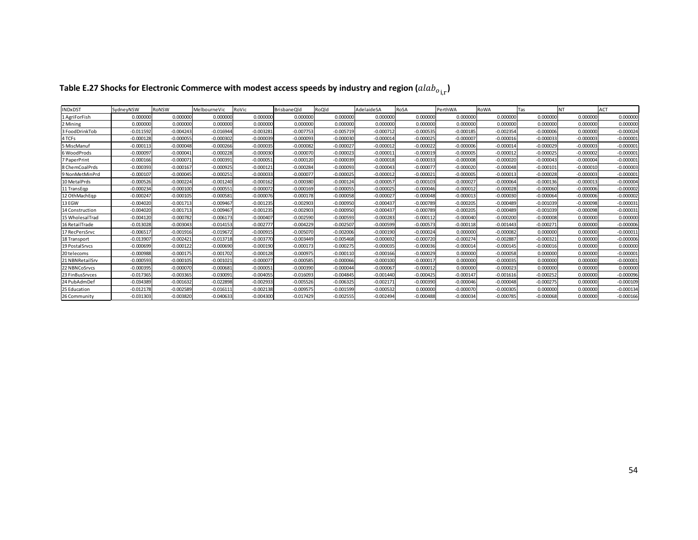| NDxDST          | SydnevNSW   | RoNSW       | MelbourneVic | RoVic       | <b>BrisbaneOld</b> | RoOld       | AdelaideSA  | RoSA        | PerthWA     | <b>RoWA</b> | Tas         | <b>NT</b>   | <b>ACT</b>  |
|-----------------|-------------|-------------|--------------|-------------|--------------------|-------------|-------------|-------------|-------------|-------------|-------------|-------------|-------------|
| 1 AgriForFish   | 0.000000    | 0.000000    | 0.000000     | 0.000000    | 0.000000           | 0.000000    | 0.000000    | 0.000000    | 0.000000    | 0.000000    | 0.00000     | 0.000000    | 0.000000    |
| 2 Mining        | 0.000000    | 0.000000    | 0.000000     | 0.000000    | 0.00000            | 0.000000    | 0.000000    | 0.000000    | 0.000000    | 0.000000    | 0.00000     | 0.000000    | 0.000000    |
| 3 FoodDrinkTob  | $-0.011592$ | $-0.004243$ | $-0.016944$  | $-0.003281$ | $-0.007753$        | $-0.005719$ | $-0.00071$  | $-0.000535$ | $-0.000185$ | $-0.002354$ | $-0.00000$  | 0.000000    | $-0.000024$ |
| 4 TCFs          | $-0.000128$ | $-0.000055$ | $-0.000302$  | $-0.000039$ | $-0.000093$        | $-0.000030$ | $-0.00001$  | $-0.000025$ | $-0.000007$ | $-0.000016$ | $-0.000033$ | $-0.000003$ | $-0.000001$ |
| 5 MiscManuf     | $-0.000113$ | $-0.000048$ | $-0.000266$  | $-0.000035$ | $-0.000082$        | $-0.000027$ | $-0.00001$  | $-0.000022$ | $-0.000006$ | $-0.000014$ | $-0.000029$ | $-0.000003$ | $-0.000001$ |
| 6 WoodProds     | $-0.000097$ | $-0.000041$ | $-0.000228$  | $-0.000030$ | $-0.00007$         | $-0.000023$ | $-0.00001$  | $-0.000019$ | $-0.000005$ | $-0.000012$ | $-0.00002$  | $-0.000002$ | $-0.000001$ |
| 7 PaperPrint    | $-0.000166$ | $-0.000071$ | $-0.000391$  | $-0.000051$ | $-0.000120$        | $-0.000039$ | $-0.000018$ | $-0.000033$ | $-0.000008$ | $-0.000020$ | $-0.000043$ | $-0.000004$ | $-0.000001$ |
| 8 ChemCoalPrds  | $-0.000393$ | $-0.000167$ | $-0.000925$  | $-0.000121$ | $-0.00028$         | $-0.000093$ | $-0.00004$  | $-0.00007$  | $-0.000020$ | $-0.000048$ | $-0.00010$  | $-0.000010$ | $-0.000003$ |
| 9 NonMetMinPrd  | $-0.000107$ | $-0.000045$ | $-0.000251$  | $-0.000033$ | $-0.00007$         | $-0.000025$ | $-0.000012$ | $-0.00002$  | $-0.000005$ | $-0.000013$ | $-0.000028$ | $-0.000003$ | $-0.000001$ |
| 10 MetalPrds    | $-0.000526$ | $-0.000224$ | $-0.001240$  | $-0.000162$ | $-0.000380$        | $-0.000124$ | $-0.00005$  | $-0.00010$  | $-0.000027$ | $-0.000064$ | $-0.00013$  | $-0.000013$ | $-0.000004$ |
| 11 TransEqp     | $-0.000234$ | $-0.000100$ | $-0.000551$  | $-0.000072$ | $-0.000169$        | $-0.000055$ | $-0.000025$ | $-0.000046$ | $-0.000012$ | $-0.000028$ | $-0.000060$ | $-0.000006$ | $-0.000002$ |
| 12 OthMachEgp   | $-0.000247$ | $-0.000105$ | $-0.000581$  | $-0.000076$ | $-0.000178$        | $-0.000058$ | $-0.00002$  | $-0.000048$ | $-0.000013$ | $-0.000030$ | $-0.00006$  | $-0.000006$ | $-0.000002$ |
| 13 EGW          | $-0.004020$ | $-0.001713$ | $-0.009467$  | $-0.001235$ | $-0.002903$        | $-0.000950$ | $-0.00043$  | $-0.000789$ | $-0.000205$ | $-0.000489$ | $-0.001039$ | $-0.000098$ | $-0.000031$ |
| 14 Construction | $-0.004020$ | $-0.001713$ | $-0.009467$  | $-0.001235$ | $-0.002903$        | $-0.000950$ | $-0.00043$  | $-0.000789$ | $-0.000205$ | $-0.000489$ | $-0.00103$  | $-0.000098$ | $-0.000031$ |
| 15 WholesalTrad | $-0.004120$ | $-0.000782$ | $-0.006173$  | $-0.000407$ | $-0.002590$        | $-0.000593$ | $-0.000283$ | $-0.000112$ | $-0.000040$ | $-0.000200$ | $-0.000008$ | 0.000000    | 0.000000    |
| 16 RetailTrade  | $-0.013028$ | $-0.003043$ | $-0.014153$  | $-0.002777$ | $-0.004229$        | $-0.002507$ | $-0.000599$ | $-0.00057$  | $-0.000118$ | $-0.001443$ | $-0.00027$  | 0.000000    | $-0.000006$ |
| 17 RecPersSrvc  | $-0.006517$ | $-0.001916$ | $-0.019672$  | $-0.000915$ | $-0.005070$        | $-0.002006$ | $-0.000190$ | $-0.000024$ | 0.000000    | $-0.000082$ | 0.00000     | 0.000000    | $-0.000011$ |
| 18 Transport    | $-0.013907$ | $-0.002421$ | $-0.013718$  | $-0.00377C$ | $-0.003449$        | $-0.005468$ | $-0.000692$ | $-0.000720$ | $-0.000274$ | $-0.002887$ | $-0.00032$  | 0.000000    | $-0.000006$ |
| 19 Postal Srvcs | $-0.000699$ | $-0.000122$ | $-0.000690$  | $-0.000190$ | $-0.000173$        | $-0.000275$ | $-0.000035$ | $-0.000036$ | $-0.000014$ | $-0.000145$ | $-0.000016$ | 0.000000    | 0.000000    |
| 20 telecoms     | $-0.000988$ | $-0.000175$ | $-0.001702$  | $-0.000128$ | $-0.00097$         | $-0.000110$ | $-0.000166$ | $-0.000029$ | 0.000000    | $-0.000058$ | 0.00000     | 0.000000    | $-0.000001$ |
| 21 NBNRetailSrv | $-0.000593$ | $-0.000105$ | $-0.001021$  | $-0.000077$ | $-0.000585$        | $-0.000066$ | $-0.000100$ | $-0.00001$  | 0.000000    | $-0.000035$ | 0.00000     | 0.000000    | $-0.000001$ |
| 22 NBNCoSrvcs   | $-0.000395$ | $-0.000070$ | $-0.000681$  | $-0.000051$ | $-0.000390$        | $-0.000044$ | $-0.00006$  | $-0.000012$ | 0.000000    | $-0.000023$ | 0.00000     | 0.000000    | 0.000000    |
| 23 FinBusSrvces | $-0.017365$ | $-0.003365$ | $-0.030091$  | $-0.004055$ | $-0.016093$        | $-0.004845$ | $-0.001440$ | $-0.000425$ | $-0.000147$ | $-0.001616$ | $-0.000252$ | 0.000000    | $-0.000096$ |
| 24 PubAdmDef    | $-0.034389$ | $-0.001632$ | $-0.022898$  | $-0.002933$ | $-0.005526$        | $-0.006325$ | $-0.00217$  | $-0.000390$ | $-0.000046$ | $-0.000048$ | $-0.00027!$ | 0.000000    | $-0.000109$ |
| 25 Education    | $-0.012178$ | $-0.002589$ | $-0.016111$  | $-0.002138$ | $-0.009575$        | $-0.001599$ | $-0.000532$ | 0.000000    | $-0.000070$ | $-0.000305$ | 0.00000     | 0.000000    | $-0.000134$ |
| 26 Community    | $-0.031303$ | $-0.003820$ | $-0.040633$  | $-0.004300$ | $-0.017429$        | $-0.002555$ | $-0.002494$ | $-0.000488$ | $-0.000034$ | $-0.000785$ | $-0.000068$ | 0.000000    | $-0.000166$ |

# Table E.27 Shocks for Electronic Commerce with modest access speeds by industry and region  $(alab_{o_{i,r}})$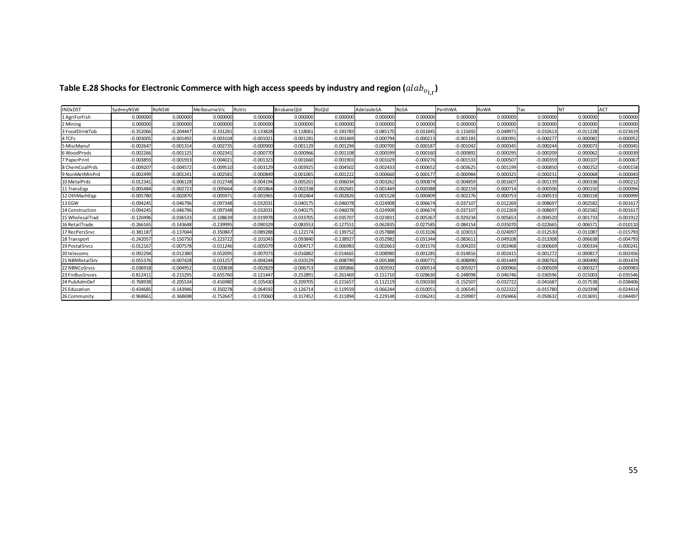| <b>NDxDST</b>          | <b>SydnevNSW</b> | RoNSW       | MelbourneVic | RoVic       | <b>BrisbaneOld</b> | RoOld       | AdelaideSA  | RoSA        | PerthWA     | RoWA        | Tas         | <b>NT</b>   | <b>ACT</b>  |
|------------------------|------------------|-------------|--------------|-------------|--------------------|-------------|-------------|-------------|-------------|-------------|-------------|-------------|-------------|
| 1 AgriForFish          | 0.000000         | 0.000000    | 0.000000     | 0.000000    | 0.000000           | 0.000000    | 0.000000    | 0.000000    | 0.000000    | 0.000000    | 0.00000     | 0.000000    | 0.000000    |
| 2 Mining               | 0.000000         | 0.000000    | 0.000000     | 0.000000    | 0.00000            | 0.000000    | 0.00000     | 0.000000    | 0.000000    | 0.000000    | 0.00000     | 0.000000    | 0.000000    |
| 3 FoodDrinkTob         | $-0.352066$      | $-0.204447$ | $-0.331281$  | $-0.133828$ | $-0.118061$        | $-0.183783$ | $-0.085170$ | $-0.031845$ | $-0.115692$ | $-0.048971$ | $-0.03261$  | $-0.011228$ | $-0.023619$ |
| 4 TCFs                 | $-0.003005$      | $-0.001492$ | $-0.003104$  | $-0.001021$ | $-0.001281$        | $-0.001469$ | $-0.00079$  | $-0.00021$  | $-0.001183$ | $-0.000391$ | $-0.00027$  | $-0.000082$ | $-0.000052$ |
| 5 MiscManuf            | $-0.002647$      | $-0.001314$ | $-0.002735$  | $-0.000900$ | $-0.001129$        | $-0.001294$ | $-0.000700$ | $-0.00018$  | $-0.001042$ | $-0.000345$ | $-0.00024$  | $-0.000073$ | $-0.000045$ |
| 6 WoodProds            | $-0.002266$      | $-0.001125$ | $-0.002341$  | $-0.000770$ | $-0.000966$        | $-0.001108$ | $-0.000599$ | $-0.000160$ | $-0.000892$ | $-0.000295$ | $-0.00020$  | $-0.000062$ | $-0.000039$ |
| 7 PaperPrint           | $-0.003893$      | $-0.001933$ | $-0.004021$  | $-0.001323$ | $-0.001660$        | $-0.001903$ | $-0.001029$ | $-0.000276$ | $-0.001533$ | $-0.000507$ | $-0.000359$ | $-0.00010$  | $-0.000067$ |
| 8 ChemCoalPrds         | $-0.009207$      | $-0.004572$ | $-0.009510$  | $-0.003129$ | $-0.003925$        | $-0.004502$ | $-0.002433$ | $-0.000652$ | $-0.003625$ | $-0.001199$ | $-0.00085$  | $-0.000252$ | $-0.000158$ |
| 9 NonMetMinPrd         | $-0.002499$      | $-0.001241$ | $-0.002581$  | $-0.000849$ | $-0.001065$        | $-0.001222$ | $-0.000660$ | $-0.00017$  | $-0.000984$ | $-0.000325$ | $-0.00023$  | $-0.000068$ | $-0.000043$ |
| 10 MetalPrds           | $-0.012341$      | $-0.006128$ | $-0.012748$  | $-0.004194$ | $-0.005261$        | $-0.006034$ | $-0.003262$ | $-0.00087$  | $-0.004859$ | $-0.001607$ | $-0.001139$ | $-0.000338$ | $-0.000212$ |
| 11 TransEqp            | $-0.005484$      | $-0.002723$ | $-0.005664$  | $-0.001864$ | $-0.002338$        | $-0.002681$ | $-0.001449$ | $-0.000388$ | $-0.002159$ | $-0.000714$ | $-0.000506$ | $-0.000150$ | $-0.000094$ |
| 12 OthMachEgp          | $-0.005780$      | $-0.002870$ | $-0.005971$  | $-0.001965$ | $-0.002464$        | $-0.002826$ | $-0.001528$ | $-0.000409$ | $-0.002276$ | $-0.000753$ | $-0.000533$ | $-0.000158$ | $-0.000099$ |
| 13 EGW                 | $-0.094245$      | $-0.046796$ | $-0.097348$  | $-0.032031$ | $-0.040175$        | $-0.046078$ | $-0.024908$ | $-0.006674$ | $-0.037107$ | $-0.012269$ | $-0.00869$  | $-0.002582$ | $-0.001617$ |
| <b>14 Construction</b> | $-0.094245$      | $-0.046796$ | $-0.097348$  | $-0.032031$ | $-0.04017$         | $-0.046078$ | $-0.024908$ | $-0.00667$  | $-0.037107$ | $-0.012269$ | $-0.00869$  | $-0.002582$ | $-0.001617$ |
| 15 WholesalTrad        | $-0.120496$      | $-0.036533$ | $-0.108639$  | $-0.019978$ | $-0.033705$        | $-0.035707$ | $-0.02383$  | $-0.005367$ | $-0.029234$ | $-0.005653$ | $-0.004520$ | $-0.001733$ | $-0.001912$ |
| 16 RetailTrade         | $-0.266165$      | $-0.143648$ | $-0.239995$  | $-0.090329$ | $-0.083553$        | $-0.127551$ | $-0.062835$ | $-0.027585$ | $-0.084154$ | $-0.035070$ | $-0.022665$ | $-0.006571$ | $-0.010110$ |
| 17 RecPersSrvc         | $-0.381187$      | $-0.137044$ | $-0.350847$  | $-0.089288$ | $-0.122174$        | $-0.139752$ | $-0.057888$ | $-0.013106$ | $-0.103013$ | $-0.024097$ | $-0.01253$  | $-0.011087$ | $-0.015793$ |
| 18 Transport           | $-0.242057$      | $-0.150750$ | $-0.223722$  | $-0.101043$ | $-0.093840$        | $-0.138927$ | $-0.052982$ | $-0.031344$ | $-0.083611$ | $-0.049108$ | $-0.013308$ | $-0.006638$ | $-0.004793$ |
| 19 Postal Srvcs        | $-0.012167$      | $-0.007578$ | $-0.011246$  | $-0.005079$ | $-0.00471$         | $-0.006983$ | $-0.002663$ | $-0.001576$ | $-0.004203$ | $-0.002468$ | $-0.000669$ | $-0.000334$ | $-0.000241$ |
| 20 telecoms            | $-0.092294$      | $-0.012380$ | $-0.052095$  | $-0.007073$ | $-0.016882$        | $-0.014665$ | $-0.008980$ | $-0.001285$ | $-0.014816$ | $-0.002415$ | $-0.00127$  | $-0.00081$  | $-0.002456$ |
| 21 NBNRetailSrv        | $-0.055376$      | $-0.007428$ | $-0.031257$  | $-0.004244$ | $-0.010129$        | $-0.008799$ | $-0.005388$ | $-0.00077$  | $-0.008890$ | $-0.001449$ | $-0.00076$  | $-0.000490$ | $-0.001474$ |
| 22 NBNCoSrvcs          | $-0.036918$      | $-0.004952$ | $-0.020838$  | $-0.002829$ | $-0.006753$        | $-0.005866$ | $-0.003592$ | $-0.00051$  | $-0.005927$ | $-0.000966$ | $-0.00050$  | $-0.000327$ | $-0.000983$ |
| 23 FinBusSrvces        | $-0.812411$      | $-0.215295$ | $-0.655760$  | $-0.121447$ | $-0.252891$        | $-0.261469$ | $-0.151710$ | $-0.028630$ | $-0.248098$ | $-0.046746$ | $-0.030596$ | $-0.015003$ | $-0.035546$ |
| 24 PubAdmDef           | $-0.768938$      | $-0.205534$ | $-0.416980$  | $-0.105430$ | $-0.209705$        | $-0.221657$ | $-0.112119$ | $-0.030330$ | $-0.152507$ | $-0.032722$ | $-0.04168$  | $-0.017538$ | $-0.038406$ |
| 25 Education           | $-0.434685$      | $-0.143946$ | $-0.350278$  | $-0.064592$ | $-0.12671$         | $-0.119559$ | $-0.06624$  | $-0.010051$ | $-0.106545$ | $-0.022322$ | $-0.01578$  | $-0.010398$ | $-0.024414$ |
| 26 Community           | $-0.968661$      | $-0.368698$ | $-0.752647$  | $-0.170060$ | $-0.317452$        | $-0.311894$ | $-0.229148$ | $-0.036241$ | $-0.259987$ | $-0.050466$ | $-0.050632$ | $-0.013691$ | $-0.044497$ |

# Table E.28 Shocks for Electronic Commerce with high access speeds by industry and region  $(alab_{o_{i,r}})$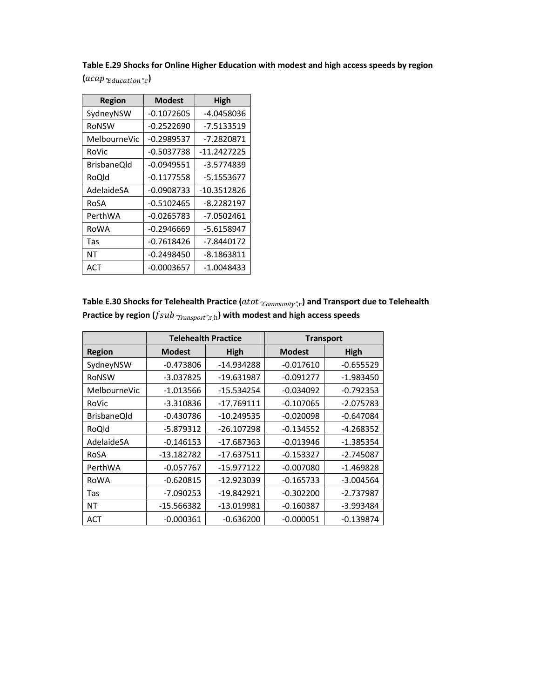Table E.29 Shocks for Online Higher Education with modest and high access speeds by region

 $(\textit{acap}_{\textit{T}duction \textit{'r}})$ 

| <b>Region</b> | <b>Modest</b> | High         |
|---------------|---------------|--------------|
| SydneyNSW     | $-0.1072605$  | -4.0458036   |
| RoNSW         | -0.2522690    | -7.5133519   |
| MelbourneVic  | $-0.2989537$  | $-7.2820871$ |
| RoVic         | $-0.5037738$  | -11.2427225  |
| BrisbaneOld   | $-0.0949551$  | -3.5774839   |
| RoQld         | $-0.1177558$  | -5.1553677   |
| AdelaideSA    | $-0.0908733$  | -10.3512826  |
| RoSA          | $-0.5102465$  | $-8.2282197$ |
| PerthWA       | $-0.0265783$  | $-7.0502461$ |
| RoWA          | -0.2946669    | -5.6158947   |
| Tas           | $-0.7618426$  | -7.8440172   |
| NΤ            | $-0.2498450$  | $-8.1863811$ |
| ACT           | $-0.0003657$  | -1.0048433   |

| Table E.30 Shocks for Telehealth Practice ( $atot$ $_{\textit{Community}'' , \textbf{r}}$ ) and Transport due to Telehealth             |
|-----------------------------------------------------------------------------------------------------------------------------------------|
| Practice by region ( $fsub$ <sup><math>m</math></sup> $r$ <sub>Transport</sub> $r$ <sub>,r,h</sub> ) with modest and high access speeds |

|                    | <b>Telehealth Practice</b> |              | <b>Transport</b> |             |  |  |
|--------------------|----------------------------|--------------|------------------|-------------|--|--|
| <b>Region</b>      | <b>Modest</b>              | High         |                  | High        |  |  |
| SydneyNSW          | $-0.473806$                | -14.934288   | $-0.017610$      | $-0.655529$ |  |  |
| RoNSW              | $-3.037825$                | $-19.631987$ | $-0.091277$      | $-1.983450$ |  |  |
| MelbourneVic       | $-1.013566$                | $-15.534254$ | $-0.034092$      | $-0.792353$ |  |  |
| RoVic              | $-3.310836$                | -17.769111   | $-0.107065$      | $-2.075783$ |  |  |
| <b>BrisbaneQld</b> | $-0.430786$                | $-10.249535$ | $-0.020098$      | $-0.647084$ |  |  |
| RoQld              | $-5.879312$                | $-26.107298$ | $-0.134552$      | -4.268352   |  |  |
| AdelaideSA         | $-0.146153$                | $-17.687363$ | $-0.013946$      | $-1.385354$ |  |  |
| RoSA               | -13.182782                 | $-17.637511$ | $-0.153327$      | $-2.745087$ |  |  |
| PerthWA            | $-0.057767$                | $-15.977122$ | $-0.007080$      | $-1.469828$ |  |  |
| RoWA               | $-0.620815$                | -12.923039   | $-0.165733$      | $-3.004564$ |  |  |
| Tas                | $-7.090253$                | $-19.842921$ | $-0.302200$      | $-2.737987$ |  |  |
| NΤ                 | -15.566382                 | -13.019981   | $-0.160387$      | $-3.993484$ |  |  |
| ACT                | $-0.000361$                | $-0.636200$  | $-0.000051$      | $-0.139874$ |  |  |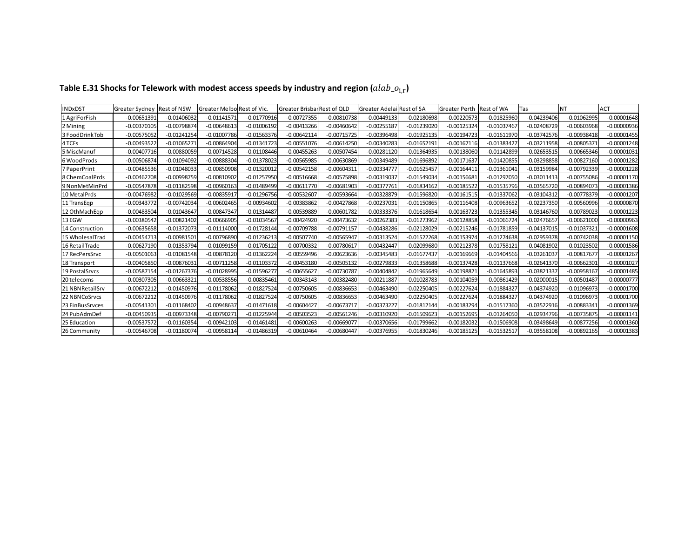| <b>INDxDST</b>   | Greater Sydney Rest of NSW |               | Greater Melbo Rest of Vic. |               | Greater Brisbar Rest of QLD |               | Greater Adelai Rest of SA |               | Greater Perth Rest of WA |               | Tas           | INT           | ACT           |
|------------------|----------------------------|---------------|----------------------------|---------------|-----------------------------|---------------|---------------------------|---------------|--------------------------|---------------|---------------|---------------|---------------|
| 1 AgriForFish    | $-0.00651391$              | $-0.01406032$ | $-0.01141571$              | $-0.01770916$ | $-0.00727355$               | $-0.00810738$ | $-0.00449133$             | $-0.02180698$ | $-0.00220573$            | $-0.01825960$ | $-0.04239406$ | $-0.01062995$ | $-0.00001648$ |
| 2 Mining         | $-0.00370105$              | $-0.00798874$ | $-0.00648613$              | $-0.01006192$ | $-0.00413266$               | $-0.00460642$ | $-0.00255187$             | $-0.01239020$ | $-0.00125324$            | $-0.01037467$ | $-0.02408729$ | $-0.00603968$ | $-0.00000936$ |
| 3 FoodDrinkTob   | $-0.00575052$              | $-0.01241254$ | $-0.01007786$              | $-0.01563376$ | $-0.00642114$               | $-0.00715725$ | $-0.00396498$             | $-0.01925135$ | $-0.00194723$            | $-0.01611970$ | $-0.03742576$ | $-0.00938418$ | $-0.00001455$ |
| 4 TCFs           | $-0.00493522$              | $-0.01065271$ | $-0.00864904$              | $-0.01341723$ | $-0.00551076$               | $-0.00614250$ | $-0.00340283$             | $-0.01652191$ | $-0.00167116$            | $-0.0138342$  | -0.03211958   | $-0.0080537$  | $-0.00001248$ |
| 5 MiscManuf      | $-0.00407716$              | $-0.00880059$ | $-0.00714528$              | $-0.01108446$ | $-0.00455263$               | $-0.00507454$ | $-0.00281120$             | $-0.01364935$ | $-0.00138060$            | $-0.01142899$ | $-0.02653515$ | $-0.00665346$ | $-0.00001031$ |
| 6 WoodProds      | $-0.00506874$              | $-0.01094092$ | $-0.00888304$              | $-0.01378023$ | $-0.00565985$               | $-0.00630869$ | $-0.00349489$             | $-0.01696892$ | $-0.00171637$            | $-0.01420855$ | $-0.03298858$ | $-0.00827160$ | $-0.00001282$ |
| 7 PaperPrint     | $-0.00485536$              | $-0.01048033$ | $-0.00850908$              | $-0.01320012$ | $-0.00542158$               | $-0.00604311$ | $-0.00334777$             | $-0.01625457$ | $-0.00164411$            | $-0.01361041$ | $-0.03159984$ | $-0.00792339$ | $-0.00001228$ |
| 8 Chem Coal Prds | $-0.00462708$              | $-0.00998759$ | $-0.00810902$              | $-0.01257950$ | $-0.00516668$               | $-0.00575898$ | $-0.00319037$             | $-0.01549034$ | $-0.00156681$            | $-0.01297050$ | $-0.03011413$ | $-0.00755086$ | $-0.00001170$ |
| 9 NonMetMinPrd   | -0.00547878                | $-0.01182598$ | $-0.00960163$              | $-0.01489499$ | $-0.00611770$               | $-0.00681903$ | $-0.00377761$             | $-0.01834162$ | $-0.00185522$            | $-0.01535796$ | $-0.03565720$ | $-0.00894073$ | $-0.00001386$ |
| 10 MetalPrds     | $-0.00476982$              | $-0.01029569$ | $-0.00835917$              | $-0.01296756$ | $-0.00532607$               | $-0.00593664$ | $-0.00328879$             | $-0.01596820$ | $-0.00161515$            | $-0.01337062$ | $-0.03104312$ | $-0.00778379$ | $-0.00001207$ |
| 11 TransEqp      | $-0.00343772$              | $-0.00742034$ | $-0.00602465$              | $-0.00934602$ | $-0.00383862$               | $-0.00427868$ | $-0.00237031$             | $-0.01150865$ | $-0.00116408$            | $-0.00963652$ | $-0.02237350$ | $-0.00560996$ | $-0.00000870$ |
| 12 OthMachEgp    | $-0.00483504$              | $-0.01043647$ | -0.00847347                | $-0.01314487$ | $-0.00539889$               | $-0.00601782$ | $-0.00333376$             | $-0.01618654$ | $-0.00163723$            | $-0.01355345$ | $-0.03146760$ | $-0.00789023$ | $-0.00001223$ |
| 13 EGW           | $-0.00380542$              | $-0.00821402$ | $-0.00666905$              | $-0.01034567$ | $-0.00424920$               | $-0.00473632$ | $-0.00262383$             | $-0.01273962$ | $-0.00128858$            | $-0.01066724$ | $-0.02476657$ | $-0.00621000$ | $-0.00000963$ |
| 14 Construction  | $-0.00635658$              | $-0.01372073$ | $-0.01114000$              | $-0.01728144$ | $-0.00709788$               | $-0.00791157$ | $-0.00438286$             | $-0.02128029$ | $-0.00215246$            | $-0.01781859$ | $-0.04137015$ | $-0.01037321$ | $-0.00001608$ |
| 15 WholesalTrad  | $-0.00454713$              | $-0.00981501$ | $-0.00796890$              | $-0.01236213$ | $-0.00507740$               | $-0.00565947$ | $-0.00313524$             | $-0.01522268$ | $-0.00153974$            | $-0.01274638$ | $-0.02959378$ | $-0.00742038$ | $-0.00001150$ |
| 16 RetailTrade   | $-0.00627190$              | $-0.01353794$ | $-0.01099159$              | $-0.01705122$ | $-0.00700332$               | $-0.00780617$ | $-0.00432447$             | $-0.02099680$ | $-0.00212378$            | $-0.01758121$ | $-0.04081902$ | $-0.01023502$ | $-0.00001586$ |
| 17 RecPersSrvc   | $-0.00501063$              | $-0.01081548$ | $-0.00878120$              | 0.01362224    | $-0.00559496$               | $-0.00623636$ | $-0.00345483$             | $-0.01677437$ | $-0.00169669$            | $-0.01404566$ | $-0.03261037$ | $-0.0081767$  | $-0.00001267$ |
| 18 Transport     | -0.00405850                | $-0.00876031$ | $-0.00711258$              | $-0.01103372$ | $-0.00453180$               | $-0.00505132$ | $-0.00279833$             | $-0.01358688$ | $-0.00137428$            | $-0.01137668$ | $-0.02641370$ | $-0.00662301$ | $-0.00001027$ |
| 19 PostalSrvcs   | $-0.00587154$              | $-0.01267376$ | $-0.01028995$              | $-0.01596277$ | $-0.00655627$               | $-0.00730787$ | $-0.00404842$             | $-0.01965649$ | $-0.00198821$            | $-0.01645893$ | $-0.03821337$ | $-0.00958167$ | $-0.00001485$ |
| 20 telecoms      | $-0.00307305$              | $-0.00663321$ | $-0.00538556$              | $-0.00835461$ | $-0.00343143$               | $-0.00382480$ | $-0.00211887$             | $-0.01028783$ | $-0.00104059$            | $-0.00861429$ | $-0.02000015$ | $-0.00501487$ | $-0.00000777$ |
| 21 NBNRetailSrv  | $-0.00672212$              | $-0.01450976$ | $-0.01178062$              | $-0.01827524$ | $-0.00750605$               | $-0.00836653$ | $-0.00463490$             | $-0.02250405$ | $-0.00227624$            | $-0.01884327$ | $-0.04374920$ | $-0.01096973$ | $-0.00001700$ |
| 22 NBNCoSrvcs    | -0.00672212                | $-0.01450976$ | $-0.01178062$              | $-0.01827524$ | $-0.00750605$               | $-0.00836653$ | $-0.00463490$             | $-0.02250405$ | $-0.00227624$            | $-0.0188432$  | -0.04374920   | $-0.01096973$ | $-0.00001700$ |
| 23 FinBusSrvces  | $-0.00541301$              | $-0.01168402$ | $-0.00948637$              | $-0.01471618$ | $-0.00604427$               | $-0.00673717$ | $-0.00373227$             | $-0.01812144$ | $-0.00183294$            | $-0.01517360$ | $-0.03522916$ | $-0.00883341$ | $-0.00001369$ |
| 24 PubAdmDef     | $-0.00450935$              | $-0.00973348$ | $-0.00790271$              | $-0.01225944$ | $-0.00503523$               | $-0.00561246$ | $-0.00310920$             | $-0.01509623$ | $-0.00152695$            | $-0.01264050$ | $-0.02934796$ | $-0.00735875$ | $-0.00001141$ |
| 25 Education     | -0.00537572                | $-0.01160354$ | $-0.00942103$              | $-0.01461481$ | $-0.00600263$               | $-0.00669077$ | $-0.00370656$             | $-0.01799662$ | $-0.00182032$            | $-0.01506908$ | -0.03498649   | $-0.00877256$ | $-0.00001360$ |
| 26 Community     | $-0.00546708$              | $-0.01180074$ | $-0.00958114$              | $-0.01486319$ | $-0.00610464$               | $-0.00680447$ | $-0.00376955$             | $-0.01830246$ | $-0.00185125$            | $-0.01532517$ | $-0.03558108$ | $-0.00892165$ | $-0.00001383$ |

# Table E.31 Shocks for Telework with modest access speeds by industry and region  $(alab\_o_{i,r})$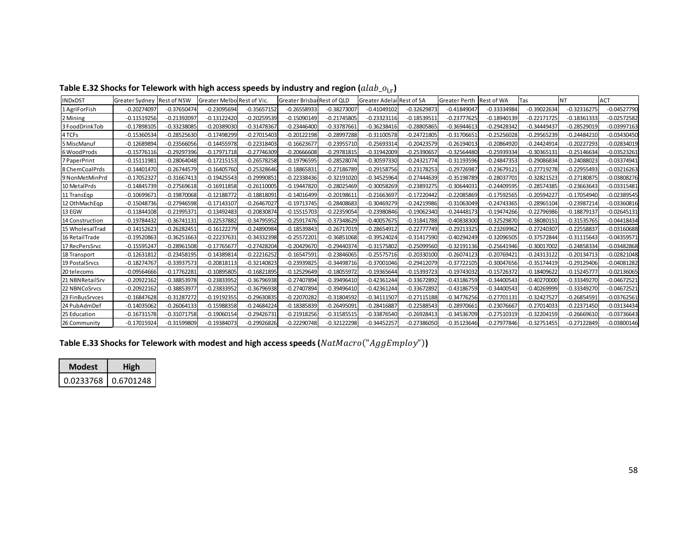| Table E.32 Shocks for Telework with high access speeds by industry and region $(alab\_o_{i,r})$ |  |  |  |  |
|-------------------------------------------------------------------------------------------------|--|--|--|--|
|                                                                                                 |  |  |  |  |

| <b>INDxDST</b>    | Greater Sydney Rest of NSW |               | Greater Melbo Rest of Vic. |               | Greater Brisbar Rest of QLD |               | <b>Greater Adelai Rest of SA</b> |               | Greater Perth | <b>Rest of WA</b> | Tas           | INT           | <b>ACT</b>    |
|-------------------|----------------------------|---------------|----------------------------|---------------|-----------------------------|---------------|----------------------------------|---------------|---------------|-------------------|---------------|---------------|---------------|
| 1 AgriForFish     | $-0.20274097$              | $-0.37650474$ | $-0.23095694$              | $-0.35657152$ | $-0.26558933$               | $-0.38273007$ | $-0.41049102$                    | $-0.32629873$ | $-0.41849047$ | $-0.33334984$     | $-0.39022634$ | $-0.32316275$ | $-0.04527790$ |
| 2 Mining          | $-0.11519256$              | $-0.2139209$  | $-0.13122420$              | $-0.20259539$ | $-0.15090149$               | $-0.21745805$ | $-0.23323116$                    | $-0.18539511$ | $-0.23777625$ | $-0.18940139$     | $-0.22171725$ | $-0.18361333$ | $-0.02572582$ |
| 3 FoodDrinkTob    | $-0.17898105$              | $-0.3323808!$ | $-0.20389030$              | $-0.31478367$ | $-0.23446400$               | $-0.33787661$ | $-0.36238416$                    | $-0.28805865$ | $-0.36944613$ | $-0.29428342$     | $-0.34449437$ | $-0.28529019$ | $-0.03997163$ |
| 4 TCFs            | $-0.15360534$              | $-0.28525630$ | $-0.17498299$              | $-0.27015403$ | $-0.20122198$               | $-0.28997288$ | $-0.31100578$                    | $-0.24721805$ | $-0.31706651$ | $-0.25256028$     | $-0.29565239$ | $-0.24484210$ | $-0.03430450$ |
| 5 MiscManuf       | $-0.12689894$              | $-0.23566056$ | $-0.14455978$              | $-0.22318403$ | $-0.16623677$               | $-0.23955710$ | $-0.25693314$                    | $-0.20423579$ | $-0.26194013$ | $-0.20864920$     | $-0.24424914$ | $-0.20227293$ | $-0.02834019$ |
| 6 WoodProds       | $-0.15776116$              | -0.29297396   | $-0.17971718$              | -0.27746309   | $-0.20666608$               | -0.29781815   | $-0.31942009$                    | $-0.25390657$ | $-0.32564480$ | $-0.25939334$     | $-0.30365131$ | $-0.25146634$ | $-0.03523261$ |
| 7 PaperPrint      | $-0.15111981$              | $-0.28064048$ | $-0.17215153$              | $-0.26578258$ | $-0.19796595$               | $-0.28528074$ | $-0.30597330$                    | $-0.24321774$ | $-0.31193596$ | $-0.24847353$     | -0.29086834   | $-0.24088023$ | $-0.03374941$ |
| 8 Chem Coal Prds  | $-0.14401470$              | $-0.26744579$ | $-0.16405760$              | $-0.25328646$ | $-0.18865831$               | $-0.27186789$ | $-0.29158756$                    | $-0.23178253$ | $-0.29726987$ | $-0.23679121$     | $-0.27719278$ | $-0.22955493$ | $-0.03216263$ |
| 9 NonMetMinPrd    | $-0.17052327$              | $-0.31667413$ | $-0.19425543$              | $-0.29990851$ | $-0.22338436$               | $-0.32191020$ | $-0.34525964$                    | $-0.27444639$ | $-0.35198789$ | $-0.28037701$     | $-0.32821523$ | $-0.27180875$ | $-0.03808276$ |
| 10 MetalPrds      | $-0.14845739$              | $-0.27569618$ | $-0.16911858$              | $-0.26110005$ | $-0.19447820$               | $-0.28025469$ | $-0.30058269$                    | $-0.23893275$ | $-0.30644031$ | $-0.24409595$     | $-0.28574385$ | $-0.23663643$ | $-0.03315481$ |
| 11 TransEqp       | $-0.10699671$              | $-0.19870068$ | $-0.12188772$              | $-0.18818091$ | $-0.14016499$               | $-0.2019861$  | $-0.21663697$                    | $-0.17220442$ | $-0.22085869$ | $-0.17592565$     | $-0.2059422$  | $-0.17054940$ | $-0.02389545$ |
| 12 OthMachEqp     | $-0.15048736$              | $-0.27946598$ | $-0.17143107$              | $-0.26467027$ | $-0.19713745$               | $-0.28408683$ | $-0.30469279$                    | $-0.24219986$ | $-0.31063049$ | $-0.24743365$     | $-0.28965104$ | $-0.23987214$ | $-0.03360816$ |
| 13 EGW            | $-0.11844108$              | $-0.2199537$  | $-0.13492483$              | $-0.20830874$ | $-0.15515703$               | $-0.22359054$ | $-0.23980846$                    | $-0.19062340$ | $-0.24448173$ | $-0.19474266$     | $-0.22796986$ | $-0.18879137$ | $-0.02645131$ |
| 14 Construction   | $-0.19784432$              | $-0.36741131$ | $-0.22537882$              | $-0.34795952$ | $-0.25917476$               | $-0.37348629$ | $-0.40057675$                    | $-0.31841788$ | $-0.40838300$ | $-0.32529870$     | $-0.38080151$ | $-0.31535765$ | $-0.04418434$ |
| 15 WholesalTrad   | $-0.14152623$              | $-0.26282451$ | $-0.16122279$              | $-0.24890984$ | $-0.18539843$               | $-0.26717019$ | $-0.28654912$                    | $-0.22777749$ | $-0.29213325$ | $-0.23269962$     | $-0.27240307$ | $-0.22558837$ | $-0.03160688$ |
| 16 RetailTrade    | $-0.19520863$              | $-0.36251663$ | $-0.22237631$              | $-0.34332398$ | $-0.25572201$               | $-0.36851068$ | $-0.39524024$                    | $-0.31417590$ | $-0.40294249$ | $-0.32096505$     | $-0.37572844$ | $-0.31115643$ | $-0.04359571$ |
| 17 RecPersSrvc    | $-0.15595247$              | $-0.28961508$ | $-0.17765677$              | $-0.27428204$ | $-0.20429670$               | $-0.29440374$ | $-0.31575802$                    | $-0.25099560$ | $-0.32191136$ | $-0.25641946$     | $-0.3001700$  | $-0.24858334$ | $-0.03482868$ |
| 18 Transport      | $-0.12631812$              | $-0.23458195$ | $-0.14389814$              | $-0.22216252$ | $-0.16547591$               | $-0.23846065$ | $-0.25575716$                    | $-0.20330100$ | $-0.26074123$ | $-0.20769421$     | $-0.24313122$ | $-0.20134713$ | $-0.02821048$ |
| 19 PostalSrvcs    | $-0.18274767$              | $-0.33937573$ | $-0.20818113$              | $-0.32140823$ | $-0.23939825$               | $-0.34498716$ | $-0.37001046$                    | $-0.29412079$ | $-0.37722105$ | $-0.30047656$     | $-0.35174419$ | $-0.29129406$ | $-0.04081282$ |
| 20 telecoms       | $-0.09564666$              | $-0.17762281$ | $-0.10895805$              | $-0.16821895$ | $-0.12529649$               | $-0.18055972$ | $-0.19365644$                    | $-0.15393723$ | $-0.19743032$ | $-0.15726372$     | $-0.1840962$  | $-0.15245777$ | $-0.02136065$ |
| 21 NBN Retail Srv | $-0.20922162$              | $-0.38853978$ | $-0.23833952$              | $-0.36796938$ | $-0.27407894$               | $-0.39496410$ | $-0.42361244$                    | $-0.33672892$ | $-0.43186759$ | $-0.34400543$     | $-0.40270000$ | $-0.33349270$ | $-0.04672521$ |
| 22 NBNCoSrvcs     | $-0.20922162$              | $-0.38853977$ | $-0.23833952$              | $-0.36796938$ | $-0.27407894$               | $-0.39496410$ | $-0.42361244$                    | $-0.33672892$ | $-0.43186759$ | $-0.34400543$     | $-0.40269999$ | $-0.33349270$ | $-0.04672521$ |
| 23 FinBusSrvces   | $-0.16847628$              | $-0.31287272$ | $-0.19192355$              | $-0.29630835$ | $-0.22070282$               | $-0.31804592$ | $-0.34111507$                    | $-0.27115188$ | $-0.34776256$ | $-0.27701131$     | $-0.32427527$ | $-0.26854591$ | $-0.03762561$ |
| 24 PubAdmDef      | $-0.14035062$              | $-0.26064133$ | $-0.15988358$              | $-0.24684224$ | $-0.18385839$               | -0.26495091   | $-0.28416887$                    | $-0.22588543$ | $-0.28970661$ | $-0.23076667$     | -0.27014033   | $-0.22371450$ | $-0.03134434$ |
| 25 Education      | $-0.16731578$              | $-0.31071758$ | $-0.19060154$              | $-0.29426731$ | $-0.21918256$               | $-0.31585515$ | $-0.33876540$                    | $-0.26928413$ | $-0.34536709$ | $-0.27510319$     | $-0.32204159$ | $-0.26669610$ | $-0.03736643$ |
| 26 Community      | $-0.17015924$              | $-0.31599809$ | $-0.19384073$              | $-0.29926826$ | $-0.22290748$               | $-0.32122298$ | $-0.34452257$                    | $-0.27386050$ | $-0.35123646$ | $-0.27977846$     | $-0.32751455$ | $-0.27122849$ | $-0.03800146$ |

Table E.33 Shocks for Telework with modest and high access speeds ( $NatMacro("AggEmploy")$ )

| <b>Modest</b>       | iøh |
|---------------------|-----|
| 0.0233768 0.6701248 |     |